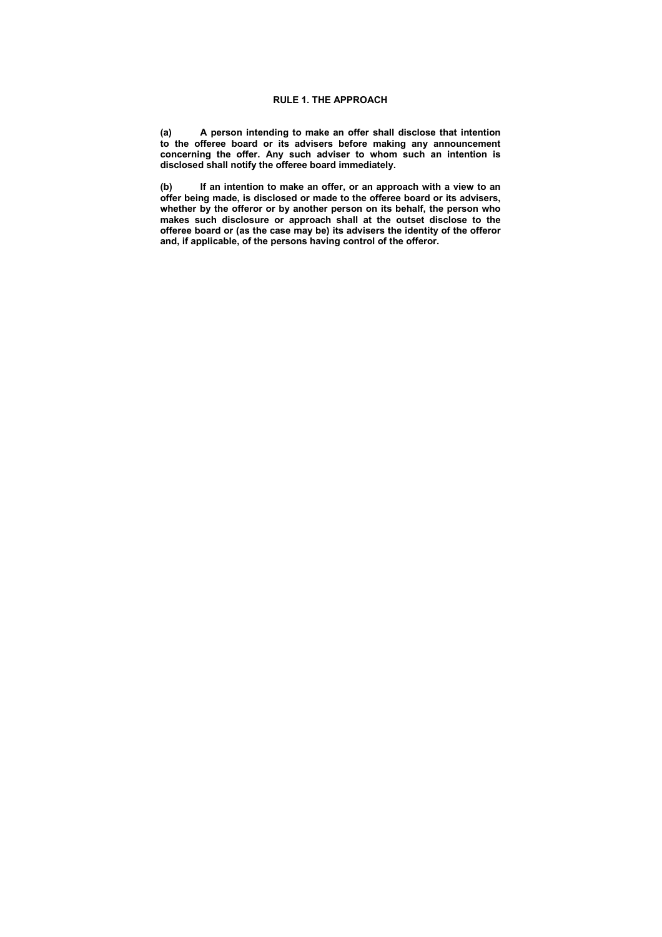**(a) A person intending to make an offer shall disclose that intention to the offeree board or its advisers before making any announcement concerning the offer. Any such adviser to whom such an intention is disclosed shall notify the offeree board immediately.** 

**(b) If an intention to make an offer, or an approach with a view to an offer being made, is disclosed or made to the offeree board or its advisers, whether by the offeror or by another person on its behalf, the person who makes such disclosure or approach shall at the outset disclose to the offeree board or (as the case may be) its advisers the identity of the offeror and, if applicable, of the persons having control of the offeror.**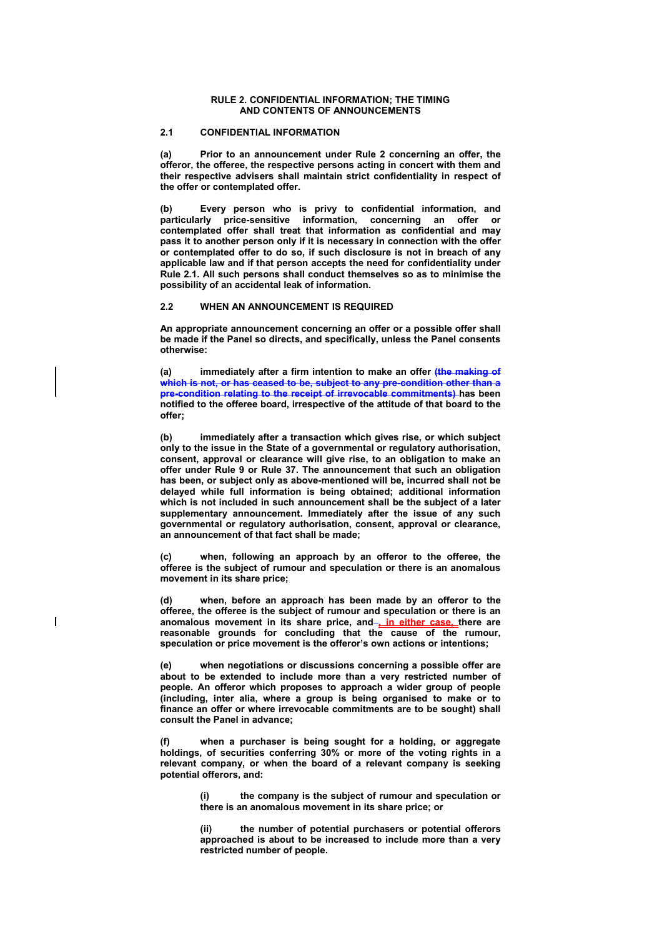### **RULE 2. CONFIDENTIAL INFORMATION; THE TIMING AND CONTENTS OF ANNOUNCEMENTS**

# **2.1 CONFIDENTIAL INFORMATION**

**(a) Prior to an announcement under Rule 2 concerning an offer, the offeror, the offeree, the respective persons acting in concert with them and their respective advisers shall maintain strict confidentiality in respect of the offer or contemplated offer.** 

**(b) Every person who is privy to confidential information, and particularly price-sensitive information, concerning an offer or contemplated offer shall treat that information as confidential and may pass it to another person only if it is necessary in connection with the offer or contemplated offer to do so, if such disclosure is not in breach of any applicable law and if that person accepts the need for confidentiality under Rule 2.1. All such persons shall conduct themselves so as to minimise the possibility of an accidental leak of information.** 

#### **2.2 WHEN AN ANNOUNCEMENT IS REQUIRED**

**An appropriate announcement concerning an offer or a possible offer shall be made if the Panel so directs, and specifically, unless the Panel consents otherwise:** 

**(a) immediately after a firm intention to make an offer (the making of which is not, or has ceased to be, subject to any pre-condition other than a pre-condition relating to the receipt of irrevocable commitments) has been notified to the offeree board, irrespective of the attitude of that board to the offer;** 

**(b) immediately after a transaction which gives rise, or which subject only to the issue in the State of a governmental or regulatory authorisation, consent, approval or clearance will give rise, to an obligation to make an offer under Rule 9 or Rule 37. The announcement that such an obligation has been, or subject only as above-mentioned will be, incurred shall not be delayed while full information is being obtained; additional information which is not included in such announcement shall be the subject of a later supplementary announcement. Immediately after the issue of any such governmental or regulatory authorisation, consent, approval or clearance, an announcement of that fact shall be made;** 

**(c) when, following an approach by an offeror to the offeree, the offeree is the subject of rumour and speculation or there is an anomalous movement in its share price;** 

**(d) when, before an approach has been made by an offeror to the offeree, the offeree is the subject of rumour and speculation or there is an**  anomalous movement in its share price, and-**in either case** there are **reasonable grounds for concluding that the cause of the rumour, speculation or price movement is the offeror's own actions or intentions;** 

 $\overline{\phantom{a}}$ 

**(e) when negotiations or discussions concerning a possible offer are about to be extended to include more than a very restricted number of people. An offeror which proposes to approach a wider group of people (including, inter alia, where a group is being organised to make or to finance an offer or where irrevocable commitments are to be sought) shall consult the Panel in advance;** 

**(f) when a purchaser is being sought for a holding, or aggregate holdings, of securities conferring 30% or more of the voting rights in a relevant company, or when the board of a relevant company is seeking potential offerors, and:** 

> **(i) the company is the subject of rumour and speculation or there is an anomalous movement in its share price; or**

> **(ii) the number of potential purchasers or potential offerors approached is about to be increased to include more than a very restricted number of people.**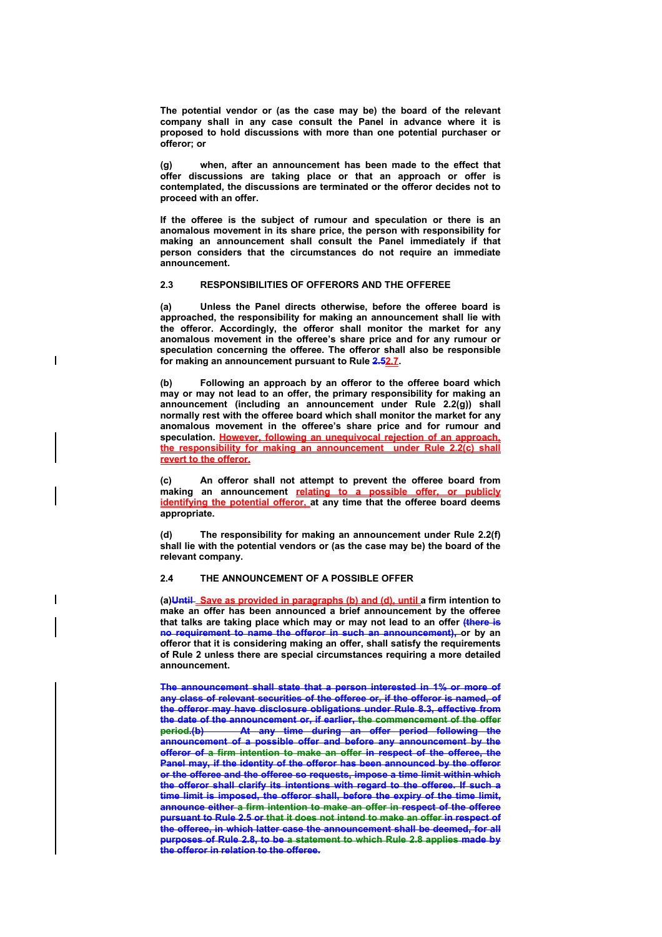**The potential vendor or (as the case may be) the board of the relevant company shall in any case consult the Panel in advance where it is proposed to hold discussions with more than one potential purchaser or offeror; or** 

**(g) when, after an announcement has been made to the effect that offer discussions are taking place or that an approach or offer is contemplated, the discussions are terminated or the offeror decides not to proceed with an offer.** 

**If the offeree is the subject of rumour and speculation or there is an anomalous movement in its share price, the person with responsibility for making an announcement shall consult the Panel immediately if that person considers that the circumstances do not require an immediate announcement.** 

#### **2.3 RESPONSIBILITIES OF OFFERORS AND THE OFFEREE**

 $\overline{\phantom{a}}$ 

**(a) Unless the Panel directs otherwise, before the offeree board is approached, the responsibility for making an announcement shall lie with the offeror. Accordingly, the offeror shall monitor the market for any anomalous movement in the offeree's share price and for any rumour or speculation concerning the offeree. The offeror shall also be responsible for making an announcement pursuant to Rule 2.52.7.** 

**(b) Following an approach by an offeror to the offeree board which may or may not lead to an offer, the primary responsibility for making an announcement (including an announcement under Rule 2.2(g)) shall normally rest with the offeree board which shall monitor the market for any anomalous movement in the offeree's share price and for rumour and speculation. However, following an unequivocal rejection of an approach, the responsibility for making an announcement under Rule 2.2(c) shall revert to the offeror.** 

**(c) An offeror shall not attempt to prevent the offeree board from making an announcement relating to a possible offer, or publicly identifying the potential offeror, at any time that the offeree board deems appropriate.** 

**(d) The responsibility for making an announcement under Rule 2.2(f) shall lie with the potential vendors or (as the case may be) the board of the relevant company.** 

# **2.4 THE ANNOUNCEMENT OF A POSSIBLE OFFER**

**(a)Until Save as provided in paragraphs (b) and (d), until a firm intention to make an offer has been announced a brief announcement by the offeree that talks are taking place which may or may not lead to an offer (there is no requirement to name the offeror in such an announcement), or by an offeror that it is considering making an offer, shall satisfy the requirements of Rule 2 unless there are special circumstances requiring a more detailed announcement.** 

**The announcement shall state that a person interested in 1% or more of any class of relevant securities of the offeree or, if the offeror is named, of the offeror may have disclosure obligations under Rule 8.3, effective from the date of the announcement or, if earlier, the commencement of the offer period.(b) At any time during an offer period following the announcement of a possible offer and before any announcement by the offeror of a firm intention to make an offer in respect of the offeree, the Panel may, if the identity of the offeror has been announced by the offeror or the offeree and the offeree so requests, impose a time limit within which the offeror shall clarify its intentions with regard to the offeree. If such a time limit is imposed, the offeror shall, before the expiry of the time limit, announce either a firm intention to make an offer in respect of the offeree pursuant to Rule 2.5 or that it does not intend to make an offer in respect of the offeree, in which latter case the announcement shall be deemed, for all purposes of Rule 2.8, to be a statement to which Rule 2.8 applies made by the offeror in relation to the offeree.**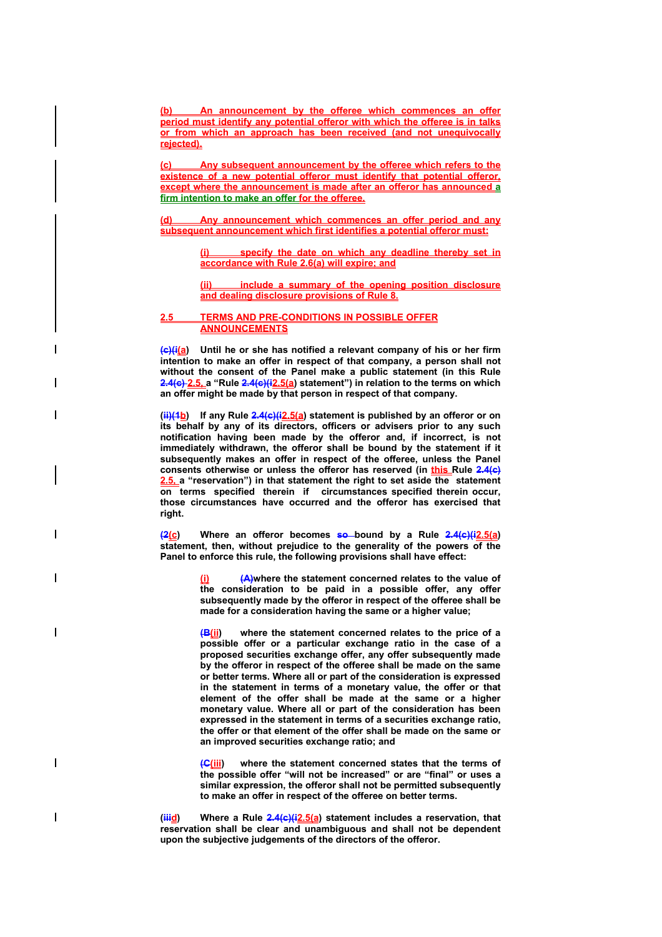**(b) An announcement by the offeree which commences an offer period must identify any potential offeror with which the offeree is in talks or from which an approach has been received (and not unequivocally rejected).**

**(c) Any subsequent announcement by the offeree which refers to the existence of a new potential offeror must identify that potential offeror, except where the announcement is made after an offeror has announced a firm intention to make an offer for the offeree.**

**(d) Any announcement which commences an offer period and any subsequent announcement which first identifies a potential offeror must:**

> **specify the date on which any deadline thereby set in accordance with Rule 2.6(a) will expire; and**

> **(ii) include a summary of the opening position disclosure and dealing disclosure provisions of Rule 8.**

#### **2.5 TERMS AND PRE-CONDITIONS IN POSSIBLE OFFER ANNOUNCEMENTS**

**(c)(i(a) Until he or she has notified a relevant company of his or her firm intention to make an offer in respect of that company, a person shall not without the consent of the Panel make a public statement (in this Rule 2.4(c) 2.5, a "Rule 2.4(c)(i2.5(a) statement") in relation to the terms on which an offer might be made by that person in respect of that company.** 

**(ii)(1b) If any Rule 2.4(c)(i2.5(a) statement is published by an offeror or on its behalf by any of its directors, officers or advisers prior to any such notification having been made by the offeror and, if incorrect, is not immediately withdrawn, the offeror shall be bound by the statement if it subsequently makes an offer in respect of the offeree, unless the Panel consents otherwise or unless the offeror has reserved (in this Rule 2.4(c) 2.5, a "reservation") in that statement the right to set aside the statement on terms specified therein if circumstances specified therein occur, those circumstances have occurred and the offeror has exercised that right.** 

**(2(c) Where an offeror becomes so bound by a Rule 2.4(c)(i2.5(a) statement, then, without prejudice to the generality of the powers of the Panel to enforce this rule, the following provisions shall have effect:** 

 $\mathbf{I}$ 

I

 $\overline{\phantom{a}}$ 

**(A)where the statement concerned relates to the value of the consideration to be paid in a possible offer, any offer subsequently made by the offeror in respect of the offeree shall be made for a consideration having the same or a higher value;**

**(B(ii) where the statement concerned relates to the price of a possible offer or a particular exchange ratio in the case of a proposed securities exchange offer, any offer subsequently made by the offeror in respect of the offeree shall be made on the same or better terms. Where all or part of the consideration is expressed in the statement in terms of a monetary value, the offer or that element of the offer shall be made at the same or a higher monetary value. Where all or part of the consideration has been expressed in the statement in terms of a securities exchange ratio, the offer or that element of the offer shall be made on the same or an improved securities exchange ratio; and** 

where the statement concerned states that the terms of **the possible offer "will not be increased" or are "final" or uses a similar expression, the offeror shall not be permitted subsequently to make an offer in respect of the offeree on better terms.** 

(**iiid**) Where a Rule 2.4(c)(i2.5(a) statement includes a reservation, that **reservation shall be clear and unambiguous and shall not be dependent upon the subjective judgements of the directors of the offeror.**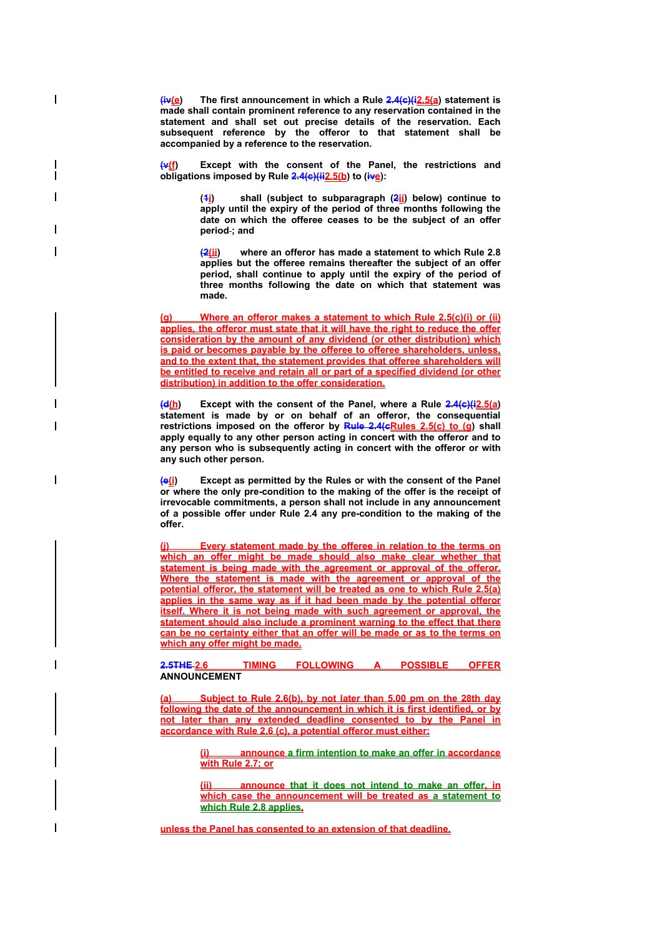**(iv(e) The first announcement in which a Rule 2.4(c)(i2.5(a) statement is made shall contain prominent reference to any reservation contained in the statement and shall set out precise details of the reservation. Each subsequent reference by the offeror to that statement shall be accompanied by a reference to the reservation.** 

 $\mathbf{I}$ 

Except with the consent of the Panel, the restrictions and obligations imposed by Rule 2.4(c)(ii2.5(b) to (ive):

> **(1i) shall (subject to subparagraph (2ii) below) continue to apply until the expiry of the period of three months following the date on which the offeree ceases to be the subject of an offer period ; and**

> **(2(ii) where an offeror has made a statement to which Rule 2.8 applies but the offeree remains thereafter the subject of an offer period, shall continue to apply until the expiry of the period of three months following the date on which that statement was made.**

**(g) Where an offeror makes a statement to which Rule 2.5(c)(i) or (ii) applies, the offeror must state that it will have the right to reduce the offer consideration by the amount of any dividend (or other distribution) which is paid or becomes payable by the offeree to offeree shareholders, unless, and to the extent that, the statement provides that offeree shareholders will be entitled to receive and retain all or part of a specified dividend (or other distribution) in addition to the offer consideration.**

**(d(h) Except with the consent of the Panel, where a Rule 2.4(c)(i2.5(a) statement is made by or on behalf of an offeror, the consequential**  restrictions imposed on the offeror by Rule 2.4(cRules 2.5(c) to (g) shall **apply equally to any other person acting in concert with the offeror and to any person who is subsequently acting in concert with the offeror or with any such other person.** 

**(e(i) Except as permitted by the Rules or with the consent of the Panel or where the only pre-condition to the making of the offer is the receipt of irrevocable commitments, a person shall not include in any announcement of a possible offer under Rule 2.4 any pre-condition to the making of the offer.** 

**Every statement made by the offeree in relation to the terms on** which an offer might be made should also make clear whether that **statement is being made with the agreement or approval of the offeror. Where the statement is made with the agreement or approval of the potential offeror, the statement will be treated as one to which Rule 2.5(a) applies in the same way as if it had been made by the potential offeror itself. Where it is not being made with such agreement or approval, the statement should also include a prominent warning to the effect that there can be no certainty either that an offer will be made or as to the terms on which any offer might be made.**

**2.5THE 2.6 TIMING FOLLOWING A POSSIBLE ANNOUNCEMENT** 

**(a) Subject to Rule 2.6(b), by not later than 5.00 pm on the 28th day following the date of the announcement in which it is first identified, or by not later than any extended deadline consented to by the Panel in accordance with Rule 2.6 (c), a potential offeror must either:**

> **(i) announce a firm intention to make an offer in accordance with Rule 2.7; or**

> **announce that it does not intend to make an offer, in which case the announcement will be treated as a statement to which Rule 2.8 applies,**

**unless the Panel has consented to an extension of that deadline.**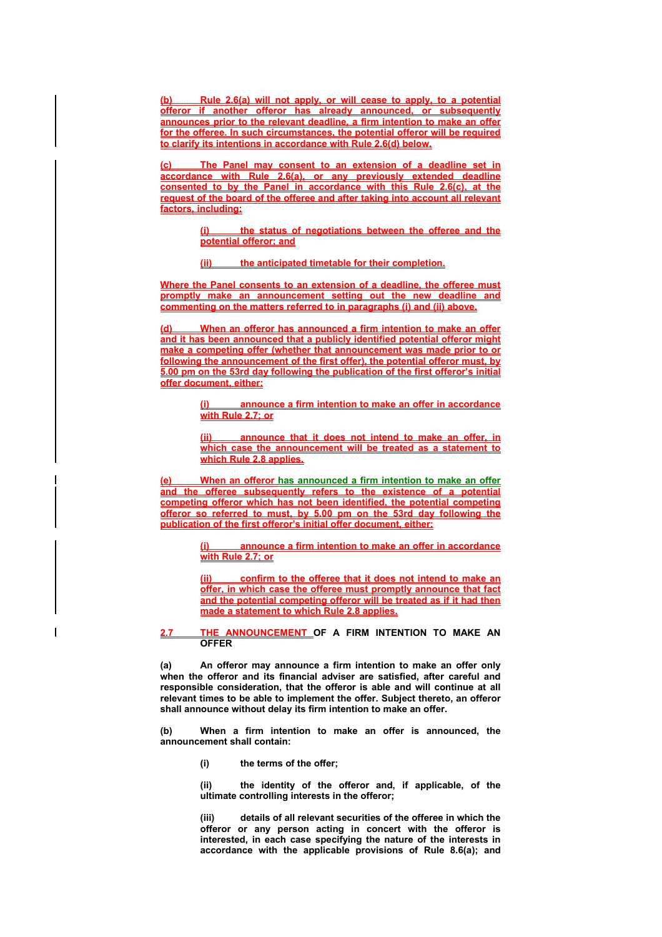**(b) Rule 2.6(a) will not apply, or will cease to apply, to a potential offeror if another offeror has already announced, or subsequently announces prior to the relevant deadline, a firm intention to make an offer for the offeree. In such circumstances, the potential offeror will be required to clarify its intentions in accordance with Rule 2.6(d) below.**

**(c) The Panel may consent to an extension of a deadline set in accordance with Rule 2.6(a), or any previously extended deadline consented to by the Panel in accordance with this Rule 2.6(c), at the request of the board of the offeree and after taking into account all relevant factors, including:**

> **(i) the status of negotiations between the offeree and the potential offeror; and**

**(ii) the anticipated timetable for their completion.**

**Where the Panel consents to an extension of a deadline, the offeree must promptly make an announcement setting out the new deadline and commenting on the matters referred to in paragraphs (i) and (ii) above.**

**(d) When an offeror has announced a firm intention to make an offer and it has been announced that a publicly identified potential offeror might make a competing offer (whether that announcement was made prior to or following the announcement of the first offer), the potential offeror must, by 5.00 pm on the 53rd day following the publication of the first offeror's initial offer document, either:**

> **(i) announce a firm intention to make an offer in accordance with Rule 2.7; or**

> **(ii) announce that it does not intend to make an offer, in which case the announcement will be treated as a statement to which Rule 2.8 applies.**

**(e) When an offeror has announced a firm intention to make an offer and the offeree subsequently refers to the existence of a potential competing offeror which has not been identified, the potential competing offeror so referred to must, by 5.00 pm on the 53rd day following the publication of the first offeror's initial offer document, either:**

> **(i) announce a firm intention to make an offer in accordance with Rule 2.7; or**

> **(ii) confirm to the offeree that it does not intend to make an offer, in which case the offeree must promptly announce that fact and the potential competing offeror will be treated as if it had then made a statement to which Rule 2.8 applies.**

#### **2.7 THE ANNOUNCEMENT OF A FIRM INTENTION TO MAKE AN OFFER**

**(a) An offeror may announce a firm intention to make an offer only when the offeror and its financial adviser are satisfied, after careful and responsible consideration, that the offeror is able and will continue at all relevant times to be able to implement the offer. Subject thereto, an offeror shall announce without delay its firm intention to make an offer.** 

**(b) When a firm intention to make an offer is announced, the announcement shall contain:** 

**(i) the terms of the offer;** 

**(ii) the identity of the offeror and, if applicable, of the ultimate controlling interests in the offeror;** 

**(iii) details of all relevant securities of the offeree in which the offeror or any person acting in concert with the offeror is interested, in each case specifying the nature of the interests in accordance with the applicable provisions of Rule 8.6(a); and**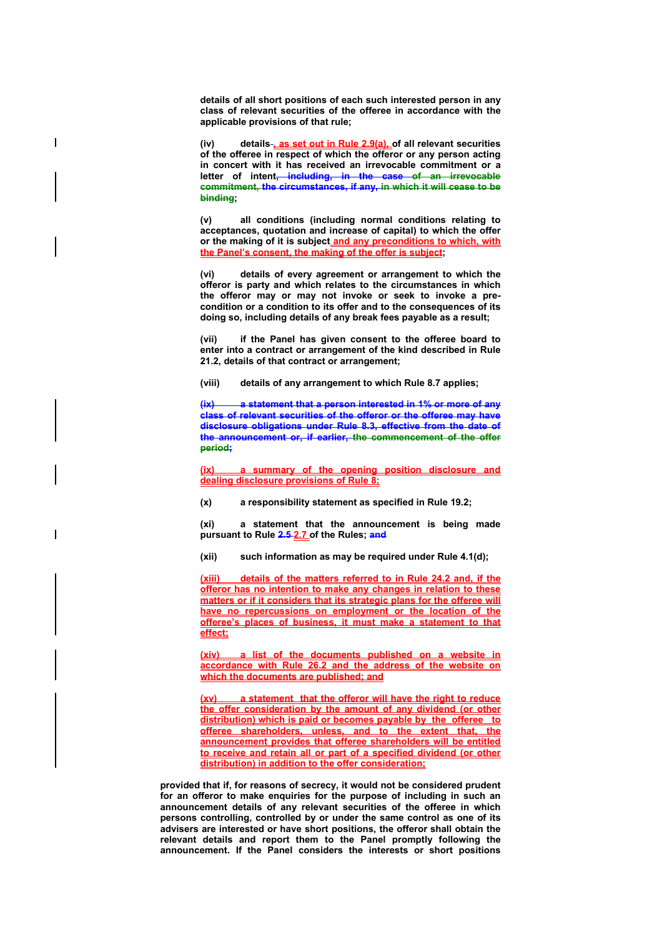**details of all short positions of each such interested person in any class of relevant securities of the offeree in accordance with the applicable provisions of that rule;** 

 $\overline{\phantom{a}}$ 

 $\overline{\phantom{a}}$ 

**(iv) details , as set out in Rule 2.9(a), of all relevant securities of the offeree in respect of which the offeror or any person acting in concert with it has received an irrevocable commitment or a letter of intent, including, in the case of an irrevocable commitment, the circumstances, if any, in which it will cease to be binding;** 

**(v) all conditions (including normal conditions relating to acceptances, quotation and increase of capital) to which the offer or the making of it is subject and any preconditions to which, with the Panel's consent, the making of the offer is subject;** 

**(vi) details of every agreement or arrangement to which the offeror is party and which relates to the circumstances in which the offeror may or may not invoke or seek to invoke a precondition or a condition to its offer and to the consequences of its doing so, including details of any break fees payable as a result;** 

**(vii) if the Panel has given consent to the offeree board to enter into a contract or arrangement of the kind described in Rule 21.2, details of that contract or arrangement;** 

**(viii) details of any arrangement to which Rule 8.7 applies;** 

a statement that a person interested in 1% or more of any **class of relevant securities of the offeror or the offeree may have disclosure obligations under Rule 8.3, effective from the date of the announcement or, if earlier, the commencement of the offer period;** 

**(ix) a summary of the opening position disclosure and dealing disclosure provisions of Rule 8;**

**(x) a responsibility statement as specified in Rule 19.2;** 

**(xi) a statement that the announcement is being made pursuant to Rule 2.5 2.7 of the Rules; and**

**(xii) such information as may be required under Rule 4.1(d);** 

**(xiii) details of the matters referred to in Rule 24.2 and, if the offeror has no intention to make any changes in relation to these matters or if it considers that its strategic plans for the offeree will have no repercussions on employment or the location of the offeree's places of business, it must make a statement to that effect;** 

**(xiv) a list of the documents published on a website in accordance with Rule 26.2 and the address of the website on which the documents are published; and**

**(xv) a statement that the offeror will have the right to reduce the offer consideration by the amount of any dividend (or other distribution) which is paid or becomes payable by the offeree to offeree shareholders, unless, and to the extent that, the announcement provides that offeree shareholders will be entitled to receive and retain all or part of a specified dividend (or other distribution) in addition to the offer consideration;**

**provided that if, for reasons of secrecy, it would not be considered prudent for an offeror to make enquiries for the purpose of including in such an announcement details of any relevant securities of the offeree in which persons controlling, controlled by or under the same control as one of its advisers are interested or have short positions, the offeror shall obtain the relevant details and report them to the Panel promptly following the announcement. If the Panel considers the interests or short positions**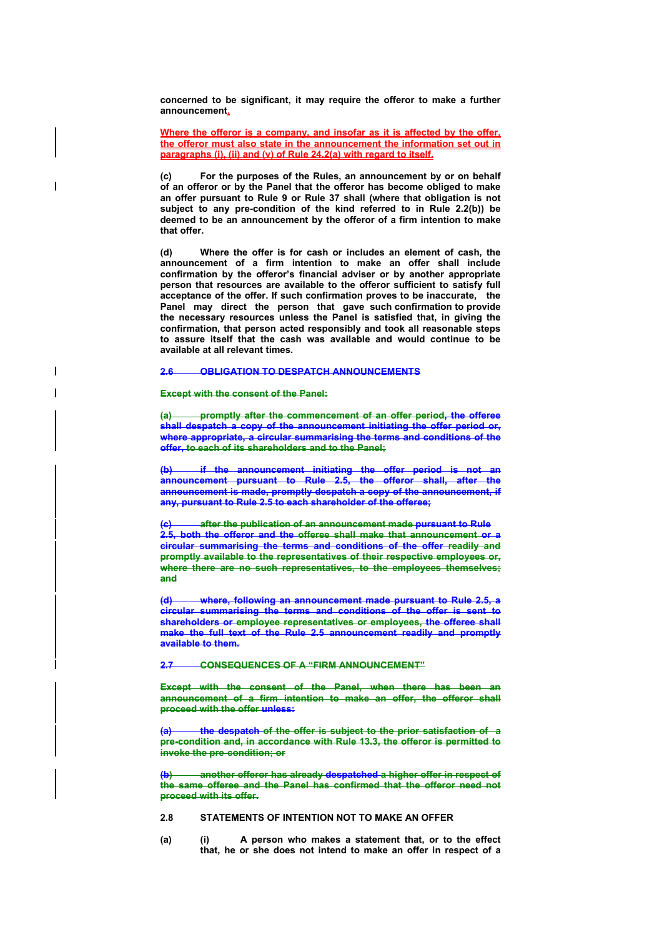**concerned to be significant, it may require the offeror to make a further announcement.**

**Where the offeror is a company, and insofar as it is affected by the offer, the offeror must also state in the announcement the information set out in paragraphs (i), (ii) and (v) of Rule 24.2(a) with regard to itself.**

**(c) For the purposes of the Rules, an announcement by or on behalf of an offeror or by the Panel that the offeror has become obliged to make an offer pursuant to Rule 9 or Rule 37 shall (where that obligation is not subject to any pre-condition of the kind referred to in Rule 2.2(b)) be deemed to be an announcement by the offeror of a firm intention to make that offer.** 

**(d) Where the offer is for cash or includes an element of cash, the announcement of a firm intention to make an offer shall include confirmation by the offeror's financial adviser or by another appropriate person that resources are available to the offeror sufficient to satisfy full acceptance of the offer. If such confirmation proves to be inaccurate, the Panel may direct the person that gave such confirmation to provide the necessary resources unless the Panel is satisfied that, in giving the confirmation, that person acted responsibly and took all reasonable steps to assure itself that the cash was available and would continue to be available at all relevant times.** 

# **2.6 OBLIGATION TO DESPATCH ANNOUNCEMENTS**

#### **Except with the consent of the Panel:**

I

**(a) promptly after the commencement of an offer period, the offeree shall despatch a copy of the announcement initiating the offer period or, where appropriate, a circular summarising the terms and conditions of the offer, to each of its shareholders and to the Panel;**

**(b) if the announcement initiating the offer period is not an announcement pursuant to Rule 2.5, the offeror shall, after the announcement is made, promptly despatch a copy of the announcement, if any, pursuant to Rule 2.5 to each shareholder of the offeree;** 

**(c) after the publication of an announcement made pursuant to Rule 2.5, both the offeror and the offeree shall make that announcement or a circular summarising the terms and conditions of the offer readily and promptly available to the representatives of their respective employees or,**  where there are no such representatives, to the employees themselves; **and**

**(d) where, following an announcement made pursuant to Rule 2.5, a circular summarising the terms and conditions of the offer is sent to shareholders or employee representatives or employees, the offeree shall make the full text of the Rule 2.5 announcement readily and promptly available to them.** 

**2.7 CONSEQUENCES OF A "FIRM ANNOUNCEMENT"**

**Except with the consent of the Panel, when there has been an announcement of a firm intention to make an offer, the offeror shall proceed with the offer unless:** 

**(a) the despatch of the offer is subject to the prior satisfaction of a pre-condition and, in accordance with Rule 13.3, the offeror is permitted to invoke the pre-condition; or**

**(b) another offeror has already despatched a higher offer in respect of the same offeree and the Panel has confirmed that the offeror need not proceed with its offer.**

#### **2.8 STATEMENTS OF INTENTION NOT TO MAKE AN OFFER**

**(a) (i) A person who makes a statement that, or to the effect that, he or she does not intend to make an offer in respect of a**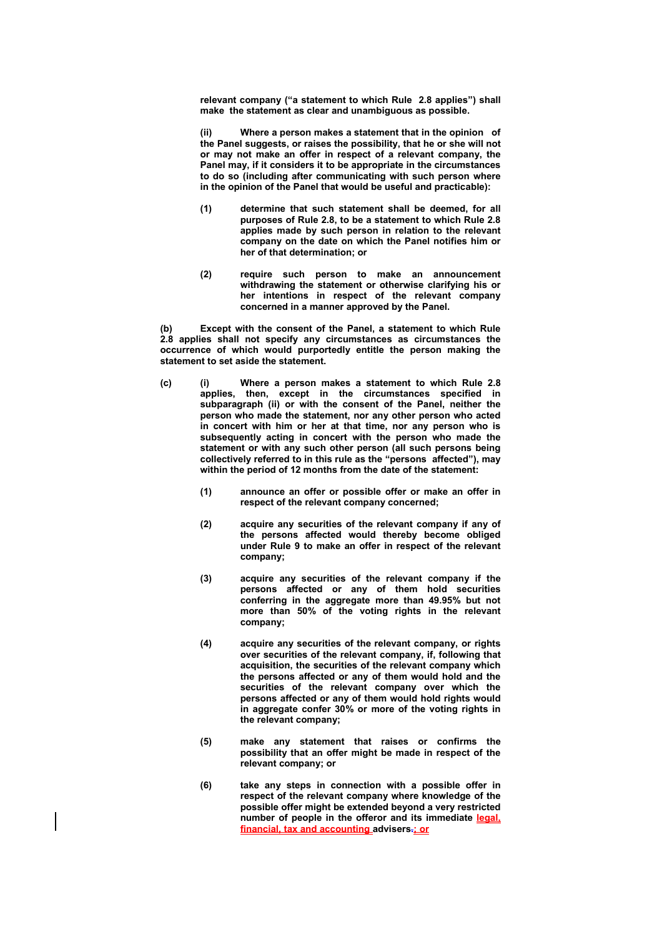**relevant company ("a statement to which Rule 2.8 applies") shall make the statement as clear and unambiguous as possible.** 

**(ii) Where a person makes a statement that in the opinion of the Panel suggests, or raises the possibility, that he or she will not or may not make an offer in respect of a relevant company, the Panel may, if it considers it to be appropriate in the circumstances to do so (including after communicating with such person where in the opinion of the Panel that would be useful and practicable):** 

- **(1) determine that such statement shall be deemed, for all purposes of Rule 2.8, to be a statement to which Rule 2.8 applies made by such person in relation to the relevant company on the date on which the Panel notifies him or her of that determination; or**
- **(2) require such person to make an announcement withdrawing the statement or otherwise clarifying his or her intentions in respect of the relevant company concerned in a manner approved by the Panel.**

**(b) Except with the consent of the Panel, a statement to which Rule 2.8 applies shall not specify any circumstances as circumstances the occurrence of which would purportedly entitle the person making the statement to set aside the statement.** 

- **(c) (i) Where a person makes a statement to which Rule 2.8 applies, then, except in the circumstances specified in subparagraph (ii) or with the consent of the Panel, neither the person who made the statement, nor any other person who acted in concert with him or her at that time, nor any person who is subsequently acting in concert with the person who made the statement or with any such other person (all such persons being collectively referred to in this rule as the "persons affected"), may within the period of 12 months from the date of the statement:** 
	- **(1) announce an offer or possible offer or make an offer in respect of the relevant company concerned;**
	- **(2) acquire any securities of the relevant company if any of the persons affected would thereby become obliged under Rule 9 to make an offer in respect of the relevant company;**
	- **(3) acquire any securities of the relevant company if the persons affected or any of them hold securities conferring in the aggregate more than 49.95% but not more than 50% of the voting rights in the relevant company;**
	- **(4) acquire any securities of the relevant company, or rights over securities of the relevant company, if, following that acquisition, the securities of the relevant company which the persons affected or any of them would hold and the securities of the relevant company over which the persons affected or any of them would hold rights would in aggregate confer 30% or more of the voting rights in the relevant company;**
	- **(5) make any statement that raises or confirms the possibility that an offer might be made in respect of the relevant company; or**
	- **(6) take any steps in connection with a possible offer in respect of the relevant company where knowledge of the possible offer might be extended beyond a very restricted number of people in the offeror and its immediate legal, financial, tax and accounting advisers.; or**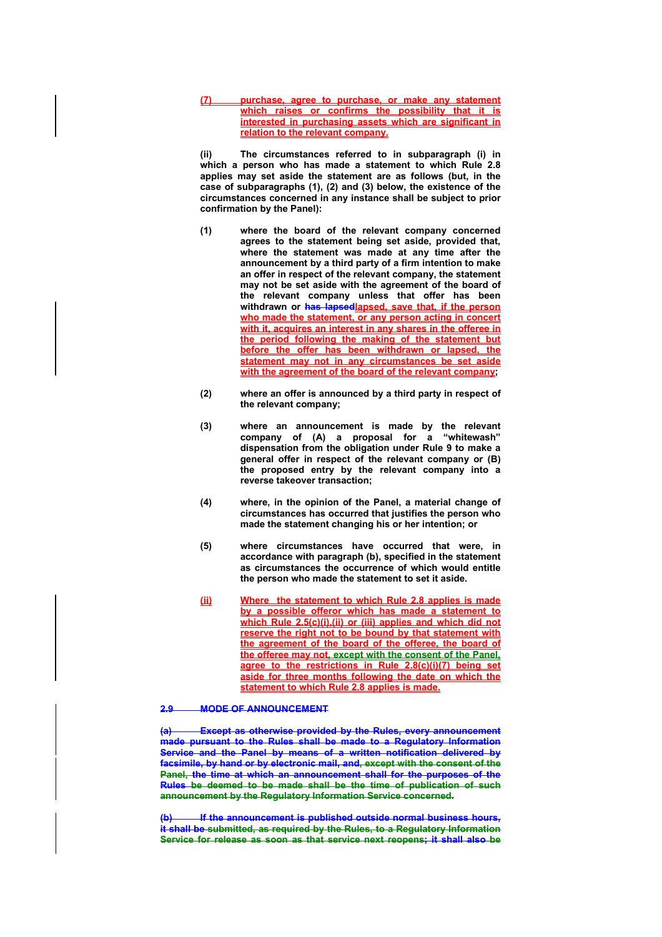**(7) purchase, agree to purchase, or make any statement which raises or confirms the possibility that it is interested in purchasing assets which are significant in relation to the relevant company.**

**(ii) The circumstances referred to in subparagraph (i) in which a person who has made a statement to which Rule 2.8 applies may set aside the statement are as follows (but, in the case of subparagraphs (1), (2) and (3) below, the existence of the circumstances concerned in any instance shall be subject to prior confirmation by the Panel):** 

- **(1) where the board of the relevant company concerned agrees to the statement being set aside, provided that, where the statement was made at any time after the announcement by a third party of a firm intention to make an offer in respect of the relevant company, the statement may not be set aside with the agreement of the board of the relevant company unless that offer has been withdrawn or has lapsedlapsed, save that, if the person who made the statement, or any person acting in concert with it, acquires an interest in any shares in the offeree in the period following the making of the statement but before the offer has been withdrawn or lapsed, the statement may not in any circumstances be set aside with the agreement of the board of the relevant company;**
- **(2) where an offer is announced by a third party in respect of the relevant company;**
- **(3) where an announcement is made by the relevant company of (A) a proposal for a "whitewash" dispensation from the obligation under Rule 9 to make a general offer in respect of the relevant company or (B) the proposed entry by the relevant company into a reverse takeover transaction;**
- **(4) where, in the opinion of the Panel, a material change of circumstances has occurred that justifies the person who made the statement changing his or her intention; or**
- **(5) where circumstances have occurred that were, in accordance with paragraph (b), specified in the statement as circumstances the occurrence of which would entitle the person who made the statement to set it aside.**
- **(ii) Where the statement to which Rule 2.8 applies is made by a possible offeror which has made a statement to which Rule 2.5(c)(i),(ii) or (iii) applies and which did not reserve the right not to be bound by that statement with the agreement of the board of the offeree, the board of the offeree may not, except with the consent of the Panel, agree to the restrictions in Rule 2.8(c)(i)(7) being set aside for three months following the date on which the statement to which Rule 2.8 applies is made.**

#### **2.9 MODE OF ANNOUNCEMENT**

**(a) Except as otherwise provided by the Rules, every announcement made pursuant to the Rules shall be made to a Regulatory Information Service and the Panel by means of a written notification delivered by facsimile, by hand or by electronic mail, and, except with the consent of the Panel, the time at which an announcement shall for the purposes of the Rules be deemed to be made shall be the time of publication of such announcement by the Regulatory Information Service concerned.**

**(b) If the announcement is published outside normal business hours, it shall be submitted, as required by the Rules, to a Regulatory Information Service for release as soon as that service next reopens; it shall also be**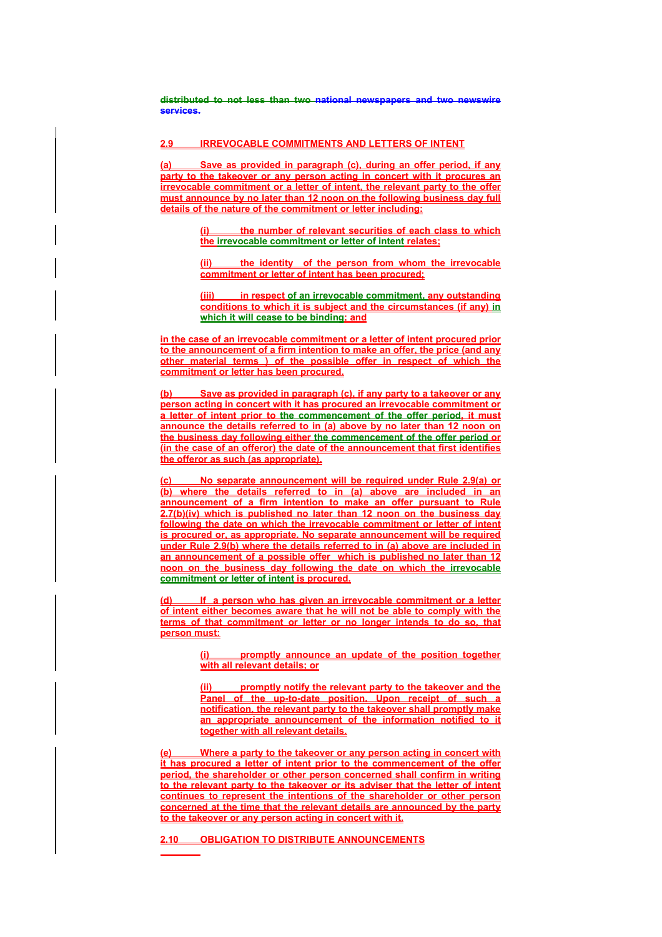**distributed to not less than two national newspapers and two newswire services.** 

### **2.9 IRREVOCABLE COMMITMENTS AND LETTERS OF INTENT**

**(a) Save as provided in paragraph (c), during an offer period, if any party to the takeover or any person acting in concert with it procures an irrevocable commitment or a letter of intent, the relevant party to the offer must announce by no later than 12 noon on the following business day full details of the nature of the commitment or letter including:**

> **(i) the number of relevant securities of each class to which the irrevocable commitment or letter of intent relates;**

> **(ii) the identity of the person from whom the irrevocable commitment or letter of intent has been procured;**

> **in respect of an irrevocable commitment, any outstanding conditions to which it is subject and the circumstances (if any) in which it will cease to be binding; and**

**in the case of an irrevocable commitment or a letter of intent procured prior to the announcement of a firm intention to make an offer, the price (and any other material terms ) of the possible offer in respect of which the commitment or letter has been procured.**

**(b) Save as provided in paragraph (c), if any party to a takeover or any person acting in concert with it has procured an irrevocable commitment or a letter of intent prior to the commencement of the offer period, it must announce the details referred to in (a) above by no later than 12 noon on the business day following either the commencement of the offer period or (in the case of an offeror) the date of the announcement that first identifies the offeror as such (as appropriate).**

**(c) No separate announcement will be required under Rule 2.9(a) or (b) where the details referred to in (a) above are included in an announcement of a firm intention to make an offer pursuant to Rule 2.7(b)(iv) which is published no later than 12 noon on the business day following the date on which the irrevocable commitment or letter of intent is procured or, as appropriate. No separate announcement will be required under Rule 2.9(b) where the details referred to in (a) above are included in an announcement of a possible offer which is published no later than 12 noon on the business day following the date on which the irrevocable commitment or letter of intent is procured.**

**(d) If a person who has given an irrevocable commitment or a letter of intent either becomes aware that he will not be able to comply with the terms of that commitment or letter or no longer intends to do so, that person must:**

> **(i) promptly announce an update of the position together with all relevant details; or**

> **(ii) promptly notify the relevant party to the takeover and the Panel of the up-to-date position. Upon receipt of such a notification, the relevant party to the takeover shall promptly make an appropriate announcement of the information notified to it together with all relevant details.**

**(e) Where a party to the takeover or any person acting in concert with it has procured a letter of intent prior to the commencement of the offer period, the shareholder or other person concerned shall confirm in writing to the relevant party to the takeover or its adviser that the letter of intent continues to represent the intentions of the shareholder or other person concerned at the time that the relevant details are announced by the party to the takeover or any person acting in concert with it.** 

**2.10 OBLIGATION TO DISTRIBUTE ANNOUNCEMENTS**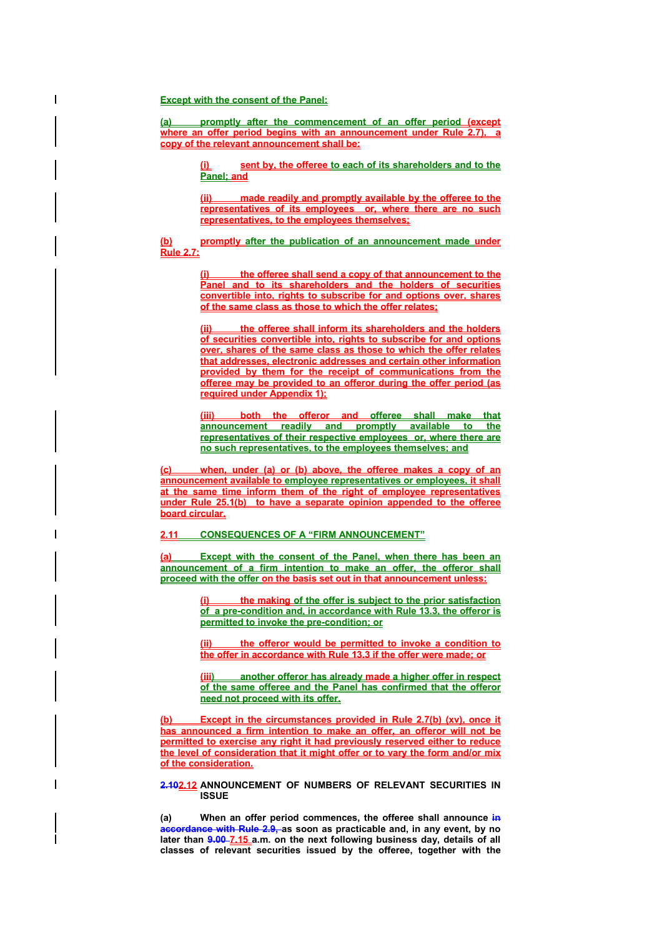#### **Except with the consent of the Panel:**

**(a) promptly after the commencement of an offer period (except where an offer period begins with an announcement under Rule 2.7), a copy of the relevant announcement shall be:**

> sent by, the offeree to each of its shareholders and to the **Panel; and**

> **(ii) made readily and promptly available by the offeree to the representatives of its employees or, where there are no such representatives, to the employees themselves;**

**(b) promptly after the publication of an announcement made under Rule 2.7:** 

> **(i) the offeree shall send a copy of that announcement to the Panel and to its shareholders and the holders of securities convertible into, rights to subscribe for and options over, shares of the same class as those to which the offer relates;**

> **(ii) the offeree shall inform its shareholders and the holders of securities convertible into, rights to subscribe for and options over, shares of the same class as those to which the offer relates that addresses, electronic addresses and certain other information provided by them for the receipt of communications from the offeree may be provided to an offeror during the offer period (as required under Appendix 1);**

> **(iii) both the offeror and offeree shall make that announcement readily and promptly available to the representatives of their respective employees or, where there are no such representatives, to the employees themselves; and**

**(c) when, under (a) or (b) above, the offeree makes a copy of an announcement available to employee representatives or employees, it shall at the same time inform them of the right of employee representatives under Rule 25.1(b) to have a separate opinion appended to the offeree board circular.**

### **2.11 CONSEQUENCES OF A "FIRM ANNOUNCEMENT"**

**(a) Except with the consent of the Panel, when there has been an announcement of a firm intention to make an offer, the offeror shall proceed with the offer on the basis set out in that announcement unless:**

> **(i) the making of the offer is subject to the prior satisfaction of a pre-condition and, in accordance with Rule 13.3, the offeror is permitted to invoke the pre-condition; or**

> **(ii) the offeror would be permitted to invoke a condition to the offer in accordance with Rule 13.3 if the offer were made; or**

> **(iii) another offeror has already made a higher offer in respect of the same offeree and the Panel has confirmed that the offeror need not proceed with its offer.**

**(b) Except in the circumstances provided in Rule 2.7(b) (xv), once it has announced a firm intention to make an offer, an offeror will not be permitted to exercise any right it had previously reserved either to reduce the level of consideration that it might offer or to vary the form and/or mix of the consideration.**

# **2.102.12 ANNOUNCEMENT OF NUMBERS OF RELEVANT SECURITIES IN ISSUE**

**(a) When an offer period commences, the offeree shall announce in accordance with Rule 2.9, as soon as practicable and, in any event, by no**  later than **9.00-7.15** a.m. on the next following business day, details of all **classes of relevant securities issued by the offeree, together with the**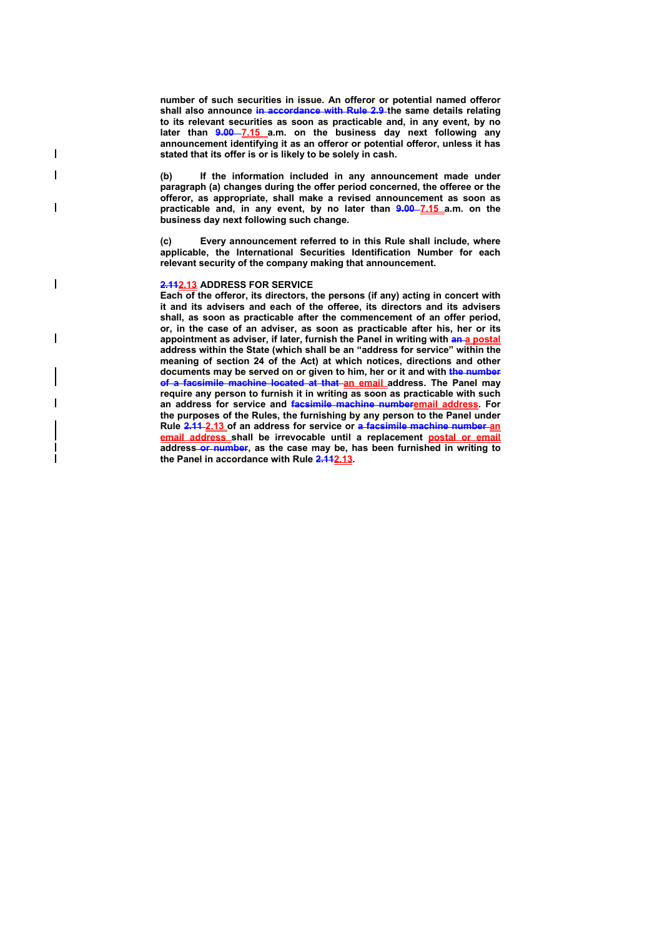**number of such securities in issue. An offeror or potential named offeror**  shall also announce in accordance with Rule 2.9 the same details relating **to its relevant securities as soon as practicable and, in any event, by no later than 9.00 7.15 a.m. on the business day next following any announcement identifying it as an offeror or potential offeror, unless it has stated that its offer is or is likely to be solely in cash.** 

**(b) If the information included in any announcement made under paragraph (a) changes during the offer period concerned, the offeree or the offeror, as appropriate, shall make a revised announcement as soon as practicable and, in any event, by no later than 9.00 7.15 a.m. on the business day next following such change.** 

**(c) Every announcement referred to in this Rule shall include, where applicable, the International Securities Identification Number for each relevant security of the company making that announcement.** 

#### **2.112.13 ADDRESS FOR SERVICE**

 $\overline{\phantom{a}}$  $\overline{\phantom{a}}$ 

H

 $\overline{\phantom{a}}$ 

 $\overline{\phantom{a}}$ 

**Each of the offeror, its directors, the persons (if any) acting in concert with it and its advisers and each of the offeree, its directors and its advisers shall, as soon as practicable after the commencement of an offer period, or, in the case of an adviser, as soon as practicable after his, her or its**  appointment as adviser, if later, furnish the Panel in writing with **an-a postal address within the State (which shall be an "address for service" within the meaning of section 24 of the Act) at which notices, directions and other documents may be served on or given to him, her or it and with the number of a facsimile machine located at that an email address. The Panel may require any person to furnish it in writing as soon as practicable with such an address for service and facsimile machine numberemail address. For the purposes of the Rules, the furnishing by any person to the Panel under Rule 2.11 2.13 of an address for service or a facsimile machine number an email address shall be irrevocable until a replacement postal or email address or number, as the case may be, has been furnished in writing to the Panel in accordance with Rule 2.112.13.**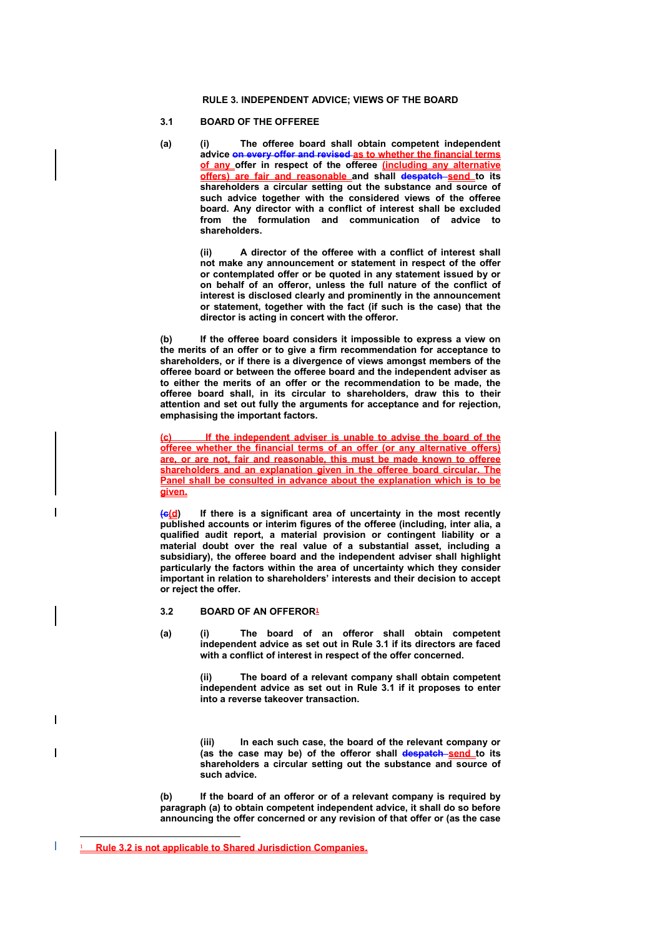# **RULE 3. INDEPENDENT ADVICE; VIEWS OF THE BOARD**

# **3.1 BOARD OF THE OFFEREE**

**(a) (i) The offeree board shall obtain competent independent advice on every offer and revised as to whether the financial terms of any offer in respect of the offeree (including any alternative offers) are fair and reasonable and shall despatch send to its shareholders a circular setting out the substance and source of such advice together with the considered views of the offeree board. Any director with a conflict of interest shall be excluded from the formulation and communication of advice to shareholders.** 

> **(ii) A director of the offeree with a conflict of interest shall not make any announcement or statement in respect of the offer or contemplated offer or be quoted in any statement issued by or on behalf of an offeror, unless the full nature of the conflict of interest is disclosed clearly and prominently in the announcement or statement, together with the fact (if such is the case) that the director is acting in concert with the offeror.**

**(b) If the offeree board considers it impossible to express a view on the merits of an offer or to give a firm recommendation for acceptance to shareholders, or if there is a divergence of views amongst members of the offeree board or between the offeree board and the independent adviser as to either the merits of an offer or the recommendation to be made, the offeree board shall, in its circular to shareholders, draw this to their attention and set out fully the arguments for acceptance and for rejection, emphasising the important factors.** 

**(c) If the independent adviser is unable to advise the board of the offeree whether the financial terms of an offer (or any alternative offers) are, or are not, fair and reasonable, this must be made known to offeree shareholders and an explanation given in the offeree board circular. The Panel shall be consulted in advance about the explanation which is to be given.**

**(c(d) If there is a significant area of uncertainty in the most recently published accounts or interim figures of the offeree (including, inter alia, a qualified audit report, a material provision or contingent liability or a material doubt over the real value of a substantial asset, including a subsidiary), the offeree board and the independent adviser shall highlight particularly the factors within the area of uncertainty which they consider important in relation to shareholders' interests and their decision to accept or reject the offer.** 

### **3.2 BOARD OF AN OFFEROR<sup>1</sup>**

**(a) (i) The board of an offeror shall obtain competent independent advice as set out in Rule 3.1 if its directors are faced with a conflict of interest in respect of the offer concerned.** 

> **(ii) The board of a relevant company shall obtain competent independent advice as set out in Rule 3.1 if it proposes to enter into a reverse takeover transaction.**

> **(iii) In each such case, the board of the relevant company or (as the case may be) of the offeror shall despatch send to its shareholders a circular setting out the substance and source of such advice.**

**(b) If the board of an offeror or of a relevant company is required by paragraph (a) to obtain competent independent advice, it shall do so before announcing the offer concerned or any revision of that offer or (as the case** 

 $\overline{a}$ 

<sup>1</sup> **Rule 3.2 is not applicable to Shared Jurisdiction Companies.**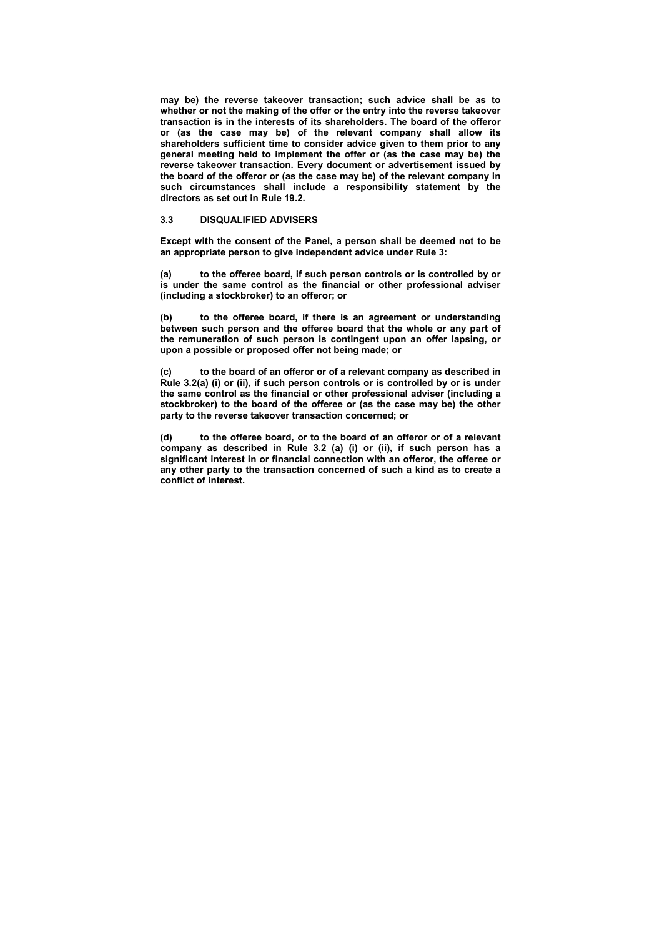**may be) the reverse takeover transaction; such advice shall be as to whether or not the making of the offer or the entry into the reverse takeover transaction is in the interests of its shareholders. The board of the offeror or (as the case may be) of the relevant company shall allow its shareholders sufficient time to consider advice given to them prior to any general meeting held to implement the offer or (as the case may be) the reverse takeover transaction. Every document or advertisement issued by the board of the offeror or (as the case may be) of the relevant company in such circumstances shall include a responsibility statement by the directors as set out in Rule 19.2.** 

# **3.3 DISQUALIFIED ADVISERS**

**Except with the consent of the Panel, a person shall be deemed not to be an appropriate person to give independent advice under Rule 3:** 

**(a) to the offeree board, if such person controls or is controlled by or is under the same control as the financial or other professional adviser (including a stockbroker) to an offeror; or** 

**(b) to the offeree board, if there is an agreement or understanding between such person and the offeree board that the whole or any part of the remuneration of such person is contingent upon an offer lapsing, or upon a possible or proposed offer not being made; or** 

**(c) to the board of an offeror or of a relevant company as described in Rule 3.2(a) (i) or (ii), if such person controls or is controlled by or is under the same control as the financial or other professional adviser (including a stockbroker) to the board of the offeree or (as the case may be) the other party to the reverse takeover transaction concerned; or** 

**(d) to the offeree board, or to the board of an offeror or of a relevant company as described in Rule 3.2 (a) (i) or (ii), if such person has a significant interest in or financial connection with an offeror, the offeree or any other party to the transaction concerned of such a kind as to create a conflict of interest.**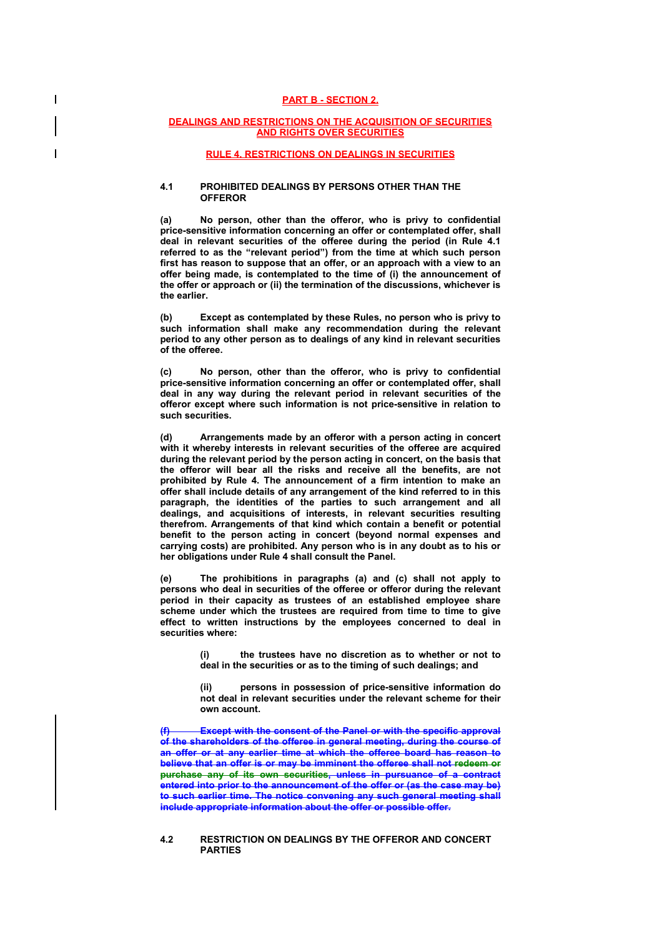### **PART B - SECTION 2.**

### **DEALINGS AND RESTRICTIONS ON THE ACQUISITION OF SECURITIES AND RIGHTS OVER SECURITIES**

# **RULE 4. RESTRICTIONS ON DEALINGS IN SECURITIES**

### **4.1 PROHIBITED DEALINGS BY PERSONS OTHER THAN THE OFFEROR**

**(a) No person, other than the offeror, who is privy to confidential price-sensitive information concerning an offer or contemplated offer, shall deal in relevant securities of the offeree during the period (in Rule 4.1 referred to as the "relevant period") from the time at which such person first has reason to suppose that an offer, or an approach with a view to an offer being made, is contemplated to the time of (i) the announcement of the offer or approach or (ii) the termination of the discussions, whichever is the earlier.** 

**(b) Except as contemplated by these Rules, no person who is privy to such information shall make any recommendation during the relevant period to any other person as to dealings of any kind in relevant securities of the offeree.** 

**(c) No person, other than the offeror, who is privy to confidential price-sensitive information concerning an offer or contemplated offer, shall deal in any way during the relevant period in relevant securities of the offeror except where such information is not price-sensitive in relation to such securities.** 

**(d) Arrangements made by an offeror with a person acting in concert with it whereby interests in relevant securities of the offeree are acquired during the relevant period by the person acting in concert, on the basis that the offeror will bear all the risks and receive all the benefits, are not prohibited by Rule 4. The announcement of a firm intention to make an offer shall include details of any arrangement of the kind referred to in this paragraph, the identities of the parties to such arrangement and all dealings, and acquisitions of interests, in relevant securities resulting therefrom. Arrangements of that kind which contain a benefit or potential benefit to the person acting in concert (beyond normal expenses and carrying costs) are prohibited. Any person who is in any doubt as to his or her obligations under Rule 4 shall consult the Panel.** 

**(e) The prohibitions in paragraphs (a) and (c) shall not apply to persons who deal in securities of the offeree or offeror during the relevant period in their capacity as trustees of an established employee share scheme under which the trustees are required from time to time to give effect to written instructions by the employees concerned to deal in securities where:** 

> **(i) the trustees have no discretion as to whether or not to deal in the securities or as to the timing of such dealings; and**

> **(ii) persons in possession of price-sensitive information do not deal in relevant securities under the relevant scheme for their own account.**

**Except with the consent of the Panel or with the specific approval of the shareholders of the offeree in general meeting, during the course of an offer or at any earlier time at which the offeree board has reason to believe that an offer is or may be imminent the offeree shall not redeem or purchase any of its own securities, unless in pursuance of a contract entered into prior to the announcement of the offer or (as the case may be) to such earlier time. The notice convening any such general meeting shall include appropriate information about the offer or possible offer.** 

### **4.2 RESTRICTION ON DEALINGS BY THE OFFEROR AND CONCERT PARTIES**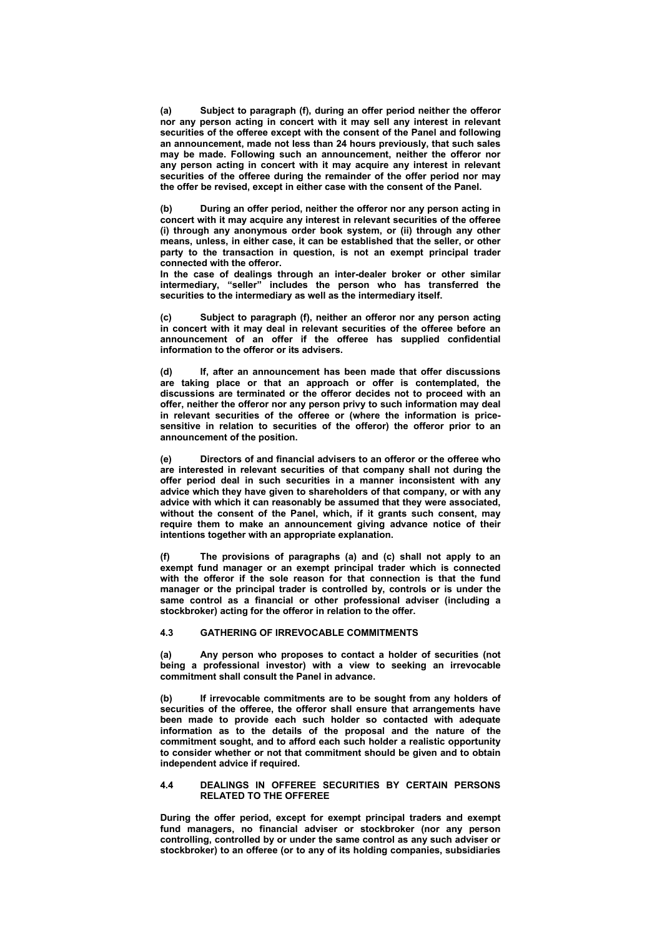**(a) Subject to paragraph (f), during an offer period neither the offeror nor any person acting in concert with it may sell any interest in relevant securities of the offeree except with the consent of the Panel and following an announcement, made not less than 24 hours previously, that such sales may be made. Following such an announcement, neither the offeror nor any person acting in concert with it may acquire any interest in relevant securities of the offeree during the remainder of the offer period nor may the offer be revised, except in either case with the consent of the Panel.** 

**(b) During an offer period, neither the offeror nor any person acting in concert with it may acquire any interest in relevant securities of the offeree (i) through any anonymous order book system, or (ii) through any other means, unless, in either case, it can be established that the seller, or other party to the transaction in question, is not an exempt principal trader connected with the offeror.** 

**In the case of dealings through an inter-dealer broker or other similar intermediary, "seller" includes the person who has transferred the securities to the intermediary as well as the intermediary itself.** 

**(c) Subject to paragraph (f), neither an offeror nor any person acting in concert with it may deal in relevant securities of the offeree before an announcement of an offer if the offeree has supplied confidential information to the offeror or its advisers.** 

**(d) If, after an announcement has been made that offer discussions are taking place or that an approach or offer is contemplated, the discussions are terminated or the offeror decides not to proceed with an offer, neither the offeror nor any person privy to such information may deal in relevant securities of the offeree or (where the information is pricesensitive in relation to securities of the offeror) the offeror prior to an announcement of the position.** 

**(e) Directors of and financial advisers to an offeror or the offeree who are interested in relevant securities of that company shall not during the offer period deal in such securities in a manner inconsistent with any advice which they have given to shareholders of that company, or with any advice with which it can reasonably be assumed that they were associated, without the consent of the Panel, which, if it grants such consent, may require them to make an announcement giving advance notice of their intentions together with an appropriate explanation.** 

**(f) The provisions of paragraphs (a) and (c) shall not apply to an exempt fund manager or an exempt principal trader which is connected**  with the offeror if the sole reason for that connection is that the fund **manager or the principal trader is controlled by, controls or is under the same control as a financial or other professional adviser (including a stockbroker) acting for the offeror in relation to the offer.** 

# **4.3 GATHERING OF IRREVOCABLE COMMITMENTS**

**(a) Any person who proposes to contact a holder of securities (not being a professional investor) with a view to seeking an irrevocable commitment shall consult the Panel in advance.** 

**(b) If irrevocable commitments are to be sought from any holders of securities of the offeree, the offeror shall ensure that arrangements have been made to provide each such holder so contacted with adequate information as to the details of the proposal and the nature of the commitment sought, and to afford each such holder a realistic opportunity to consider whether or not that commitment should be given and to obtain independent advice if required.** 

### **4.4 DEALINGS IN OFFEREE SECURITIES BY CERTAIN PERSONS RELATED TO THE OFFEREE**

**During the offer period, except for exempt principal traders and exempt fund managers, no financial adviser or stockbroker (nor any person controlling, controlled by or under the same control as any such adviser or stockbroker) to an offeree (or to any of its holding companies, subsidiaries**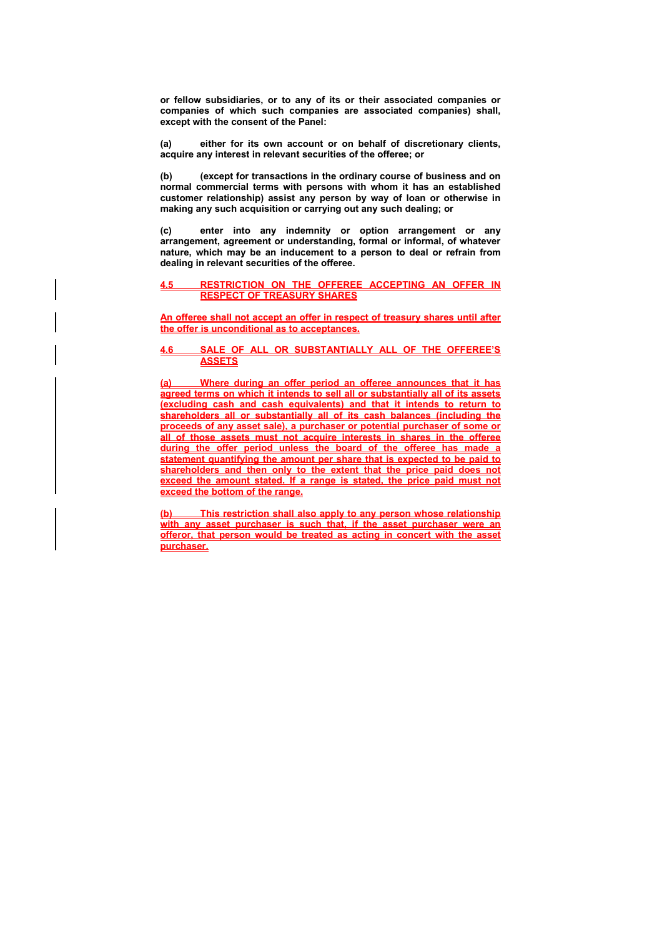**or fellow subsidiaries, or to any of its or their associated companies or companies of which such companies are associated companies) shall, except with the consent of the Panel:** 

**(a) either for its own account or on behalf of discretionary clients, acquire any interest in relevant securities of the offeree; or** 

**(b) (except for transactions in the ordinary course of business and on normal commercial terms with persons with whom it has an established customer relationship) assist any person by way of loan or otherwise in making any such acquisition or carrying out any such dealing; or** 

**(c) enter into any indemnity or option arrangement or any arrangement, agreement or understanding, formal or informal, of whatever nature, which may be an inducement to a person to deal or refrain from dealing in relevant securities of the offeree.** 

### **4.5 RESTRICTION ON THE OFFEREE ACCEPTING AN OFFER IN RESPECT OF TREASURY SHARES**

**An offeree shall not accept an offer in respect of treasury shares until after the offer is unconditional as to acceptances.**

## **4.6 SALE OF ALL OR SUBSTANTIALLY ALL OF THE OFFEREE'S ASSETS**

**(a) Where during an offer period an offeree announces that it has agreed terms on which it intends to sell all or substantially all of its assets (excluding cash and cash equivalents) and that it intends to return to shareholders all or substantially all of its cash balances (including the proceeds of any asset sale), a purchaser or potential purchaser of some or all of those assets must not acquire interests in shares in the offeree during the offer period unless the board of the offeree has made a statement quantifying the amount per share that is expected to be paid to shareholders and then only to the extent that the price paid does not exceed the amount stated. If a range is stated, the price paid must not exceed the bottom of the range.**

**(b) This restriction shall also apply to any person whose relationship with any asset purchaser is such that, if the asset purchaser were an offeror, that person would be treated as acting in concert with the asset purchaser.**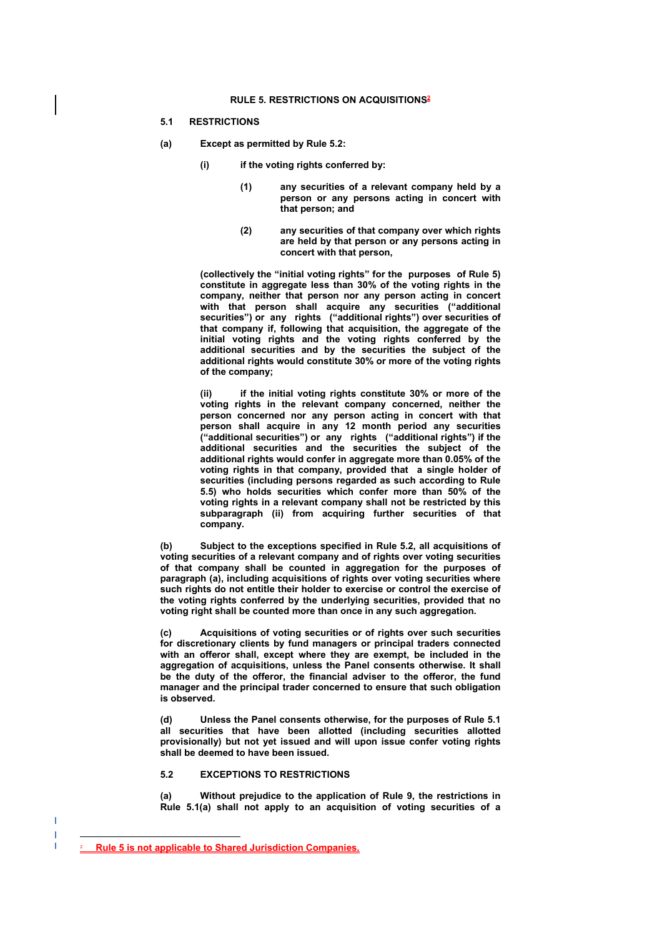#### **RULE 5. RESTRICTIONS ON ACQUISITIONS2**

#### **5.1 RESTRICTIONS**

- **(a) Except as permitted by Rule 5.2:** 
	- **(i) if the voting rights conferred by:** 
		- **(1) any securities of a relevant company held by a person or any persons acting in concert with that person; and**
		- **(2) any securities of that company over which rights are held by that person or any persons acting in concert with that person,**

**(collectively the "initial voting rights" for the purposes of Rule 5) constitute in aggregate less than 30% of the voting rights in the company, neither that person nor any person acting in concert with that person shall acquire any securities ("additional securities") or any rights ("additional rights") over securities of that company if, following that acquisition, the aggregate of the initial voting rights and the voting rights conferred by the additional securities and by the securities the subject of the additional rights would constitute 30% or more of the voting rights of the company;** 

**(ii) if the initial voting rights constitute 30% or more of the voting rights in the relevant company concerned, neither the person concerned nor any person acting in concert with that person shall acquire in any 12 month period any securities ("additional securities") or any rights ("additional rights") if the additional securities and the securities the subject of the additional rights would confer in aggregate more than 0.05% of the voting rights in that company, provided that a single holder of securities (including persons regarded as such according to Rule 5.5) who holds securities which confer more than 50% of the voting rights in a relevant company shall not be restricted by this subparagraph (ii) from acquiring further securities of that company.** 

**(b) Subject to the exceptions specified in Rule 5.2, all acquisitions of voting securities of a relevant company and of rights over voting securities of that company shall be counted in aggregation for the purposes of paragraph (a), including acquisitions of rights over voting securities where such rights do not entitle their holder to exercise or control the exercise of the voting rights conferred by the underlying securities, provided that no voting right shall be counted more than once in any such aggregation.** 

**(c) Acquisitions of voting securities or of rights over such securities for discretionary clients by fund managers or principal traders connected with an offeror shall, except where they are exempt, be included in the aggregation of acquisitions, unless the Panel consents otherwise. It shall be the duty of the offeror, the financial adviser to the offeror, the fund manager and the principal trader concerned to ensure that such obligation is observed.** 

**(d) Unless the Panel consents otherwise, for the purposes of Rule 5.1 all securities that have been allotted (including securities allotted provisionally) but not yet issued and will upon issue confer voting rights shall be deemed to have been issued.** 

#### **5.2 EXCEPTIONS TO RESTRICTIONS**

**(a) Without prejudice to the application of Rule 9, the restrictions in Rule 5.1(a) shall not apply to an acquisition of voting securities of a** 

 $\overline{a}$ 

**Rule 5 is not applicable to Shared Jurisdiction Companies.**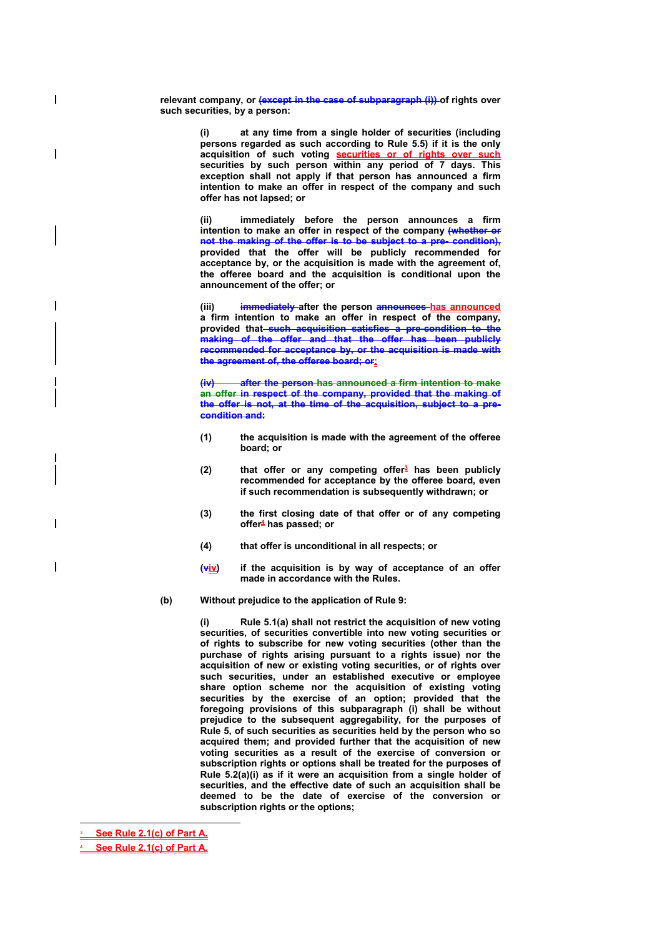relevant company, or (except in the case of subparagraph (i)) of rights over **such securities, by a person:** 

> at any time from a single holder of securities (including **persons regarded as such according to Rule 5.5) if it is the only acquisition of such voting securities or of rights over such securities by such person within any period of 7 days. This exception shall not apply if that person has announced a firm intention to make an offer in respect of the company and such offer has not lapsed; or**

> **(ii) immediately before the person announces a firm intention to make an offer in respect of the company (whether or not the making of the offer is to be subject to a pre- condition), provided that the offer will be publicly recommended for acceptance by, or the acquisition is made with the agreement of, the offeree board and the acquisition is conditional upon the announcement of the offer; or**

> **(iii) immediately after the person announces has announced a firm intention to make an offer in respect of the company, provided that such acquisition satisfies a pre-condition to the making of the offer and that the offer has been publicly recommended for acceptance by, or the acquisition is made with the agreement of, the offeree board; or:**

> **(iv) after the person has announced a firm intention to make an offer in respect of the company, provided that the making of the offer is not, at the time of the acquisition, subject to a precondition and:**

- **(1) the acquisition is made with the agreement of the offeree board; or**
- **(2) that offer or any competing offer3 has been publicly recommended for acceptance by the offeree board, even if such recommendation is subsequently withdrawn; or**
- **(3) the first closing date of that offer or of any competing offer4 has passed; or**
- **(4) that offer is unconditional in all respects; or**
- **(viv) if the acquisition is by way of acceptance of an offer made in accordance with the Rules.**
- **(b) Without prejudice to the application of Rule 9:**

**(i) Rule 5.1(a) shall not restrict the acquisition of new voting securities, of securities convertible into new voting securities or of rights to subscribe for new voting securities (other than the purchase of rights arising pursuant to a rights issue) nor the acquisition of new or existing voting securities, or of rights over such securities, under an established executive or employee share option scheme nor the acquisition of existing voting securities by the exercise of an option; provided that the foregoing provisions of this subparagraph (i) shall be without prejudice to the subsequent aggregability, for the purposes of Rule 5, of such securities as securities held by the person who so acquired them; and provided further that the acquisition of new voting securities as a result of the exercise of conversion or subscription rights or options shall be treated for the purposes of Rule 5.2(a)(i) as if it were an acquisition from a single holder of securities, and the effective date of such an acquisition shall be deemed to be the date of exercise of the conversion or subscription rights or the options;** 

3 **See Rule 2.1(c) of Part A.**

 $\overline{a}$ 

 $\overline{\phantom{a}}$ 

 $\overline{\phantom{a}}$ 

 $\overline{1}$ 

4 **See Rule 2.1(c) of Part A.**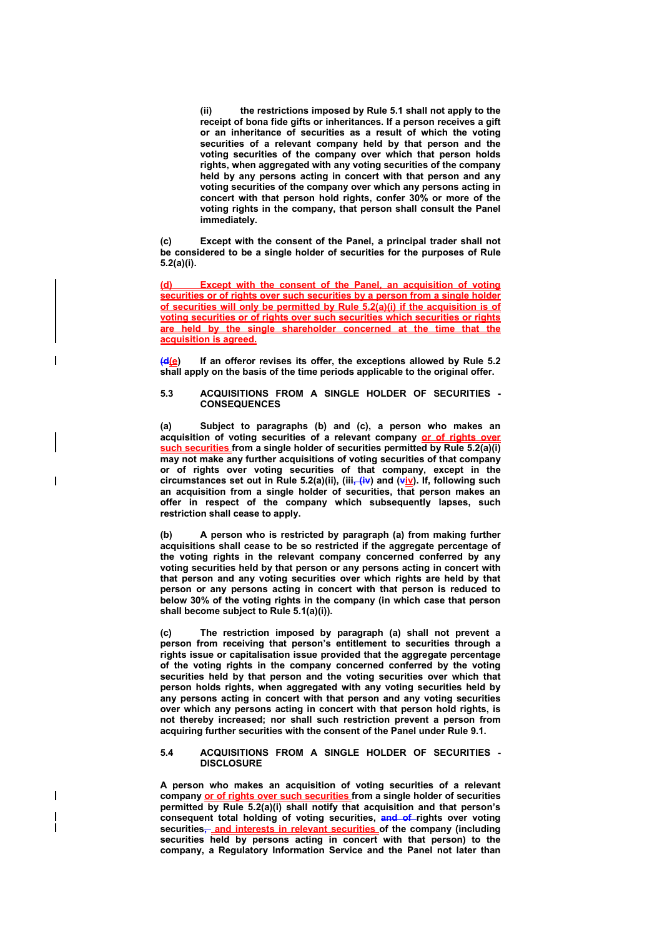**(ii) the restrictions imposed by Rule 5.1 shall not apply to the receipt of bona fide gifts or inheritances. If a person receives a gift or an inheritance of securities as a result of which the voting securities of a relevant company held by that person and the voting securities of the company over which that person holds rights, when aggregated with any voting securities of the company held by any persons acting in concert with that person and any voting securities of the company over which any persons acting in concert with that person hold rights, confer 30% or more of the voting rights in the company, that person shall consult the Panel immediately.** 

**(c) Except with the consent of the Panel, a principal trader shall not be considered to be a single holder of securities for the purposes of Rule 5.2(a)(i).** 

**(d) Except with the consent of the Panel, an acquisition of voting securities or of rights over such securities by a person from a single holder of securities will only be permitted by Rule 5.2(a)(i) if the acquisition is of voting securities or of rights over such securities which securities or rights are held by the single shareholder concerned at the time that the acquisition is agreed.**

**(d(e) If an offeror revises its offer, the exceptions allowed by Rule 5.2 shall apply on the basis of the time periods applicable to the original offer.** 

### **5.3 ACQUISITIONS FROM A SINGLE HOLDER OF SECURITIES - CONSEQUENCES**

**(a) Subject to paragraphs (b) and (c), a person who makes an acquisition of voting securities of a relevant company or of rights over such securities from a single holder of securities permitted by Rule 5.2(a)(i) may not make any further acquisitions of voting securities of that company or of rights over voting securities of that company, except in the**  circumstances set out in Rule 5.2(a)(ii), (iii<sub>i</sub>, (iv) and (viv). If, following such **an acquisition from a single holder of securities, that person makes an offer in respect of the company which subsequently lapses, such restriction shall cease to apply.** 

 $\overline{\phantom{a}}$ 

 $\overline{\phantom{a}}$ 

**(b) A person who is restricted by paragraph (a) from making further acquisitions shall cease to be so restricted if the aggregate percentage of the voting rights in the relevant company concerned conferred by any voting securities held by that person or any persons acting in concert with that person and any voting securities over which rights are held by that person or any persons acting in concert with that person is reduced to below 30% of the voting rights in the company (in which case that person shall become subject to Rule 5.1(a)(i)).** 

**(c) The restriction imposed by paragraph (a) shall not prevent a person from receiving that person's entitlement to securities through a rights issue or capitalisation issue provided that the aggregate percentage of the voting rights in the company concerned conferred by the voting securities held by that person and the voting securities over which that person holds rights, when aggregated with any voting securities held by any persons acting in concert with that person and any voting securities over which any persons acting in concert with that person hold rights, is not thereby increased; nor shall such restriction prevent a person from acquiring further securities with the consent of the Panel under Rule 9.1.** 

#### **5.4 ACQUISITIONS FROM A SINGLE HOLDER OF SECURITIES - DISCLOSURE**

**A person who makes an acquisition of voting securities of a relevant company or of rights over such securities from a single holder of securities permitted by Rule 5.2(a)(i) shall notify that acquisition and that person's consequent total holding of voting securities, and of rights over voting**  securities<sub></sub> and interests in relevant securities of the company (including **securities held by persons acting in concert with that person) to the company, a Regulatory Information Service and the Panel not later than**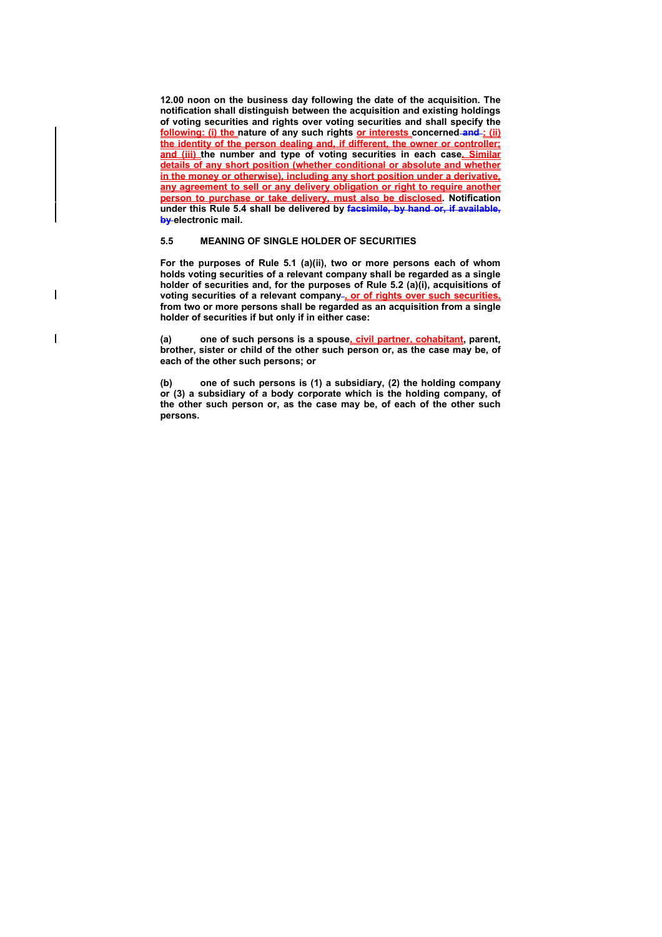**12.00 noon on the business day following the date of the acquisition. The notification shall distinguish between the acquisition and existing holdings of voting securities and rights over voting securities and shall specify the following: (i) the nature of any such rights or interests concerned and ; (ii) the identity of the person dealing and, if different, the owner or controller; and (iii)** the number and type of voting securities in each case. Similar **details of any short position (whether conditional or absolute and whether in the money or otherwise), including any short position under a derivative, any agreement to sell or any delivery obligation or right to require another person to purchase or take delivery, must also be disclosed. Notification under this Rule 5.4 shall be delivered by facsimile, by hand or, if available, by electronic mail.** 

# **5.5 MEANING OF SINGLE HOLDER OF SECURITIES**

 $\overline{\phantom{a}}$ 

 $\overline{\phantom{a}}$ 

**For the purposes of Rule 5.1 (a)(ii), two or more persons each of whom holds voting securities of a relevant company shall be regarded as a single holder of securities and, for the purposes of Rule 5.2 (a)(i), acquisitions of**  voting securities of a relevant company-**or of rights over such securities**, **from two or more persons shall be regarded as an acquisition from a single holder of securities if but only if in either case:** 

**(a) one of such persons is a spouse, civil partner, cohabitant, parent, brother, sister or child of the other such person or, as the case may be, of each of the other such persons; or** 

**(b) one of such persons is (1) a subsidiary, (2) the holding company or (3) a subsidiary of a body corporate which is the holding company, of the other such person or, as the case may be, of each of the other such persons.**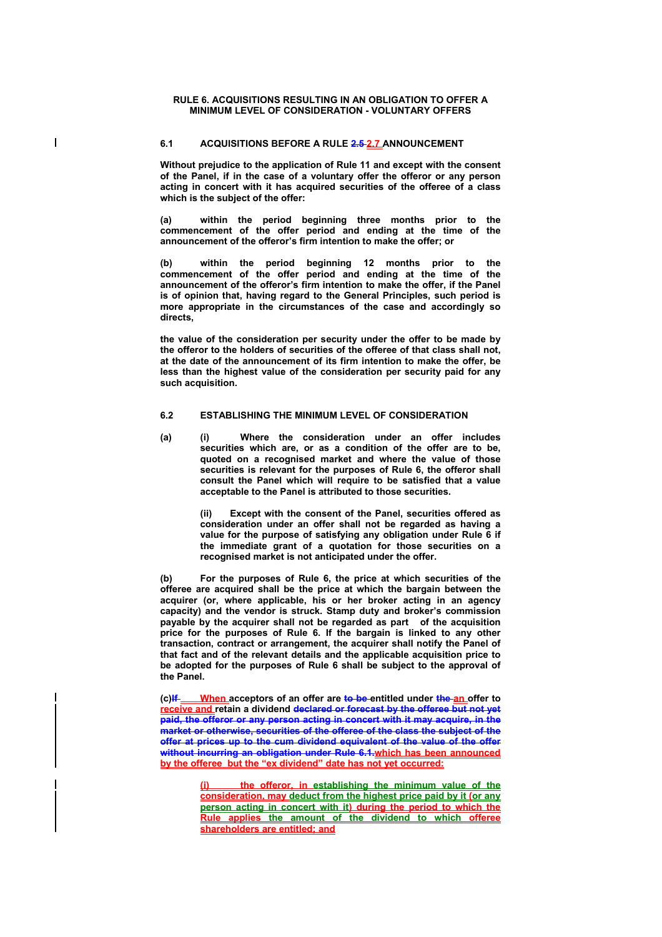### **RULE 6. ACQUISITIONS RESULTING IN AN OBLIGATION TO OFFER A MINIMUM LEVEL OF CONSIDERATION - VOLUNTARY OFFERS**

# **6.1 ACQUISITIONS BEFORE A RULE 2.5 2.7 ANNOUNCEMENT**

 $\overline{1}$ 

**Without prejudice to the application of Rule 11 and except with the consent of the Panel, if in the case of a voluntary offer the offeror or any person acting in concert with it has acquired securities of the offeree of a class which is the subject of the offer:** 

**(a) within the period beginning three months prior to the commencement of the offer period and ending at the time of the announcement of the offeror's firm intention to make the offer; or** 

**(b) within the period beginning 12 months prior to the commencement of the offer period and ending at the time of the announcement of the offeror's firm intention to make the offer, if the Panel is of opinion that, having regard to the General Principles, such period is more appropriate in the circumstances of the case and accordingly so directs,** 

**the value of the consideration per security under the offer to be made by the offeror to the holders of securities of the offeree of that class shall not, at the date of the announcement of its firm intention to make the offer, be less than the highest value of the consideration per security paid for any such acquisition.** 

### **6.2 ESTABLISHING THE MINIMUM LEVEL OF CONSIDERATION**

**(a) (i) Where the consideration under an offer includes securities which are, or as a condition of the offer are to be, quoted on a recognised market and where the value of those securities is relevant for the purposes of Rule 6, the offeror shall consult the Panel which will require to be satisfied that a value acceptable to the Panel is attributed to those securities.** 

> **(ii) Except with the consent of the Panel, securities offered as consideration under an offer shall not be regarded as having a value for the purpose of satisfying any obligation under Rule 6 if the immediate grant of a quotation for those securities on a recognised market is not anticipated under the offer.**

**(b) For the purposes of Rule 6, the price at which securities of the offeree are acquired shall be the price at which the bargain between the acquirer (or, where applicable, his or her broker acting in an agency capacity) and the vendor is struck. Stamp duty and broker's commission payable by the acquirer shall not be regarded as part of the acquisition price for the purposes of Rule 6. If the bargain is linked to any other transaction, contract or arrangement, the acquirer shall notify the Panel of that fact and of the relevant details and the applicable acquisition price to be adopted for the purposes of Rule 6 shall be subject to the approval of the Panel.** 

**(c)If When acceptors of an offer are to be entitled under the an offer to receive and retain a dividend declared or forecast by the offeree but not yet paid, the offeror or any person acting in concert with it may acquire, in the market or otherwise, securities of the offeree of the class the subject of the offer at prices up to the cum dividend equivalent of the value of the offer without incurring an obligation under Rule 6.1.which has been announced by the offeree but the "ex dividend" date has not yet occurred:** 

> **(i) the offeror, in establishing the minimum value of the consideration, may deduct from the highest price paid by it (or any person acting in concert with it) during the period to which the Rule applies the amount of the dividend to which offeree shareholders are entitled; and**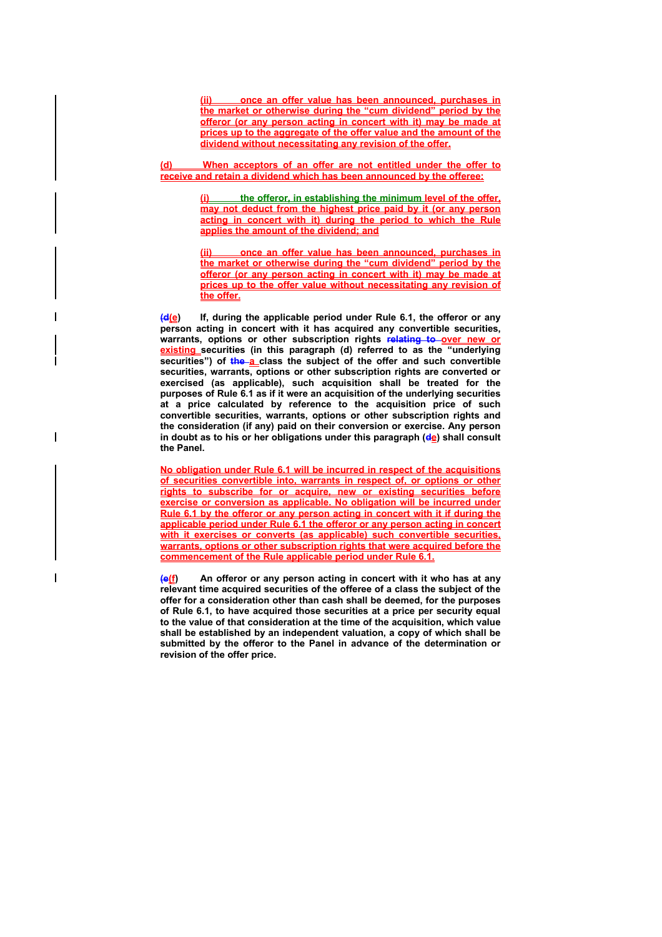**(ii) once an offer value has been announced, purchases in the market or otherwise during the "cum dividend" period by the offeror (or any person acting in concert with it) may be made at prices up to the aggregate of the offer value and the amount of the dividend without necessitating any revision of the offer.**

**(d) When acceptors of an offer are not entitled under the offer to receive and retain a dividend which has been announced by the offeree:**

> **the offeror, in establishing the minimum level of the offer, may not deduct from the highest price paid by it (or any person acting in concert with it) during the period to which the Rule applies the amount of the dividend; and**

> **(ii) once an offer value has been announced, purchases in the market or otherwise during the "cum dividend" period by the offeror (or any person acting in concert with it) may be made at prices up to the offer value without necessitating any revision of the offer.**

**(d(e) If, during the applicable period under Rule 6.1, the offeror or any person acting in concert with it has acquired any convertible securities,**  warrants, options or other subscription rights relating to over new or **existing securities (in this paragraph (d) referred to as the "underlying**  securities") of the a class the subject of the offer and such convertible **securities, warrants, options or other subscription rights are converted or exercised (as applicable), such acquisition shall be treated for the purposes of Rule 6.1 as if it were an acquisition of the underlying securities at a price calculated by reference to the acquisition price of such convertible securities, warrants, options or other subscription rights and the consideration (if any) paid on their conversion or exercise. Any person**  in doubt as to his or her obligations under this paragraph (de) shall consult **the Panel.** 

**No obligation under Rule 6.1 will be incurred in respect of the acquisitions of securities convertible into, warrants in respect of, or options or other rights to subscribe for or acquire, new or existing securities before exercise or conversion as applicable. No obligation will be incurred under Rule 6.1 by the offeror or any person acting in concert with it if during the applicable period under Rule 6.1 the offeror or any person acting in concert**  with it exercises or converts (as applicable) such convertible securities, **warrants, options or other subscription rights that were acquired before the commencement of the Rule applicable period under Rule 6.1.**

**(e(f) An offeror or any person acting in concert with it who has at any relevant time acquired securities of the offeree of a class the subject of the offer for a consideration other than cash shall be deemed, for the purposes of Rule 6.1, to have acquired those securities at a price per security equal to the value of that consideration at the time of the acquisition, which value shall be established by an independent valuation, a copy of which shall be submitted by the offeror to the Panel in advance of the determination or revision of the offer price.**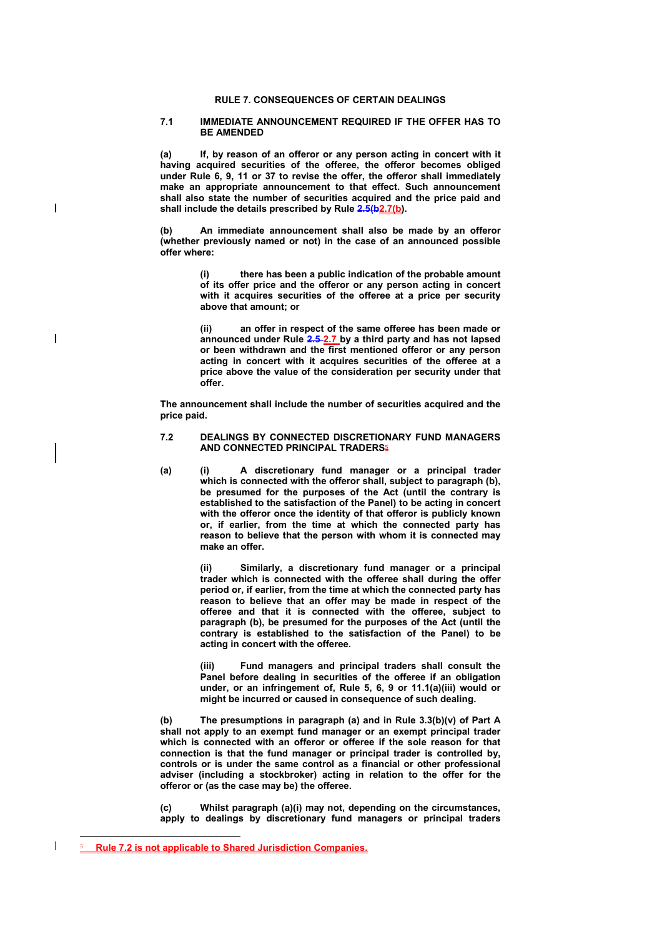# **RULE 7. CONSEQUENCES OF CERTAIN DEALINGS**

#### **7.1 IMMEDIATE ANNOUNCEMENT REQUIRED IF THE OFFER HAS TO BE AMENDED**

**(a) If, by reason of an offeror or any person acting in concert with it having acquired securities of the offeree, the offeror becomes obliged under Rule 6, 9, 11 or 37 to revise the offer, the offeror shall immediately make an appropriate announcement to that effect. Such announcement shall also state the number of securities acquired and the price paid and**  shall include the details prescribed by Rule 2.5(b).

**(b) An immediate announcement shall also be made by an offeror (whether previously named or not) in the case of an announced possible offer where:** 

> **(i) there has been a public indication of the probable amount of its offer price and the offeror or any person acting in concert with it acquires securities of the offeree at a price per security above that amount; or**

> **(ii) an offer in respect of the same offeree has been made or announced under Rule 2.5 2.7 by a third party and has not lapsed or been withdrawn and the first mentioned offeror or any person acting in concert with it acquires securities of the offeree at a price above the value of the consideration per security under that offer.**

**The announcement shall include the number of securities acquired and the price paid.** 

### **7.2 DEALINGS BY CONNECTED DISCRETIONARY FUND MANAGERS AND CONNECTED PRINCIPAL TRADERS<sup>5</sup>**

**(a) (i) A discretionary fund manager or a principal trader which is connected with the offeror shall, subject to paragraph (b), be presumed for the purposes of the Act (until the contrary is established to the satisfaction of the Panel) to be acting in concert with the offeror once the identity of that offeror is publicly known or, if earlier, from the time at which the connected party has reason to believe that the person with whom it is connected may make an offer.** 

> Similarly, a discretionary fund manager or a principal **trader which is connected with the offeree shall during the offer period or, if earlier, from the time at which the connected party has reason to believe that an offer may be made in respect of the offeree and that it is connected with the offeree, subject to paragraph (b), be presumed for the purposes of the Act (until the contrary is established to the satisfaction of the Panel) to be acting in concert with the offeree.**

> **(iii) Fund managers and principal traders shall consult the Panel before dealing in securities of the offeree if an obligation under, or an infringement of, Rule 5, 6, 9 or 11.1(a)(iii) would or might be incurred or caused in consequence of such dealing.**

**(b) The presumptions in paragraph (a) and in Rule 3.3(b)(v) of Part A shall not apply to an exempt fund manager or an exempt principal trader which is connected with an offeror or offeree if the sole reason for that connection is that the fund manager or principal trader is controlled by, controls or is under the same control as a financial or other professional adviser (including a stockbroker) acting in relation to the offer for the offeror or (as the case may be) the offeree.** 

**(c) Whilst paragraph (a)(i) may not, depending on the circumstances, apply to dealings by discretionary fund managers or principal traders** 

 $\overline{a}$ 

 $\overline{\phantom{a}}$ 

 $\overline{\phantom{a}}$ 

<sup>5</sup> **Rule 7.2 is not applicable to Shared Jurisdiction Companies.**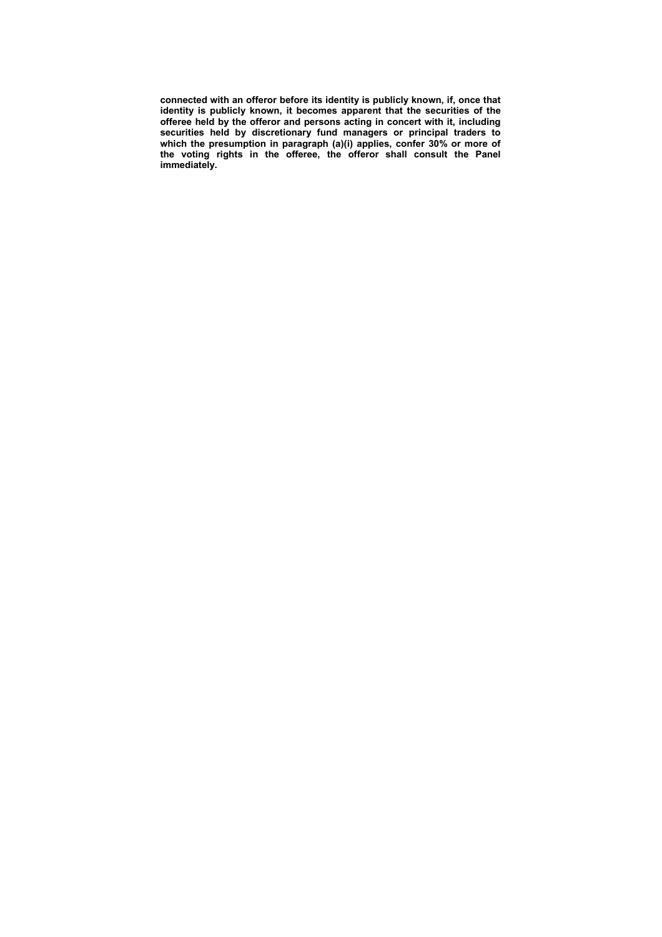**connected with an offeror before its identity is publicly known, if, once that identity is publicly known, it becomes apparent that the securities of the offeree held by the offeror and persons acting in concert with it, including securities held by discretionary fund managers or principal traders to which the presumption in paragraph (a)(i) applies, confer 30% or more of the voting rights in the offeree, the offeror shall consult the Panel immediately.**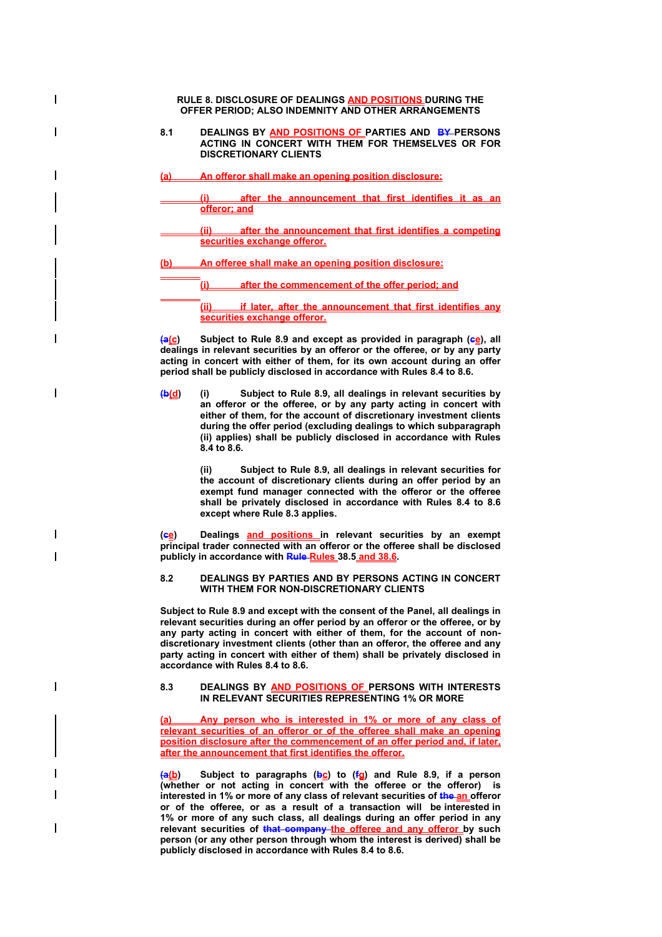**RULE 8. DISCLOSURE OF DEALINGS AND POSITIONS DURING THE OFFER PERIOD; ALSO INDEMNITY AND OTHER ARRANGEMENTS 8.1 DEALINGS BY AND POSITIONS OF PARTIES AND BY PERSONS ACTING IN CONCERT WITH THEM FOR THEMSELVES OR FOR DISCRETIONARY CLIENTS (a) An offeror shall make an opening position disclosure: (i) after the announcement that first identifies it as an offeror; and after the announcement that first identifies a competing securities exchange offeror. (b) An offeree shall make an opening position disclosure: (i) after the commencement of the offer period; and (ii) if later, after the announcement that first identifies any securities exchange offeror.**

**(a(c)** Subject to Rule 8.9 and except as provided in paragraph (eg), all **dealings in relevant securities by an offeror or the offeree, or by any party acting in concert with either of them, for its own account during an offer period shall be publicly disclosed in accordance with Rules 8.4 to 8.6.** 

**(b(d) (i) Subject to Rule 8.9, all dealings in relevant securities by an offeror or the offeree, or by any party acting in concert with either of them, for the account of discretionary investment clients during the offer period (excluding dealings to which subparagraph (ii) applies) shall be publicly disclosed in accordance with Rules 8.4 to 8.6.** 

> **(ii) Subject to Rule 8.9, all dealings in relevant securities for the account of discretionary clients during an offer period by an exempt fund manager connected with the offeror or the offeree shall be privately disclosed in accordance with Rules 8.4 to 8.6 except where Rule 8.3 applies.**

**(ce) Dealings and positions in relevant securities by an exempt principal trader connected with an offeror or the offeree shall be disclosed publicly in accordance with Rule Rules 38.5 and 38.6.** 

 $\overline{\phantom{a}}$ 

# **8.2 DEALINGS BY PARTIES AND BY PERSONS ACTING IN CONCERT WITH THEM FOR NON-DISCRETIONARY CLIENTS**

**Subject to Rule 8.9 and except with the consent of the Panel, all dealings in relevant securities during an offer period by an offeror or the offeree, or by any party acting in concert with either of them, for the account of nondiscretionary investment clients (other than an offeror, the offeree and any party acting in concert with either of them) shall be privately disclosed in accordance with Rules 8.4 to 8.6.** 

### **8.3 DEALINGS BY AND POSITIONS OF PERSONS WITH INTERESTS IN RELEVANT SECURITIES REPRESENTING 1% OR MORE**

**(a) Any person who is interested in 1% or more of any class of relevant securities of an offeror or of the offeree shall make an opening position disclosure after the commencement of an offer period and, if later, after the announcement that first identifies the offeror.**

**(a(b) Subject to paragraphs (bc) to (fg) and Rule 8.9, if a person (whether or not acting in concert with the offeree or the offeror) is interested in 1% or more of any class of relevant securities of the an offeror or of the offeree, or as a result of a transaction will be interested in 1% or more of any such class, all dealings during an offer period in any relevant securities of that company the offeree and any offeror by such person (or any other person through whom the interest is derived) shall be publicly disclosed in accordance with Rules 8.4 to 8.6.**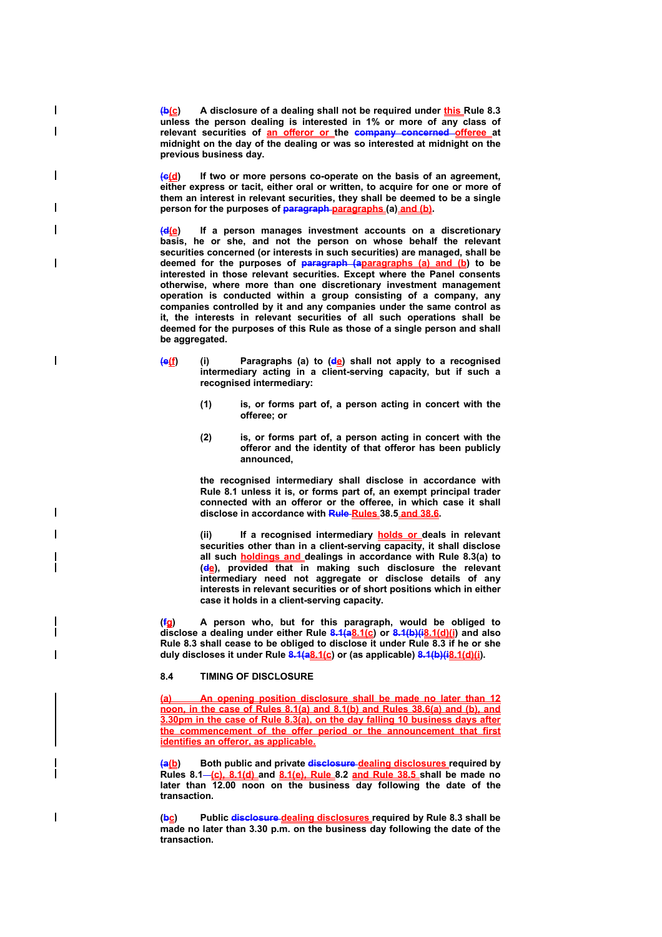**(b(c) A disclosure of a dealing shall not be required under this Rule 8.3 unless the person dealing is interested in 1% or more of any class of**  relevant securities of **an offeror or** the company concerned offeree at **midnight on the day of the dealing or was so interested at midnight on the previous business day.** 

 $\overline{\phantom{a}}$ 

 $\overline{\phantom{a}}$ 

 $\overline{\phantom{a}}$ 

 $\mathsf{l}$ 

 $\overline{\phantom{a}}$ 

**(c(d) If two or more persons co-operate on the basis of an agreement, either express or tacit, either oral or written, to acquire for one or more of them an interest in relevant securities, they shall be deemed to be a single person for the purposes of paragraph paragraphs (a) and (b).** 

**(d(e) If a person manages investment accounts on a discretionary basis, he or she, and not the person on whose behalf the relevant securities concerned (or interests in such securities) are managed, shall be deemed for the purposes of paragraph (aparagraphs (a) and (b) to be interested in those relevant securities. Except where the Panel consents otherwise, where more than one discretionary investment management operation is conducted within a group consisting of a company, any companies controlled by it and any companies under the same control as it, the interests in relevant securities of all such operations shall be deemed for the purposes of this Rule as those of a single person and shall be aggregated.** 

- **(e(f) (i) Paragraphs (a) to (de) shall not apply to a recognised intermediary acting in a client-serving capacity, but if such a recognised intermediary:** 
	- **(1) is, or forms part of, a person acting in concert with the offeree; or**
	- **(2) is, or forms part of, a person acting in concert with the offeror and the identity of that offeror has been publicly announced,**

**the recognised intermediary shall disclose in accordance with Rule 8.1 unless it is, or forms part of, an exempt principal trader connected with an offeror or the offeree, in which case it shall disclose in accordance with Rule Rules 38.5 and 38.6.** 

**(ii) If a recognised intermediary holds or deals in relevant securities other than in a client-serving capacity, it shall disclose all such holdings and dealings in accordance with Rule 8.3(a) to (de), provided that in making such disclosure the relevant intermediary need not aggregate or disclose details of any interests in relevant securities or of short positions which in either case it holds in a client-serving capacity.** 

**(fg) A person who, but for this paragraph, would be obliged to**  disclose a dealing under either Rule 8.1(a8.1(c) or 8.1(b)(i8.1(d)(i) and also **Rule 8.3 shall cease to be obliged to disclose it under Rule 8.3 if he or she**  duly discloses it under Rule 8.1(a8.1(c) or (as applicable) 8.1(b)(i8.1(d)(i).

# **8.4 TIMING OF DISCLOSURE**

**(a) An opening position disclosure shall be made no later than 12 noon, in the case of Rules 8.1(a) and 8.1(b) and Rules 38.6(a) and (b), and 3.30pm in the case of Rule 8.3(a), on the day falling 10 business days after the commencement of the offer period or the announcement that first identifies an offeror, as applicable.**

**(a(b) Both public and private disclosure dealing disclosures required by Rules 8.1 (c), 8.1(d) and 8.1(e), Rule 8.2 and Rule 38.5 shall be made no**  later than 12.00 noon on the business day following the date of the **transaction.** 

**(bc) Public disclosure dealing disclosures required by Rule 8.3 shall be made no later than 3.30 p.m. on the business day following the date of the transaction.**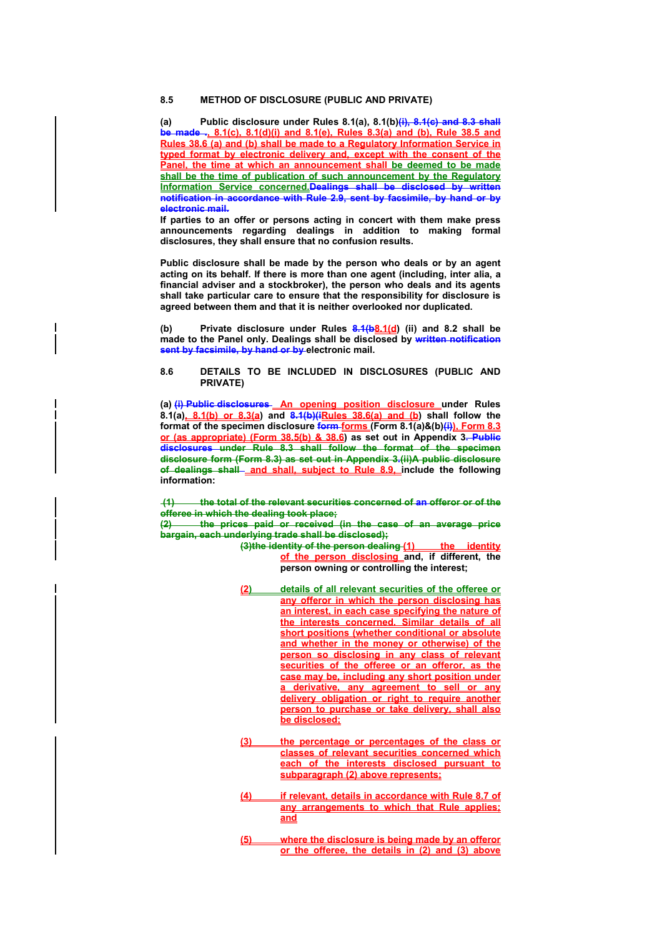## **8.5 METHOD OF DISCLOSURE (PUBLIC AND PRIVATE)**

**(a) Public disclosure under Rules 8.1(a), 8.1(b)(i), 8.1(c) and 8.3 shall be made ., 8.1(c), 8.1(d)(i) and 8.1(e), Rules 8.3(a) and (b), Rule 38.5 and Rules 38.6 (a) and (b) shall be made to a Regulatory Information Service in typed format by electronic delivery and, except with the consent of the Panel, the time at which an announcement shall be deemed to be made shall be the time of publication of such announcement by the Regulatory Information Service concerned.Dealings shall be disclosed by written notification in accordance with Rule 2.9, sent by facsimile, by hand or by electronic mail.** 

**If parties to an offer or persons acting in concert with them make press announcements regarding dealings in addition to making formal disclosures, they shall ensure that no confusion results.** 

**Public disclosure shall be made by the person who deals or by an agent acting on its behalf. If there is more than one agent (including, inter alia, a financial adviser and a stockbroker), the person who deals and its agents shall take particular care to ensure that the responsibility for disclosure is agreed between them and that it is neither overlooked nor duplicated.** 

**(b) Private disclosure under Rules 8.1(b8.1(d) (ii) and 8.2 shall be made to the Panel only. Dealings shall be disclosed by written notification sent by facsimile, by hand or by electronic mail.** 

### **8.6 DETAILS TO BE INCLUDED IN DISCLOSURES (PUBLIC AND PRIVATE)**

(a) (i) Public disclosures An opening position disclosure under Rules **8.1(a), 8.1(b) or 8.3(a) and 8.1(b)(iRules 38.6(a) and (b) shall follow the format of the specimen disclosure form forms (Form 8.1(a)&(b)(i)), Form 8.3 or (as appropriate) (Form 38.5(b) & 38.6) as set out in Appendix 3. Public disclosures under Rule 8.3 shall follow the format of the specimen disclosure form (Form 8.3) as set out in Appendix 3.(ii)A public disclosure**  of dealings shall and shall, subject to Rule 8.9, include the following **information:** 

 **(1) the total of the relevant securities concerned of an offeror or of the offeree in which the dealing took place;**

**(2) the prices paid or received (in the case of an average price bargain, each underlying trade shall be disclosed);**

**(3)the identity of the person dealing (1) the identity of the person disclosing and, if different, the person owning or controlling the interest;** 

- **(2) details of all relevant securities of the offeree or any offeror in which the person disclosing has an interest, in each case specifying the nature of the interests concerned. Similar details of all short positions (whether conditional or absolute and whether in the money or otherwise) of the person so disclosing in any class of relevant securities of the offeree or an offeror, as the case may be, including any short position under a derivative, any agreement to sell or any delivery obligation or right to require another person to purchase or take delivery, shall also be disclosed;**
- **(3) the percentage or percentages of the class or classes of relevant securities concerned which each of the interests disclosed pursuant to subparagraph (2) above represents;**
- **(4) if relevant, details in accordance with Rule 8.7 of any arrangements to which that Rule applies; and**
- **(5) where the disclosure is being made by an offeror or the offeree, the details in (2) and (3) above**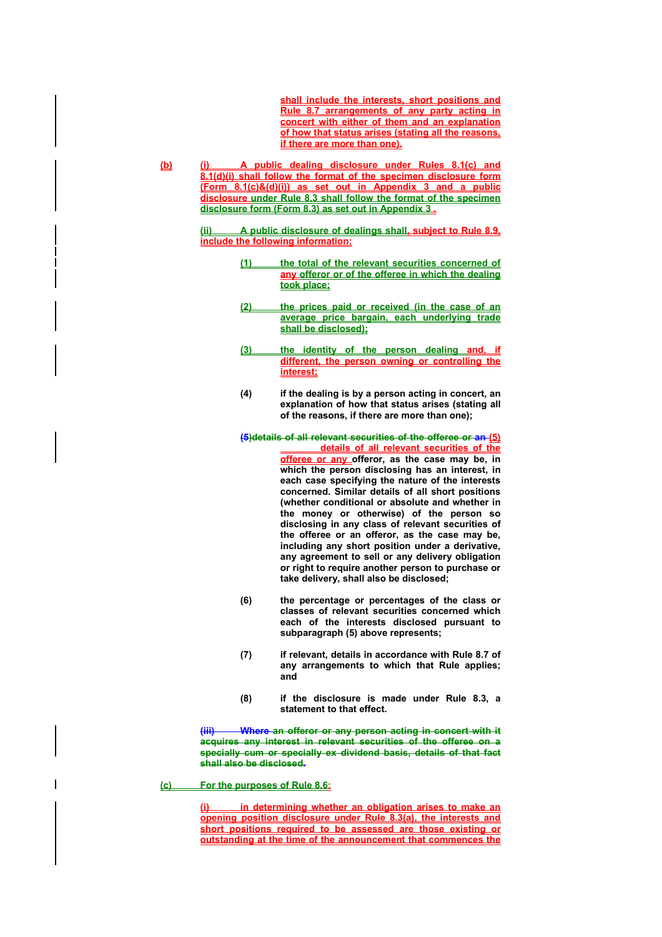**shall include the interests, short positions and Rule 8.7 arrangements of any party acting in concert with either of them and an explanation of how that status arises (stating all the reasons, if there are more than one).**

**(b) (i) A public dealing disclosure under Rules 8.1(c) and 8.1(d)(i) shall follow the format of the specimen disclosure form (Form 8.1(c)&(d)(i)) as set out in Appendix 3 and a public disclosure under Rule 8.3 shall follow the format of the specimen disclosure form (Form 8.3) as set out in Appendix 3 .**

> **(ii) A public disclosure of dealings shall, subject to Rule 8.9, include the following information:**

- **(1) the total of the relevant securities concerned of any offeror or of the offeree in which the dealing took place;**
- **(2) the prices paid or received (in the case of an average price bargain, each underlying trade shall be disclosed);**
- (3) the identity of the person dealing and, **different, the person owning or controlling the interest;**
- **(4) if the dealing is by a person acting in concert, an explanation of how that status arises (stating all of the reasons, if there are more than one);**

**(5)details of all relevant securities of the offeree or an (5) details of all relevant securities of the offeree or any offeror, as the case may be, in which the person disclosing has an interest, in each case specifying the nature of the interests concerned. Similar details of all short positions (whether conditional or absolute and whether in the money or otherwise) of the person so disclosing in any class of relevant securities of the offeree or an offeror, as the case may be, including any short position under a derivative, any agreement to sell or any delivery obligation or right to require another person to purchase or take delivery, shall also be disclosed;** 

- **(6) the percentage or percentages of the class or classes of relevant securities concerned which each of the interests disclosed pursuant to subparagraph (5) above represents;**
- **(7) if relevant, details in accordance with Rule 8.7 of any arrangements to which that Rule applies; and**
- **(8) if the disclosure is made under Rule 8.3, a statement to that effect.**

**(iii) Where an offeror or any person acting in concert with it acquires any interest in relevant securities of the offeree on a specially cum or specially ex dividend basis, details of that fact shall also be disclosed.** 

**(c) For the purposes of Rule 8.6:**

**(i) in determining whether an obligation arises to make an opening position disclosure under Rule 8.3(a), the interests and short positions required to be assessed are those existing or outstanding at the time of the announcement that commences the**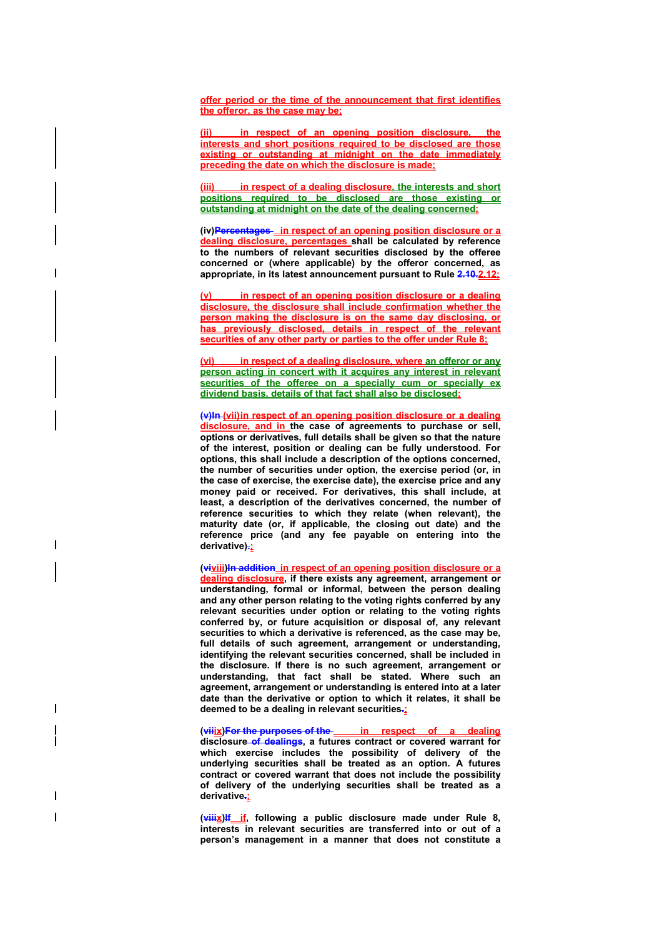**offer period or the time of the announcement that first identifies the offeror, as the case may be;**

**(ii) in respect of an opening position disclosure, the interests and short positions required to be disclosed are those existing or outstanding at midnight on the date immediately preceding the date on which the disclosure is made;**

in respect of a dealing disclosure, the interests and short **positions required to be disclosed are those existing or outstanding at midnight on the date of the dealing concerned;** 

**(iv)Percentages in respect of an opening position disclosure or a dealing disclosure, percentages shall be calculated by reference to the numbers of relevant securities disclosed by the offeree concerned or (where applicable) by the offeror concerned, as appropriate, in its latest announcement pursuant to Rule 2.10.2.12;** 

**(v) in respect of an opening position disclosure or a dealing disclosure, the disclosure shall include confirmation whether the person making the disclosure is on the same day disclosing, or has previously disclosed, details in respect of the relevant securities of any other party or parties to the offer under Rule 8;**

**(vi) in respect of a dealing disclosure, where an offeror or any person acting in concert with it acquires any interest in relevant securities of the offeree on a specially cum or specially ex dividend basis, details of that fact shall also be disclosed;**

**(v)In (vii) in respect of an opening position disclosure or a dealing disclosure, and in the case of agreements to purchase or sell, options or derivatives, full details shall be given so that the nature of the interest, position or dealing can be fully understood. For options, this shall include a description of the options concerned, the number of securities under option, the exercise period (or, in the case of exercise, the exercise date), the exercise price and any money paid or received. For derivatives, this shall include, at least, a description of the derivatives concerned, the number of reference securities to which they relate (when relevant), the maturity date (or, if applicable, the closing out date) and the reference price (and any fee payable on entering into the derivative).;**

I

 $\overline{\phantom{a}}$ 

**(viviii)In addition in respect of an opening position disclosure or a dealing disclosure, if there exists any agreement, arrangement or understanding, formal or informal, between the person dealing and any other person relating to the voting rights conferred by any relevant securities under option or relating to the voting rights conferred by, or future acquisition or disposal of, any relevant securities to which a derivative is referenced, as the case may be, full details of such agreement, arrangement or understanding, identifying the relevant securities concerned, shall be included in the disclosure. If there is no such agreement, arrangement or understanding, that fact shall be stated. Where such an agreement, arrangement or understanding is entered into at a later date than the derivative or option to which it relates, it shall be deemed to be a dealing in relevant securities.;**

(viiix)For the purposes of the in respect of a dealing **disclosure of dealings, a futures contract or covered warrant for which exercise includes the possibility of delivery of the underlying securities shall be treated as an option. A futures contract or covered warrant that does not include the possibility of delivery of the underlying securities shall be treated as a derivative.;**

(viiix)<sup>If</sup> if, following a public disclosure made under Rule 8, **interests in relevant securities are transferred into or out of a person's management in a manner that does not constitute a**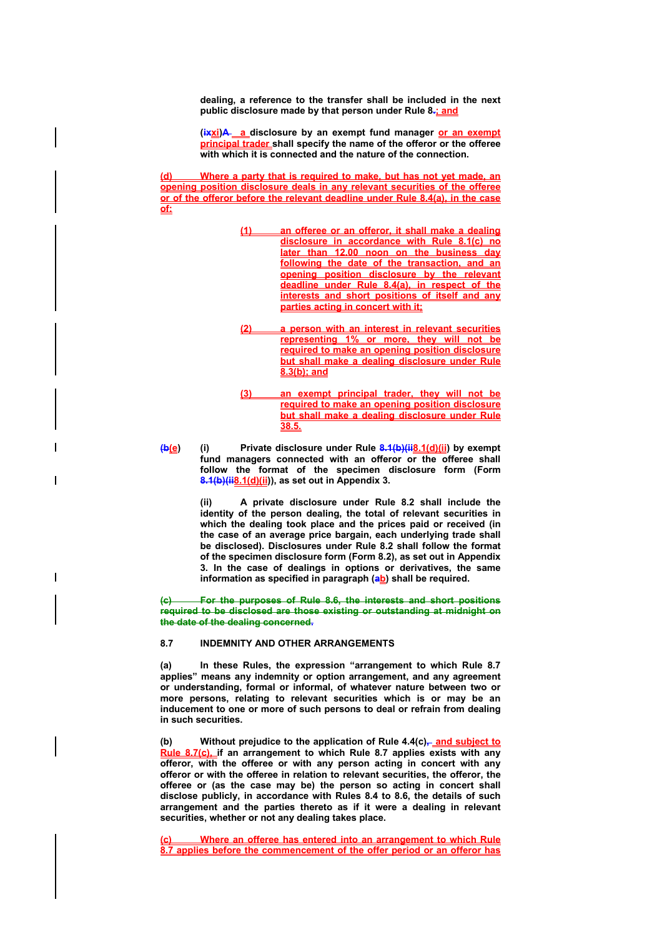**dealing, a reference to the transfer shall be included in the next public disclosure made by that person under Rule 8.; and** 

(ixxi)A a disclosure by an exempt fund manager or an exempt **principal trader shall specify the name of the offeror or the offeree with which it is connected and the nature of the connection.** 

**(d) Where a party that is required to make, but has not yet made, an opening position disclosure deals in any relevant securities of the offeree or of the offeror before the relevant deadline under Rule 8.4(a), in the case of:**

- **(1) an offeree or an offeror, it shall make a dealing disclosure in accordance with Rule 8.1(c) no later than 12.00 noon on the business day following the date of the transaction, and an opening position disclosure by the relevant deadline under Rule 8.4(a), in respect of the interests and short positions of itself and any parties acting in concert with it;**
- **(2) a person with an interest in relevant securities representing 1% or more, they will not be required to make an opening position disclosure but shall make a dealing disclosure under Rule 8.3(b); and**
- **(3) an exempt principal trader, they will not be required to make an opening position disclosure but shall make a dealing disclosure under Rule 38.5.**
- **(b(e) (i) Private disclosure under Rule 8.1(b)(ii8.1(d)(ii) by exempt fund managers connected with an offeror or the offeree shall follow the format of the specimen disclosure form (Form 8.1(b)(ii8.1(d)(ii)), as set out in Appendix 3.**

**(ii) A private disclosure under Rule 8.2 shall include the identity of the person dealing, the total of relevant securities in which the dealing took place and the prices paid or received (in the case of an average price bargain, each underlying trade shall be disclosed). Disclosures under Rule 8.2 shall follow the format of the specimen disclosure form (Form 8.2), as set out in Appendix 3. In the case of dealings in options or derivatives, the same**  information as specified in paragraph (ab) shall be required.

**(c) For the purposes of Rule 8.6, the interests and short positions required to be disclosed are those existing or outstanding at midnight on the date of the dealing concerned.** 

# **8.7 INDEMNITY AND OTHER ARRANGEMENTS**

**(a) In these Rules, the expression "arrangement to which Rule 8.7 applies" means any indemnity or option arrangement, and any agreement or understanding, formal or informal, of whatever nature between two or more persons, relating to relevant securities which is or may be an inducement to one or more of such persons to deal or refrain from dealing in such securities.** 

(b) Without prejudice to the application of Rule 4.4(c)<sub>7</sub> and subject to **Rule 8.7(c), if an arrangement to which Rule 8.7 applies exists with any offeror, with the offeree or with any person acting in concert with any offeror or with the offeree in relation to relevant securities, the offeror, the offeree or (as the case may be) the person so acting in concert shall disclose publicly, in accordance with Rules 8.4 to 8.6, the details of such arrangement and the parties thereto as if it were a dealing in relevant securities, whether or not any dealing takes place.** 

**(c) Where an offeree has entered into an arrangement to which Rule 8.7 applies before the commencement of the offer period or an offeror has**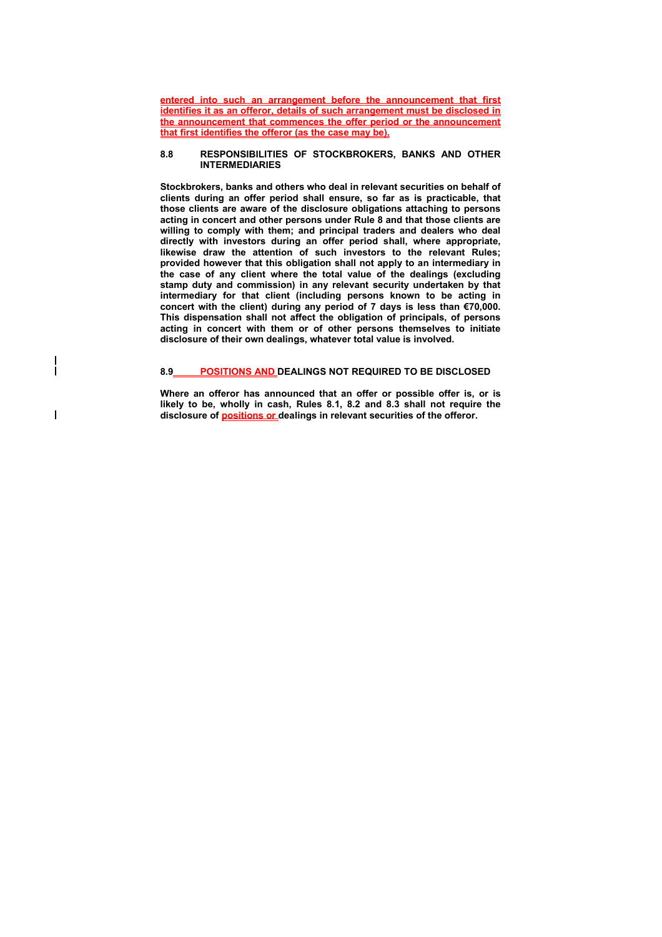**entered into such an arrangement before the announcement that first identifies it as an offeror, details of such arrangement must be disclosed in the announcement that commences the offer period or the announcement that first identifies the offeror (as the case may be).** 

#### **8.8 RESPONSIBILITIES OF STOCKBROKERS, BANKS AND OTHER INTERMEDIARIES**

**Stockbrokers, banks and others who deal in relevant securities on behalf of clients during an offer period shall ensure, so far as is practicable, that those clients are aware of the disclosure obligations attaching to persons acting in concert and other persons under Rule 8 and that those clients are willing to comply with them; and principal traders and dealers who deal directly with investors during an offer period shall, where appropriate, likewise draw the attention of such investors to the relevant Rules; provided however that this obligation shall not apply to an intermediary in the case of any client where the total value of the dealings (excluding stamp duty and commission) in any relevant security undertaken by that intermediary for that client (including persons known to be acting in concert with the client) during any period of 7 days is less than €70,000. This dispensation shall not affect the obligation of principals, of persons acting in concert with them or of other persons themselves to initiate disclosure of their own dealings, whatever total value is involved.** 

# **8.9 POSITIONS AND DEALINGS NOT REQUIRED TO BE DISCLOSED**

 $\overline{\phantom{a}}$ 

 $\overline{\phantom{a}}$ 

**Where an offeror has announced that an offer or possible offer is, or is likely to be, wholly in cash, Rules 8.1, 8.2 and 8.3 shall not require the disclosure of positions or dealings in relevant securities of the offeror.**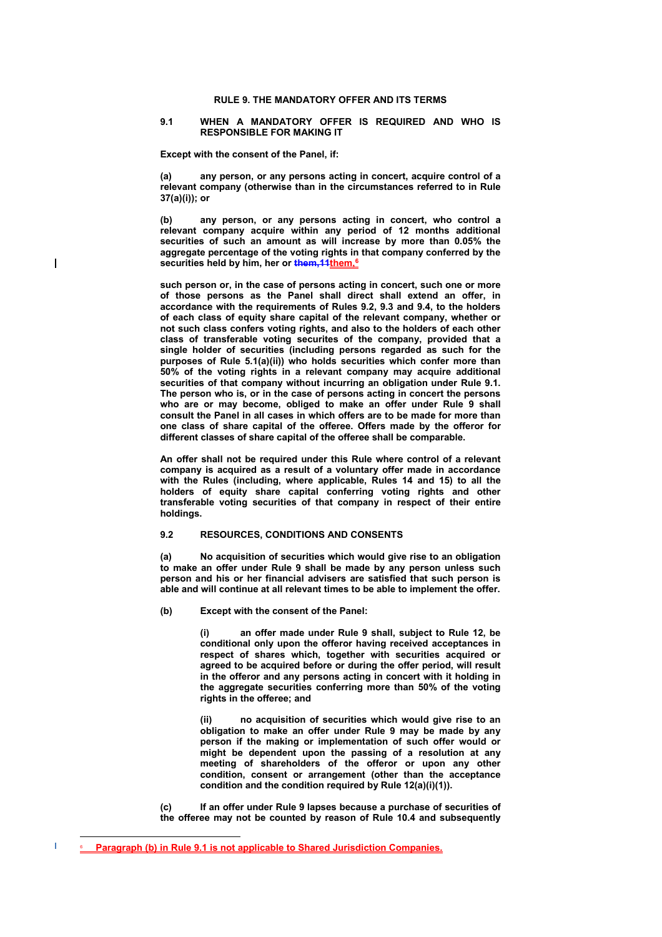### **RULE 9. THE MANDATORY OFFER AND ITS TERMS**

#### **9.1 WHEN A MANDATORY OFFER IS REQUIRED AND WHO IS RESPONSIBLE FOR MAKING IT**

**Except with the consent of the Panel, if:** 

**(a) any person, or any persons acting in concert, acquire control of a relevant company (otherwise than in the circumstances referred to in Rule 37(a)(i)); or** 

**(b) any person, or any persons acting in concert, who control a relevant company acquire within any period of 12 months additional securities of such an amount as will increase by more than 0.05% the aggregate percentage of the voting rights in that company conferred by the**  securities held by him, her or **them, 11them.**<sup>6</sup>

**such person or, in the case of persons acting in concert, such one or more of those persons as the Panel shall direct shall extend an offer, in accordance with the requirements of Rules 9.2, 9.3 and 9.4, to the holders of each class of equity share capital of the relevant company, whether or not such class confers voting rights, and also to the holders of each other class of transferable voting securites of the company, provided that a single holder of securities (including persons regarded as such for the purposes of Rule 5.1(a)(ii)) who holds securities which confer more than 50% of the voting rights in a relevant company may acquire additional securities of that company without incurring an obligation under Rule 9.1. The person who is, or in the case of persons acting in concert the persons who are or may become, obliged to make an offer under Rule 9 shall consult the Panel in all cases in which offers are to be made for more than one class of share capital of the offeree. Offers made by the offeror for different classes of share capital of the offeree shall be comparable.** 

**An offer shall not be required under this Rule where control of a relevant company is acquired as a result of a voluntary offer made in accordance with the Rules (including, where applicable, Rules 14 and 15) to all the holders of equity share capital conferring voting rights and other transferable voting securities of that company in respect of their entire holdings.** 

# **9.2 RESOURCES, CONDITIONS AND CONSENTS**

**(a) No acquisition of securities which would give rise to an obligation to make an offer under Rule 9 shall be made by any person unless such person and his or her financial advisers are satisfied that such person is able and will continue at all relevant times to be able to implement the offer.** 

**(b) Except with the consent of the Panel:** 

**(i) an offer made under Rule 9 shall, subject to Rule 12, be conditional only upon the offeror having received acceptances in respect of shares which, together with securities acquired or agreed to be acquired before or during the offer period, will result in the offeror and any persons acting in concert with it holding in the aggregate securities conferring more than 50% of the voting rights in the offeree; and** 

**(ii) no acquisition of securities which would give rise to an obligation to make an offer under Rule 9 may be made by any person if the making or implementation of such offer would or might be dependent upon the passing of a resolution at any meeting of shareholders of the offeror or upon any other condition, consent or arrangement (other than the acceptance condition and the condition required by Rule 12(a)(i)(1)).** 

**(c) If an offer under Rule 9 lapses because a purchase of securities of the offeree may not be counted by reason of Rule 10.4 and subsequently** 

 $\overline{a}$ 

 $\overline{\phantom{a}}$ 

**Paragraph (b) in Rule 9.1 is not applicable to Shared Jurisdiction Companies.**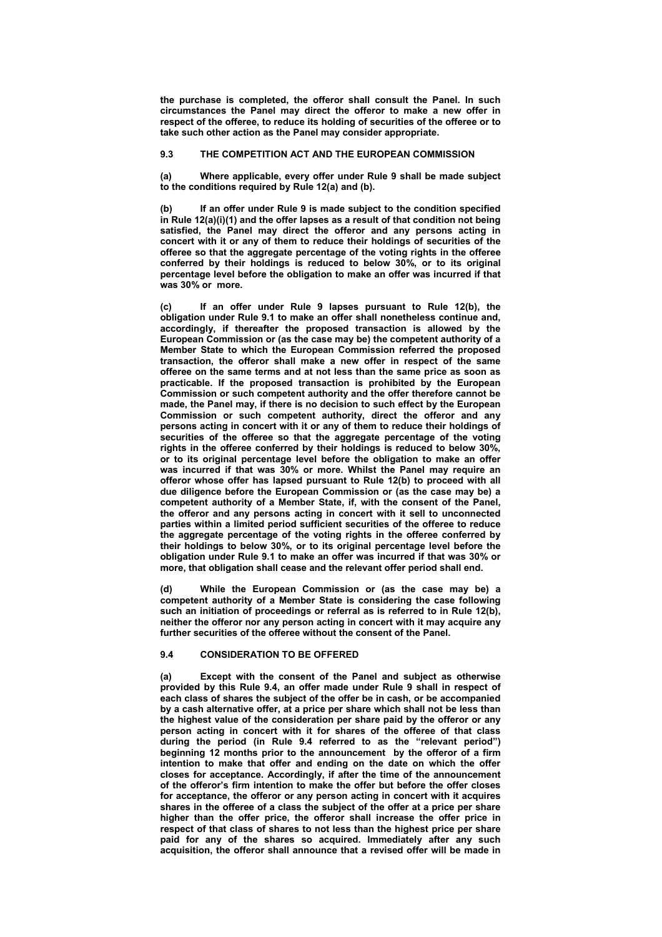**the purchase is completed, the offeror shall consult the Panel. In such circumstances the Panel may direct the offeror to make a new offer in respect of the offeree, to reduce its holding of securities of the offeree or to take such other action as the Panel may consider appropriate.** 

# **9.3 THE COMPETITION ACT AND THE EUROPEAN COMMISSION**

**(a) Where applicable, every offer under Rule 9 shall be made subject to the conditions required by Rule 12(a) and (b).** 

**(b) If an offer under Rule 9 is made subject to the condition specified in Rule 12(a)(i)(1) and the offer lapses as a result of that condition not being satisfied, the Panel may direct the offeror and any persons acting in concert with it or any of them to reduce their holdings of securities of the offeree so that the aggregate percentage of the voting rights in the offeree conferred by their holdings is reduced to below 30%, or to its original percentage level before the obligation to make an offer was incurred if that was 30% or more.** 

**(c) If an offer under Rule 9 lapses pursuant to Rule 12(b), the obligation under Rule 9.1 to make an offer shall nonetheless continue and, accordingly, if thereafter the proposed transaction is allowed by the European Commission or (as the case may be) the competent authority of a Member State to which the European Commission referred the proposed transaction, the offeror shall make a new offer in respect of the same offeree on the same terms and at not less than the same price as soon as practicable. If the proposed transaction is prohibited by the European Commission or such competent authority and the offer therefore cannot be made, the Panel may, if there is no decision to such effect by the European Commission or such competent authority, direct the offeror and any persons acting in concert with it or any of them to reduce their holdings of securities of the offeree so that the aggregate percentage of the voting rights in the offeree conferred by their holdings is reduced to below 30%, or to its original percentage level before the obligation to make an offer was incurred if that was 30% or more. Whilst the Panel may require an offeror whose offer has lapsed pursuant to Rule 12(b) to proceed with all due diligence before the European Commission or (as the case may be) a competent authority of a Member State, if, with the consent of the Panel, the offeror and any persons acting in concert with it sell to unconnected parties within a limited period sufficient securities of the offeree to reduce the aggregate percentage of the voting rights in the offeree conferred by their holdings to below 30%, or to its original percentage level before the obligation under Rule 9.1 to make an offer was incurred if that was 30% or more, that obligation shall cease and the relevant offer period shall end.** 

**(d) While the European Commission or (as the case may be) a competent authority of a Member State is considering the case following such an initiation of proceedings or referral as is referred to in Rule 12(b), neither the offeror nor any person acting in concert with it may acquire any further securities of the offeree without the consent of the Panel.** 

### **9.4 CONSIDERATION TO BE OFFERED**

**(a) Except with the consent of the Panel and subject as otherwise provided by this Rule 9.4, an offer made under Rule 9 shall in respect of each class of shares the subject of the offer be in cash, or be accompanied by a cash alternative offer, at a price per share which shall not be less than the highest value of the consideration per share paid by the offeror or any person acting in concert with it for shares of the offeree of that class during the period (in Rule 9.4 referred to as the "relevant period") beginning 12 months prior to the announcement by the offeror of a firm intention to make that offer and ending on the date on which the offer closes for acceptance. Accordingly, if after the time of the announcement of the offeror's firm intention to make the offer but before the offer closes for acceptance, the offeror or any person acting in concert with it acquires shares in the offeree of a class the subject of the offer at a price per share higher than the offer price, the offeror shall increase the offer price in respect of that class of shares to not less than the highest price per share paid for any of the shares so acquired. Immediately after any such acquisition, the offeror shall announce that a revised offer will be made in**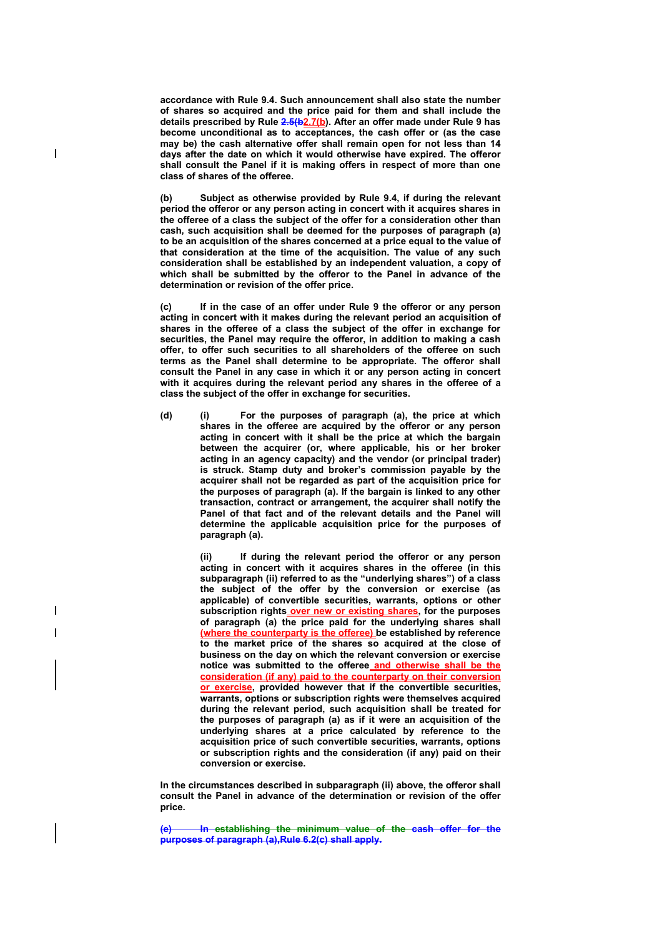**accordance with Rule 9.4. Such announcement shall also state the number of shares so acquired and the price paid for them and shall include the details prescribed by Rule 2.5(b2.7(b). After an offer made under Rule 9 has become unconditional as to acceptances, the cash offer or (as the case may be) the cash alternative offer shall remain open for not less than 14 days after the date on which it would otherwise have expired. The offeror shall consult the Panel if it is making offers in respect of more than one class of shares of the offeree.** 

 $\overline{\phantom{a}}$ 

 $\overline{\phantom{a}}$ 

**(b) Subject as otherwise provided by Rule 9.4, if during the relevant period the offeror or any person acting in concert with it acquires shares in the offeree of a class the subject of the offer for a consideration other than cash, such acquisition shall be deemed for the purposes of paragraph (a) to be an acquisition of the shares concerned at a price equal to the value of that consideration at the time of the acquisition. The value of any such consideration shall be established by an independent valuation, a copy of which shall be submitted by the offeror to the Panel in advance of the determination or revision of the offer price.** 

**(c) If in the case of an offer under Rule 9 the offeror or any person acting in concert with it makes during the relevant period an acquisition of shares in the offeree of a class the subject of the offer in exchange for securities, the Panel may require the offeror, in addition to making a cash offer, to offer such securities to all shareholders of the offeree on such terms as the Panel shall determine to be appropriate. The offeror shall consult the Panel in any case in which it or any person acting in concert with it acquires during the relevant period any shares in the offeree of a class the subject of the offer in exchange for securities.** 

**(d) (i) For the purposes of paragraph (a), the price at which shares in the offeree are acquired by the offeror or any person acting in concert with it shall be the price at which the bargain between the acquirer (or, where applicable, his or her broker acting in an agency capacity) and the vendor (or principal trader) is struck. Stamp duty and broker's commission payable by the acquirer shall not be regarded as part of the acquisition price for the purposes of paragraph (a). If the bargain is linked to any other transaction, contract or arrangement, the acquirer shall notify the Panel of that fact and of the relevant details and the Panel will determine the applicable acquisition price for the purposes of paragraph (a).** 

> **(ii) If during the relevant period the offeror or any person acting in concert with it acquires shares in the offeree (in this subparagraph (ii) referred to as the "underlying shares") of a class the subject of the offer by the conversion or exercise (as applicable) of convertible securities, warrants, options or other subscription rights over new or existing shares, for the purposes of paragraph (a) the price paid for the underlying shares shall (where the counterparty is the offeree) be established by reference to the market price of the shares so acquired at the close of business on the day on which the relevant conversion or exercise notice was submitted to the offeree and otherwise shall be the consideration (if any) paid to the counterparty on their conversion or exercise, provided however that if the convertible securities, warrants, options or subscription rights were themselves acquired during the relevant period, such acquisition shall be treated for the purposes of paragraph (a) as if it were an acquisition of the underlying shares at a price calculated by reference to the acquisition price of such convertible securities, warrants, options or subscription rights and the consideration (if any) paid on their conversion or exercise.**

**In the circumstances described in subparagraph (ii) above, the offeror shall consult the Panel in advance of the determination or revision of the offer price.** 

**In establishing the minimum value of the cash offer for the purposes of paragraph (a),Rule 6.2(c) shall apply.**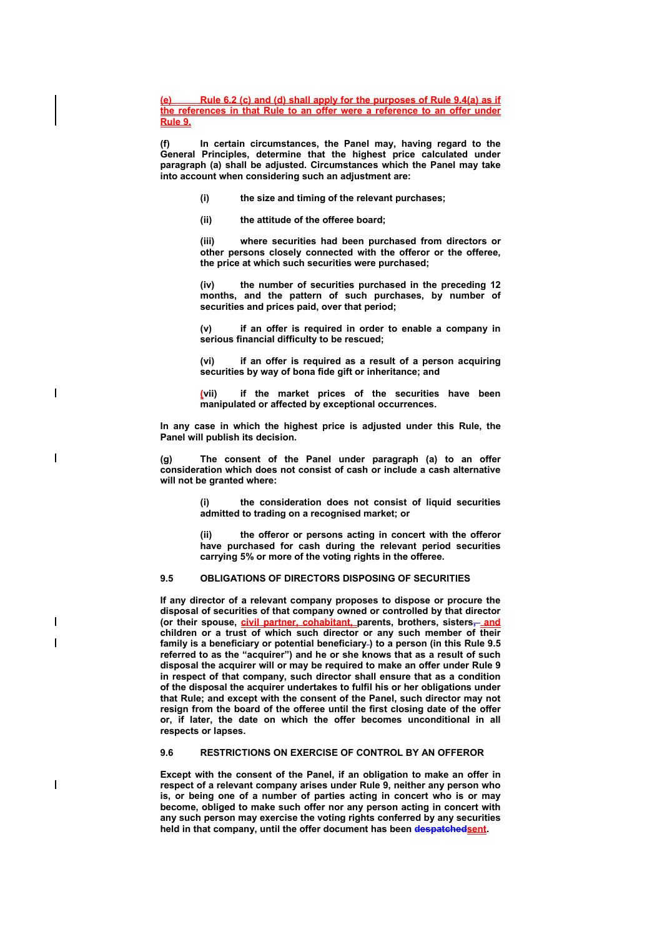**(e) Rule 6.2 (c) and (d) shall apply for the purposes of Rule 9.4(a) as if the references in that Rule to an offer were a reference to an offer under Rule 9.**

**(f) In certain circumstances, the Panel may, having regard to the General Principles, determine that the highest price calculated under paragraph (a) shall be adjusted. Circumstances which the Panel may take into account when considering such an adjustment are:** 

- **(i) the size and timing of the relevant purchases;**
- **(ii) the attitude of the offeree board;**

 $\overline{\phantom{a}}$ 

 $\overline{\phantom{a}}$ 

 $\overline{\phantom{a}}$ 

 $\overline{\phantom{a}}$ 

**(iii) where securities had been purchased from directors or other persons closely connected with the offeror or the offeree, the price at which such securities were purchased;** 

**(iv) the number of securities purchased in the preceding 12 months, and the pattern of such purchases, by number of securities and prices paid, over that period;** 

**(v) if an offer is required in order to enable a company in serious financial difficulty to be rescued;** 

**(vi) if an offer is required as a result of a person acquiring securities by way of bona fide gift or inheritance; and** 

**(vii) if the market prices of the securities have been manipulated or affected by exceptional occurrences.** 

**In any case in which the highest price is adjusted under this Rule, the Panel will publish its decision.** 

**(g) The consent of the Panel under paragraph (a) to an offer consideration which does not consist of cash or include a cash alternative will not be granted where:** 

> **(i) the consideration does not consist of liquid securities admitted to trading on a recognised market; or**

> **(ii) the offeror or persons acting in concert with the offeror have purchased for cash during the relevant period securities carrying 5% or more of the voting rights in the offeree.**

# **9.5 OBLIGATIONS OF DIRECTORS DISPOSING OF SECURITIES**

**If any director of a relevant company proposes to dispose or procure the disposal of securities of that company owned or controlled by that director (or their spouse, civil partner, cohabitant, parents, brothers, sisters, and children or a trust of which such director or any such member of their**  family is a beneficiary or potential beneficiary-) to a person (in this Rule 9.5 **referred to as the "acquirer") and he or she knows that as a result of such disposal the acquirer will or may be required to make an offer under Rule 9 in respect of that company, such director shall ensure that as a condition of the disposal the acquirer undertakes to fulfil his or her obligations under that Rule; and except with the consent of the Panel, such director may not resign from the board of the offeree until the first closing date of the offer or, if later, the date on which the offer becomes unconditional in all respects or lapses.** 

## **9.6 RESTRICTIONS ON EXERCISE OF CONTROL BY AN OFFEROR**

**Except with the consent of the Panel, if an obligation to make an offer in respect of a relevant company arises under Rule 9, neither any person who is, or being one of a number of parties acting in concert who is or may become, obliged to make such offer nor any person acting in concert with any such person may exercise the voting rights conferred by any securities held in that company, until the offer document has been despatchedsent.**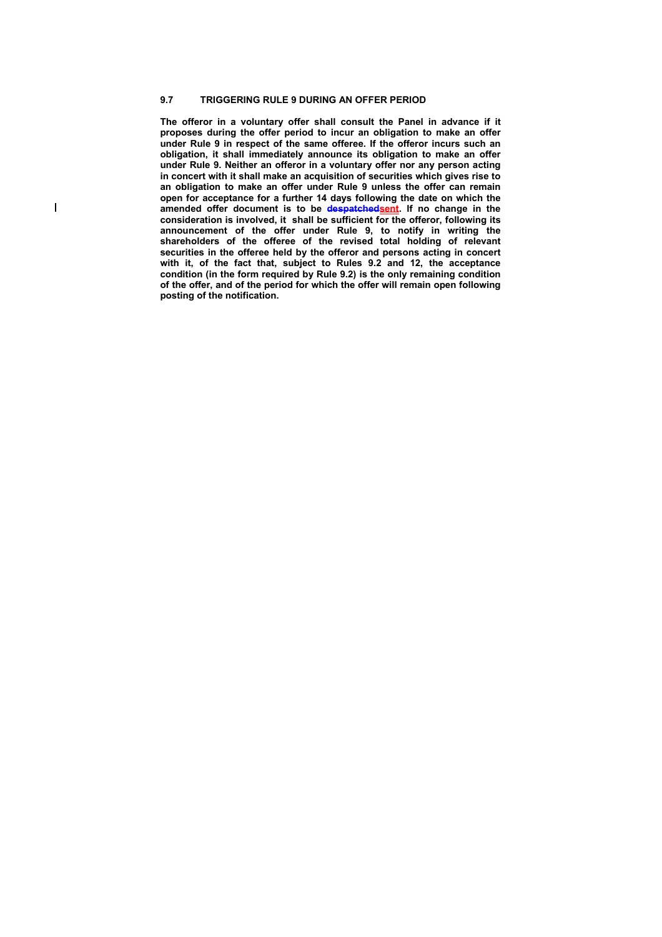#### **9.7 TRIGGERING RULE 9 DURING AN OFFER PERIOD**

 $\overline{\phantom{a}}$ 

**The offeror in a voluntary offer shall consult the Panel in advance if it proposes during the offer period to incur an obligation to make an offer under Rule 9 in respect of the same offeree. If the offeror incurs such an obligation, it shall immediately announce its obligation to make an offer under Rule 9. Neither an offeror in a voluntary offer nor any person acting in concert with it shall make an acquisition of securities which gives rise to an obligation to make an offer under Rule 9 unless the offer can remain open for acceptance for a further 14 days following the date on which the amended offer document is to be despatchedsent. If no change in the consideration is involved, it shall be sufficient for the offeror, following its announcement of the offer under Rule 9, to notify in writing the shareholders of the offeree of the revised total holding of relevant securities in the offeree held by the offeror and persons acting in concert with it, of the fact that, subject to Rules 9.2 and 12, the acceptance condition (in the form required by Rule 9.2) is the only remaining condition of the offer, and of the period for which the offer will remain open following posting of the notification.**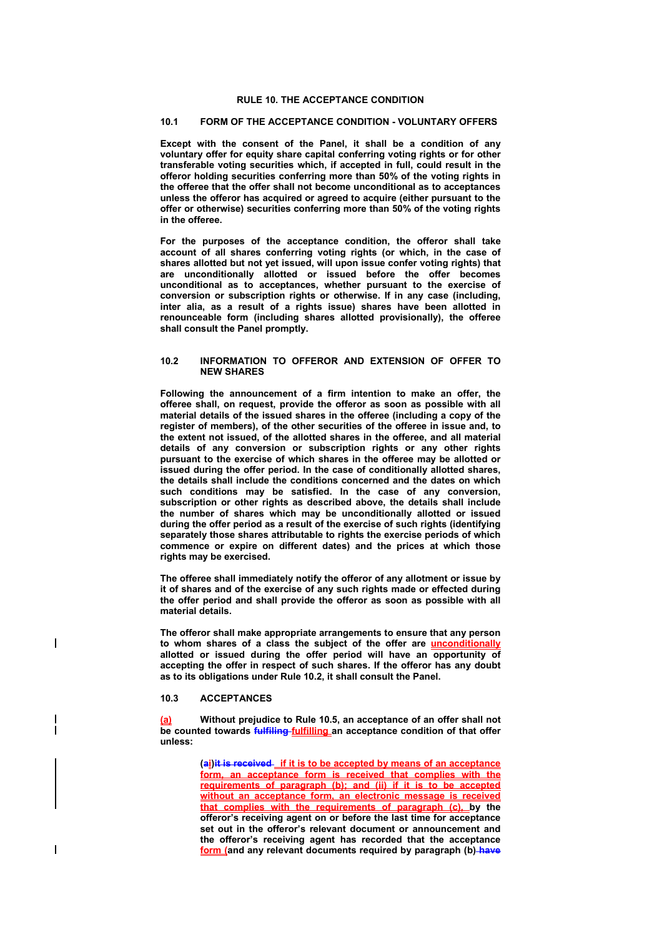## **RULE 10. THE ACCEPTANCE CONDITION**

## **10.1 FORM OF THE ACCEPTANCE CONDITION - VOLUNTARY OFFERS**

**Except with the consent of the Panel, it shall be a condition of any voluntary offer for equity share capital conferring voting rights or for other transferable voting securities which, if accepted in full, could result in the offeror holding securities conferring more than 50% of the voting rights in the offeree that the offer shall not become unconditional as to acceptances unless the offeror has acquired or agreed to acquire (either pursuant to the offer or otherwise) securities conferring more than 50% of the voting rights in the offeree.** 

**For the purposes of the acceptance condition, the offeror shall take account of all shares conferring voting rights (or which, in the case of shares allotted but not yet issued, will upon issue confer voting rights) that are unconditionally allotted or issued before the offer becomes unconditional as to acceptances, whether pursuant to the exercise of conversion or subscription rights or otherwise. If in any case (including, inter alia, as a result of a rights issue) shares have been allotted in renounceable form (including shares allotted provisionally), the offeree shall consult the Panel promptly.** 

## **10.2 INFORMATION TO OFFEROR AND EXTENSION OF OFFER TO NEW SHARES**

**Following the announcement of a firm intention to make an offer, the offeree shall, on request, provide the offeror as soon as possible with all material details of the issued shares in the offeree (including a copy of the register of members), of the other securities of the offeree in issue and, to the extent not issued, of the allotted shares in the offeree, and all material details of any conversion or subscription rights or any other rights pursuant to the exercise of which shares in the offeree may be allotted or issued during the offer period. In the case of conditionally allotted shares, the details shall include the conditions concerned and the dates on which such conditions may be satisfied. In the case of any conversion, subscription or other rights as described above, the details shall include the number of shares which may be unconditionally allotted or issued during the offer period as a result of the exercise of such rights (identifying**  separately those shares attributable to rights the exercise periods of which **commence or expire on different dates) and the prices at which those rights may be exercised.** 

**The offeree shall immediately notify the offeror of any allotment or issue by it of shares and of the exercise of any such rights made or effected during the offer period and shall provide the offeror as soon as possible with all material details.** 

**The offeror shall make appropriate arrangements to ensure that any person to whom shares of a class the subject of the offer are unconditionally allotted or issued during the offer period will have an opportunity of accepting the offer in respect of such shares. If the offeror has any doubt as to its obligations under Rule 10.2, it shall consult the Panel.** 

#### **10.3 ACCEPTANCES**

 $\overline{\phantom{a}}$ 

**(a) Without prejudice to Rule 10.5, an acceptance of an offer shall not be counted towards fulfiling fulfilling an acceptance condition of that offer unless:** 

> **(ai)it is received if it is to be accepted by means of an acceptance form, an acceptance form is received that complies with the requirements of paragraph (b); and (ii) if it is to be accepted without an acceptance form, an electronic message is received that complies with the requirements of paragraph (c), by the offeror's receiving agent on or before the last time for acceptance set out in the offeror's relevant document or announcement and the offeror's receiving agent has recorded that the acceptance form (and any relevant documents required by paragraph (b) have**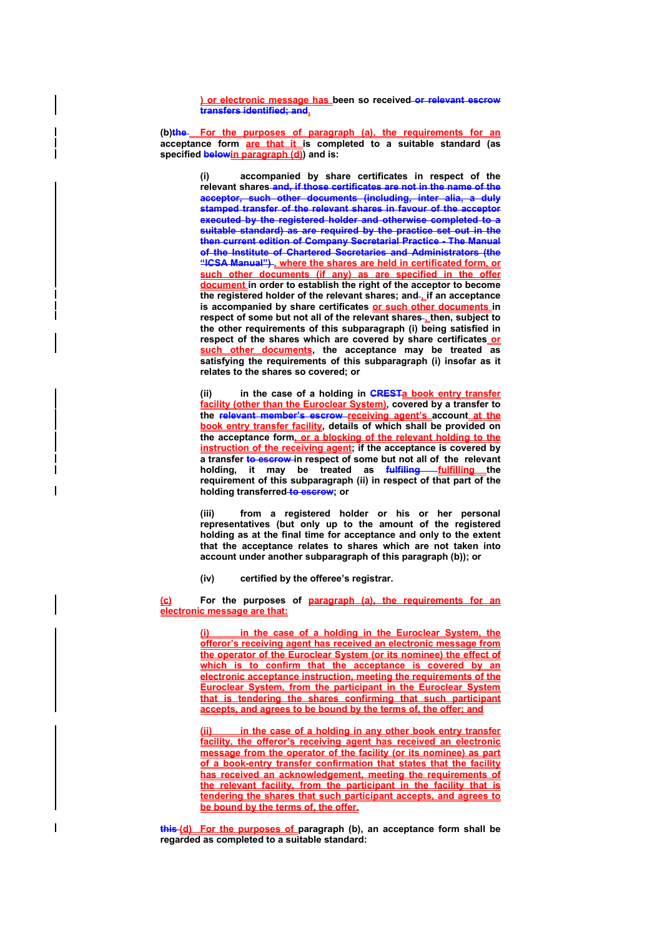**) or electronic message has been so received or relevant escrow transfers identified; and.**

(b)the For the purposes of paragraph (a), the requirements for an **acceptance form are that it is completed to a suitable standard (as specified belowin paragraph (d)) and is:** 

> **(i) accompanied by share certificates in respect of the relevant shares and, if those certificates are not in the name of the acceptor, such other documents (including, inter alia, a duly stamped transfer of the relevant shares in favour of the acceptor executed by the registered holder and otherwise completed to a suitable standard) as are required by the practice set out in the then current edition of Company Secretarial Practice - The Manual of the Institute of Chartered Secretaries and Administrators (the "ICSA Manual") , where the shares are held in certificated form, or such other documents (if any) as are specified in the offer document in order to establish the right of the acceptor to become**  the registered holder of the relevant shares; and-if an acceptance **is accompanied by share certificates or such other documents in respect of some but not all of the relevant shares , then, subject to the other requirements of this subparagraph (i) being satisfied in**  respect of the shares which are covered by share certificates\_or **such other documents, the acceptance may be treated as satisfying the requirements of this subparagraph (i) insofar as it relates to the shares so covered; or**

> **(ii) in the case of a holding in CRESTa book entry transfer facility (other than the Euroclear System), covered by a transfer to the relevant member's escrow receiving agent's account at the book entry transfer facility, details of which shall be provided on the acceptance form, or a blocking of the relevant holding to the instruction of the receiving agent; if the acceptance is covered by a transfer to escrow in respect of some but not all of the relevant**  holding, it may be treated as **fulfilling fulfilling** the **requirement of this subparagraph (ii) in respect of that part of the holding transferred to escrow; or**

> **(iii) from a registered holder or his or her personal representatives (but only up to the amount of the registered holding as at the final time for acceptance and only to the extent that the acceptance relates to shares which are not taken into account under another subparagraph of this paragraph (b)); or**

**(iv) certified by the offeree's registrar.** 

**(c) For the purposes of paragraph (a), the requirements for an electronic message are that:**

> **(i) in the case of a holding in the Euroclear System, the offeror's receiving agent has received an electronic message from the operator of the Euroclear System (or its nominee) the effect of which is to confirm that the acceptance is covered by an electronic acceptance instruction, meeting the requirements of the Euroclear System, from the participant in the Euroclear System that is tendering the shares confirming that such participant accepts, and agrees to be bound by the terms of, the offer; and**

> **(ii) in the case of a holding in any other book entry transfer facility, the offeror's receiving agent has received an electronic message from the operator of the facility (or its nominee) as part of a book-entry transfer confirmation that states that the facility has received an acknowledgement, meeting the requirements of the relevant facility, from the participant in the facility that is tendering the shares that such participant accepts, and agrees to be bound by the terms of, the offer.**

**this (d) For the purposes of paragraph (b), an acceptance form shall be regarded as completed to a suitable standard:**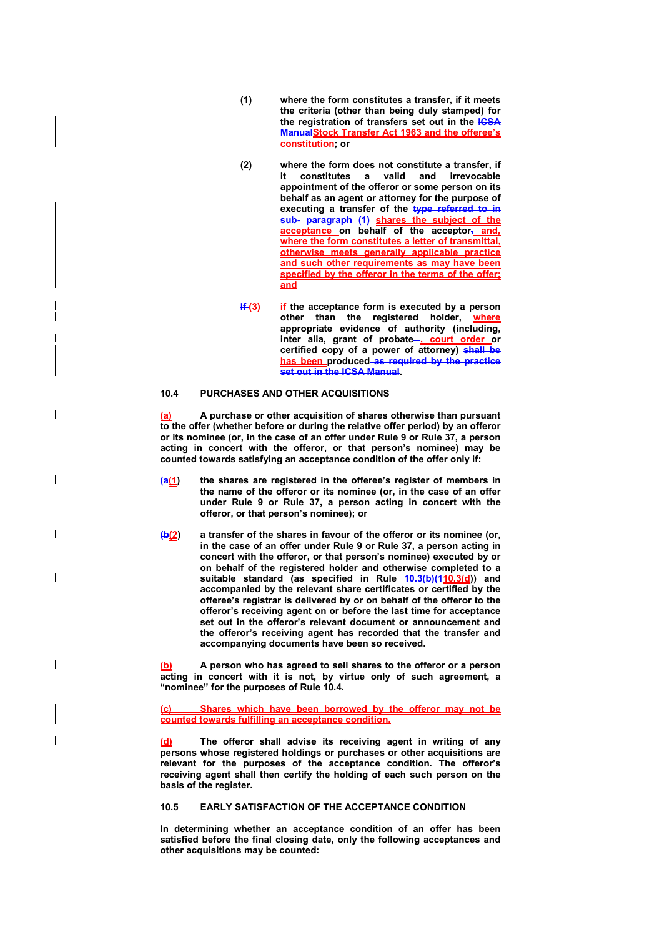- **(1) where the form constitutes a transfer, if it meets the criteria (other than being duly stamped) for the registration of transfers set out in the ICSA ManualStock Transfer Act 1963 and the offeree's constitution; or**
- **(2) where the form does not constitute a transfer, if it constitutes a valid and irrevocable appointment of the offeror or some person on its behalf as an agent or attorney for the purpose of executing a transfer of the type referred to in sub- paragraph (1) shares the subject of the acceptance on behalf of the acceptor. and, where the form constitutes a letter of transmittal, otherwise meets generally applicable practice and such other requirements as may have been specified by the offeror in the terms of the offer; and**
- **If (3)** if the acceptance form is executed by a person **other than the registered holder, where appropriate evidence of authority (including,**  inter alia, grant of probate-**, court order** or **certified copy of a power of attorney) shall be has been produced as required by the practice set out in the ICSA Manual.**

## **10.4 PURCHASES AND OTHER ACQUISITIONS**

 $\overline{\phantom{a}}$ 

 $\overline{\phantom{a}}$ 

 $\overline{\phantom{a}}$ 

**(a) A purchase or other acquisition of shares otherwise than pursuant to the offer (whether before or during the relative offer period) by an offeror or its nominee (or, in the case of an offer under Rule 9 or Rule 37, a person acting in concert with the offeror, or that person's nominee) may be counted towards satisfying an acceptance condition of the offer only if:** 

- **(a(1) the shares are registered in the offeree's register of members in the name of the offeror or its nominee (or, in the case of an offer under Rule 9 or Rule 37, a person acting in concert with the offeror, or that person's nominee); or**
- **(b(2) a transfer of the shares in favour of the offeror or its nominee (or, in the case of an offer under Rule 9 or Rule 37, a person acting in concert with the offeror, or that person's nominee) executed by or on behalf of the registered holder and otherwise completed to a suitable standard (as specified in Rule 10.3(b)(110.3(d)) and accompanied by the relevant share certificates or certified by the offeree's registrar is delivered by or on behalf of the offeror to the offeror's receiving agent on or before the last time for acceptance set out in the offeror's relevant document or announcement and the offeror's receiving agent has recorded that the transfer and accompanying documents have been so received.**

**(b) A person who has agreed to sell shares to the offeror or a person acting in concert with it is not, by virtue only of such agreement, a "nominee" for the purposes of Rule 10.4.** 

**(c) Shares which have been borrowed by the offeror may not be counted towards fulfilling an acceptance condition.**

The offeror shall advise its receiving agent in writing of any **persons whose registered holdings or purchases or other acquisitions are relevant for the purposes of the acceptance condition. The offeror's receiving agent shall then certify the holding of each such person on the basis of the register.** 

#### **10.5 EARLY SATISFACTION OF THE ACCEPTANCE CONDITION**

**In determining whether an acceptance condition of an offer has been satisfied before the final closing date, only the following acceptances and other acquisitions may be counted:**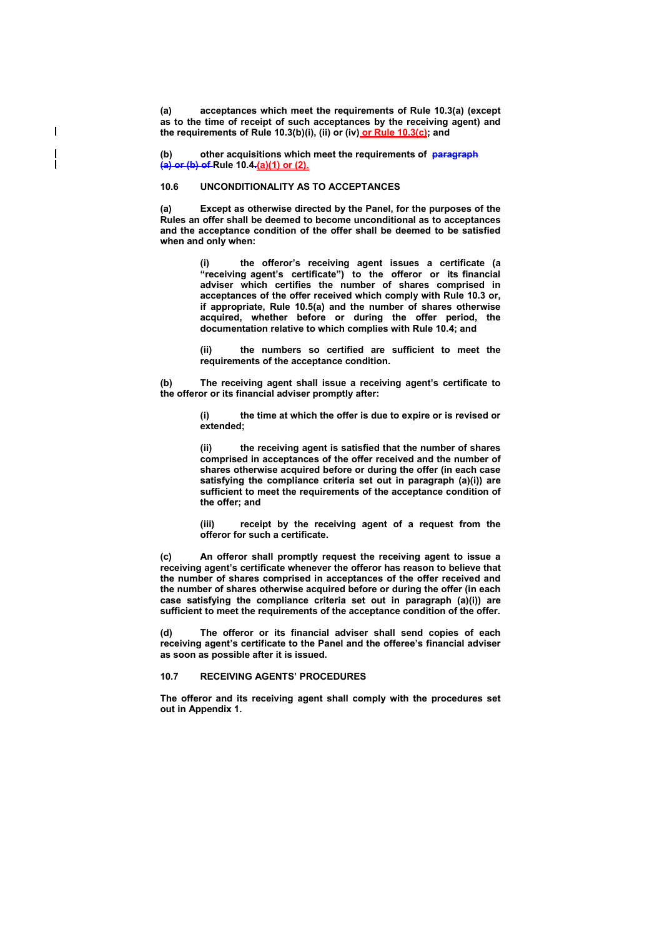**(a) acceptances which meet the requirements of Rule 10.3(a) (except as to the time of receipt of such acceptances by the receiving agent) and the requirements of Rule 10.3(b)(i), (ii) or (iv) or Rule 10.3(c); and** 

**(b) other acquisitions which meet the requirements of paragraph (a) or (b) of Rule 10.4.(a)(1) or (2).**

#### **10.6 UNCONDITIONALITY AS TO ACCEPTANCES**

 $\overline{\phantom{a}}$ 

**(a) Except as otherwise directed by the Panel, for the purposes of the Rules an offer shall be deemed to become unconditional as to acceptances and the acceptance condition of the offer shall be deemed to be satisfied when and only when:** 

> **(i) the offeror's receiving agent issues a certificate (a "receiving agent's certificate") to the offeror or its financial adviser which certifies the number of shares comprised in acceptances of the offer received which comply with Rule 10.3 or, if appropriate, Rule 10.5(a) and the number of shares otherwise acquired, whether before or during the offer period, the documentation relative to which complies with Rule 10.4; and**

> **(ii) the numbers so certified are sufficient to meet the requirements of the acceptance condition.**

**(b) The receiving agent shall issue a receiving agent's certificate to the offeror or its financial adviser promptly after:** 

> **(i) the time at which the offer is due to expire or is revised or extended;**

> **(ii) the receiving agent is satisfied that the number of shares comprised in acceptances of the offer received and the number of shares otherwise acquired before or during the offer (in each case satisfying the compliance criteria set out in paragraph (a)(i)) are sufficient to meet the requirements of the acceptance condition of the offer; and**

> **(iii) receipt by the receiving agent of a request from the offeror for such a certificate.**

**(c) An offeror shall promptly request the receiving agent to issue a receiving agent's certificate whenever the offeror has reason to believe that the number of shares comprised in acceptances of the offer received and the number of shares otherwise acquired before or during the offer (in each case satisfying the compliance criteria set out in paragraph (a)(i)) are sufficient to meet the requirements of the acceptance condition of the offer.** 

**(d) The offeror or its financial adviser shall send copies of each receiving agent's certificate to the Panel and the offeree's financial adviser as soon as possible after it is issued.** 

## **10.7 RECEIVING AGENTS' PROCEDURES**

**The offeror and its receiving agent shall comply with the procedures set out in Appendix 1.**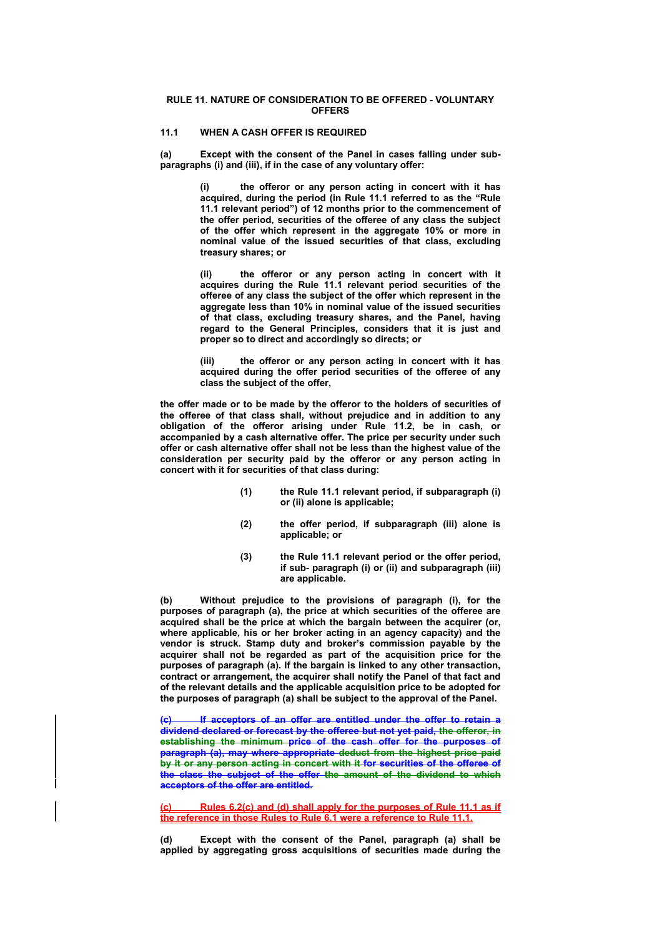#### **RULE 11. NATURE OF CONSIDERATION TO BE OFFERED - VOLUNTARY OFFERS**

# **11.1 WHEN A CASH OFFER IS REQUIRED**

**(a) Except with the consent of the Panel in cases falling under subparagraphs (i) and (iii), if in the case of any voluntary offer:** 

> **(i) the offeror or any person acting in concert with it has acquired, during the period (in Rule 11.1 referred to as the "Rule 11.1 relevant period") of 12 months prior to the commencement of the offer period, securities of the offeree of any class the subject of the offer which represent in the aggregate 10% or more in nominal value of the issued securities of that class, excluding treasury shares; or**

> **(ii) the offeror or any person acting in concert with it acquires during the Rule 11.1 relevant period securities of the offeree of any class the subject of the offer which represent in the aggregate less than 10% in nominal value of the issued securities of that class, excluding treasury shares, and the Panel, having regard to the General Principles, considers that it is just and proper so to direct and accordingly so directs; or**

> **(iii) the offeror or any person acting in concert with it has acquired during the offer period securities of the offeree of any class the subject of the offer,**

**the offer made or to be made by the offeror to the holders of securities of the offeree of that class shall, without prejudice and in addition to any obligation of the offeror arising under Rule 11.2, be in cash, or accompanied by a cash alternative offer. The price per security under such offer or cash alternative offer shall not be less than the highest value of the consideration per security paid by the offeror or any person acting in concert with it for securities of that class during:** 

- **(1) the Rule 11.1 relevant period, if subparagraph (i) or (ii) alone is applicable;**
- **(2) the offer period, if subparagraph (iii) alone is applicable; or**
- **(3) the Rule 11.1 relevant period or the offer period, if sub- paragraph (i) or (ii) and subparagraph (iii) are applicable.**

**(b) Without prejudice to the provisions of paragraph (i), for the purposes of paragraph (a), the price at which securities of the offeree are acquired shall be the price at which the bargain between the acquirer (or, where applicable, his or her broker acting in an agency capacity) and the vendor is struck. Stamp duty and broker's commission payable by the acquirer shall not be regarded as part of the acquisition price for the purposes of paragraph (a). If the bargain is linked to any other transaction, contract or arrangement, the acquirer shall notify the Panel of that fact and of the relevant details and the applicable acquisition price to be adopted for the purposes of paragraph (a) shall be subject to the approval of the Panel.** 

**(c) If acceptors of an offer are entitled under the offer to retain a dividend declared or forecast by the offeree but not yet paid, the offeror, in establishing the minimum price of the cash offer for the purposes of paragraph (a), may where appropriate deduct from the highest price paid by it or any person acting in concert with it for securities of the offeree of the class the subject of the offer the amount of the dividend to which acceptors of the offer are entitled.** 

**(c) Rules 6.2(c) and (d) shall apply for the purposes of Rule 11.1 as if the reference in those Rules to Rule 6.1 were a reference to Rule 11.1.**

Except with the consent of the Panel, paragraph (a) shall be **applied by aggregating gross acquisitions of securities made during the**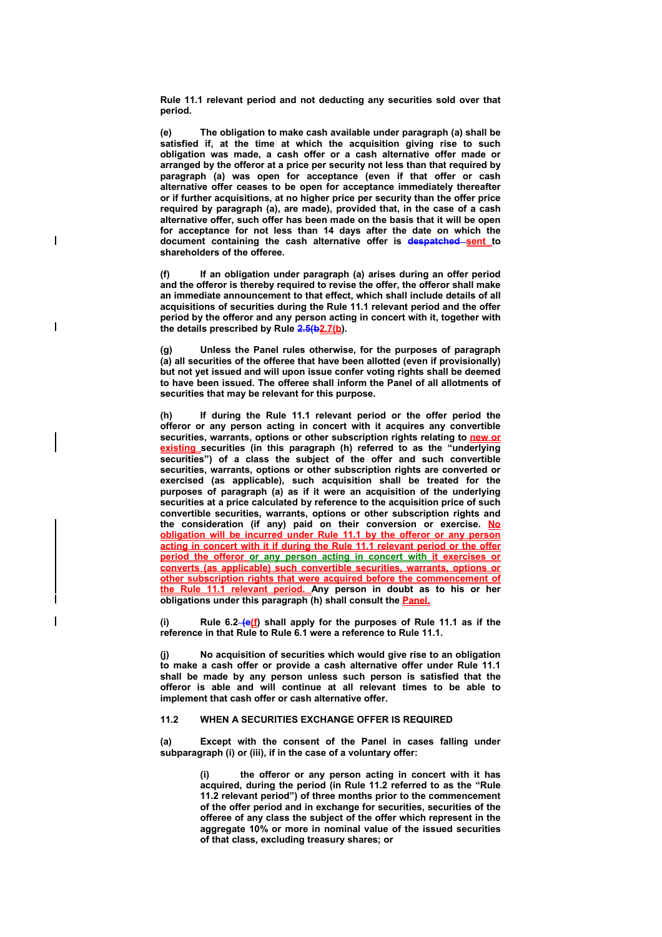**Rule 11.1 relevant period and not deducting any securities sold over that period.** 

**(e) The obligation to make cash available under paragraph (a) shall be satisfied if, at the time at which the acquisition giving rise to such obligation was made, a cash offer or a cash alternative offer made or arranged by the offeror at a price per security not less than that required by paragraph (a) was open for acceptance (even if that offer or cash alternative offer ceases to be open for acceptance immediately thereafter or if further acquisitions, at no higher price per security than the offer price required by paragraph (a), are made), provided that, in the case of a cash alternative offer, such offer has been made on the basis that it will be open for acceptance for not less than 14 days after the date on which the document containing the cash alternative offer is despatched sent to shareholders of the offeree.** 

 $\overline{1}$ 

 $\overline{\phantom{a}}$ 

**(f) If an obligation under paragraph (a) arises during an offer period and the offeror is thereby required to revise the offer, the offeror shall make an immediate announcement to that effect, which shall include details of all acquisitions of securities during the Rule 11.1 relevant period and the offer period by the offeror and any person acting in concert with it, together with the details prescribed by Rule 2.5(b2.7(b).** 

**(g) Unless the Panel rules otherwise, for the purposes of paragraph (a) all securities of the offeree that have been allotted (even if provisionally) but not yet issued and will upon issue confer voting rights shall be deemed to have been issued. The offeree shall inform the Panel of all allotments of securities that may be relevant for this purpose.** 

**(h) If during the Rule 11.1 relevant period or the offer period the offeror or any person acting in concert with it acquires any convertible securities, warrants, options or other subscription rights relating to new or existing securities (in this paragraph (h) referred to as the "underlying securities") of a class the subject of the offer and such convertible securities, warrants, options or other subscription rights are converted or exercised (as applicable), such acquisition shall be treated for the purposes of paragraph (a) as if it were an acquisition of the underlying securities at a price calculated by reference to the acquisition price of such convertible securities, warrants, options or other subscription rights and the consideration (if any) paid on their conversion or exercise. No obligation will be incurred under Rule 11.1 by the offeror or any person acting in concert with it if during the Rule 11.1 relevant period or the offer period the offeror or any person acting in concert with it exercises or converts (as applicable) such convertible securities, warrants, options or other subscription rights that were acquired before the commencement of the Rule 11.1 relevant period. Any person in doubt as to his or her obligations under this paragraph (h) shall consult the Panel.**

**(i) Rule 6.2 (e(f) shall apply for the purposes of Rule 11.1 as if the reference in that Rule to Rule 6.1 were a reference to Rule 11.1.** 

**(j) No acquisition of securities which would give rise to an obligation to make a cash offer or provide a cash alternative offer under Rule 11.1 shall be made by any person unless such person is satisfied that the offeror is able and will continue at all relevant times to be able to implement that cash offer or cash alternative offer.** 

#### **11.2 WHEN A SECURITIES EXCHANGE OFFER IS REQUIRED**

**(a) Except with the consent of the Panel in cases falling under subparagraph (i) or (iii), if in the case of a voluntary offer:**

> **(i) the offeror or any person acting in concert with it has acquired, during the period (in Rule 11.2 referred to as the "Rule 11.2 relevant period") of three months prior to the commencement of the offer period and in exchange for securities, securities of the offeree of any class the subject of the offer which represent in the aggregate 10% or more in nominal value of the issued securities of that class, excluding treasury shares; or**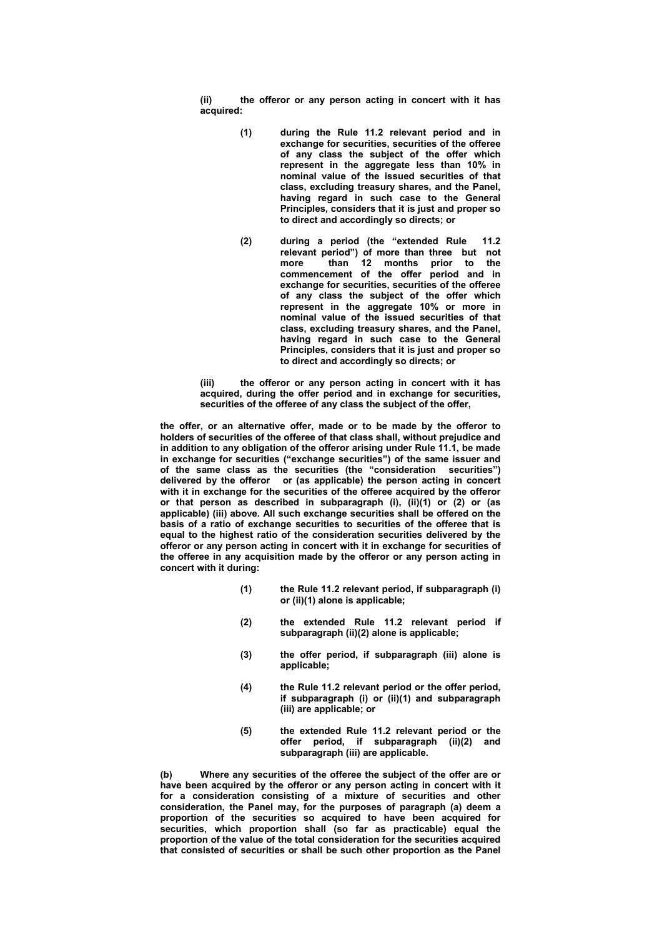**(ii) the offeror or any person acting in concert with it has acquired:** 

- **(1) during the Rule 11.2 relevant period and in exchange for securities, securities of the offeree of any class the subject of the offer which represent in the aggregate less than 10% in nominal value of the issued securities of that class, excluding treasury shares, and the Panel, having regard in such case to the General Principles, considers that it is just and proper so to direct and accordingly so directs; or**
- **(2) during a period (the "extended Rule 11.2 relevant period") of more than three but not more than 12 months prior to the commencement of the offer period and in exchange for securities, securities of the offeree of any class the subject of the offer which represent in the aggregate 10% or more in nominal value of the issued securities of that class, excluding treasury shares, and the Panel, having regard in such case to the General Principles, considers that it is just and proper so to direct and accordingly so directs; or**

**(iii) the offeror or any person acting in concert with it has acquired, during the offer period and in exchange for securities, securities of the offeree of any class the subject of the offer,** 

**the offer, or an alternative offer, made or to be made by the offeror to holders of securities of the offeree of that class shall, without prejudice and in addition to any obligation of the offeror arising under Rule 11.1, be made in exchange for securities ("exchange securities") of the same issuer and of the same class as the securities (the "consideration securities") delivered by the offeror or (as applicable) the person acting in concert with it in exchange for the securities of the offeree acquired by the offeror or that person as described in subparagraph (i), (ii)(1) or (2) or (as applicable) (iii) above. All such exchange securities shall be offered on the basis of a ratio of exchange securities to securities of the offeree that is equal to the highest ratio of the consideration securities delivered by the offeror or any person acting in concert with it in exchange for securities of the offeree in any acquisition made by the offeror or any person acting in concert with it during:** 

- **(1) the Rule 11.2 relevant period, if subparagraph (i) or (ii)(1) alone is applicable;**
- **(2) the extended Rule 11.2 relevant period if subparagraph (ii)(2) alone is applicable;**
- **(3) the offer period, if subparagraph (iii) alone is applicable;**
- **(4) the Rule 11.2 relevant period or the offer period, if subparagraph (i) or (ii)(1) and subparagraph (iii) are applicable; or**
- **(5) the extended Rule 11.2 relevant period or the offer period, if subparagraph (ii)(2) and subparagraph (iii) are applicable.**

**(b) Where any securities of the offeree the subject of the offer are or have been acquired by the offeror or any person acting in concert with it for a consideration consisting of a mixture of securities and other consideration, the Panel may, for the purposes of paragraph (a) deem a proportion of the securities so acquired to have been acquired for securities, which proportion shall (so far as practicable) equal the proportion of the value of the total consideration for the securities acquired that consisted of securities or shall be such other proportion as the Panel**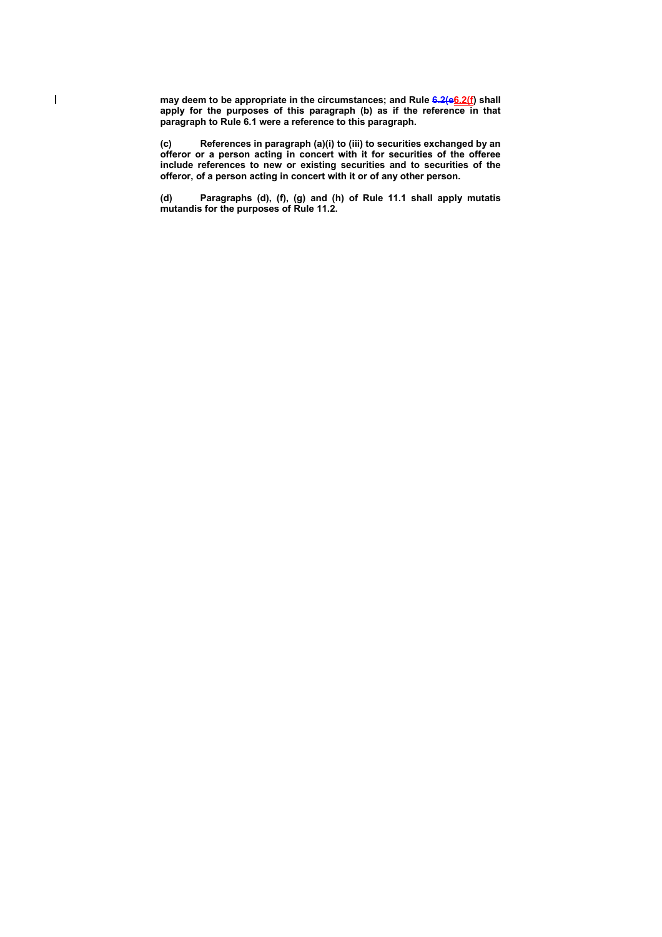**may deem to be appropriate in the circumstances; and Rule 6.2(e6.2(f) shall**  apply for the purposes of this paragraph (b) as if the reference in that **paragraph to Rule 6.1 were a reference to this paragraph.** 

 $\overline{\phantom{a}}$ 

**(c) References in paragraph (a)(i) to (iii) to securities exchanged by an offeror or a person acting in concert with it for securities of the offeree include references to new or existing securities and to securities of the offeror, of a person acting in concert with it or of any other person.** 

**(d) Paragraphs (d), (f), (g) and (h) of Rule 11.1 shall apply mutatis mutandis for the purposes of Rule 11.2.**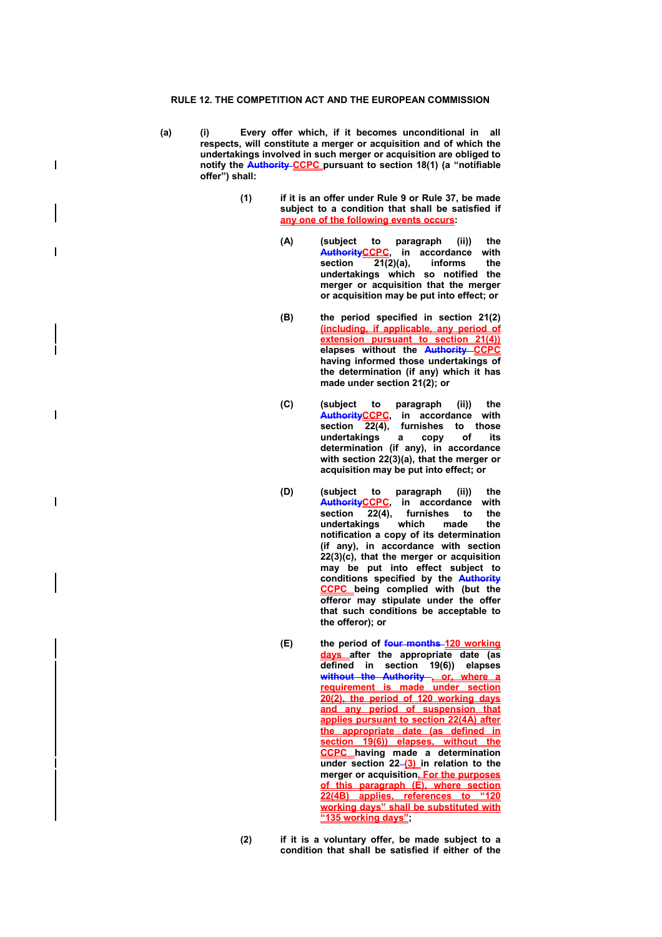$\overline{\phantom{a}}$ 

 $\overline{\phantom{a}}$ 

 $\overline{\phantom{a}}$ 

- **(a) (i) Every offer which, if it becomes unconditional in all respects, will constitute a merger or acquisition and of which the undertakings involved in such merger or acquisition are obliged to notify the Authority CCPC pursuant to section 18(1) (a "notifiable offer") shall:** 
	- **(1) if it is an offer under Rule 9 or Rule 37, be made subject to a condition that shall be satisfied if any one of the following events occurs:** 
		- **(A) (subject to paragraph (ii)) the AuthorityCCPC, in accordance with section 21(2)(a), informs the undertakings which so notified the merger or acquisition that the merger or acquisition may be put into effect; or**
		- **(B) the period specified in section 21(2) (including, if applicable, any period of extension pursuant to section 21(4)) elapses without the Authority CCPC having informed those undertakings of the determination (if any) which it has made under section 21(2); or**
		- **(C) (subject to paragraph (ii)) the AuthorityCCPC, in accordance with section 22(4), furnishes to those undertakings a copy of its determination (if any), in accordance with section 22(3)(a), that the merger or acquisition may be put into effect; or**
		- **(D) (subject to paragraph (ii)) the AuthorityCCPC, in accordance with**  section 22(4), furnishes to **undertakings which made the notification a copy of its determination (if any), in accordance with section 22(3)(c), that the merger or acquisition may be put into effect subject to conditions specified by the Authority CCPC being complied with (but the offeror may stipulate under the offer that such conditions be acceptable to the offeror); or**
		- **(E) the period of four months 120 working days after the appropriate date (as defined in section 19(6)) elapses without the Authority , or, where a requirement is made under section 20(2), the period of 120 working days and any period of suspension that applies pursuant to section 22(4A) after the appropriate date (as defined in section 19(6)) elapses, without the CCPC having made a determination**  under section 22-(3) in relation to the **merger or acquisition. For the purposes of this paragraph (E), where section 22(4B) applies, references to "120 working days" shall be substituted with "135 working days";**
	- **(2) if it is a voluntary offer, be made subject to a condition that shall be satisfied if either of the**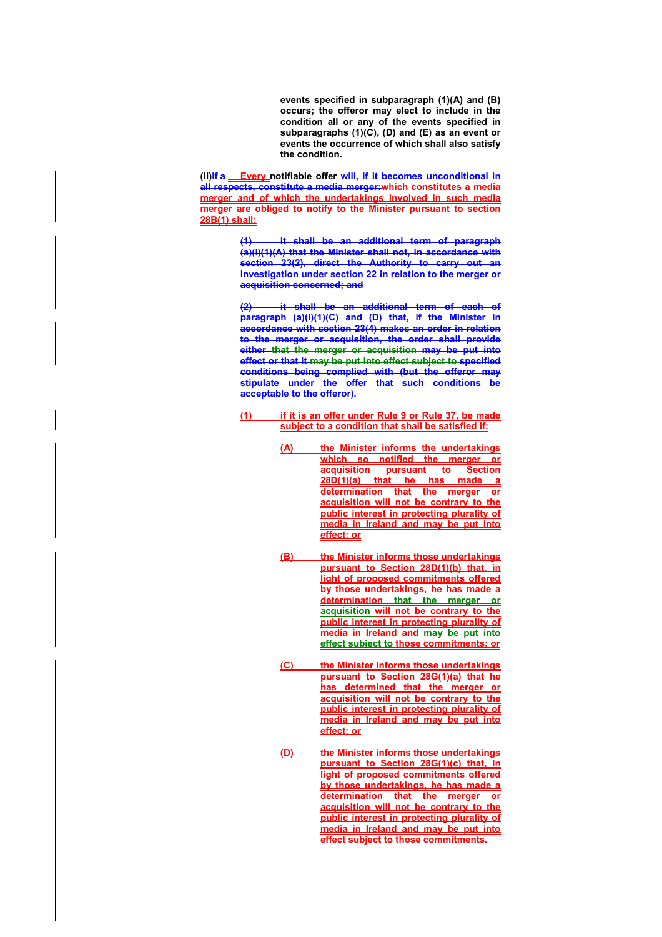**events specified in subparagraph (1)(A) and (B) occurs; the offeror may elect to include in the condition all or any of the events specified in subparagraphs (1)(C), (D) and (E) as an event or events the occurrence of which shall also satisfy the condition.** 

(ii)If a\_**Every\_notifiable offer will, if it becomes unconditional in all respects, constitute a media merger:which constitutes a media merger and of which the undertakings involved in such media merger are obliged to notify to the Minister pursuant to section 28B(1) shall:**

> **(1) it shall be an additional term of paragraph (a)(i)(1)(A) that the Minister shall not, in accordance with section 23(2), direct the Authority to carry out an investigation under section 22 in relation to the merger or acquisition concerned; and**

> **(2) it shall be an additional term of each of paragraph (a)(i)(1)(C) and (D) that, if the Minister in accordance with section 23(4) makes an order in relation to the merger or acquisition, the order shall provide either that the merger or acquisition may be put into effect or that it may be put into effect subject to specified conditions being complied with (but the offeror may stipulate under the offer that such conditions be acceptable to the offeror).**

- **(1) if it is an offer under Rule 9 or Rule 37, be made subject to a condition that shall be satisfied if:**
	- **(A) the Minister informs the undertakings which so notified the merger or acquisition pursuant to Section 28D(1)(a)** that he has made **determination that the merger or acquisition will not be contrary to the public interest in protecting plurality of media in Ireland and may be put into effect; or**
	- **(B) the Minister informs those undertakings pursuant to Section 28D(1)(b) that, in light of proposed commitments offered by those undertakings, he has made a determination that the merger or acquisition will not be contrary to the public interest in protecting plurality of media in Ireland and may be put into effect subject to those commitments; or**
	- **(C) the Minister informs those undertakings pursuant to Section 28G(1)(a) that he has determined that the merger or acquisition will not be contrary to the public interest in protecting plurality of media in Ireland and may be put into effect; or**
	- **(D) the Minister informs those undertakings pursuant to Section 28G(1)(c) that, in light of proposed commitments offered by those undertakings, he has made a determination that the merger or acquisition will not be contrary to the public interest in protecting plurality of media in Ireland and may be put into effect subject to those commitments.**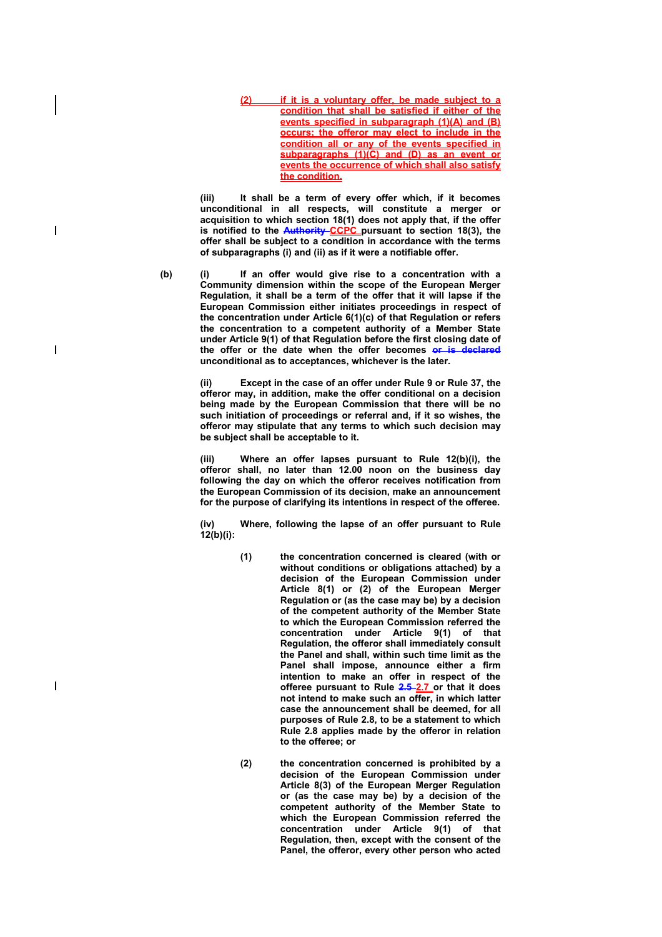**(2) if it is a voluntary offer, be made subject to a condition that shall be satisfied if either of the events specified in subparagraph (1)(A) and (B) occurs; the offeror may elect to include in the condition all or any of the events specified in subparagraphs (1)(C) and (D) as an event or events the occurrence of which shall also satisfy the condition.**

**(iii) It shall be a term of every offer which, if it becomes unconditional in all respects, will constitute a merger or acquisition to which section 18(1) does not apply that, if the offer is notified to the Authority CCPC pursuant to section 18(3), the offer shall be subject to a condition in accordance with the terms of subparagraphs (i) and (ii) as if it were a notifiable offer.**

**(b) (i) If an offer would give rise to a concentration with a Community dimension within the scope of the European Merger Regulation, it shall be a term of the offer that it will lapse if the European Commission either initiates proceedings in respect of the concentration under Article 6(1)(c) of that Regulation or refers the concentration to a competent authority of a Member State under Article 9(1) of that Regulation before the first closing date of the offer or the date when the offer becomes or is declared unconditional as to acceptances, whichever is the later.** 

> **(ii) Except in the case of an offer under Rule 9 or Rule 37, the offeror may, in addition, make the offer conditional on a decision being made by the European Commission that there will be no such initiation of proceedings or referral and, if it so wishes, the offeror may stipulate that any terms to which such decision may be subject shall be acceptable to it.**

> **(iii) Where an offer lapses pursuant to Rule 12(b)(i), the offeror shall, no later than 12.00 noon on the business day following the day on which the offeror receives notification from the European Commission of its decision, make an announcement for the purpose of clarifying its intentions in respect of the offeree.**

> **(iv) Where, following the lapse of an offer pursuant to Rule 12(b)(i):**

- **(1) the concentration concerned is cleared (with or without conditions or obligations attached) by a decision of the European Commission under Article 8(1) or (2) of the European Merger Regulation or (as the case may be) by a decision of the competent authority of the Member State to which the European Commission referred the concentration under Article 9(1) of that Regulation, the offeror shall immediately consult the Panel and shall, within such time limit as the Panel shall impose, announce either a firm intention to make an offer in respect of the offeree pursuant to Rule 2.5 2.7 or that it does not intend to make such an offer, in which latter case the announcement shall be deemed, for all purposes of Rule 2.8, to be a statement to which Rule 2.8 applies made by the offeror in relation to the offeree; or**
- **(2) the concentration concerned is prohibited by a decision of the European Commission under Article 8(3) of the European Merger Regulation or (as the case may be) by a decision of the competent authority of the Member State to which the European Commission referred the concentration under Article 9(1) of that Regulation, then, except with the consent of the Panel, the offeror, every other person who acted**

 $\overline{\phantom{a}}$ 

 $\overline{\phantom{a}}$ 

 $\overline{\phantom{a}}$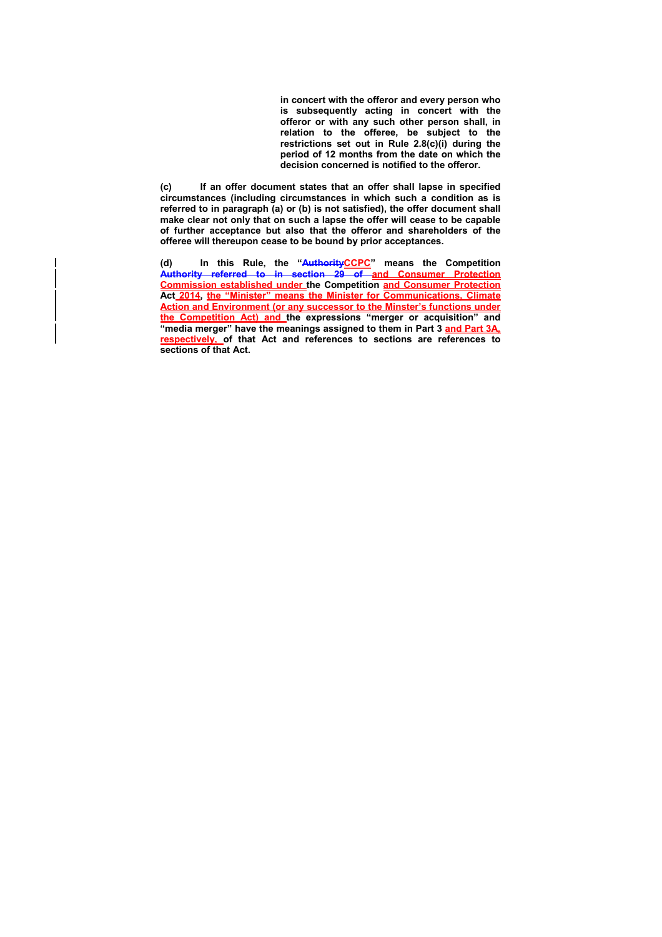**in concert with the offeror and every person who is subsequently acting in concert with the offeror or with any such other person shall, in relation to the offeree, be subject to the restrictions set out in Rule 2.8(c)(i) during the period of 12 months from the date on which the decision concerned is notified to the offeror.** 

**(c) If an offer document states that an offer shall lapse in specified circumstances (including circumstances in which such a condition as is referred to in paragraph (a) or (b) is not satisfied), the offer document shall make clear not only that on such a lapse the offer will cease to be capable of further acceptance but also that the offeror and shareholders of the offeree will thereupon cease to be bound by prior acceptances.** 

(d) In this Rule, the "AuthorityCCPC" means the Competition **Authority referred to in section 29 of and Consumer Protection Commission established under the Competition and Consumer Protection Act 2014, the "Minister" means the Minister for Communications, Climate Action and Environment (or any successor to the Minster's functions under the Competition Act) and the expressions "merger or acquisition" and "media merger" have the meanings assigned to them in Part 3 and Part 3A, respectively, of that Act and references to sections are references to sections of that Act.**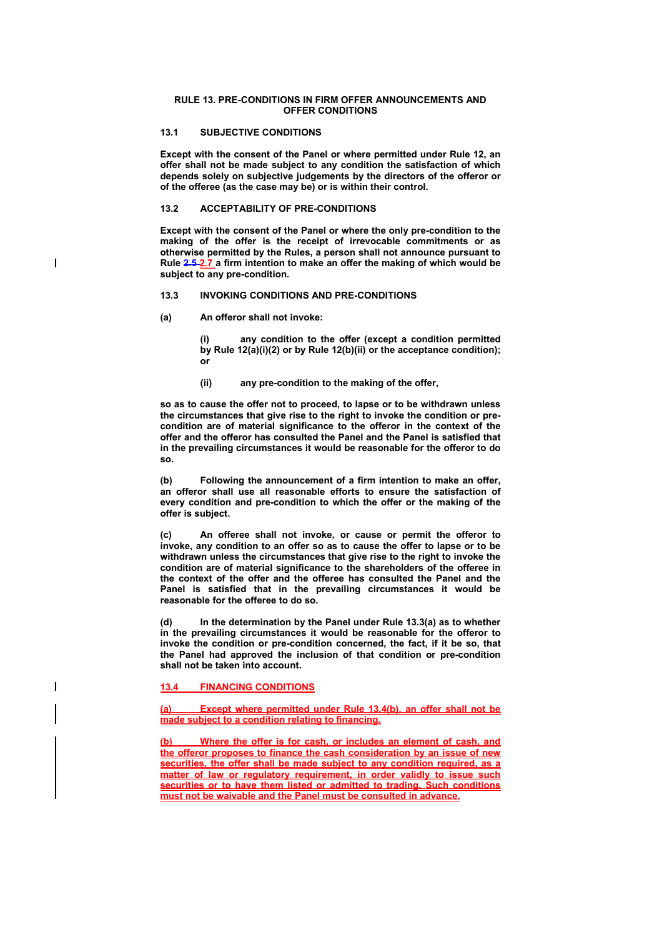#### **RULE 13. PRE-CONDITIONS IN FIRM OFFER ANNOUNCEMENTS AND OFFER CONDITIONS**

# **13.1 SUBJECTIVE CONDITIONS**

**Except with the consent of the Panel or where permitted under Rule 12, an offer shall not be made subject to any condition the satisfaction of which depends solely on subjective judgements by the directors of the offeror or of the offeree (as the case may be) or is within their control.**

#### **13.2 ACCEPTABILITY OF PRE-CONDITIONS**

**Except with the consent of the Panel or where the only pre-condition to the making of the offer is the receipt of irrevocable commitments or as otherwise permitted by the Rules, a person shall not announce pursuant to Rule 2.5 2.7 a firm intention to make an offer the making of which would be subject to any pre-condition.** 

#### **13.3 INVOKING CONDITIONS AND PRE-CONDITIONS**

**(a) An offeror shall not invoke:** 

 $\overline{\phantom{a}}$ 

 $\overline{\phantom{a}}$ 

**(i) any condition to the offer (except a condition permitted by Rule 12(a)(i)(2) or by Rule 12(b)(ii) or the acceptance condition); or** 

**(ii) any pre-condition to the making of the offer,** 

**so as to cause the offer not to proceed, to lapse or to be withdrawn unless the circumstances that give rise to the right to invoke the condition or precondition are of material significance to the offeror in the context of the offer and the offeror has consulted the Panel and the Panel is satisfied that in the prevailing circumstances it would be reasonable for the offeror to do so.** 

**(b) Following the announcement of a firm intention to make an offer, an offeror shall use all reasonable efforts to ensure the satisfaction of every condition and pre-condition to which the offer or the making of the offer is subject.** 

**(c) An offeree shall not invoke, or cause or permit the offeror to invoke, any condition to an offer so as to cause the offer to lapse or to be withdrawn unless the circumstances that give rise to the right to invoke the condition are of material significance to the shareholders of the offeree in the context of the offer and the offeree has consulted the Panel and the Panel is satisfied that in the prevailing circumstances it would be reasonable for the offeree to do so.** 

**(d) In the determination by the Panel under Rule 13.3(a) as to whether in the prevailing circumstances it would be reasonable for the offeror to invoke the condition or pre-condition concerned, the fact, if it be so, that the Panel had approved the inclusion of that condition or pre-condition shall not be taken into account.** 

## **13.4 FINANCING CONDITIONS**

**(a) Except where permitted under Rule 13.4(b), an offer shall not be made subject to a condition relating to financing.**

**(b) Where the offer is for cash, or includes an element of cash, and the offeror proposes to finance the cash consideration by an issue of new securities, the offer shall be made subject to any condition required, as a matter of law or regulatory requirement, in order validly to issue such securities or to have them listed or admitted to trading. Such conditions must not be waivable and the Panel must be consulted in advance.**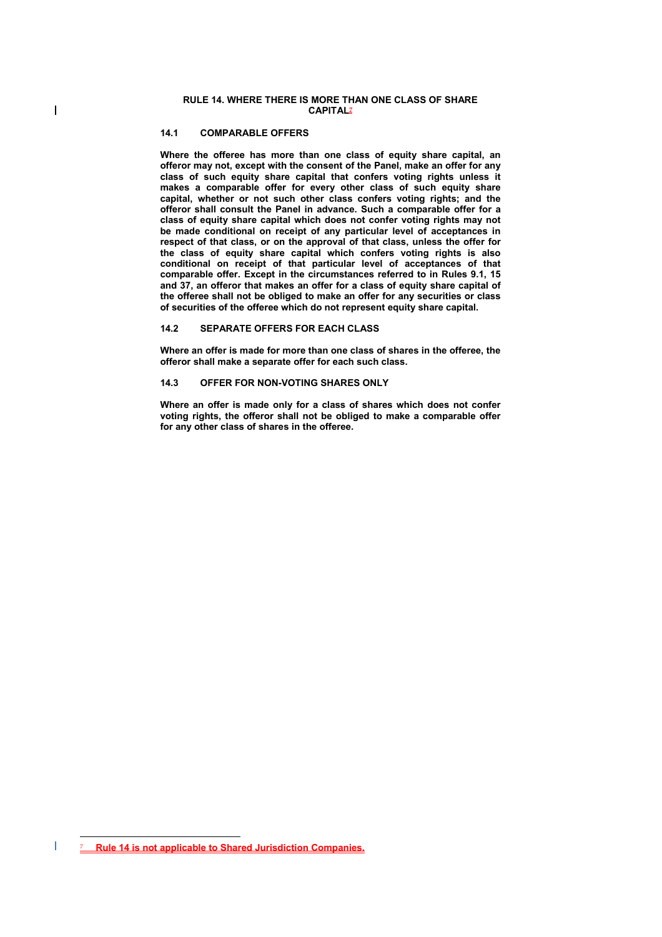### **14.1 COMPARABLE OFFERS**

 $\overline{\phantom{a}}$ 

**Where the offeree has more than one class of equity share capital, an offeror may not, except with the consent of the Panel, make an offer for any class of such equity share capital that confers voting rights unless it makes a comparable offer for every other class of such equity share capital, whether or not such other class confers voting rights; and the offeror shall consult the Panel in advance. Such a comparable offer for a class of equity share capital which does not confer voting rights may not be made conditional on receipt of any particular level of acceptances in respect of that class, or on the approval of that class, unless the offer for the class of equity share capital which confers voting rights is also conditional on receipt of that particular level of acceptances of that comparable offer. Except in the circumstances referred to in Rules 9.1, 15 and 37, an offeror that makes an offer for a class of equity share capital of the offeree shall not be obliged to make an offer for any securities or class of securities of the offeree which do not represent equity share capital.** 

# **14.2 SEPARATE OFFERS FOR EACH CLASS**

**Where an offer is made for more than one class of shares in the offeree, the offeror shall make a separate offer for each such class.** 

## **14.3 OFFER FOR NON-VOTING SHARES ONLY**

**Where an offer is made only for a class of shares which does not confer voting rights, the offeror shall not be obliged to make a comparable offer for any other class of shares in the offeree.** 

 $\overline{a}$ 7 **Rule 14 is not applicable to Shared Jurisdiction Companies.**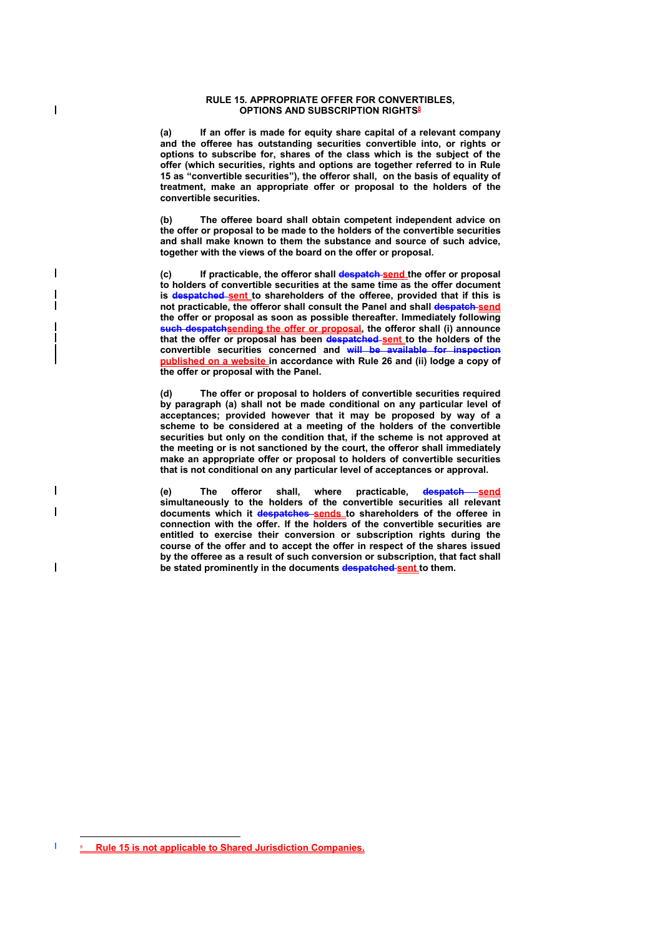#### **RULE 15. APPROPRIATE OFFER FOR CONVERTIBLES, OPTIONS AND SUBSCRIPTION RIGHTS8**

 $\overline{\phantom{a}}$ 

 $\overline{\phantom{a}}$ 

 $\overline{\phantom{a}}$ 

 $\overline{\phantom{a}}$ 

**(a) If an offer is made for equity share capital of a relevant company and the offeree has outstanding securities convertible into, or rights or options to subscribe for, shares of the class which is the subject of the offer (which securities, rights and options are together referred to in Rule 15 as "convertible securities"), the offeror shall, on the basis of equality of treatment, make an appropriate offer or proposal to the holders of the convertible securities.** 

**(b) The offeree board shall obtain competent independent advice on the offer or proposal to be made to the holders of the convertible securities and shall make known to them the substance and source of such advice, together with the views of the board on the offer or proposal.** 

**(c) If practicable, the offeror shall despatch send the offer or proposal to holders of convertible securities at the same time as the offer document**  is **despatched sent** to shareholders of the offeree, provided that if this is **not practicable, the offeror shall consult the Panel and shall despatch send the offer or proposal as soon as possible thereafter. Immediately following such despatchsending the offer or proposal, the offeror shall (i) announce**  that the offer or proposal has been despatched sent to the holders of the **convertible securities concerned and will be available for inspection published on a website in accordance with Rule 26 and (ii) lodge a copy of the offer or proposal with the Panel.** 

**(d) The offer or proposal to holders of convertible securities required by paragraph (a) shall not be made conditional on any particular level of acceptances; provided however that it may be proposed by way of a scheme to be considered at a meeting of the holders of the convertible securities but only on the condition that, if the scheme is not approved at the meeting or is not sanctioned by the court, the offeror shall immediately make an appropriate offer or proposal to holders of convertible securities that is not conditional on any particular level of acceptances or approval.** 

(e) The offeror shall, where practicable, dospatch send **simultaneously to the holders of the convertible securities all relevant**  documents which it despatches sends to shareholders of the offeree in **connection with the offer. If the holders of the convertible securities are entitled to exercise their conversion or subscription rights during the course of the offer and to accept the offer in respect of the shares issued by the offeree as a result of such conversion or subscription, that fact shall be stated prominently in the documents despatched sent to them.** 

 $\overline{a}$ 8 **Rule 15 is not applicable to Shared Jurisdiction Companies.**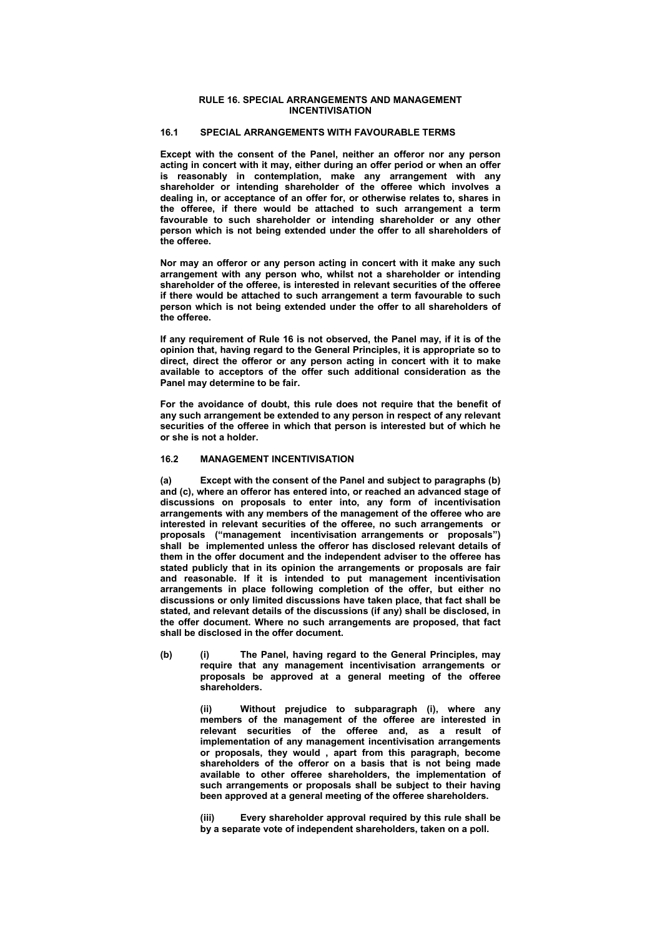#### **RULE 16. SPECIAL ARRANGEMENTS AND MANAGEMENT INCENTIVISATION**

# **16.1 SPECIAL ARRANGEMENTS WITH FAVOURABLE TERMS**

**Except with the consent of the Panel, neither an offeror nor any person acting in concert with it may, either during an offer period or when an offer is reasonably in contemplation, make any arrangement with any shareholder or intending shareholder of the offeree which involves a dealing in, or acceptance of an offer for, or otherwise relates to, shares in the offeree, if there would be attached to such arrangement a term favourable to such shareholder or intending shareholder or any other person which is not being extended under the offer to all shareholders of the offeree.** 

**Nor may an offeror or any person acting in concert with it make any such arrangement with any person who, whilst not a shareholder or intending shareholder of the offeree, is interested in relevant securities of the offeree if there would be attached to such arrangement a term favourable to such person which is not being extended under the offer to all shareholders of the offeree.** 

**If any requirement of Rule 16 is not observed, the Panel may, if it is of the opinion that, having regard to the General Principles, it is appropriate so to direct, direct the offeror or any person acting in concert with it to make available to acceptors of the offer such additional consideration as the Panel may determine to be fair.** 

**For the avoidance of doubt, this rule does not require that the benefit of any such arrangement be extended to any person in respect of any relevant securities of the offeree in which that person is interested but of which he or she is not a holder.** 

### **16.2 MANAGEMENT INCENTIVISATION**

**(a) Except with the consent of the Panel and subject to paragraphs (b) and (c), where an offeror has entered into, or reached an advanced stage of discussions on proposals to enter into, any form of incentivisation arrangements with any members of the management of the offeree who are interested in relevant securities of the offeree, no such arrangements or proposals ("management incentivisation arrangements or proposals") shall be implemented unless the offeror has disclosed relevant details of them in the offer document and the independent adviser to the offeree has stated publicly that in its opinion the arrangements or proposals are fair and reasonable. If it is intended to put management incentivisation arrangements in place following completion of the offer, but either no discussions or only limited discussions have taken place, that fact shall be stated, and relevant details of the discussions (if any) shall be disclosed, in the offer document. Where no such arrangements are proposed, that fact shall be disclosed in the offer document.** 

**(b) (i) The Panel, having regard to the General Principles, may require that any management incentivisation arrangements or proposals be approved at a general meeting of the offeree shareholders.** 

> **(ii) Without prejudice to subparagraph (i), where any members of the management of the offeree are interested in relevant securities of the offeree and, as a result of implementation of any management incentivisation arrangements or proposals, they would , apart from this paragraph, become shareholders of the offeror on a basis that is not being made available to other offeree shareholders, the implementation of such arrangements or proposals shall be subject to their having been approved at a general meeting of the offeree shareholders.**

> **(iii) Every shareholder approval required by this rule shall be by a separate vote of independent shareholders, taken on a poll.**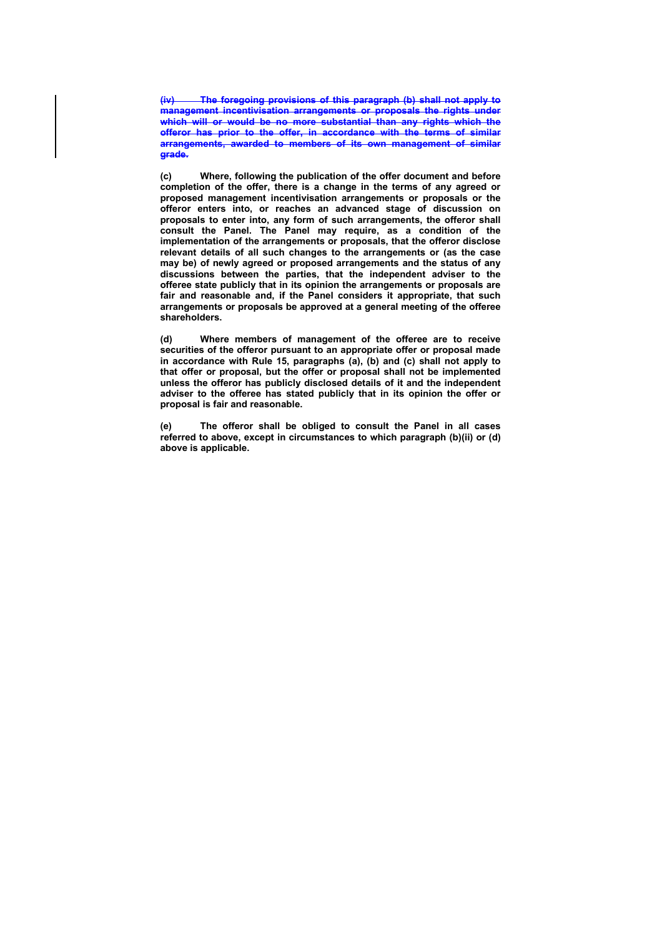**(iv) The foregoing provisions of this paragraph (b) shall not apply to management incentivisation arrangements or proposals the rights under which will or would be no more substantial than any rights which the offeror has prior to the offer, in accordance with the terms of similar arrangements, awarded to members of its own management of similar grade.** 

**(c) Where, following the publication of the offer document and before completion of the offer, there is a change in the terms of any agreed or proposed management incentivisation arrangements or proposals or the offeror enters into, or reaches an advanced stage of discussion on proposals to enter into, any form of such arrangements, the offeror shall consult the Panel. The Panel may require, as a condition of the implementation of the arrangements or proposals, that the offeror disclose relevant details of all such changes to the arrangements or (as the case may be) of newly agreed or proposed arrangements and the status of any discussions between the parties, that the independent adviser to the offeree state publicly that in its opinion the arrangements or proposals are fair and reasonable and, if the Panel considers it appropriate, that such arrangements or proposals be approved at a general meeting of the offeree shareholders.** 

**(d) Where members of management of the offeree are to receive securities of the offeror pursuant to an appropriate offer or proposal made in accordance with Rule 15, paragraphs (a), (b) and (c) shall not apply to that offer or proposal, but the offer or proposal shall not be implemented unless the offeror has publicly disclosed details of it and the independent adviser to the offeree has stated publicly that in its opinion the offer or proposal is fair and reasonable.** 

**(e) The offeror shall be obliged to consult the Panel in all cases referred to above, except in circumstances to which paragraph (b)(ii) or (d) above is applicable.**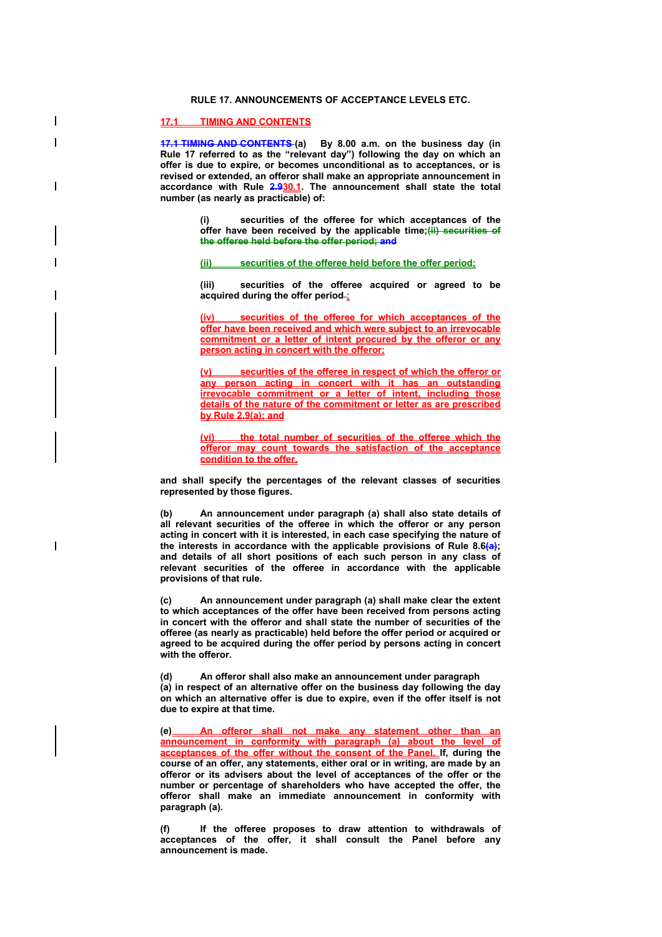## **RULE 17. ANNOUNCEMENTS OF ACCEPTANCE LEVELS ETC.**

# **17.1 TIMING AND CONTENTS**

 $\overline{\phantom{a}}$ 

 $\overline{\phantom{a}}$ 

**17.1 TIMING AND CONTENTS (a) By 8.00 a.m. on the business day (in Rule 17 referred to as the "relevant day") following the day on which an offer is due to expire, or becomes unconditional as to acceptances, or is revised or extended, an offeror shall make an appropriate announcement in accordance with Rule 2.930.1. The announcement shall state the total number (as nearly as practicable) of:** 

> **(i) securities of the offeree for which acceptances of the offer have been received by the applicable time;(ii) securities of the offeree held before the offer period; and**

**(ii) securities of the offeree held before the offer period;** 

**(iii) securities of the offeree acquired or agreed to be acquired during the offer period ;** 

securities of the offeree for which acceptances of the **offer have been received and which were subject to an irrevocable commitment or a letter of intent procured by the offeror or any person acting in concert with the offeror;** 

**(v) securities of the offeree in respect of which the offeror or any person acting in concert with it has an outstanding irrevocable commitment or a letter of intent, including those details of the nature of the commitment or letter as are prescribed by Rule 2.9(a); and**

**(vi) the total number of securities of the offeree which the offeror may count towards the satisfaction of the acceptance condition to the offer,** 

**and shall specify the percentages of the relevant classes of securities represented by those figures.** 

**(b) An announcement under paragraph (a) shall also state details of all relevant securities of the offeree in which the offeror or any person acting in concert with it is interested, in each case specifying the nature of the interests in accordance with the applicable provisions of Rule 8.6(a); and details of all short positions of each such person in any class of relevant securities of the offeree in accordance with the applicable provisions of that rule.** 

**(c) An announcement under paragraph (a) shall make clear the extent to which acceptances of the offer have been received from persons acting in concert with the offeror and shall state the number of securities of the offeree (as nearly as practicable) held before the offer period or acquired or agreed to be acquired during the offer period by persons acting in concert with the offeror.** 

**(d) An offeror shall also make an announcement under paragraph (a) in respect of an alternative offer on the business day following the day on which an alternative offer is due to expire, even if the offer itself is not due to expire at that time.** 

**(e) An offeror shall not make any statement other than an announcement in conformity with paragraph (a) about the level of acceptances of the offer without the consent of the Panel. If, during the course of an offer, any statements, either oral or in writing, are made by an offeror or its advisers about the level of acceptances of the offer or the number or percentage of shareholders who have accepted the offer, the offeror shall make an immediate announcement in conformity with paragraph (a).** 

**(f) If the offeree proposes to draw attention to withdrawals of acceptances of the offer, it shall consult the Panel before any announcement is made.**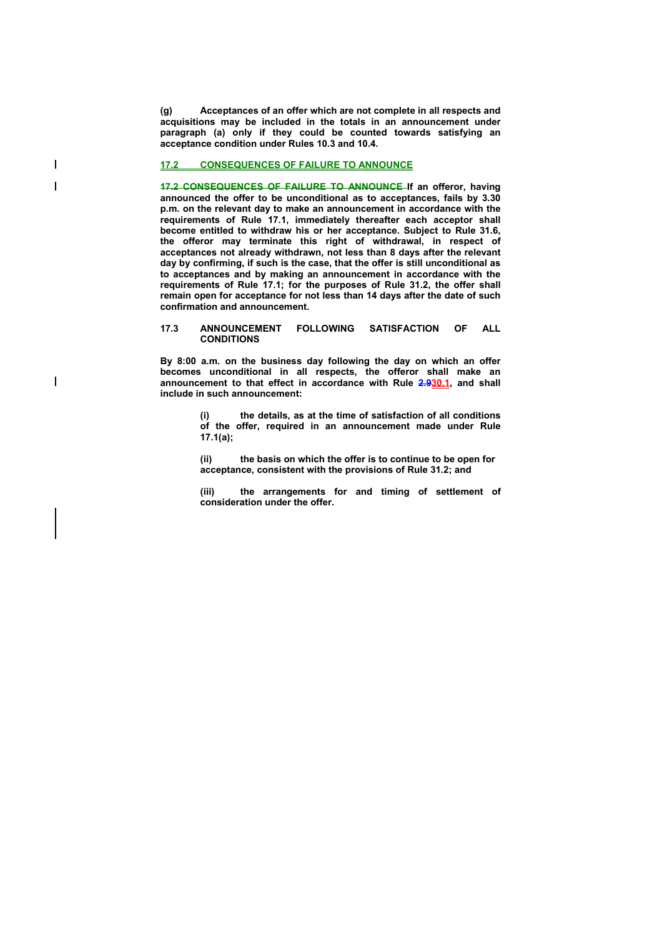**(g) Acceptances of an offer which are not complete in all respects and acquisitions may be included in the totals in an announcement under paragraph (a) only if they could be counted towards satisfying an acceptance condition under Rules 10.3 and 10.4.** 

#### **17.2 CONSEQUENCES OF FAILURE TO ANNOUNCE**

 $\overline{\phantom{a}}$  $\overline{\phantom{a}}$ 

 $\overline{\phantom{a}}$ 

**17.2 CONSEQUENCES OF FAILURE TO ANNOUNCE If an offeror, having announced the offer to be unconditional as to acceptances, fails by 3.30 p.m. on the relevant day to make an announcement in accordance with the requirements of Rule 17.1, immediately thereafter each acceptor shall become entitled to withdraw his or her acceptance. Subject to Rule 31.6, the offeror may terminate this right of withdrawal, in respect of acceptances not already withdrawn, not less than 8 days after the relevant day by confirming, if such is the case, that the offer is still unconditional as to acceptances and by making an announcement in accordance with the requirements of Rule 17.1; for the purposes of Rule 31.2, the offer shall remain open for acceptance for not less than 14 days after the date of such confirmation and announcement.** 

#### **17.3 ANNOUNCEMENT FOLLOWING SATISFACTION OF ALL CONDITIONS**

**By 8:00 a.m. on the business day following the day on which an offer becomes unconditional in all respects, the offeror shall make an announcement to that effect in accordance with Rule 2.930.1, and shall include in such announcement:** 

> **(i) the details, as at the time of satisfaction of all conditions of the offer, required in an announcement made under Rule 17.1(a);**

**(ii) the basis on which the offer is to continue to be open for acceptance, consistent with the provisions of Rule 31.2; and** 

**(iii) the arrangements for and timing of settlement of consideration under the offer.**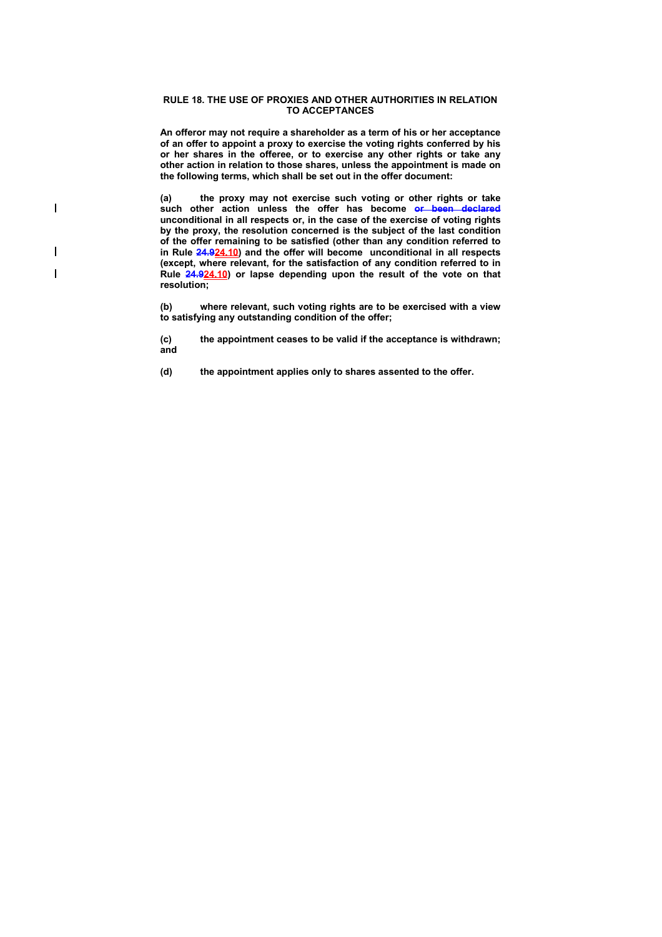#### **RULE 18. THE USE OF PROXIES AND OTHER AUTHORITIES IN RELATION TO ACCEPTANCES**

**An offeror may not require a shareholder as a term of his or her acceptance of an offer to appoint a proxy to exercise the voting rights conferred by his or her shares in the offeree, or to exercise any other rights or take any other action in relation to those shares, unless the appointment is made on the following terms, which shall be set out in the offer document:** 

**(a) the proxy may not exercise such voting or other rights or take such other action unless the offer has become or been declared unconditional in all respects or, in the case of the exercise of voting rights by the proxy, the resolution concerned is the subject of the last condition of the offer remaining to be satisfied (other than any condition referred to in Rule 24.924.10) and the offer will become unconditional in all respects (except, where relevant, for the satisfaction of any condition referred to in Rule 24.924.10) or lapse depending upon the result of the vote on that resolution;** 

 $\overline{\phantom{a}}$ 

 $\overline{\phantom{a}}$  $\overline{\phantom{a}}$ 

> **(b) where relevant, such voting rights are to be exercised with a view to satisfying any outstanding condition of the offer;**

> **(c) the appointment ceases to be valid if the acceptance is withdrawn; and**

**(d) the appointment applies only to shares assented to the offer.**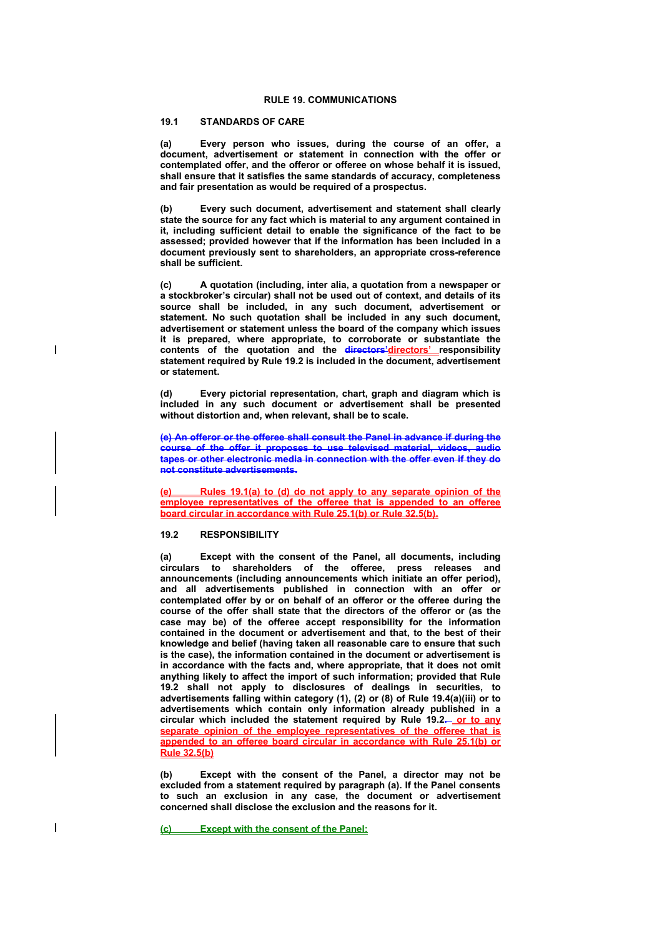## **RULE 19. COMMUNICATIONS**

## **19.1 STANDARDS OF CARE**

**(a) Every person who issues, during the course of an offer, a document, advertisement or statement in connection with the offer or contemplated offer, and the offeror or offeree on whose behalf it is issued, shall ensure that it satisfies the same standards of accuracy, completeness and fair presentation as would be required of a prospectus.** 

**(b) Every such document, advertisement and statement shall clearly state the source for any fact which is material to any argument contained in it, including sufficient detail to enable the significance of the fact to be assessed; provided however that if the information has been included in a document previously sent to shareholders, an appropriate cross-reference shall be sufficient.** 

**(c) A quotation (including, inter alia, a quotation from a newspaper or a stockbroker's circular) shall not be used out of context, and details of its source shall be included, in any such document, advertisement or statement. No such quotation shall be included in any such document, advertisement or statement unless the board of the company which issues it is prepared, where appropriate, to corroborate or substantiate the**  contents of the quotation and the **directors' directors'** responsibility **statement required by Rule 19.2 is included in the document, advertisement or statement.** 

**(d) Every pictorial representation, chart, graph and diagram which is included in any such document or advertisement shall be presented without distortion and, when relevant, shall be to scale.** 

**(e) An offeror or the offeree shall consult the Panel in advance if during the course of the offer it proposes to use televised material, videos, audio tapes or other electronic media in connection with the offer even if they do not constitute advertisements.** 

**(e) Rules 19.1(a) to (d) do not apply to any separate opinion of the employee representatives of the offeree that is appended to an offeree board circular in accordance with Rule 25.1(b) or Rule 32.5(b).**

#### **19.2 RESPONSIBILITY**

**(a) Except with the consent of the Panel, all documents, including circulars to shareholders of the offeree, press releases and announcements (including announcements which initiate an offer period), and all advertisements published in connection with an offer or contemplated offer by or on behalf of an offeror or the offeree during the course of the offer shall state that the directors of the offeror or (as the case may be) of the offeree accept responsibility for the information contained in the document or advertisement and that, to the best of their knowledge and belief (having taken all reasonable care to ensure that such is the case), the information contained in the document or advertisement is in accordance with the facts and, where appropriate, that it does not omit anything likely to affect the import of such information; provided that Rule 19.2 shall not apply to disclosures of dealings in securities, to advertisements falling within category (1), (2) or (8) of Rule 19.4(a)(iii) or to advertisements which contain only information already published in a**  circular which included the statement required by Rule 19.2- or to any **separate opinion of the employee representatives of the offeree that is appended to an offeree board circular in accordance with Rule 25.1(b) or Rule 32.5(b)**

**(b) Except with the consent of the Panel, a director may not be excluded from a statement required by paragraph (a). If the Panel consents to such an exclusion in any case, the document or advertisement concerned shall disclose the exclusion and the reasons for it.** 

**(c) Except with the consent of the Panel:**

 $\overline{\phantom{a}}$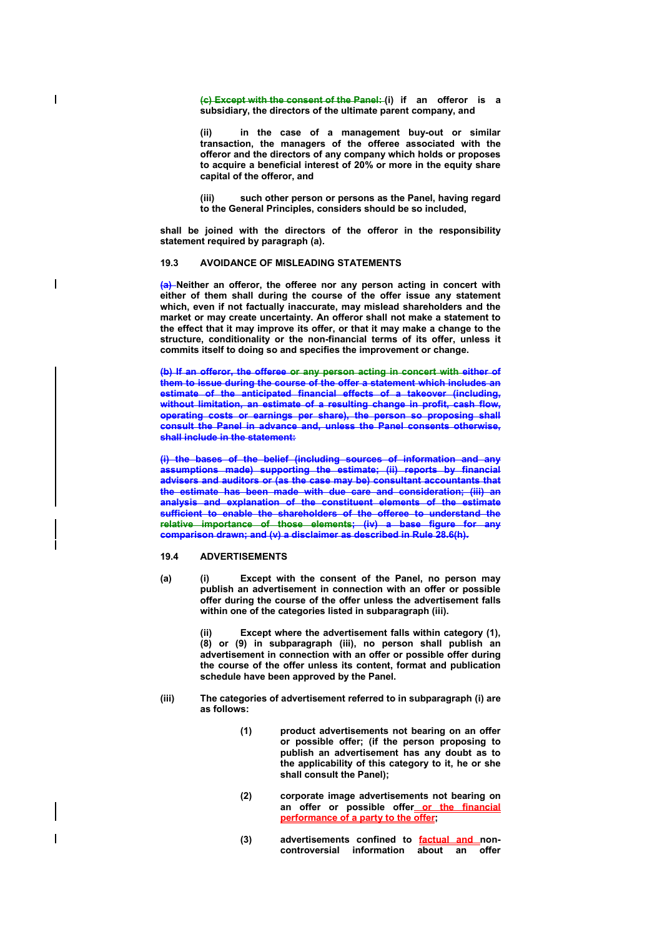**(c) Except with the consent of the Panel: (i) if an offeror is a subsidiary, the directors of the ultimate parent company, and** 

**(ii) in the case of a management buy-out or similar transaction, the managers of the offeree associated with the offeror and the directors of any company which holds or proposes to acquire a beneficial interest of 20% or more in the equity share capital of the offeror, and** 

**(iii) such other person or persons as the Panel, having regard to the General Principles, considers should be so included,** 

**shall be joined with the directors of the offeror in the responsibility statement required by paragraph (a).** 

## **19.3 AVOIDANCE OF MISLEADING STATEMENTS**

**(a) Neither an offeror, the offeree nor any person acting in concert with either of them shall during the course of the offer issue any statement which, even if not factually inaccurate, may mislead shareholders and the market or may create uncertainty. An offeror shall not make a statement to the effect that it may improve its offer, or that it may make a change to the structure, conditionality or the non-financial terms of its offer, unless it commits itself to doing so and specifies the improvement or change.** 

**(b) If an offeror, the offeree or any person acting in concert with either of them to issue during the course of the offer a statement which includes an estimate of the anticipated financial effects of a takeover (including, without limitation, an estimate of a resulting change in profit, cash flow, operating costs or earnings per share), the person so proposing shall consult the Panel in advance and, unless the Panel consents otherwise, shall include in the statement:** 

**(i) the bases of the belief (including sources of information and any assumptions made) supporting the estimate; (ii) reports by financial advisers and auditors or (as the case may be) consultant accountants that the estimate has been made with due care and consideration; (iii) an analysis and explanation of the constituent elements of the estimate sufficient to enable the shareholders of the offeree to understand the relative importance of those elements; (iv) a base figure for any comparison drawn; and (v) a disclaimer as described in Rule 28.6(h).** 

#### **19.4 ADVERTISEMENTS**

 $\overline{\phantom{a}}$ 

 $\overline{\phantom{a}}$ 

**(a) (i) Except with the consent of the Panel, no person may publish an advertisement in connection with an offer or possible offer during the course of the offer unless the advertisement falls within one of the categories listed in subparagraph (iii).** 

> Except where the advertisement falls within category (1), **(8) or (9) in subparagraph (iii), no person shall publish an advertisement in connection with an offer or possible offer during the course of the offer unless its content, format and publication schedule have been approved by the Panel.**

- **(iii) The categories of advertisement referred to in subparagraph (i) are as follows:** 
	- **(1) product advertisements not bearing on an offer or possible offer; (if the person proposing to publish an advertisement has any doubt as to the applicability of this category to it, he or she shall consult the Panel);**
	- **(2) corporate image advertisements not bearing on an offer or possible offer or the financial performance of a party to the offer;**
	- **(3) advertisements confined to factual and noncontroversial information about an offer**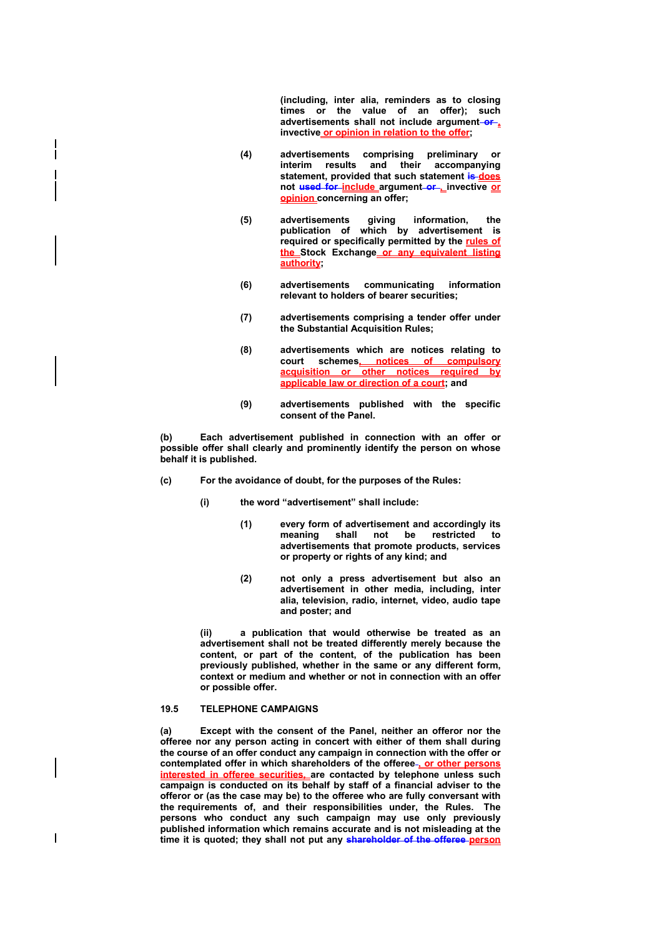**(including, inter alia, reminders as to closing times or the value of an offer); such advertisements shall not include argument or , invective or opinion in relation to the offer;** 

- **(4) advertisements comprising preliminary or interim results and their accompanying statement, provided that such statement is does not used for include argument or , invective or opinion concerning an offer;**
- **(5) advertisements giving information, the publication of which by advertisement is required or specifically permitted by the rules of the Stock Exchange or any equivalent listing authority;**
- **(6) advertisements communicating information relevant to holders of bearer securities;**
- **(7) advertisements comprising a tender offer under the Substantial Acquisition Rules;**
- **(8) advertisements which are notices relating to court schemes, notices of compulsory acquisition or other notices required by applicable law or direction of a court; and**
- **(9) advertisements published with the specific consent of the Panel.**

**(b) Each advertisement published in connection with an offer or possible offer shall clearly and prominently identify the person on whose behalf it is published.** 

- **(c) For the avoidance of doubt, for the purposes of the Rules:** 
	- **(i) the word "advertisement" shall include:** 
		- **(1) every form of advertisement and accordingly its meaning shall not be restricted to advertisements that promote products, services or property or rights of any kind; and**
		- **(2) not only a press advertisement but also an advertisement in other media, including, inter alia, television, radio, internet, video, audio tape and poster; and**

**(ii) a publication that would otherwise be treated as an advertisement shall not be treated differently merely because the content, or part of the content, of the publication has been previously published, whether in the same or any different form, context or medium and whether or not in connection with an offer or possible offer.** 

### **19.5 TELEPHONE CAMPAIGNS**

 $\overline{\phantom{a}}$ 

**(a) Except with the consent of the Panel, neither an offeror nor the offeree nor any person acting in concert with either of them shall during the course of an offer conduct any campaign in connection with the offer or contemplated offer in which shareholders of the offeree , or other persons interested in offeree securities, are contacted by telephone unless such campaign is conducted on its behalf by staff of a financial adviser to the offeror or (as the case may be) to the offeree who are fully conversant with the requirements of, and their responsibilities under, the Rules. The persons who conduct any such campaign may use only previously published information which remains accurate and is not misleading at the time it is quoted; they shall not put any shareholder of the offeree person**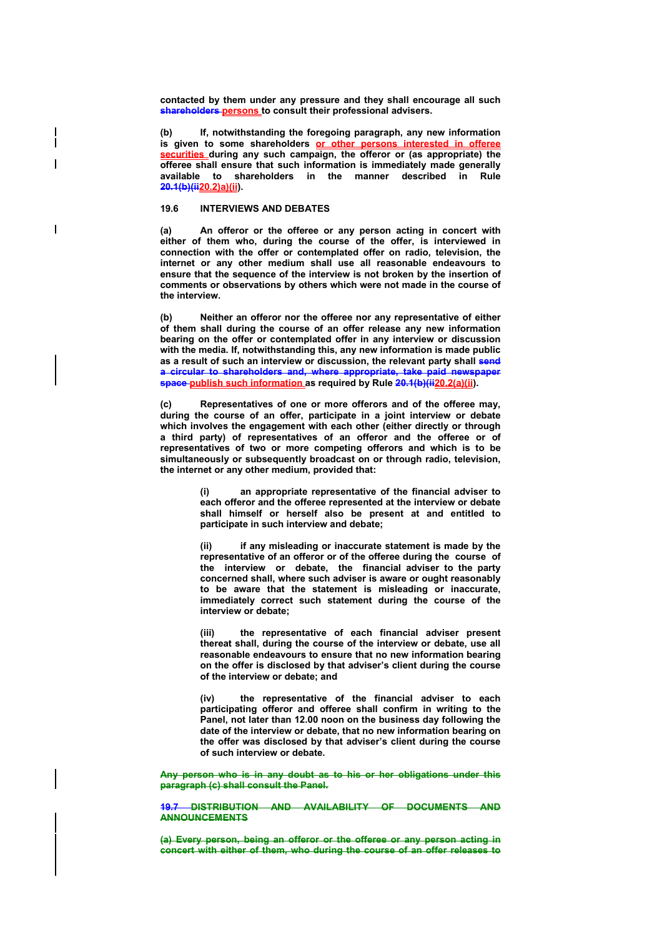**contacted by them under any pressure and they shall encourage all such shareholders persons to consult their professional advisers.** 

**(b) If, notwithstanding the foregoing paragraph, any new information is given to some shareholders or other persons interested in offeree securities** during any such campaign, the offeror or (as appropriate) the **offeree shall ensure that such information is immediately made generally available to shareholders in the manner described in Rule 20.1(b)(ii20.2)a)(ii).** 

#### **19.6 INTERVIEWS AND DEBATES**

**(a) An offeror or the offeree or any person acting in concert with either of them who, during the course of the offer, is interviewed in connection with the offer or contemplated offer on radio, television, the internet or any other medium shall use all reasonable endeavours to ensure that the sequence of the interview is not broken by the insertion of comments or observations by others which were not made in the course of the interview.** 

**(b) Neither an offeror nor the offeree nor any representative of either of them shall during the course of an offer release any new information bearing on the offer or contemplated offer in any interview or discussion with the media. If, notwithstanding this, any new information is made public as a result of such an interview or discussion, the relevant party shall send a circular to shareholders and, where appropriate, take paid newspaper space publish such information** as required by Rule 20.1(b)(ii20.2(a)(ii).

**(c) Representatives of one or more offerors and of the offeree may, during the course of an offer, participate in a joint interview or debate which involves the engagement with each other (either directly or through a third party) of representatives of an offeror and the offeree or of representatives of two or more competing offerors and which is to be simultaneously or subsequently broadcast on or through radio, television, the internet or any other medium, provided that:** 

> **(i) an appropriate representative of the financial adviser to each offeror and the offeree represented at the interview or debate shall himself or herself also be present at and entitled to participate in such interview and debate;**

> **(ii) if any misleading or inaccurate statement is made by the representative of an offeror or of the offeree during the course of the interview or debate, the financial adviser to the party concerned shall, where such adviser is aware or ought reasonably to be aware that the statement is misleading or inaccurate, immediately correct such statement during the course of the interview or debate;**

> **(iii) the representative of each financial adviser present thereat shall, during the course of the interview or debate, use all reasonable endeavours to ensure that no new information bearing on the offer is disclosed by that adviser's client during the course of the interview or debate; and**

> **(iv) the representative of the financial adviser to each participating offeror and offeree shall confirm in writing to the Panel, not later than 12.00 noon on the business day following the date of the interview or debate, that no new information bearing on the offer was disclosed by that adviser's client during the course of such interview or debate.**

**Any person who is in any doubt as to his or her obligations under this paragraph (c) shall consult the Panel.** 

**19.7 DISTRIBUTION AND AVAILABILITY OF DOCUMENTS AND ANNOUNCEMENTS** 

**(a) Every person, being an offeror or the offeree or any person acting in concert with either of them, who during the course of an offer releases to**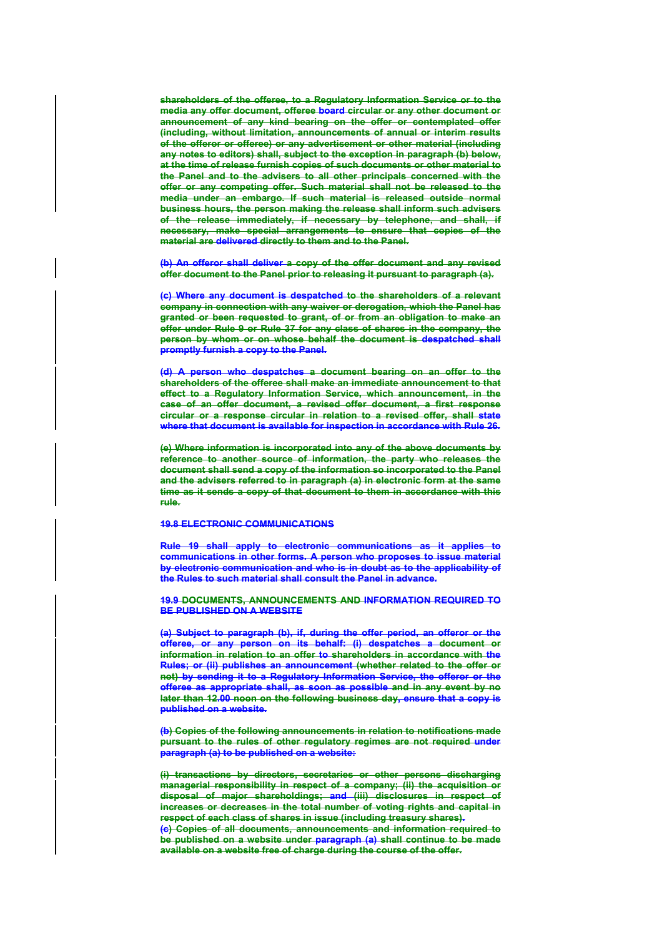**shareholders of the offeree, to a Regulatory Information Service or to the media any offer document, offeree board circular or any other document or announcement of any kind bearing on the offer or contemplated offer (including, without limitation, announcements of annual or interim results of the offeror or offeree) or any advertisement or other material (including any notes to editors) shall, subject to the exception in paragraph (b) below, at the time of release furnish copies of such documents or other material to the Panel and to the advisers to all other principals concerned with the offer or any competing offer. Such material shall not be released to the media under an embargo. If such material is released outside normal business hours, the person making the release shall inform such advisers of the release immediately, if necessary by telephone, and shall, if necessary, make special arrangements to ensure that copies of the material are delivered directly to them and to the Panel.** 

**(b) An offeror shall deliver a copy of the offer document and any revised offer document to the Panel prior to releasing it pursuant to paragraph (a).**

**(c) Where any document is despatched to the shareholders of a relevant company in connection with any waiver or derogation, which the Panel has granted or been requested to grant, of or from an obligation to make an offer under Rule 9 or Rule 37 for any class of shares in the company, the person by whom or on whose behalf the document is despatched shall promptly furnish a copy to the Panel.** 

**(d) A person who despatches a document bearing on an offer to the shareholders of the offeree shall make an immediate announcement to that effect to a Regulatory Information Service, which announcement, in the case of an offer document, a revised offer document, a first response circular or a response circular in relation to a revised offer, shall state where that document is available for inspection in accordance with Rule 26.** 

**(e) Where information is incorporated into any of the above documents by reference to another source of information, the party who releases the document shall send a copy of the information so incorporated to the Panel and the advisers referred to in paragraph (a) in electronic form at the same time as it sends a copy of that document to them in accordance with this rule.**

#### **19.8 ELECTRONIC COMMUNICATIONS**

**Rule 19 shall apply to electronic communications as it applies to communications in other forms. A person who proposes to issue material by electronic communication and who is in doubt as to the applicability of the Rules to such material shall consult the Panel in advance.** 

**19.9 DOCUMENTS, ANNOUNCEMENTS AND INFORMATION REQUIRED TO BE PUBLISHED ON A WEBSITE** 

**(a) Subject to paragraph (b), if, during the offer period, an offeror or the offeree, or any person on its behalf: (i) despatches a document or information in relation to an offer to shareholders in accordance with the Rules; or (ii) publishes an announcement (whether related to the offer or not) by sending it to a Regulatory Information Service, the offeror or the offeree as appropriate shall, as soon as possible and in any event by no later than 12.00 noon on the following business day, ensure that a copy is published on a website.** 

**(b) Copies of the following announcements in relation to notifications made pursuant to the rules of other regulatory regimes are not required under paragraph (a) to be published on a website:** 

**(i) transactions by directors, secretaries or other persons discharging managerial responsibility in respect of a company; (ii) the acquisition or disposal of major shareholdings; and (iii) disclosures in respect of increases or decreases in the total number of voting rights and capital in respect of each class of shares in issue (including treasury shares).** 

**(c) Copies of all documents, announcements and information required to be published on a website under paragraph (a) shall continue to be made available on a website free of charge during the course of the offer.**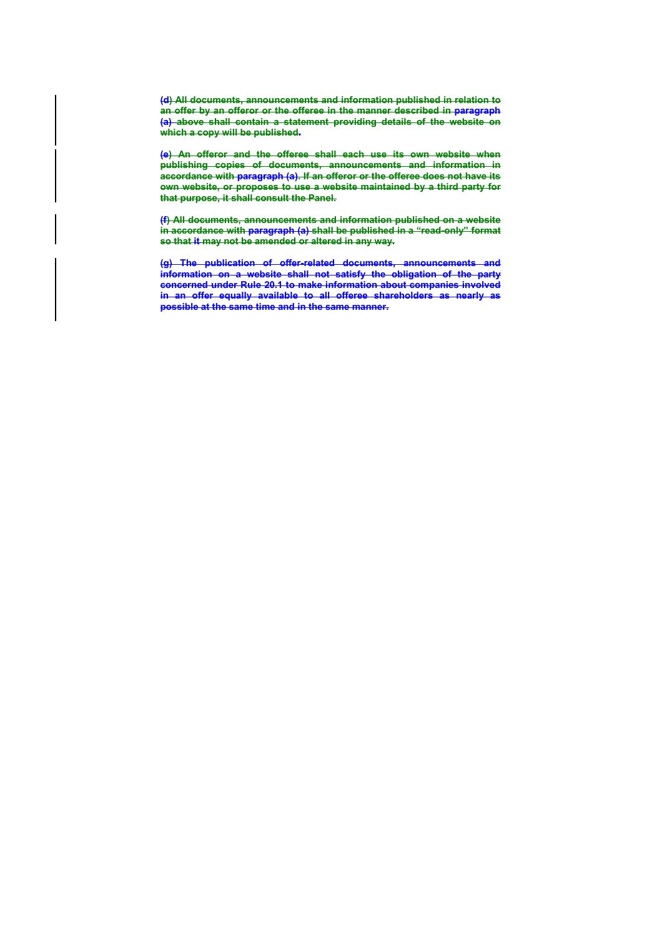**(d) All documents, announcements and information published in relation to an offer by an offeror or the offeree in the manner described in paragraph (a) above shall contain a statement providing details of the website on which a copy will be published.** 

**(e) An offeror and the offeree shall each use its own website when publishing copies of documents, announcements and information in accordance with paragraph (a). If an offeror or the offeree does not have its own website, or proposes to use a website maintained by a third party for that purpose, it shall consult the Panel.** 

**(f) All documents, announcements and information published on a website in accordance with paragraph (a) shall be published in a "read-only" format so that it may not be amended or altered in any way.** 

**(g) The publication of offer-related documents, announcements and information on a website shall not satisfy the obligation of the party concerned under Rule 20.1 to make information about companies involved in an offer equally available to all offeree shareholders as nearly as possible at the same time and in the same manner.**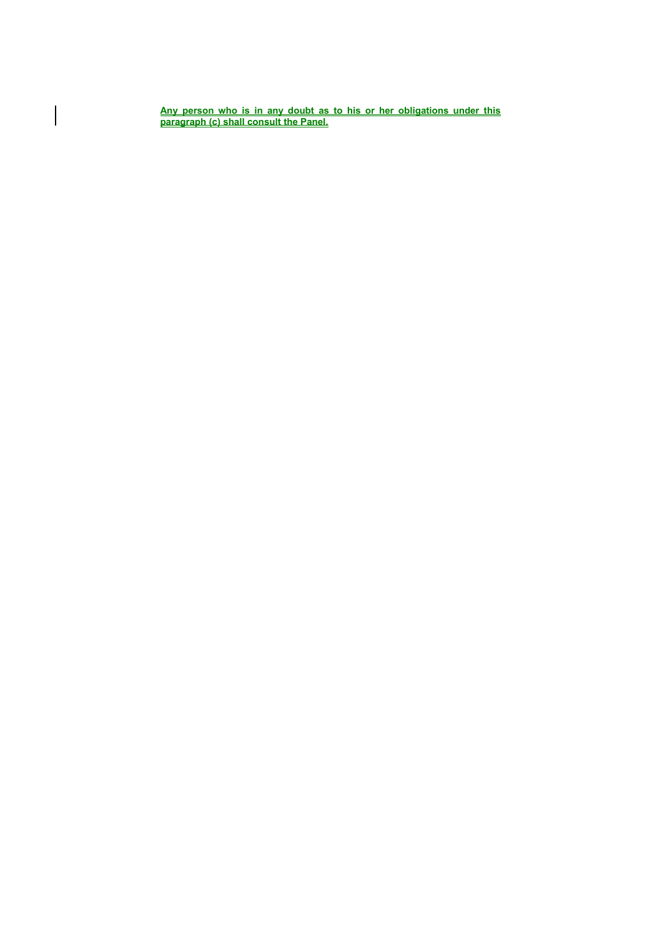**Any person who is in any doubt as to his or her obligations under this paragraph (c) shall consult the Panel.**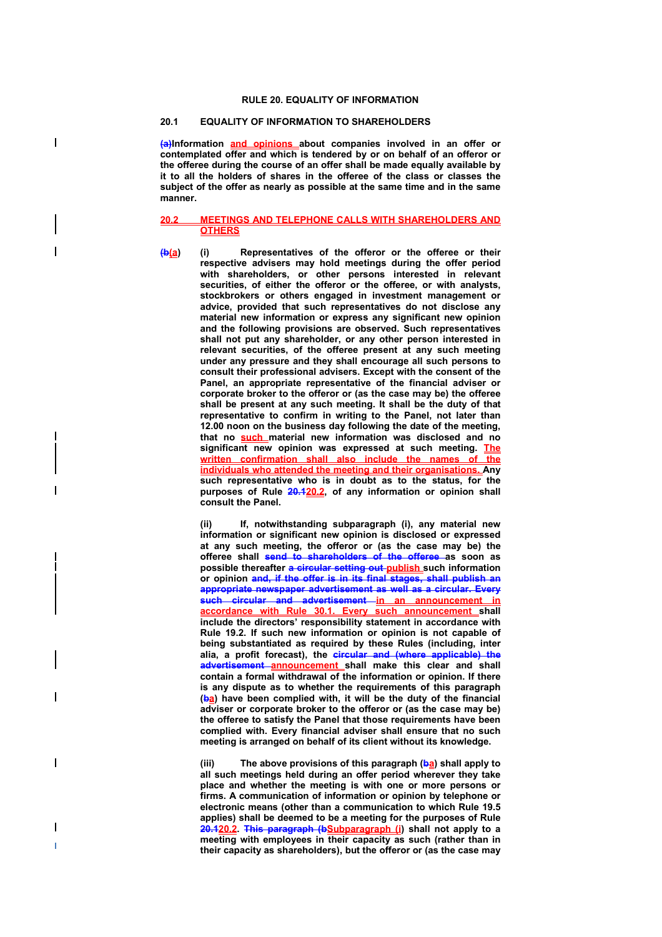#### **RULE 20. EQUALITY OF INFORMATION**

## **20.1 EQUALITY OF INFORMATION TO SHAREHOLDERS**

 $\overline{\phantom{a}}$ 

**(a)Information and opinions about companies involved in an offer or contemplated offer and which is tendered by or on behalf of an offeror or the offeree during the course of an offer shall be made equally available by it to all the holders of shares in the offeree of the class or classes the subject of the offer as nearly as possible at the same time and in the same manner.** 

## **20.2 MEETINGS AND TELEPHONE CALLS WITH SHAREHOLDERS AND OTHERS**

**(b(a) (i) Representatives of the offeror or the offeree or their respective advisers may hold meetings during the offer period**  with shareholders, or other persons interested in relevant **securities, of either the offeror or the offeree, or with analysts, stockbrokers or others engaged in investment management or advice, provided that such representatives do not disclose any material new information or express any significant new opinion and the following provisions are observed. Such representatives shall not put any shareholder, or any other person interested in relevant securities, of the offeree present at any such meeting under any pressure and they shall encourage all such persons to consult their professional advisers. Except with the consent of the Panel, an appropriate representative of the financial adviser or corporate broker to the offeror or (as the case may be) the offeree shall be present at any such meeting. It shall be the duty of that representative to confirm in writing to the Panel, not later than 12.00 noon on the business day following the date of the meeting, that no such material new information was disclosed and no significant new opinion was expressed at such meeting. The**  written confirmation shall also include the names of **individuals who attended the meeting and their organisations. Any such representative who is in doubt as to the status, for the purposes of Rule 20.120.2, of any information or opinion shall consult the Panel.** 

> **(ii) If, notwithstanding subparagraph (i), any material new information or significant new opinion is disclosed or expressed at any such meeting, the offeror or (as the case may be) the offeree shall send to shareholders of the offeree as soon as possible thereafter a circular setting out publish** such information **or opinion and, if the offer is in its final stages, shall publish an appropriate newspaper advertisement as well as a circular. Every such circular and advertisement in an announcement in accordance with Rule 30.1. Every such announcement shall include the directors' responsibility statement in accordance with Rule 19.2. If such new information or opinion is not capable of being substantiated as required by these Rules (including, inter alia, a profit forecast), the circular and (where applicable) the advertisement announcement shall make this clear and shall contain a formal withdrawal of the information or opinion. If there is any dispute as to whether the requirements of this paragraph (ba) have been complied with, it will be the duty of the financial adviser or corporate broker to the offeror or (as the case may be) the offeree to satisfy the Panel that those requirements have been complied with. Every financial adviser shall ensure that no such meeting is arranged on behalf of its client without its knowledge.**

> (iii) The above provisions of this paragraph (**ba)** shall apply to **all such meetings held during an offer period wherever they take place and whether the meeting is with one or more persons or firms. A communication of information or opinion by telephone or electronic means (other than a communication to which Rule 19.5 applies) shall be deemed to be a meeting for the purposes of Rule 20.120.2. This paragraph (bSubparagraph (i) shall not apply to a meeting with employees in their capacity as such (rather than in their capacity as shareholders), but the offeror or (as the case may**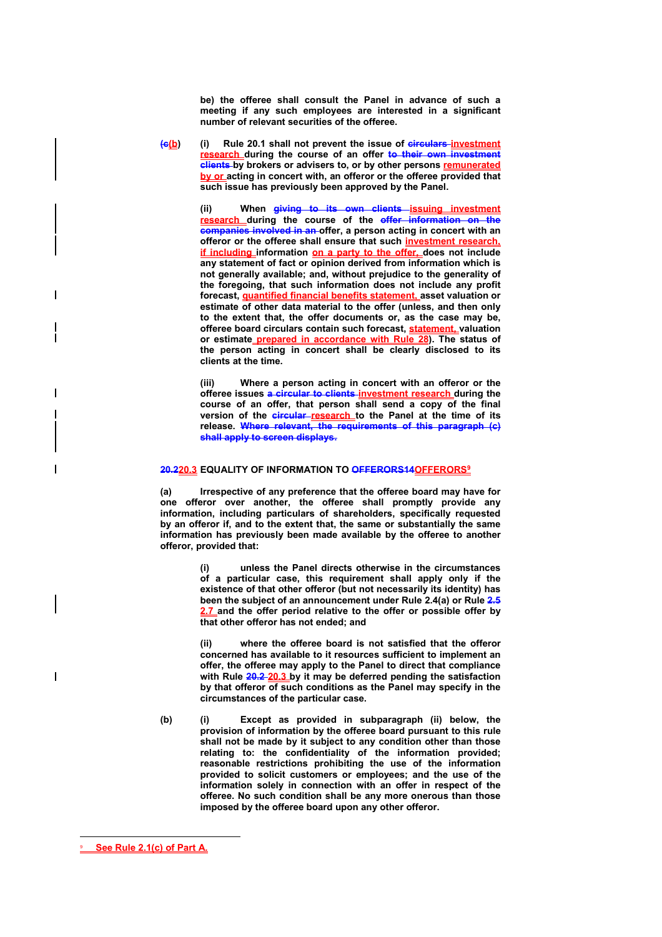**be) the offeree shall consult the Panel in advance of such a meeting if any such employees are interested in a significant number of relevant securities of the offeree.** 

**(c(b) (i) Rule 20.1 shall not prevent the issue of circulars investment research during the course of an offer to their own investment clients by brokers or advisers to, or by other persons remunerated by or acting in concert with, an offeror or the offeree provided that such issue has previously been approved by the Panel.** 

> **(ii) When giving to its own clients issuing investment research during the course of the offer information on the companies involved in an offer, a person acting in concert with an offeror or the offeree shall ensure that such investment research, if including information on a party to the offer, does not include any statement of fact or opinion derived from information which is not generally available; and, without prejudice to the generality of the foregoing, that such information does not include any profit forecast, quantified financial benefits statement, asset valuation or estimate of other data material to the offer (unless, and then only to the extent that, the offer documents or, as the case may be, offeree board circulars contain such forecast, statement, valuation or estimate prepared in accordance with Rule 28). The status of the person acting in concert shall be clearly disclosed to its clients at the time.**

> **(iii) Where a person acting in concert with an offeror or the offeree issues a circular to clients investment research during the course of an offer, that person shall send a copy of the final**  version of the circular research to the Panel at the time of its **release. Where relevant, the requirements of this paragraph (c) shall apply to screen displays.**

# **20.220.3 EQUALITY OF INFORMATION TO OFFERORS14OFFERORS9**

**(a) Irrespective of any preference that the offeree board may have for one offeror over another, the offeree shall promptly provide any information, including particulars of shareholders, specifically requested by an offeror if, and to the extent that, the same or substantially the same information has previously been made available by the offeree to another offeror, provided that:** 

> **(i) unless the Panel directs otherwise in the circumstances of a particular case, this requirement shall apply only if the existence of that other offeror (but not necessarily its identity) has been the subject of an announcement under Rule 2.4(a) or Rule 2.5 2.7 and the offer period relative to the offer or possible offer by that other offeror has not ended; and**

> **(ii) where the offeree board is not satisfied that the offeror concerned has available to it resources sufficient to implement an offer, the offeree may apply to the Panel to direct that compliance with Rule 20.2 20.3 by it may be deferred pending the satisfaction by that offeror of such conditions as the Panel may specify in the circumstances of the particular case.**

**(b) (i) Except as provided in subparagraph (ii) below, the provision of information by the offeree board pursuant to this rule shall not be made by it subject to any condition other than those relating to: the confidentiality of the information provided; reasonable restrictions prohibiting the use of the information provided to solicit customers or employees; and the use of the information solely in connection with an offer in respect of the offeree. No such condition shall be any more onerous than those imposed by the offeree board upon any other offeror.** 

 $\overline{a}$ 

 $\overline{\phantom{a}}$ 

<sup>9</sup> **See Rule 2.1(c) of Part A.**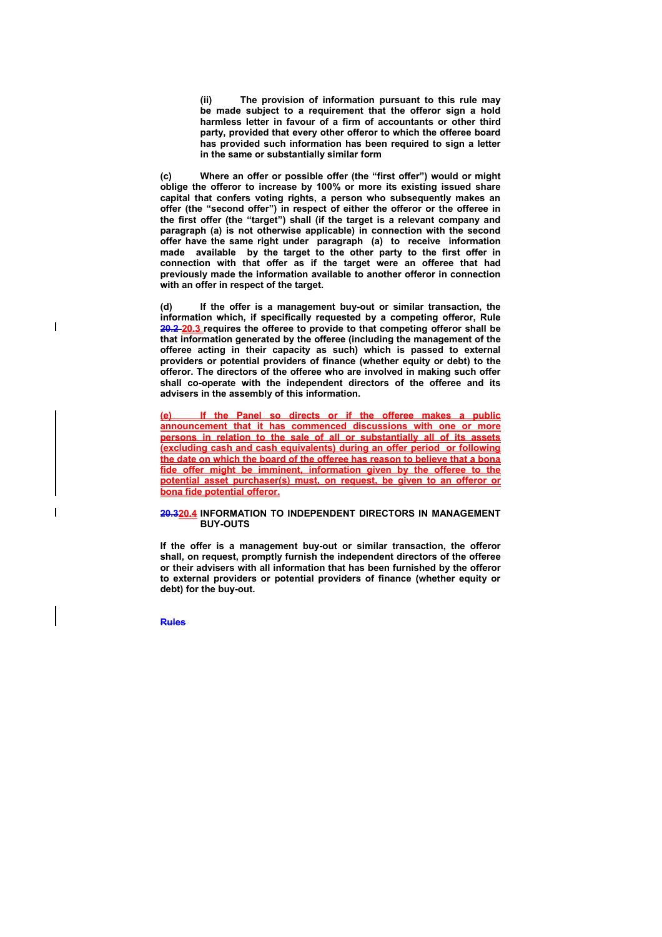**(ii) The provision of information pursuant to this rule may be made subject to a requirement that the offeror sign a hold harmless letter in favour of a firm of accountants or other third party, provided that every other offeror to which the offeree board has provided such information has been required to sign a letter in the same or substantially similar form** 

**(c) Where an offer or possible offer (the "first offer") would or might oblige the offeror to increase by 100% or more its existing issued share capital that confers voting rights, a person who subsequently makes an offer (the "second offer") in respect of either the offeror or the offeree in the first offer (the "target") shall (if the target is a relevant company and paragraph (a) is not otherwise applicable) in connection with the second offer have the same right under paragraph (a) to receive information made available by the target to the other party to the first offer in connection with that offer as if the target were an offeree that had previously made the information available to another offeror in connection with an offer in respect of the target.** 

**(d) If the offer is a management buy-out or similar transaction, the information which, if specifically requested by a competing offeror, Rule 20.2 20.3 requires the offeree to provide to that competing offeror shall be that information generated by the offeree (including the management of the offeree acting in their capacity as such) which is passed to external providers or potential providers of finance (whether equity or debt) to the offeror. The directors of the offeree who are involved in making such offer shall co-operate with the independent directors of the offeree and its advisers in the assembly of this information.** 

If the Panel so directs or if the offeree makes a public **announcement that it has commenced discussions with one or more persons in relation to the sale of all or substantially all of its assets (excluding cash and cash equivalents) during an offer period or following the date on which the board of the offeree has reason to believe that a bona fide offer might be imminent, information given by the offeree to the potential asset purchaser(s) must, on request, be given to an offeror or bona fide potential offeror.**

#### **20.320.4 INFORMATION TO INDEPENDENT DIRECTORS IN MANAGEMENT BUY-OUTS**

**If the offer is a management buy-out or similar transaction, the offeror shall, on request, promptly furnish the independent directors of the offeree or their advisers with all information that has been furnished by the offeror to external providers or potential providers of finance (whether equity or debt) for the buy-out.** 

**Rules** 

 $\overline{\phantom{a}}$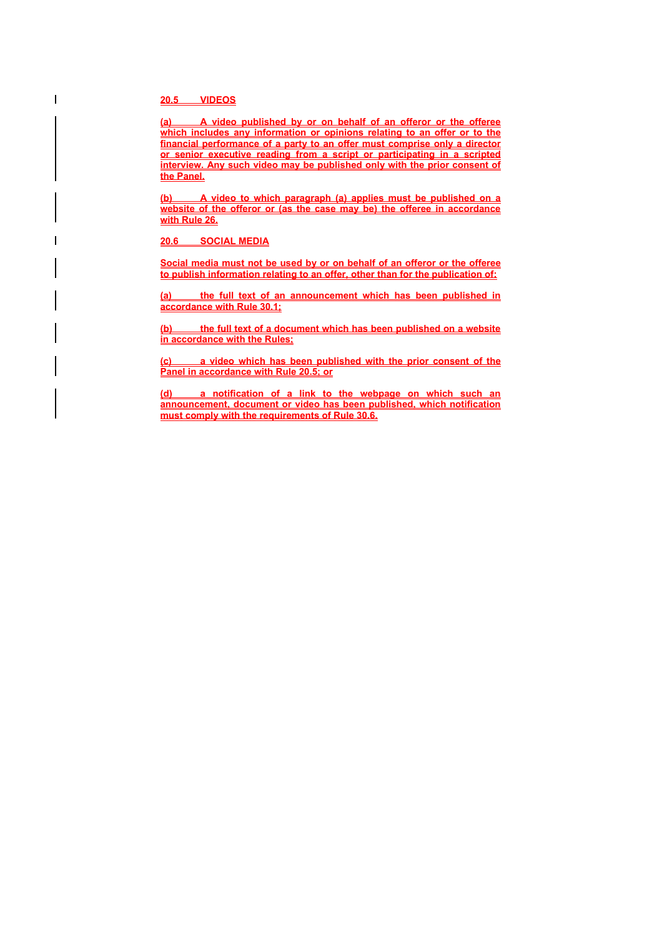**20.5 VIDEOS**

**(a) A video published by or on behalf of an offeror or the offeree which includes any information or opinions relating to an offer or to the financial performance of a party to an offer must comprise only a director or senior executive reading from a script or participating in a scripted interview. Any such video may be published only with the prior consent of the Panel.**

**(b) A video to which paragraph (a) applies must be published on a website of the offeror or (as the case may be) the offeree in accordance with Rule 26.**

**20.6 SOCIAL MEDIA**

**Social media must not be used by or on behalf of an offeror or the offeree to publish information relating to an offer, other than for the publication of:**

**(a) the full text of an announcement which has been published in accordance with Rule 30.1;**

**(b) the full text of a document which has been published on a website in accordance with the Rules;**

**(c) a video which has been published with the prior consent of the Panel in accordance with Rule 20.5; or**

**(d) a notification of a link to the webpage on which such an announcement, document or video has been published, which notification must comply with the requirements of Rule 30.6.**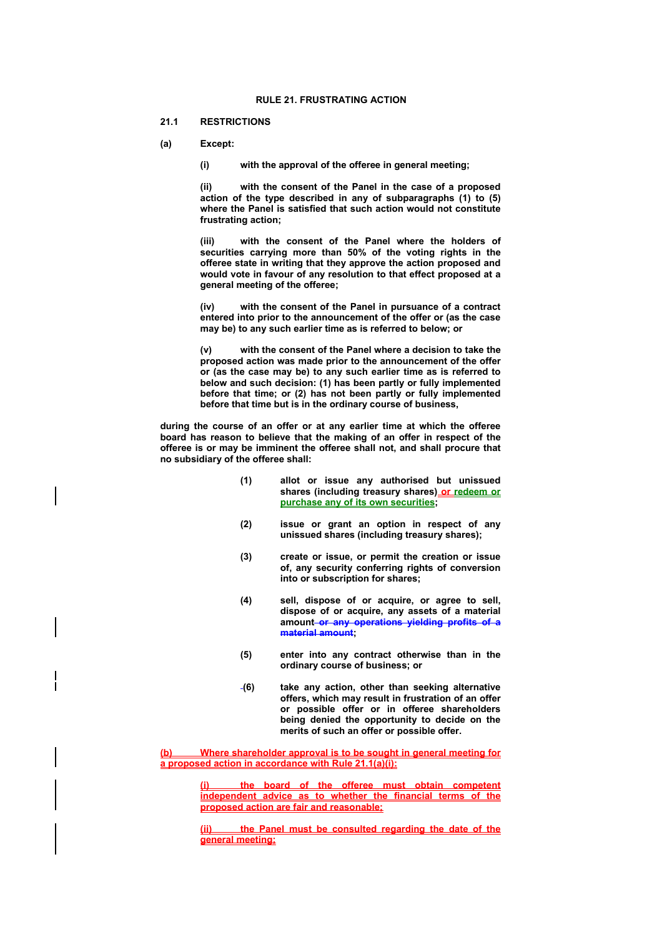#### **21.1 RESTRICTIONS**

**(a) Except:** 

**(i) with the approval of the offeree in general meeting;** 

**(ii) with the consent of the Panel in the case of a proposed action of the type described in any of subparagraphs (1) to (5) where the Panel is satisfied that such action would not constitute frustrating action;** 

**(iii) with the consent of the Panel where the holders of securities carrying more than 50% of the voting rights in the offeree state in writing that they approve the action proposed and would vote in favour of any resolution to that effect proposed at a general meeting of the offeree;** 

**(iv) with the consent of the Panel in pursuance of a contract entered into prior to the announcement of the offer or (as the case may be) to any such earlier time as is referred to below; or** 

**(v) with the consent of the Panel where a decision to take the proposed action was made prior to the announcement of the offer or (as the case may be) to any such earlier time as is referred to below and such decision: (1) has been partly or fully implemented before that time; or (2) has not been partly or fully implemented before that time but is in the ordinary course of business,** 

**during the course of an offer or at any earlier time at which the offeree board has reason to believe that the making of an offer in respect of the offeree is or may be imminent the offeree shall not, and shall procure that no subsidiary of the offeree shall:** 

- **(1) allot or issue any authorised but unissued shares (including treasury shares) or redeem or purchase any of its own securities;**
- **(2) issue or grant an option in respect of any unissued shares (including treasury shares);**
- **(3) create or issue, or permit the creation or issue of, any security conferring rights of conversion into or subscription for shares;**
- **(4) sell, dispose of or acquire, or agree to sell, dispose of or acquire, any assets of a material amount or any operations yielding profits of a material amount;**
- **(5) enter into any contract otherwise than in the ordinary course of business; or**
- **(6) take any action, other than seeking alternative offers, which may result in frustration of an offer or possible offer or in offeree shareholders being denied the opportunity to decide on the merits of such an offer or possible offer.**

**(b) Where shareholder approval is to be sought in general meeting for a proposed action in accordance with Rule 21.1(a)(i):**

> **(i) the board of the offeree must obtain competent independent advice as to whether the financial terms of the proposed action are fair and reasonable;**

> the Panel must be consulted regarding the date of the **general meeting;**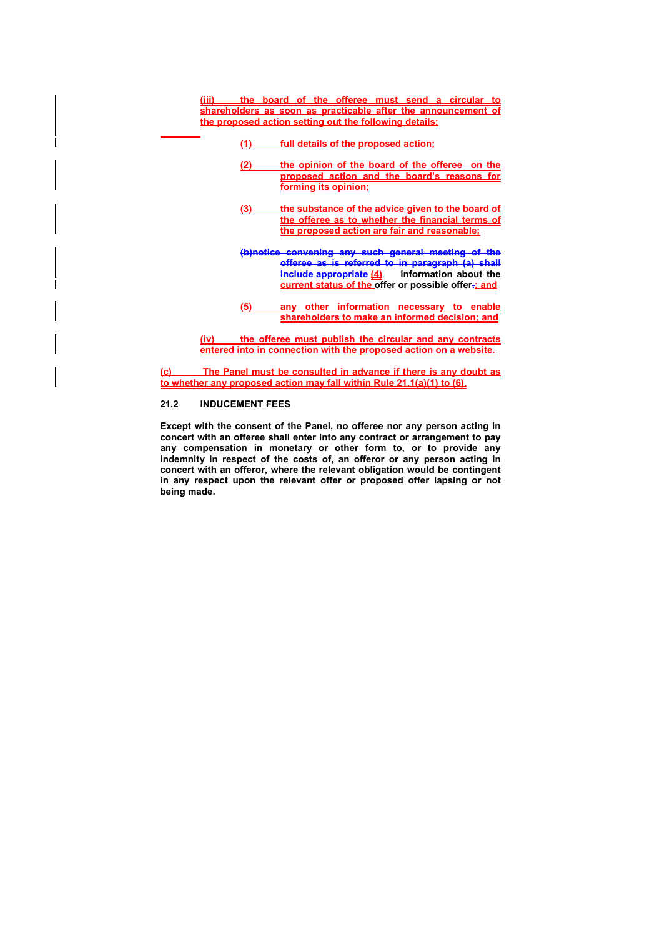**(iii) the board of the offeree must send a circular to shareholders as soon as practicable after the announcement of the proposed action setting out the following details:**

- **(1) full details of the proposed action;**
- **(2) the opinion of the board of the offeree on the proposed action and the board's reasons for forming its opinion;**
- **(3) the substance of the advice given to the board of the offeree as to whether the financial terms of the proposed action are fair and reasonable;**
- **(b)notice convening any such general meeting of the offeree as is referred to in paragraph (a) shall include appropriate (4) information about the current status of the offer or possible offer-; and**
- **(5) any other information necessary to enable shareholders to make an informed decision; and**

**(iv) the offeree must publish the circular and any contracts entered into in connection with the proposed action on a website.**

**(c) The Panel must be consulted in advance if there is any doubt as to whether any proposed action may fall within Rule 21.1(a)(1) to (6).**

## **21.2 INDUCEMENT FEES**

**Except with the consent of the Panel, no offeree nor any person acting in concert with an offeree shall enter into any contract or arrangement to pay any compensation in monetary or other form to, or to provide any indemnity in respect of the costs of, an offeror or any person acting in concert with an offeror, where the relevant obligation would be contingent in any respect upon the relevant offer or proposed offer lapsing or not being made.**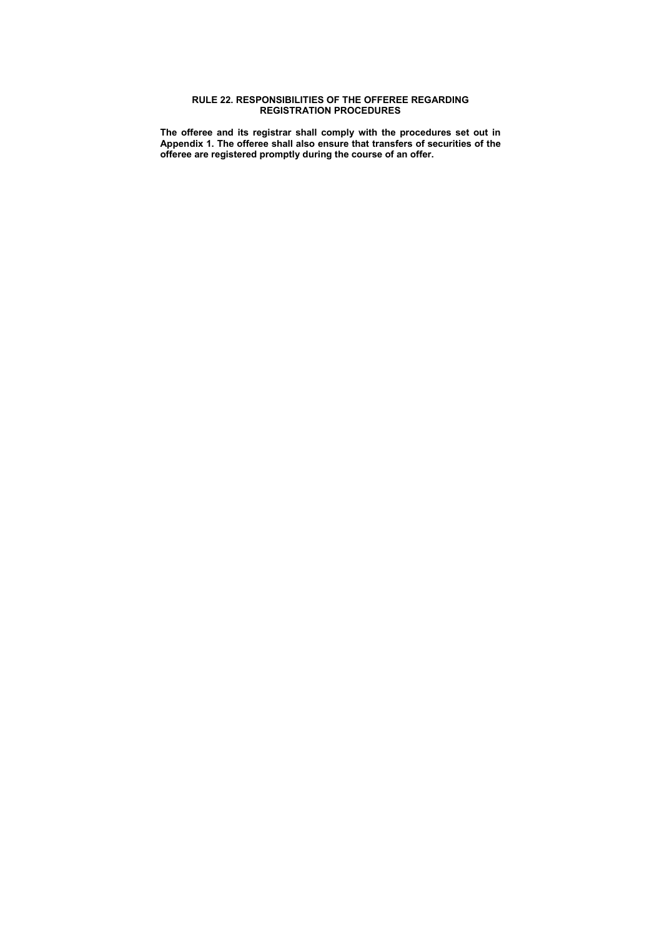# **RULE 22. RESPONSIBILITIES OF THE OFFEREE REGARDING REGISTRATION PROCEDURES**

**The offeree and its registrar shall comply with the procedures set out in Appendix 1. The offeree shall also ensure that transfers of securities of the offeree are registered promptly during the course of an offer.**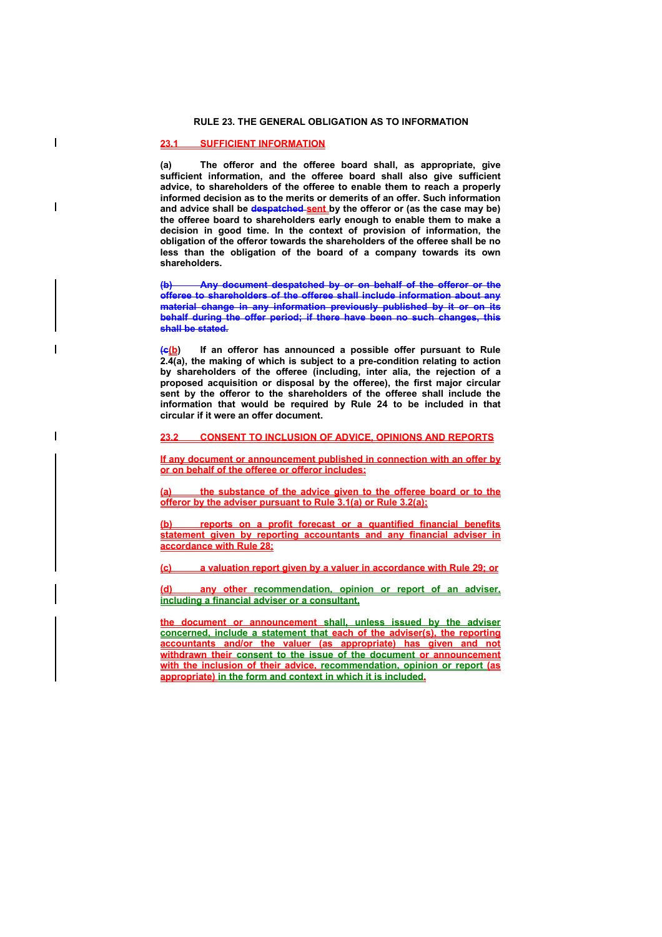### **RULE 23. THE GENERAL OBLIGATION AS TO INFORMATION**

## **23.1 SUFFICIENT INFORMATION**

 $\overline{\phantom{a}}$ 

**(a) The offeror and the offeree board shall, as appropriate, give sufficient information, and the offeree board shall also give sufficient advice, to shareholders of the offeree to enable them to reach a properly informed decision as to the merits or demerits of an offer. Such information and advice shall be despatched sent by the offeror or (as the case may be) the offeree board to shareholders early enough to enable them to make a decision in good time. In the context of provision of information, the obligation of the offeror towards the shareholders of the offeree shall be no less than the obligation of the board of a company towards its own shareholders.** 

**(b) Any document despatched by or on behalf of the offeror or the offeree to shareholders of the offeree shall include information about any material change in any information previously published by it or on its behalf during the offer period; if there have been no such changes, this shall be stated.** 

**(c(b) If an offeror has announced a possible offer pursuant to Rule 2.4(a), the making of which is subject to a pre-condition relating to action by shareholders of the offeree (including, inter alia, the rejection of a proposed acquisition or disposal by the offeree), the first major circular sent by the offeror to the shareholders of the offeree shall include the information that would be required by Rule 24 to be included in that circular if it were an offer document.** 

## **23.2 CONSENT TO INCLUSION OF ADVICE, OPINIONS AND REPORTS**

**If any document or announcement published in connection with an offer by or on behalf of the offeree or offeror includes:**

**(a) the substance of the advice given to the offeree board or to the offeror by the adviser pursuant to Rule 3.1(a) or Rule 3.2(a);**

**(b) reports on a profit forecast or a quantified financial benefits statement given by reporting accountants and any financial adviser in accordance with Rule 28;**

**(c) a valuation report given by a valuer in accordance with Rule 29; or**

**(d) any other recommendation, opinion or report of an adviser, including a financial adviser or a consultant,** 

**the document or announcement shall, unless issued by the adviser concerned, include a statement that each of the adviser(s), the reporting accountants and/or the valuer (as appropriate) has given and not withdrawn their consent to the issue of the document or announcement with the inclusion of their advice, recommendation, opinion or report (as appropriate) in the form and context in which it is included.**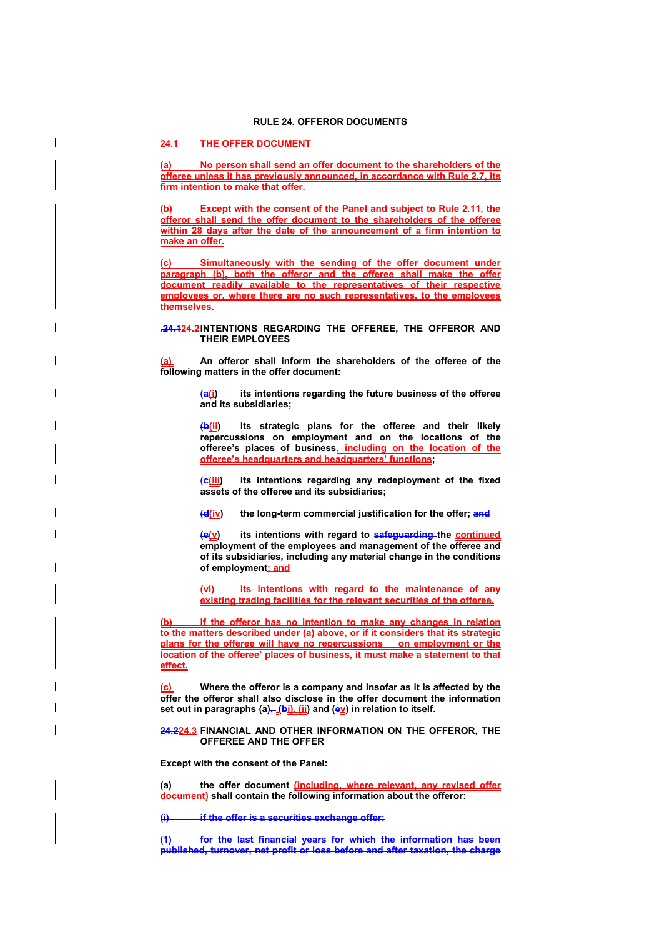## **24.1 THE OFFER DOCUMENT**

**(a) No person shall send an offer document to the shareholders of the offeree unless it has previously announced, in accordance with Rule 2.7, its firm intention to make that offer.**

**Except with the consent of the Panel and subject to Rule 2.11, the offeror shall send the offer document to the shareholders of the offeree within 28 days after the date of the announcement of a firm intention to make an offer.**

**(c) Simultaneously with the sending of the offer document under paragraph (b), both the offeror and the offeree shall make the offer document readily available to the representatives of their respective employees or, where there are no such representatives, to the employees themselves.**

**.24.124.2 INTENTIONS REGARDING THE OFFEREE, THE OFFEROR AND THEIR EMPLOYEES** 

**(a) An offeror shall inform the shareholders of the offeree of the following matters in the offer document:** 

> **(a(i) its intentions regarding the future business of the offeree and its subsidiaries;**

> **(b(ii) its strategic plans for the offeree and their likely repercussions on employment and on the locations of the offeree's places of business, including on the location of the offeree's headquarters and headquarters' functions;**

> **(c(iii) its intentions regarding any redeployment of the fixed assets of the offeree and its subsidiaries;**

**(d(iv) the long-term commercial justification for the offer; and**

**(e(v) its intentions with regard to safeguarding the continued employment of the employees and management of the offeree and of its subsidiaries, including any material change in the conditions of employment; and**

**(vi) its intentions with regard to the maintenance of any existing trading facilities for the relevant securities of the offeree.**

**(b) If the offeror has no intention to make any changes in relation to the matters described under (a) above, or if it considers that its strategic plans for the offeree will have no repercussions on employment or the location of the offeree' places of business, it must make a statement to that effect.**

**(c) Where the offeror is a company and insofar as it is affected by the offer the offeror shall also disclose in the offer document the information**  set out in paragraphs (a)<sub> $\frac{1}{2}$ </sub> (bi), (ii) and (ev) in relation to itself.

### **24.224.3 FINANCIAL AND OTHER INFORMATION ON THE OFFEROR, THE OFFEREE AND THE OFFER**

**Except with the consent of the Panel:** 

**(a) the offer document (including, where relevant, any revised offer document) shall contain the following information about the offeror:** 

**(i) if the offer is a securities exchange offer:** 

**(1) for the last financial years for which the information has been published, turnover, net profit or loss before and after taxation, the charge**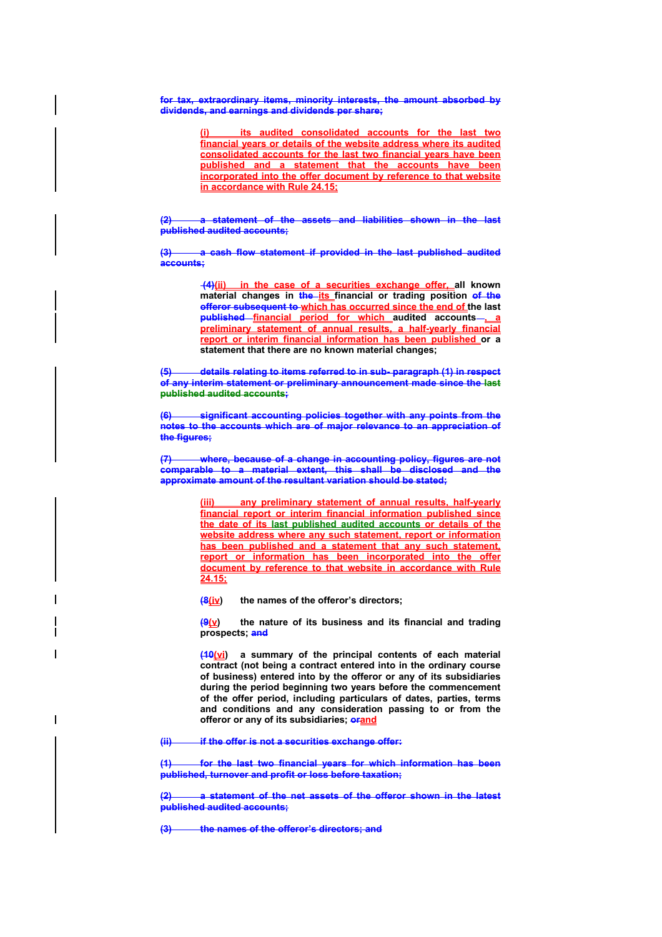**for tax, extraordinary items, minority interests, the amount absorbed by dividends, and earnings and dividends per share;** 

> **(i) its audited consolidated accounts for the last two financial years or details of the website address where its audited consolidated accounts for the last two financial years have been published and a statement that the accounts have been incorporated into the offer document by reference to that website in accordance with Rule 24.15;**

**(2) a statement of the assets and liabilities shown in the last published audited accounts;** 

**(3) a cash flow statement if provided in the last published audited accounts;** 

> **(4)(ii) in the case of a securities exchange offer, all known**  material changes in **the its** financial or trading position of the **offeror subsequent to which has occurred since the end of the last published financial period for which audited accounts , a preliminary statement of annual results, a half-yearly financial report or interim financial information has been published or a statement that there are no known material changes;**

**(5) details relating to items referred to in sub- paragraph (1) in respect of any interim statement or preliminary announcement made since the last published audited accounts;** 

**(6) significant accounting policies together with any points from the notes to the accounts which are of major relevance to an appreciation of the figures;** 

**(7) where, because of a change in accounting policy, figures are not comparable to a material extent, this shall be disclosed and the approximate amount of the resultant variation should be stated;**

> any preliminary statement of annual results, half-yearly **financial report or interim financial information published since the date of its last published audited accounts or details of the website address where any such statement, report or information has been published and a statement that any such statement, report or information has been incorporated into the offer document by reference to that website in accordance with Rule 24.15;**

**(8(iv) the names of the offeror's directors;** 

**(9(y)** the nature of its business and its financial and trading **prospects; and**

**(10(vi) a summary of the principal contents of each material contract (not being a contract entered into in the ordinary course of business) entered into by the offeror or any of its subsidiaries during the period beginning two years before the commencement of the offer period, including particulars of dates, parties, terms and conditions and any consideration passing to or from the**  offeror or any of its subsidiaries; **orand** 

**(ii) if the offer is not a securities exchange offer:** 

**(1) for the last two financial years for which information has been published, turnover and profit or loss before taxation;** 

**(2) a statement of the net assets of the offeror shown in the latest published audited accounts;** 

**(3) the names of the offeror's directors; and**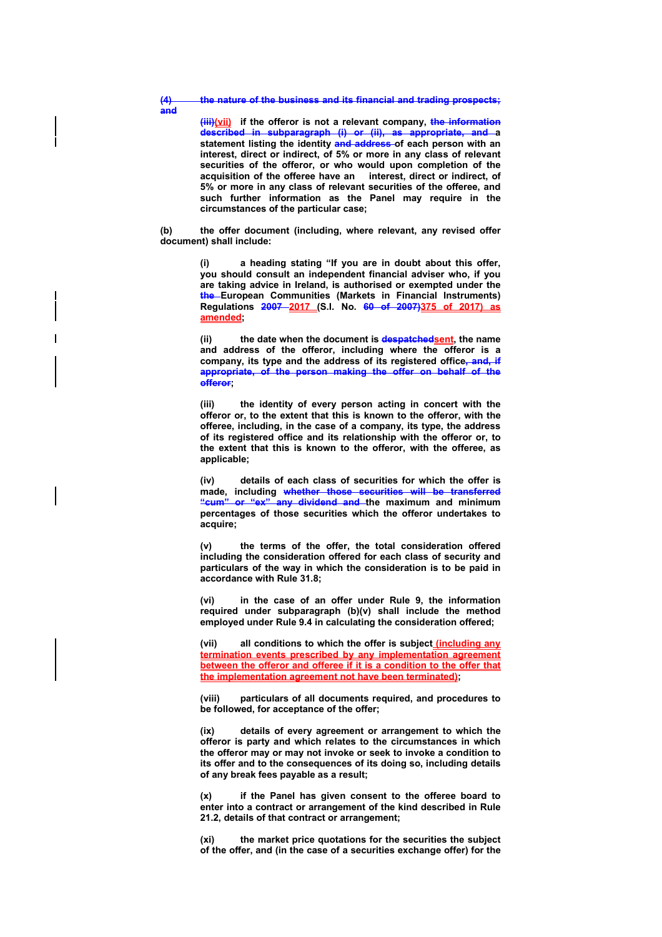**(4) the nature of the business and its financial and trading prospects;** 

**(iii)(vii) if the offeror is not a relevant company, the information described in subparagraph (i) or (ii), as appropriate, and a**  statement listing the identity and address of each person with an **interest, direct or indirect, of 5% or more in any class of relevant securities of the offeror, or who would upon completion of the acquisition of the offeree have an interest, direct or indirect, of 5% or more in any class of relevant securities of the offeree, and such further information as the Panel may require in the circumstances of the particular case;** 

**(b) the offer document (including, where relevant, any revised offer document) shall include:** 

> **(i) a heading stating "If you are in doubt about this offer, you should consult an independent financial adviser who, if you are taking advice in Ireland, is authorised or exempted under the the European Communities (Markets in Financial Instruments) Regulations 2007 2017 (S.I. No. 60 of 2007)375 of 2017) as amended;**

> (ii) the date when the document is **despatchedsent**, the name **and address of the offeror, including where the offeror is a company, its type and the address of its registered office, and, if appropriate, of the person making the offer on behalf of the offeror;**

> **(iii) the identity of every person acting in concert with the offeror or, to the extent that this is known to the offeror, with the offeree, including, in the case of a company, its type, the address of its registered office and its relationship with the offeror or, to the extent that this is known to the offeror, with the offeree, as applicable;**

> **(iv) details of each class of securities for which the offer is made, including whether those securities will be transferred "cum" or "ex" any dividend and the maximum and minimum percentages of those securities which the offeror undertakes to acquire;**

> **(v) the terms of the offer, the total consideration offered including the consideration offered for each class of security and particulars of the way in which the consideration is to be paid in accordance with Rule 31.8;**

> **(vi) in the case of an offer under Rule 9, the information required under subparagraph (b)(v) shall include the method employed under Rule 9.4 in calculating the consideration offered;**

> **(vii) all conditions to which the offer is subject (including any termination events prescribed by any implementation agreement between the offeror and offeree if it is a condition to the offer that the implementation agreement not have been terminated);**

> **(viii) particulars of all documents required, and procedures to be followed, for acceptance of the offer;**

> **(ix) details of every agreement or arrangement to which the offeror is party and which relates to the circumstances in which the offeror may or may not invoke or seek to invoke a condition to its offer and to the consequences of its doing so, including details of any break fees payable as a result;**

> **(x) if the Panel has given consent to the offeree board to enter into a contract or arrangement of the kind described in Rule 21.2, details of that contract or arrangement;**

> **(xi) the market price quotations for the securities the subject of the offer, and (in the case of a securities exchange offer) for the**

**and**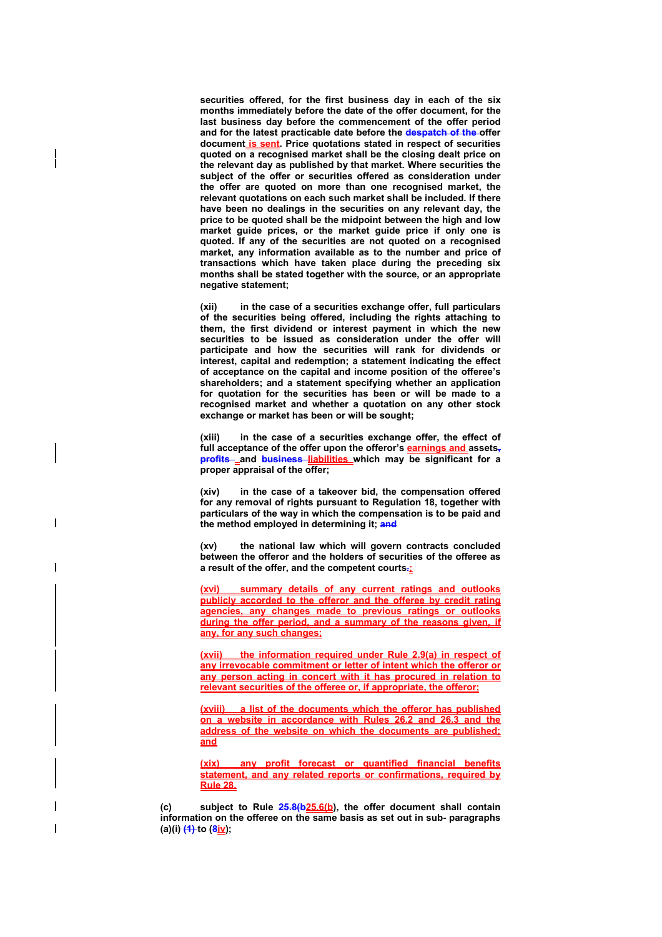**securities offered, for the first business day in each of the six months immediately before the date of the offer document, for the last business day before the commencement of the offer period and for the latest practicable date before the despatch of the offer document is sent. Price quotations stated in respect of securities quoted on a recognised market shall be the closing dealt price on the relevant day as published by that market. Where securities the subject of the offer or securities offered as consideration under the offer are quoted on more than one recognised market, the relevant quotations on each such market shall be included. If there have been no dealings in the securities on any relevant day, the price to be quoted shall be the midpoint between the high and low market guide prices, or the market guide price if only one is quoted. If any of the securities are not quoted on a recognised market, any information available as to the number and price of transactions which have taken place during the preceding six months shall be stated together with the source, or an appropriate negative statement;** 

**(xii) in the case of a securities exchange offer, full particulars of the securities being offered, including the rights attaching to them, the first dividend or interest payment in which the new securities to be issued as consideration under the offer will participate and how the securities will rank for dividends or interest, capital and redemption; a statement indicating the effect of acceptance on the capital and income position of the offeree's shareholders; and a statement specifying whether an application for quotation for the securities has been or will be made to a recognised market and whether a quotation on any other stock exchange or market has been or will be sought;** 

**(xiii) in the case of a securities exchange offer, the effect of**  full acceptance of the offer upon the offeror's **earnings and** assets, **profits** and **business** liabilities which may be significant for a **proper appraisal of the offer;** 

**(xiv) in the case of a takeover bid, the compensation offered for any removal of rights pursuant to Regulation 18, together with particulars of the way in which the compensation is to be paid and the method employed in determining it; and**

**(xv) the national law which will govern contracts concluded between the offeror and the holders of securities of the offeree as a result of the offer, and the competent courts.;**

**(xvi) summary details of any current ratings and outlooks publicly accorded to the offeror and the offeree by credit rating agencies, any changes made to previous ratings or outlooks during the offer period, and a summary of the reasons given, if any, for any such changes;**

**(xvii) the information required under Rule 2.9(a) in respect of any irrevocable commitment or letter of intent which the offeror or any person acting in concert with it has procured in relation to relevant securities of the offeree or, if appropriate, the offeror;**

**(xviii) a list of the documents which the offeror has published on a website in accordance with Rules 26.2 and 26.3 and the address of the website on which the documents are published; and**

**(xix) any profit forecast or quantified financial benefits statement, and any related reports or confirmations, required by Rule 28.**

**(c) subject to Rule 25.8(b25.6(b), the offer document shall contain information on the offeree on the same basis as set out in sub- paragraphs (a)(i) (1) to (8iv);**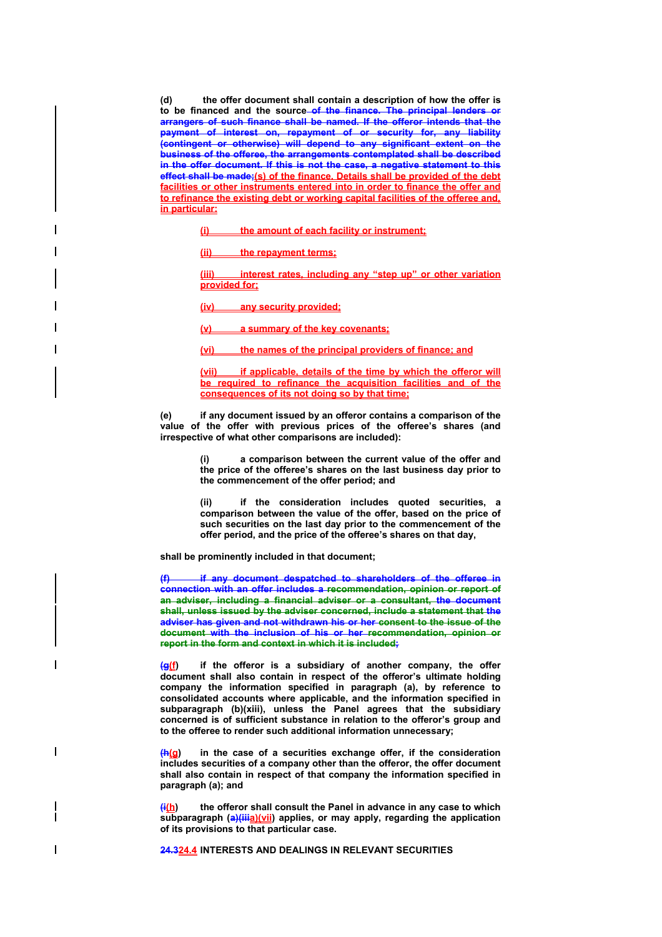**(d) the offer document shall contain a description of how the offer is to be financed and the source of the finance. The principal lenders or arrangers of such finance shall be named. If the offeror intends that the payment of interest on, repayment of or security for, any liability (contingent or otherwise) will depend to any significant extent on the business of the offeree, the arrangements contemplated shall be described in the offer document. If this is not the case, a negative statement to this effect shall be made;(s) of the finance. Details shall be provided of the debt facilities or other instruments entered into in order to finance the offer and to refinance the existing debt or working capital facilities of the offeree and, in particular:** 

**(i) the amount of each facility or instrument;** 

**(ii) the repayment terms;** 

**(iii) interest rates, including any "step up" or other variation provided for;** 

**(iv) any security provided;** 

**(v) a summary of the key covenants;** 

**(vi) the names of the principal providers of finance; and** 

**(vii) if applicable, details of the time by which the offeror will be required to refinance the acquisition facilities and of the consequences of its not doing so by that time;**

**(e) if any document issued by an offeror contains a comparison of the value of the offer with previous prices of the offeree's shares (and irrespective of what other comparisons are included):** 

> **(i) a comparison between the current value of the offer and the price of the offeree's shares on the last business day prior to the commencement of the offer period; and**

> **(ii) if the consideration includes quoted securities, a comparison between the value of the offer, based on the price of such securities on the last day prior to the commencement of the offer period, and the price of the offeree's shares on that day,**

**shall be prominently included in that document;** 

**if any document despatched to shareholders of the offeree in connection with an offer includes a recommendation, opinion or report of an adviser, including a financial adviser or a consultant, the document shall, unless issued by the adviser concerned, include a statement that the adviser has given and not withdrawn his or her consent to the issue of the document with the inclusion of his or her recommendation, opinion or report in the form and context in which it is included;** 

**(g(f) if the offeror is a subsidiary of another company, the offer document shall also contain in respect of the offeror's ultimate holding company the information specified in paragraph (a), by reference to consolidated accounts where applicable, and the information specified in subparagraph (b)(xiii), unless the Panel agrees that the subsidiary concerned is of sufficient substance in relation to the offeror's group and to the offeree to render such additional information unnecessary;** 

**(h(g) in the case of a securities exchange offer, if the consideration includes securities of a company other than the offeror, the offer document shall also contain in respect of that company the information specified in paragraph (a); and** 

**(i(h) the offeror shall consult the Panel in advance in any case to which**  subparagraph (a)(iiia)(vii) applies, or may apply, regarding the application **of its provisions to that particular case.** 

**24.324.4 INTERESTS AND DEALINGS IN RELEVANT SECURITIES**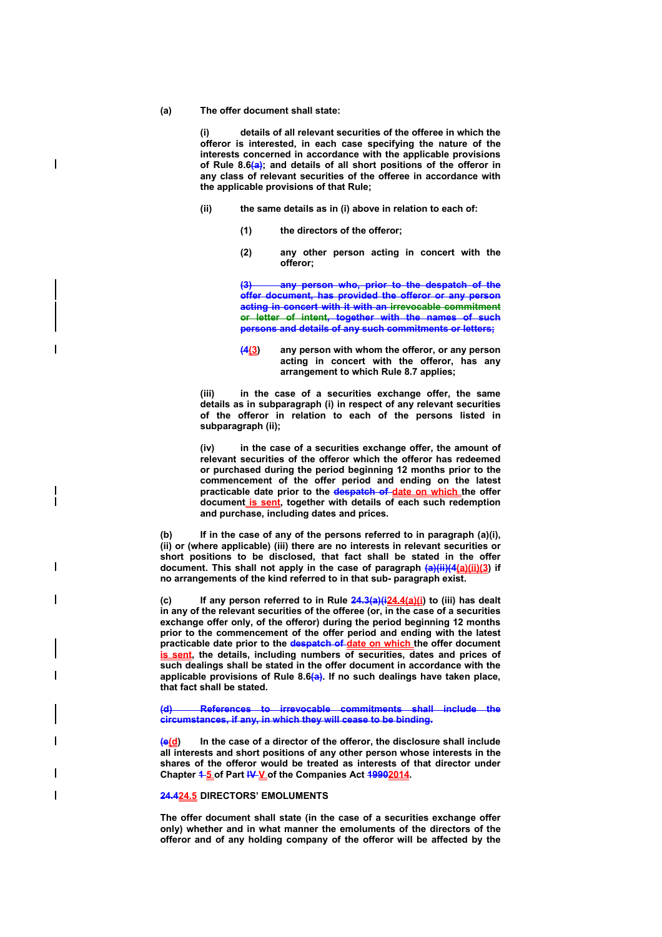### **(a) The offer document shall state:**

**(i) details of all relevant securities of the offeree in which the offeror is interested, in each case specifying the nature of the interests concerned in accordance with the applicable provisions of Rule 8.6(a); and details of all short positions of the offeror in any class of relevant securities of the offeree in accordance with the applicable provisions of that Rule;** 

- **(ii) the same details as in (i) above in relation to each of:** 
	- **(1) the directors of the offeror;**
	- **(2) any other person acting in concert with the offeror;**

**(3) any person who, prior to the despatch of the offer document, has provided the offeror or any person acting in concert with it with an irrevocable commitment or letter of intent, together with the names of such persons and details of any such commitments or letters;** 

**(4(3) any person with whom the offeror, or any person acting in concert with the offeror, has any arrangement to which Rule 8.7 applies;** 

**(iii) in the case of a securities exchange offer, the same details as in subparagraph (i) in respect of any relevant securities of the offeror in relation to each of the persons listed in subparagraph (ii);** 

**(iv) in the case of a securities exchange offer, the amount of relevant securities of the offeror which the offeror has redeemed or purchased during the period beginning 12 months prior to the commencement of the offer period and ending on the latest practicable date prior to the despatch of date on which the offer document is sent, together with details of each such redemption and purchase, including dates and prices.** 

**(b) If in the case of any of the persons referred to in paragraph (a)(i), (ii) or (where applicable) (iii) there are no interests in relevant securities or short positions to be disclosed, that fact shall be stated in the offer document. This shall not apply in the case of paragraph (a)(ii)(4(a)(ii)(3) if no arrangements of the kind referred to in that sub- paragraph exist.** 

**(c) If any person referred to in Rule 24.3(a)(i24.4(a)(i) to (iii) has dealt in any of the relevant securities of the offeree (or, in the case of a securities exchange offer only, of the offeror) during the period beginning 12 months prior to the commencement of the offer period and ending with the latest practicable date prior to the despatch of date on which the offer document is sent, the details, including numbers of securities, dates and prices of such dealings shall be stated in the offer document in accordance with the applicable provisions of Rule 8.6(a). If no such dealings have taken place, that fact shall be stated.** 

**(d) References to irrevocable commitments shall include the circumstances, if any, in which they will cease to be binding.** 

**(e(d) In the case of a director of the offeror, the disclosure shall include all interests and short positions of any other person whose interests in the shares of the offeror would be treated as interests of that director under**  Chapter **1-5 of Part IV-V** of the Companies Act **19902014**.

#### **24.424.5 DIRECTORS' EMOLUMENTS**

**The offer document shall state (in the case of a securities exchange offer only) whether and in what manner the emoluments of the directors of the offeror and of any holding company of the offeror will be affected by the** 

 $\overline{\phantom{a}}$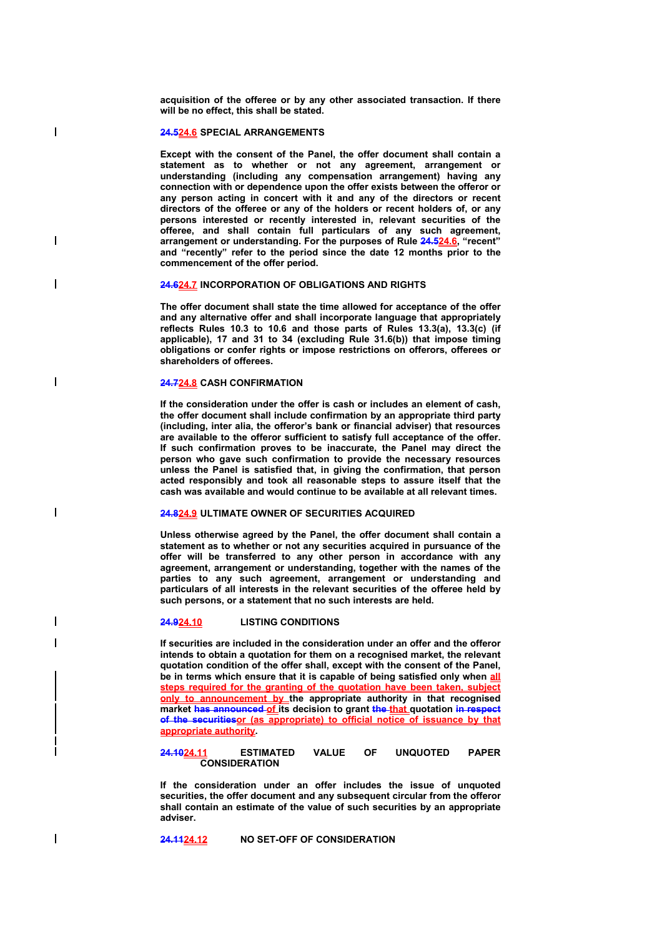**acquisition of the offeree or by any other associated transaction. If there will be no effect, this shall be stated.** 

#### **24.524.6 SPECIAL ARRANGEMENTS**

 $\overline{\phantom{a}}$ 

 $\overline{\phantom{a}}$ 

 $\overline{\phantom{a}}$ 

 $\overline{\phantom{a}}$ 

 $\overline{\phantom{a}}$ 

**Except with the consent of the Panel, the offer document shall contain a statement as to whether or not any agreement, arrangement or understanding (including any compensation arrangement) having any connection with or dependence upon the offer exists between the offeror or any person acting in concert with it and any of the directors or recent directors of the offeree or any of the holders or recent holders of, or any persons interested or recently interested in, relevant securities of the offeree, and shall contain full particulars of any such agreement, arrangement or understanding. For the purposes of Rule 24.524.6, "recent" and "recently" refer to the period since the date 12 months prior to the commencement of the offer period.** 

**24.624.7 INCORPORATION OF OBLIGATIONS AND RIGHTS** 

**The offer document shall state the time allowed for acceptance of the offer and any alternative offer and shall incorporate language that appropriately reflects Rules 10.3 to 10.6 and those parts of Rules 13.3(a), 13.3(c) (if applicable), 17 and 31 to 34 (excluding Rule 31.6(b)) that impose timing obligations or confer rights or impose restrictions on offerors, offerees or shareholders of offerees.** 

#### **24.724.8 CASH CONFIRMATION**

**If the consideration under the offer is cash or includes an element of cash, the offer document shall include confirmation by an appropriate third party (including, inter alia, the offeror's bank or financial adviser) that resources are available to the offeror sufficient to satisfy full acceptance of the offer. If such confirmation proves to be inaccurate, the Panel may direct the person who gave such confirmation to provide the necessary resources unless the Panel is satisfied that, in giving the confirmation, that person acted responsibly and took all reasonable steps to assure itself that the cash was available and would continue to be available at all relevant times.** 

### **24.824.9 ULTIMATE OWNER OF SECURITIES ACQUIRED**

**Unless otherwise agreed by the Panel, the offer document shall contain a statement as to whether or not any securities acquired in pursuance of the offer will be transferred to any other person in accordance with any agreement, arrangement or understanding, together with the names of the parties to any such agreement, arrangement or understanding and particulars of all interests in the relevant securities of the offeree held by such persons, or a statement that no such interests are held.** 

### **24.924.10 LISTING CONDITIONS**

**If securities are included in the consideration under an offer and the offeror intends to obtain a quotation for them on a recognised market, the relevant quotation condition of the offer shall, except with the consent of the Panel, be in terms which ensure that it is capable of being satisfied only when all steps required for the granting of the quotation have been taken, subject <u>only to announcement by the appropriate authority in that recognised</u>** market has announced of its decision to grant the that quotation in respect **of the securitiesor (as appropriate) to official notice of issuance by that appropriate authority.**

### **24.1024.11 ESTIMATED VALUE OF UNQUOTED PAPER CONSIDERATION**

**If the consideration under an offer includes the issue of unquoted securities, the offer document and any subsequent circular from the offeror shall contain an estimate of the value of such securities by an appropriate adviser.** 

**24.1124.12 NO SET-OFF OF CONSIDERATION**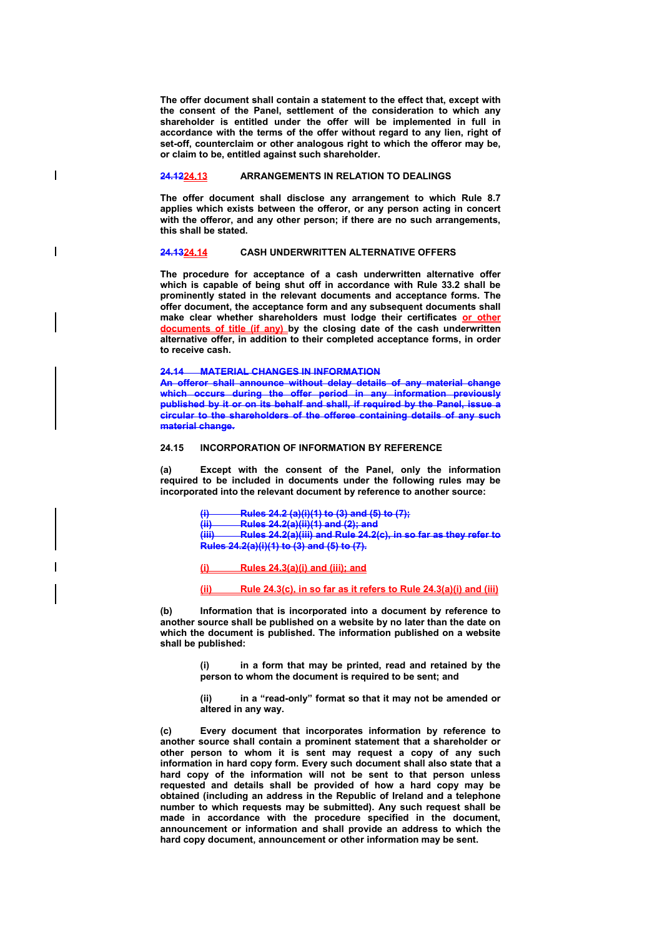**The offer document shall contain a statement to the effect that, except with the consent of the Panel, settlement of the consideration to which any shareholder is entitled under the offer will be implemented in full in accordance with the terms of the offer without regard to any lien, right of set-off, counterclaim or other analogous right to which the offeror may be, or claim to be, entitled against such shareholder.** 

# **24.1224.13 ARRANGEMENTS IN RELATION TO DEALINGS**

 $\overline{\phantom{a}}$ 

 $\overline{\phantom{a}}$ 

**The offer document shall disclose any arrangement to which Rule 8.7 applies which exists between the offeror, or any person acting in concert**  with the offeror, and any other person; if there are no such arrangements, **this shall be stated.** 

#### **24.1324.14 CASH UNDERWRITTEN ALTERNATIVE OFFERS**

**The procedure for acceptance of a cash underwritten alternative offer which is capable of being shut off in accordance with Rule 33.2 shall be prominently stated in the relevant documents and acceptance forms. The offer document, the acceptance form and any subsequent documents shall make clear whether shareholders must lodge their certificates or other documents of title (if any) by the closing date of the cash underwritten alternative offer, in addition to their completed acceptance forms, in order to receive cash.** 

**24.14 MATERIAL CHANGES IN INFORMATION** 

**An offeror shall announce without delay details of any material change which occurs during the offer period in any information previously published by it or on its behalf and shall, if required by the Panel, issue a circular to the shareholders of the offeree containing details of any such material change.** 

#### **24.15 INCORPORATION OF INFORMATION BY REFERENCE**

**(a) Except with the consent of the Panel, only the information required to be included in documents under the following rules may be incorporated into the relevant document by reference to another source:** 

> **(i) Rules 24.2 (a)(i)(1) to (3) and (5) to (7); (ii) Rules 24.2(a)(ii)(1) and (2); and (iii) Rules 24.2(a)(iii) and Rule 24.2(c), in so far as they refer to Rules 24.2(a)(i)(1) to (3) and (5) to (7).**

**(i) Rules 24.3(a)(i) and (iii); and**

**(ii) Rule 24.3(c), in so far as it refers to Rule 24.3(a)(i) and (iii)**

**(b) Information that is incorporated into a document by reference to another source shall be published on a website by no later than the date on which the document is published. The information published on a website shall be published:** 

> **(i) in a form that may be printed, read and retained by the person to whom the document is required to be sent; and**

> **(ii) in a "read-only" format so that it may not be amended or altered in any way.**

**(c) Every document that incorporates information by reference to another source shall contain a prominent statement that a shareholder or other person to whom it is sent may request a copy of any such information in hard copy form. Every such document shall also state that a hard copy of the information will not be sent to that person unless requested and details shall be provided of how a hard copy may be obtained (including an address in the Republic of Ireland and a telephone number to which requests may be submitted). Any such request shall be made in accordance with the procedure specified in the document, announcement or information and shall provide an address to which the hard copy document, announcement or other information may be sent.**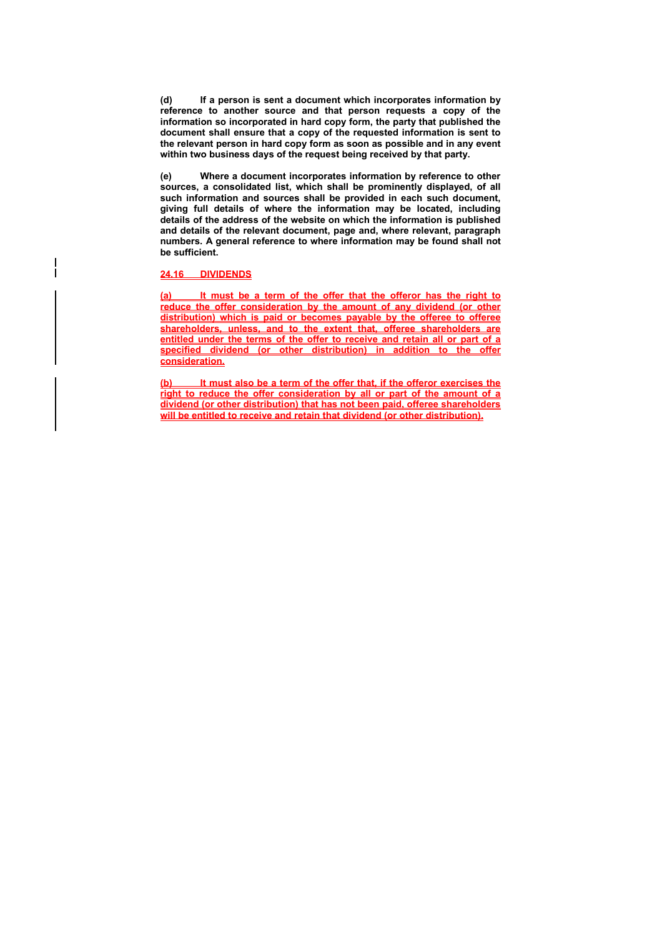**(d) If a person is sent a document which incorporates information by reference to another source and that person requests a copy of the information so incorporated in hard copy form, the party that published the document shall ensure that a copy of the requested information is sent to the relevant person in hard copy form as soon as possible and in any event within two business days of the request being received by that party.** 

**(e) Where a document incorporates information by reference to other sources, a consolidated list, which shall be prominently displayed, of all such information and sources shall be provided in each such document, giving full details of where the information may be located, including details of the address of the website on which the information is published and details of the relevant document, page and, where relevant, paragraph numbers. A general reference to where information may be found shall not be sufficient.** 

### **24.16 DIVIDENDS**

 $\overline{\phantom{a}}$ 

**(a) It must be a term of the offer that the offeror has the right to reduce the offer consideration by the amount of any dividend (or other distribution) which is paid or becomes payable by the offeree to offeree shareholders, unless, and to the extent that, offeree shareholders are entitled under the terms of the offer to receive and retain all or part of a specified dividend (or other distribution) in addition to the offer consideration.**

**(b) It must also be a term of the offer that, if the offeror exercises the right to reduce the offer consideration by all or part of the amount of a dividend (or other distribution) that has not been paid, offeree shareholders will be entitled to receive and retain that dividend (or other distribution).**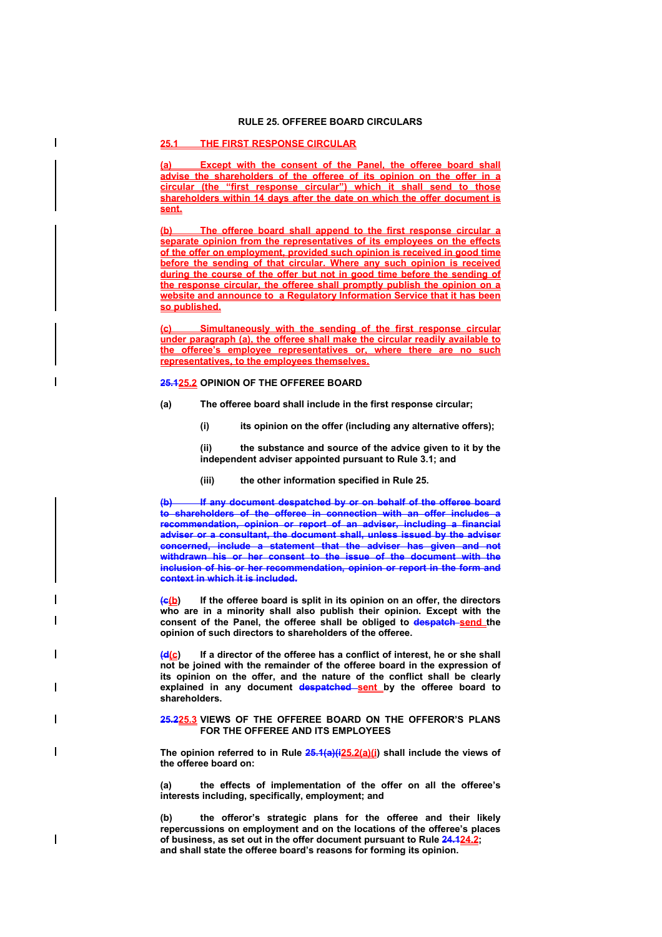## **RULE 25. OFFEREE BOARD CIRCULARS**

## **25.1 THE FIRST RESPONSE CIRCULAR**

 $\overline{\phantom{a}}$ 

 $\overline{\phantom{a}}$ 

**Except with the consent of the Panel, the offeree board shall advise the shareholders of the offeree of its opinion on the offer in a circular (the "first response circular") which it shall send to those shareholders within 14 days after the date on which the offer document is sent.**

**(b) The offeree board shall append to the first response circular a separate opinion from the representatives of its employees on the effects of the offer on employment, provided such opinion is received in good time before the sending of that circular. Where any such opinion is received during the course of the offer but not in good time before the sending of the response circular, the offeree shall promptly publish the opinion on a website and announce to a Regulatory Information Service that it has been so published.**

**(c) Simultaneously with the sending of the first response circular under paragraph (a), the offeree shall make the circular readily available to the offeree's employee representatives or, where there are no such representatives, to the employees themselves.**

#### **25.125.2 OPINION OF THE OFFEREE BOARD**

- **(a) The offeree board shall include in the first response circular;** 
	- **(i) its opinion on the offer (including any alternative offers);**

**(ii) the substance and source of the advice given to it by the independent adviser appointed pursuant to Rule 3.1; and** 

**(iii) the other information specified in Rule 25.** 

**If any document despatched by or on behalf of the offeree board to shareholders of the offeree in connection with an offer includes a recommendation, opinion or report of an adviser, including a financial adviser or a consultant, the document shall, unless issued by the adviser concerned, include a statement that the adviser has given and not withdrawn his or her consent to the issue of the document with the inclusion of his or her recommendation, opinion or report in the form and context in which it is included.** 

**(c(b) If the offeree board is split in its opinion on an offer, the directors who are in a minority shall also publish their opinion. Except with the consent of the Panel, the offeree shall be obliged to despatch send the opinion of such directors to shareholders of the offeree.** 

**(d(c) If a director of the offeree has a conflict of interest, he or she shall not be joined with the remainder of the offeree board in the expression of its opinion on the offer, and the nature of the conflict shall be clearly**  explained in any document despatched sent by the offeree board to **shareholders.** 

#### **25.225.3 VIEWS OF THE OFFEREE BOARD ON THE OFFEROR'S PLANS FOR THE OFFEREE AND ITS EMPLOYEES**

**The opinion referred to in Rule 25.1(a)(i25.2(a)(i) shall include the views of the offeree board on:** 

**(a) the effects of implementation of the offer on all the offeree's interests including, specifically, employment; and** 

**(b) the offeror's strategic plans for the offeree and their likely repercussions on employment and on the locations of the offeree's places of business, as set out in the offer document pursuant to Rule 24.124.2; and shall state the offeree board's reasons for forming its opinion.**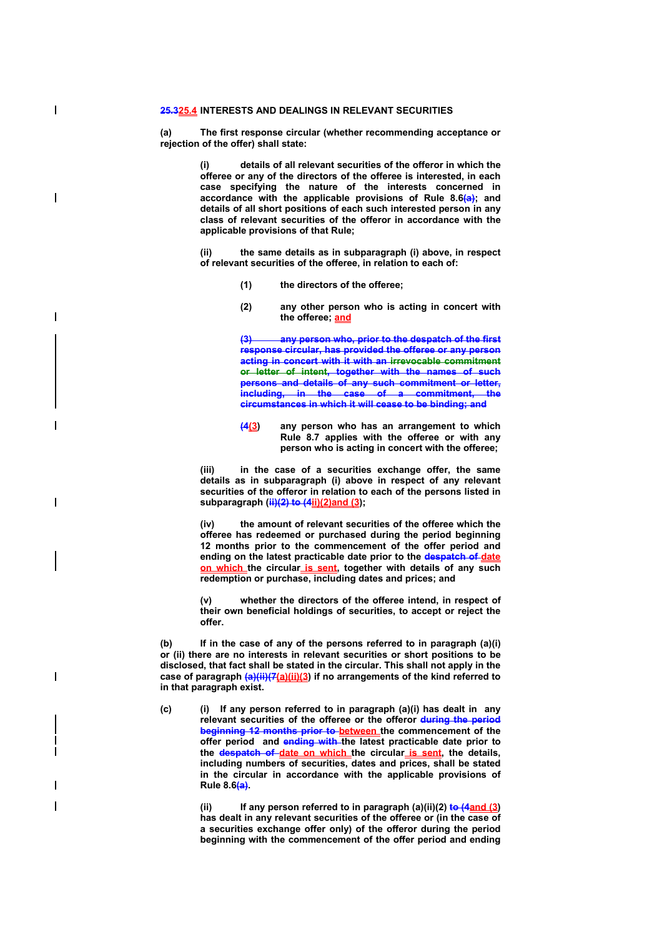### **25.325.4 INTERESTS AND DEALINGS IN RELEVANT SECURITIES**

 $\overline{\phantom{a}}$ 

 $\overline{\phantom{a}}$ 

 $\overline{\phantom{a}}$ 

 $\overline{\phantom{a}}$ 

**(a) The first response circular (whether recommending acceptance or rejection of the offer) shall state:** 

> **(i) details of all relevant securities of the offeror in which the offeree or any of the directors of the offeree is interested, in each case specifying the nature of the interests concerned in accordance with the applicable provisions of Rule 8.6(a); and details of all short positions of each such interested person in any class of relevant securities of the offeror in accordance with the applicable provisions of that Rule;**

> **(ii) the same details as in subparagraph (i) above, in respect of relevant securities of the offeree, in relation to each of:**

- **(1) the directors of the offeree;**
- **(2) any other person who is acting in concert with the offeree; and**

any person who, prior to the despatch of the first **response circular, has provided the offeree or any person acting in concert with it with an irrevocable commitment or letter of intent, together with the names of such persons and details of any such commitment or letter, including, in the case of a commitment, the circumstances in which it will cease to be binding; and** 

**(4(3) any person who has an arrangement to which Rule 8.7 applies with the offeree or with any person who is acting in concert with the offeree;** 

**(iii) in the case of a securities exchange offer, the same details as in subparagraph (i) above in respect of any relevant securities of the offeror in relation to each of the persons listed in subparagraph (ii)(2) to (4ii)(2)and (3);** 

**(iv) the amount of relevant securities of the offeree which the offeree has redeemed or purchased during the period beginning 12 months prior to the commencement of the offer period and ending on the latest practicable date prior to the despatch of date on which the circular is sent, together with details of any such redemption or purchase, including dates and prices; and** 

**(v) whether the directors of the offeree intend, in respect of their own beneficial holdings of securities, to accept or reject the offer.** 

**(b) If in the case of any of the persons referred to in paragraph (a)(i) or (ii) there are no interests in relevant securities or short positions to be disclosed, that fact shall be stated in the circular. This shall not apply in the**  case of paragraph  $\frac{a}{i}$ (ii)(7(a)(ii)(3) if no arrangements of the kind referred to **in that paragraph exist.** 

**(c) (i) If any person referred to in paragraph (a)(i) has dealt in any relevant securities of the offeree or the offeror during the period beginning 12 months prior to between** the commencement of the **offer period and ending with the latest practicable date prior to the despatch of date on which the circular is sent, the details, including numbers of securities, dates and prices, shall be stated in the circular in accordance with the applicable provisions of Rule 8.6(a).** 

> (ii) If any person referred to in paragraph (a)(ii)(2) **to (4and (3) has dealt in any relevant securities of the offeree or (in the case of a securities exchange offer only) of the offeror during the period beginning with the commencement of the offer period and ending**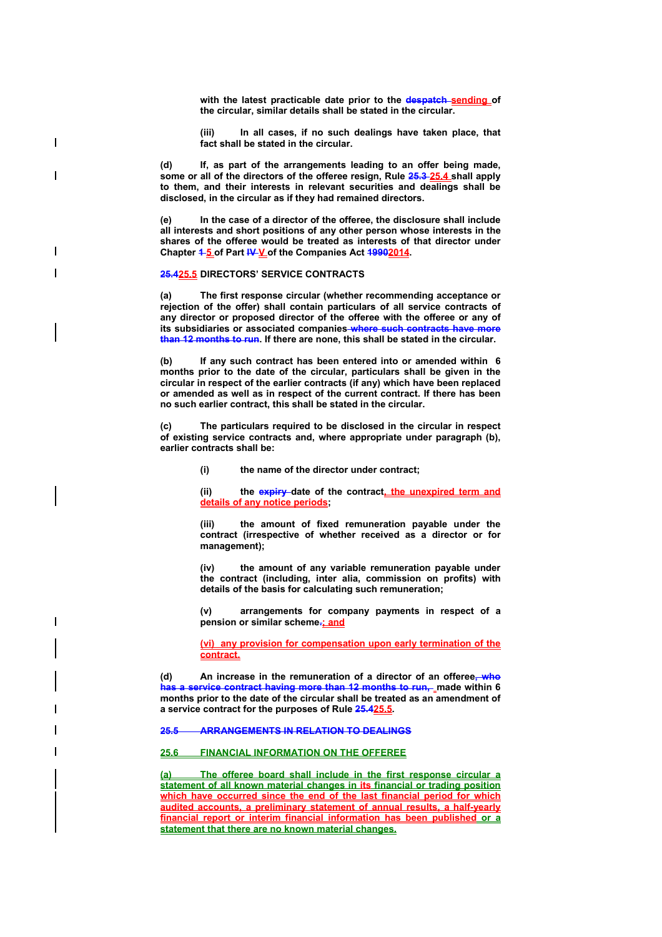**with the latest practicable date prior to the despatch sending of the circular, similar details shall be stated in the circular.** 

**(iii) In all cases, if no such dealings have taken place, that fact shall be stated in the circular.** 

**(d) If, as part of the arrangements leading to an offer being made,**  some or all of the directors of the offeree resign, Rule 25.3-25.4 shall apply **to them, and their interests in relevant securities and dealings shall be disclosed, in the circular as if they had remained directors.** 

**(e) In the case of a director of the offeree, the disclosure shall include all interests and short positions of any other person whose interests in the shares of the offeree would be treated as interests of that director under**  Chapter **1-5 of Part IV-V of the Companies Act 19902014.** 

#### **25.425.5 DIRECTORS' SERVICE CONTRACTS**

 $\overline{\phantom{a}}$ 

 $\overline{\phantom{a}}$ 

ı

**(a) The first response circular (whether recommending acceptance or rejection of the offer) shall contain particulars of all service contracts of any director or proposed director of the offeree with the offeree or any of its subsidiaries or associated companies where such contracts have more than 12 months to run. If there are none, this shall be stated in the circular.** 

**(b) If any such contract has been entered into or amended within 6 months prior to the date of the circular, particulars shall be given in the circular in respect of the earlier contracts (if any) which have been replaced or amended as well as in respect of the current contract. If there has been no such earlier contract, this shall be stated in the circular.**

**(c) The particulars required to be disclosed in the circular in respect of existing service contracts and, where appropriate under paragraph (b), earlier contracts shall be:** 

**(i) the name of the director under contract;** 

(ii) the expiry date of the contract, the unexpired term and **details of any notice periods;** 

**(iii) the amount of fixed remuneration payable under the contract (irrespective of whether received as a director or for management);** 

**(iv) the amount of any variable remuneration payable under the contract (including, inter alia, commission on profits) with details of the basis for calculating such remuneration;** 

**(v) arrangements for company payments in respect of a pension or similar scheme.; and**

**(vi) any provision for compensation upon early termination of the contract.**

**(d) An increase in the remuneration of a director of an offeree, who has a service contract having more than 12 months to run, inade within 6 months prior to the date of the circular shall be treated as an amendment of a service contract for the purposes of Rule 25.425.5.** 

**25.5 ARRANGEMENTS IN RELATION TO DEALINGS** 

# **25.6 FINANCIAL INFORMATION ON THE OFFEREE**

**(a) The offeree board shall include in the first response circular a statement of all known material changes in its financial or trading position which have occurred since the end of the last financial period for which audited accounts, a preliminary statement of annual results, a half-yearly financial report or interim financial information has been published or a statement that there are no known material changes.**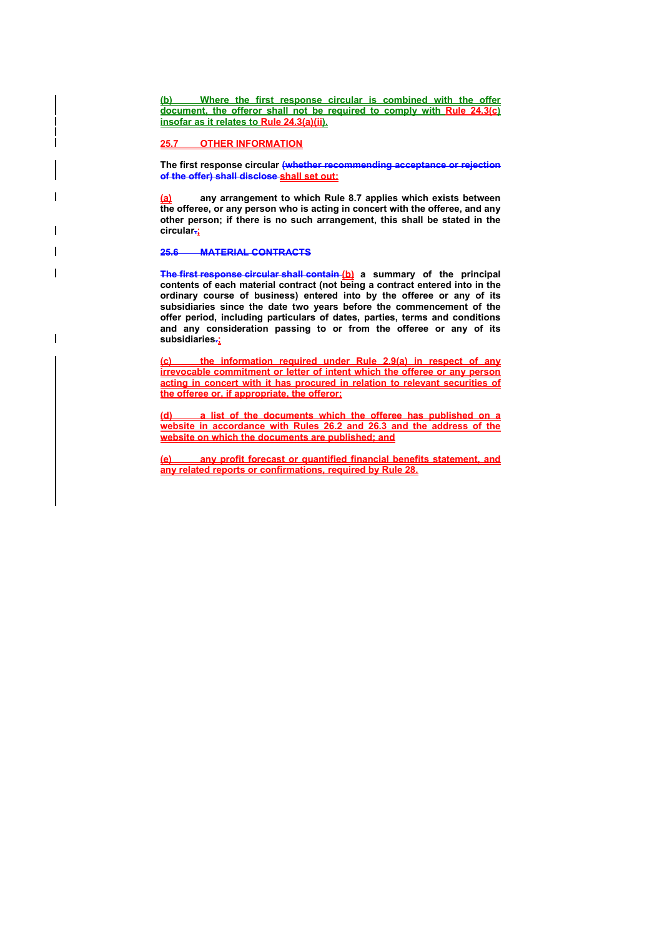**(b) Where the first response circular is combined with the offer document, the offeror shall not be required to comply with Rule 24.3(c) insofar as it relates to Rule 24.3(a)(ii).** 

### **25.7 OTHER INFORMATION**

**The first response circular (whether recommending acceptance or rejection of the offer) shall disclose shall set out:**

**(a) any arrangement to which Rule 8.7 applies which exists between the offeree, or any person who is acting in concert with the offeree, and any other person; if there is no such arrangement, this shall be stated in the circular.;**

### **25.6 MATERIAL CONTRACTS**

 $\overline{\phantom{a}}$ 

- 1

**The first response circular shall contain (b) a summary of the principal contents of each material contract (not being a contract entered into in the ordinary course of business) entered into by the offeree or any of its subsidiaries since the date two years before the commencement of the offer period, including particulars of dates, parties, terms and conditions and any consideration passing to or from the offeree or any of its subsidiaries.;**

**(c) the information required under Rule 2.9(a) in respect of any irrevocable commitment or letter of intent which the offeree or any person acting in concert with it has procured in relation to relevant securities of the offeree or, if appropriate, the offeror;**

**(d) a list of the documents which the offeree has published on a website in accordance with Rules 26.2 and 26.3 and the address of the website on which the documents are published; and**

**(e) any profit forecast or quantified financial benefits statement, and any related reports or confirmations, required by Rule 28.**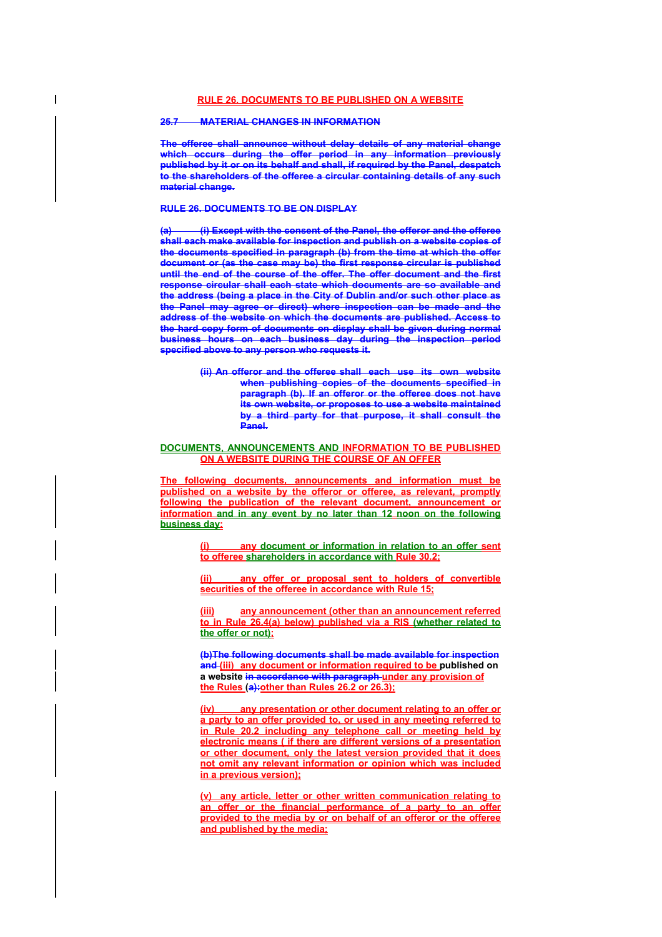### **25.7 MATERIAL CHANGES IN INFORMATION**

**The offeree shall announce without delay details of any material change which occurs during the offer period in any information previously published by it or on its behalf and shall, if required by the Panel, despatch to the shareholders of the offeree a circular containing details of any such material change.** 

### **RULE 26. DOCUMENTS TO BE ON DISPLAY**

**(a) (i) Except with the consent of the Panel, the offeror and the offeree shall each make available for inspection and publish on a website copies of the documents specified in paragraph (b) from the time at which the offer document or (as the case may be) the first response circular is published until the end of the course of the offer. The offer document and the first response circular shall each state which documents are so available and the address (being a place in the City of Dublin and/or such other place as the Panel may agree or direct) where inspection can be made and the address of the website on which the documents are published. Access to the hard copy form of documents on display shall be given during normal business hours on each business day during the inspection period specified above to any person who requests it.** 

> **(ii) An offeror and the offeree shall each use its own website when publishing copies of the documents specified in paragraph (b). If an offeror or the offeree does not have its own website, or proposes to use a website maintained by a third party for that purpose, it shall consult the Panel.**

#### **DOCUMENTS, ANNOUNCEMENTS AND INFORMATION TO BE PUBLISHED ON A WEBSITE DURING THE COURSE OF AN OFFER**

**The following documents, announcements and information must be published on a website by the offeror or offeree, as relevant, promptly following the publication of the relevant document, announcement or information and in any event by no later than 12 noon on the following business day:**

> **any document or information in relation to an offer sent to offeree shareholders in accordance with Rule 30.2;**

> **(ii) any offer or proposal sent to holders of convertible securities of the offeree in accordance with Rule 15;**

> **(iii) any announcement (other than an announcement referred to in Rule 26.4(a) below) published via a RIS (whether related to the offer or not);**

> **(b)The following documents shall be made available for inspection and (iii) any document or information required to be published on a website in accordance with paragraph under any provision of the Rules (a):other than Rules 26.2 or 26.3);**

> **(iv) any presentation or other document relating to an offer or a party to an offer provided to, or used in any meeting referred to in Rule 20.2 including any telephone call or meeting held by electronic means ( if there are different versions of a presentation or other document, only the latest version provided that it does not omit any relevant information or opinion which was included in a previous version);**

> **(v) any article, letter or other written communication relating to an offer or the financial performance of a party to an offer provided to the media by or on behalf of an offeror or the offeree and published by the media;**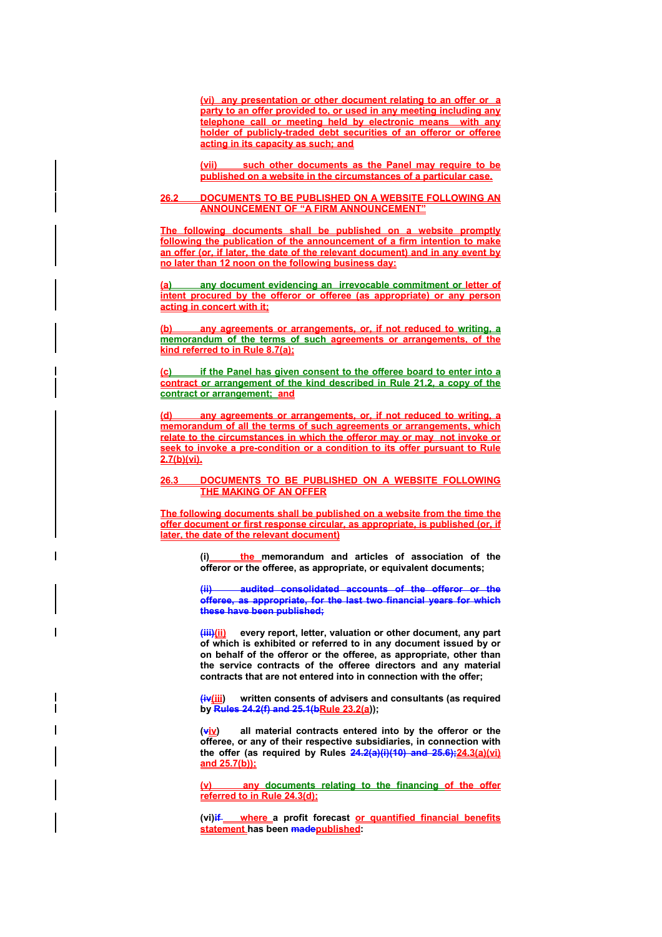**(vi) any presentation or other document relating to an offer or a party to an offer provided to, or used in any meeting including any telephone call or meeting held by electronic means with any holder of publicly-traded debt securities of an offeror or offeree acting in its capacity as such; and**

**(vii) such other documents as the Panel may require to be published on a website in the circumstances of a particular case.** 

### **26.2 DOCUMENTS TO BE PUBLISHED ON A WEBSITE FOLLOWING AN ANNOUNCEMENT OF "A FIRM ANNOUNCEMENT"**

**The following documents shall be published on a website promptly following the publication of the announcement of a firm intention to make an offer (or, if later, the date of the relevant document) and in any event by no later than 12 noon on the following business day:**

**(a) any document evidencing an irrevocable commitment or letter of intent procured by the offeror or offeree (as appropriate) or any person acting in concert with it;**

**(b) any agreements or arrangements, or, if not reduced to writing, a memorandum of the terms of such agreements or arrangements, of the kind referred to in Rule 8.7(a);**

**(c) if the Panel has given consent to the offeree board to enter into a contract or arrangement of the kind described in Rule 21.2, a copy of the contract or arrangement; and**

**(d) any agreements or arrangements, or, if not reduced to writing, a memorandum of all the terms of such agreements or arrangements, which relate to the circumstances in which the offeror may or may not invoke or seek to invoke a pre-condition or a condition to its offer pursuant to Rule 2.7(b)(vi).**

## **26.3 DOCUMENTS TO BE PUBLISHED ON A WEBSITE FOLLOWING THE MAKING OF AN OFFER**

**The following documents shall be published on a website from the time the offer document or first response circular, as appropriate, is published (or, if later, the date of the relevant document)** 

> **(i) the memorandum and articles of association of the offeror or the offeree, as appropriate, or equivalent documents;**

> **(ii) audited consolidated accounts of the offeror or the offeree, as appropriate, for the last two financial years for which these have been published;**

> **(iii)(ii) every report, letter, valuation or other document, any part of which is exhibited or referred to in any document issued by or on behalf of the offeror or the offeree, as appropriate, other than the service contracts of the offeree directors and any material contracts that are not entered into in connection with the offer;**

> **(iv(iii) written consents of advisers and consultants (as required by Rules 24.2(f) and 25.1(bRule 23.2(a));**

> **(viv) all material contracts entered into by the offeror or the offeree, or any of their respective subsidiaries, in connection with the offer (as required by Rules 24.2(a)(i)(10) and 25.6);24.3(a)(vi) and 25.7(b));**

> **(v) any documents relating to the financing of the offer referred to in Rule 24.3(d);**

> (vi)if where a profit forecast or quantified financial benefits **statement has been madepublished:**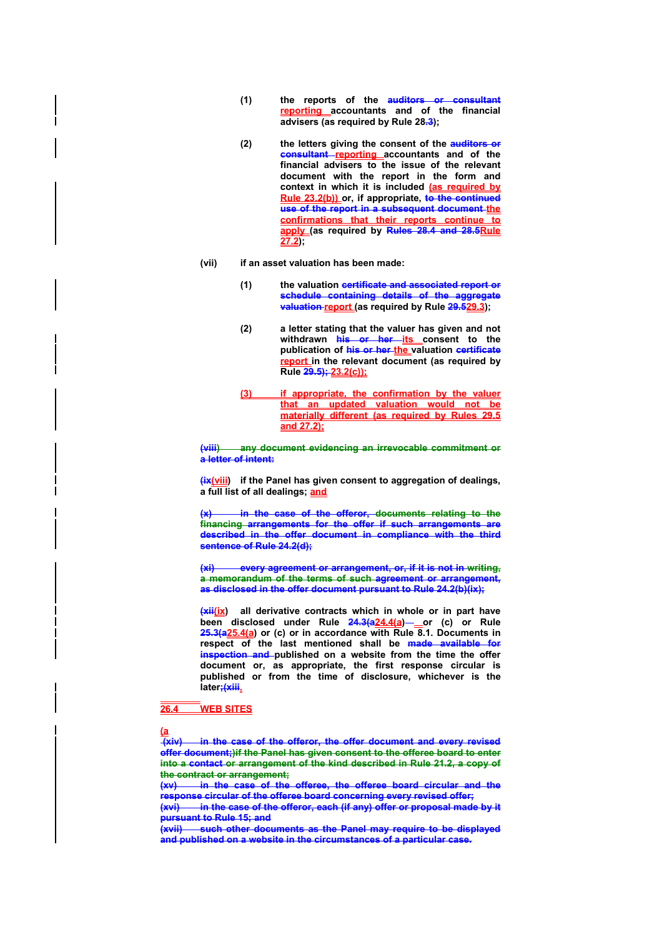- **(1) the reports of the auditors or consultant reporting accountants and of the financial advisers (as required by Rule 28.3);**
- **(2) the letters giving the consent of the auditors or consultant reporting accountants and of the financial advisers to the issue of the relevant document with the report in the form and context in which it is included (as required by Rule 23.2(b)) or, if appropriate, to the continued use of the report in a subsequent document the confirmations that their reports continue to apply (as required by Rules 28.4 and 28.5Rule 27.2);**
- **(vii) if an asset valuation has been made:** 
	- **(1) the valuation certificate and associated report or schedule containing details of the aggregate valuation report (as required by Rule 29.529.3);**
	- **(2) a letter stating that the valuer has given and not**  withdrawn **his or her its** consent to the **publication of his or her the valuation certificate report in the relevant document (as required by Rule 29.5); 23.2(c));**
	- **(3) if appropriate, the confirmation by the valuer that an updated valuation would not be materially different (as required by Rules 29.5 and 27.2);**

**(viii) any document evidencing an irrevocable commitment or a letter of intent:** 

**(ix(viii) if the Panel has given consent to aggregation of dealings, a full list of all dealings; and**

**(x) in the case of the offeror, documents relating to the financing arrangements for the offer if such arrangements are described in the offer document in compliance with the third sentence of Rule 24.2(d);** 

**(xi) every agreement or arrangement, or, if it is not in writing, a memorandum of the terms of such agreement or arrangement, as disclosed in the offer document pursuant to Rule 24.2(b)(ix);** 

**(xii(ix) all derivative contracts which in whole or in part have been disclosed under Rule 24.3(a24.4(a) or (c) or Rule 25.3(a25.4(a) or (c) or in accordance with Rule 8.1. Documents in respect of the last mentioned shall be made available for inspection and published on a website from the time the offer document or, as appropriate, the first response circular is published or from the time of disclosure, whichever is the later;(xiii.**

#### **26.4 WEB SITES**

**<sup>(</sup>a**

 **<sup>(</sup>xiv) in the case of the offeror, the offer document and every revised offer document;)if the Panel has given consent to the offeree board to enter into a contact or arrangement of the kind described in Rule 21.2, a copy of the contract or arrangement;**

**<sup>(</sup>xv) in the case of the offeree, the offeree board circular and the response circular of the offeree board concerning every revised offer;** 

**<sup>(</sup>xvi) in the case of the offeror, each (if any) offer or proposal made by it pursuant to Rule 15; and** 

**such other documents as the Panel may require to be displayed and published on a website in the circumstances of a particular case.**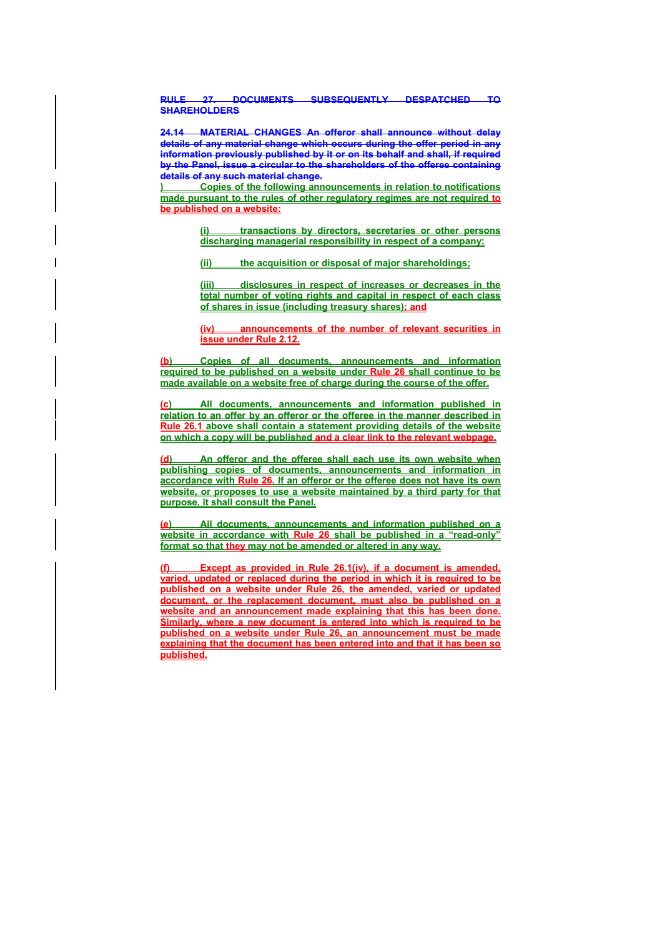**RULE 27. DOCUMENTS SUBSEQUENTLY DESPATCHED TO SHAREHOLDERS** 

**24.14 MATERIAL CHANGES An offeror shall announce without delay details of any material change which occurs during the offer period in any information previously published by it or on its behalf and shall, if required by the Panel, issue a circular to the shareholders of the offeree containing details of any such material change.** 

**) Copies of the following announcements in relation to notifications made pursuant to the rules of other regulatory regimes are not required to be published on a website:**

> **(i) transactions by directors, secretaries or other persons discharging managerial responsibility in respect of a company;**

**(ii) the acquisition or disposal of major shareholdings;** 

**(iii) disclosures in respect of increases or decreases in the total number of voting rights and capital in respect of each class of shares in issue (including treasury shares); and**

**(iv) announcements of the number of relevant securities in issue under Rule 2.12.** 

**(b) Copies of all documents, announcements and information required to be published on a website under Rule 26 shall continue to be made available on a website free of charge during the course of the offer.** 

**(c) All documents, announcements and information published in relation to an offer by an offeror or the offeree in the manner described in Rule 26.1 above shall contain a statement providing details of the website on which a copy will be published and a clear link to the relevant webpage.** 

An offeror and the offeree shall each use its own website when **publishing copies of documents, announcements and information in accordance with Rule 26. If an offeror or the offeree does not have its own website, or proposes to use a website maintained by a third party for that purpose, it shall consult the Panel.** 

**(e) All documents, announcements and information published on a website in accordance with Rule 26 shall be published in a "read-only" format so that they may not be amended or altered in any way.** 

**Except as provided in Rule 26.1(iv), if a document is amended, varied, updated or replaced during the period in which it is required to be published on a website under Rule 26, the amended, varied or updated document, or the replacement document, must also be published on a website and an announcement made explaining that this has been done. Similarly, where a new document is entered into which is required to be published on a website under Rule 26, an announcement must be made explaining that the document has been entered into and that it has been so published.**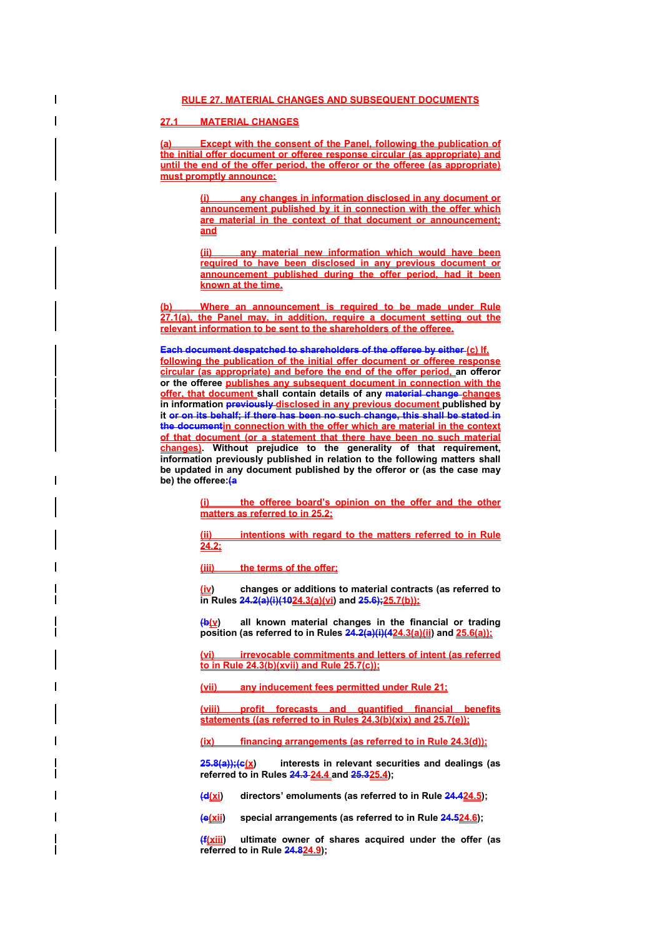# **27.1 MATERIAL CHANGES**

**(a) Except with the consent of the Panel, following the publication of the initial offer document or offeree response circular (as appropriate) and until the end of the offer period, the offeror or the offeree (as appropriate) must promptly announce:**

> **any changes in information disclosed in any document or announcement published by it in connection with the offer which are material in the context of that document or announcement; and**

> **(ii) any material new information which would have been required to have been disclosed in any previous document or announcement published during the offer period, had it been known at the time.**

**(b) Where an announcement is required to be made under Rule 27.1(a), the Panel may, in addition, require a document setting out the relevant information to be sent to the shareholders of the offeree.**

**Each document despatched to shareholders of the offeree by either (c) If, following the publication of the initial offer document or offeree response circular (as appropriate) and before the end of the offer period, an offeror or the offeree publishes any subsequent document in connection with the offer, that document shall contain details of any material change changes in information previously disclosed in any previous document published by it or on its behalf; if there has been no such change, this shall be stated in the documentin connection with the offer which are material in the context of that document (or a statement that there have been no such material changes). Without prejudice to the generality of that requirement, information previously published in relation to the following matters shall be updated in any document published by the offeror or (as the case may be) the offeree:(a**

> **(i) the offeree board's opinion on the offer and the other matters as referred to in 25.2;**

> **(ii) intentions with regard to the matters referred to in Rule 24.2;**

**(iii) the terms of the offer;**

**(iv) changes or additions to material contracts (as referred to in Rules 24.2(a)(i)(1024.3(a)(vi) and 25.6);25.7(b));**

**(b(v) all known material changes in the financial or trading position (as referred to in Rules 24.2(a)(i)(424.3(a)(ii) and 25.6(a));**

**irrevocable commitments and letters of intent (as referred to in Rule 24.3(b)(xvii) and Rule 25.7(c));**

**(vii) any inducement fees permitted under Rule 21;**

**(viii) profit forecasts and quantified financial benefits statements ((as referred to in Rules 24.3(b)(xix) and 25.7(e));**

**(ix) financing arrangements (as referred to in Rule 24.3(d));**

25.8(a));(c(x) interests in relevant securities and dealings (as **referred to in Rules 24.3 24.4 and 25.325.4);** 

**(d(xi) directors' emoluments (as referred to in Rule 24.424.5);** 

**(e(xii) special arrangements (as referred to in Rule 24.524.6);** 

**(f(xiii) ultimate owner of shares acquired under the offer (as referred to in Rule 24.824.9);**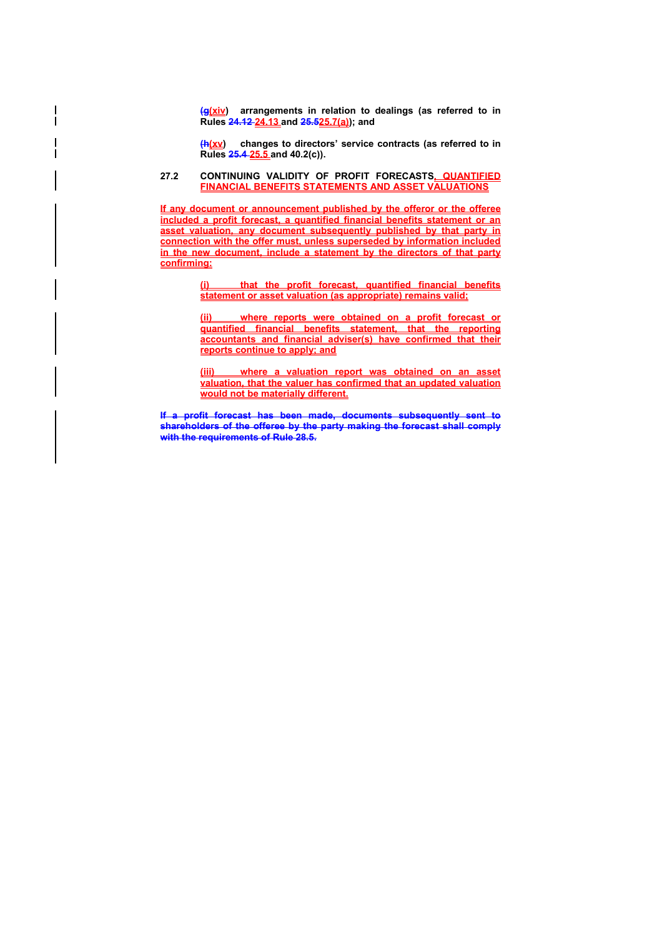**(g(xiv) arrangements in relation to dealings (as referred to in Rules 24.12 24.13 and 25.525.7(a)); and** 

**(h(xv) changes to directors' service contracts (as referred to in Rules 25.4 25.5 and 40.2(c)).** 

### **27.2 CONTINUING VALIDITY OF PROFIT FORECASTS, QUANTIFIED FINANCIAL BENEFITS STATEMENTS AND ASSET VALUATIONS**

**If any document or announcement published by the offeror or the offeree included a profit forecast, a quantified financial benefits statement or an asset valuation, any document subsequently published by that party in connection with the offer must, unless superseded by information included in the new document, include a statement by the directors of that party confirming:**

> **(i) that the profit forecast, quantified financial benefits statement or asset valuation (as appropriate) remains valid;**

> **(ii) where reports were obtained on a profit forecast or quantified financial benefits statement, that the reporting accountants and financial adviser(s) have confirmed that their reports continue to apply; and**

> **(iii) where a valuation report was obtained on an asset valuation, that the valuer has confirmed that an updated valuation would not be materially different.**

**If a profit forecast has been made, documents subsequently sent to shareholders of the offeree by the party making the forecast shall comply with the requirements of Rule 28.5.**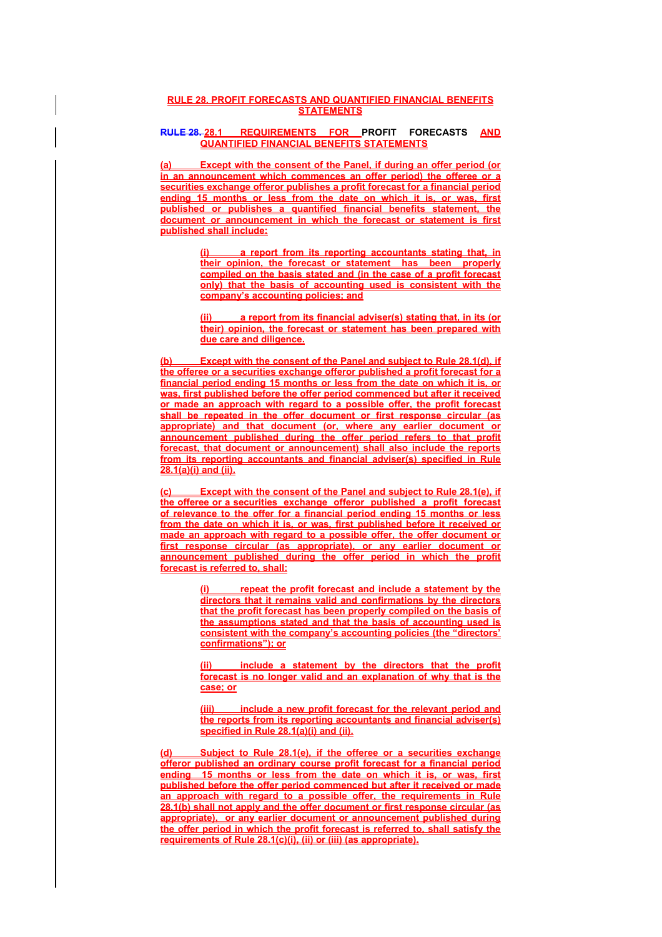## **RULE 28. PROFIT FORECASTS AND QUANTIFIED FINANCIAL BENEFITS STATEMENTS**

# **RULE 28. 28.1 REQUIREMENTS FOR PROFIT FORECASTS AND QUANTIFIED FINANCIAL BENEFITS STATEMENTS**

**(a) Except with the consent of the Panel, if during an offer period (or in an announcement which commences an offer period) the offeree or a securities exchange offeror publishes a profit forecast for a financial period ending 15 months or less from the date on which it is, or was, first published or publishes a quantified financial benefits statement, the document or announcement in which the forecast or statement is first published shall include:**

> **(i) a report from its reporting accountants stating that, in their opinion, the forecast or statement has been properly compiled on the basis stated and (in the case of a profit forecast only) that the basis of accounting used is consistent with the company's accounting policies; and**

> **(ii) a report from its financial adviser(s) stating that, in its (or their) opinion, the forecast or statement has been prepared with due care and diligence.**

**(b) Except with the consent of the Panel and subject to Rule 28.1(d), if the offeree or a securities exchange offeror published a profit forecast for a financial period ending 15 months or less from the date on which it is, or was, first published before the offer period commenced but after it received or made an approach with regard to a possible offer, the profit forecast shall be repeated in the offer document or first response circular (as appropriate) and that document (or, where any earlier document or announcement published during the offer period refers to that profit forecast, that document or announcement) shall also include the reports from its reporting accountants and financial adviser(s) specified in Rule 28.1(a)(i) and (ii).** 

**Except with the consent of the Panel and subject to Rule 28.1(e), if the offeree or a securities exchange offeror published a profit forecast of relevance to the offer for a financial period ending 15 months or less from the date on which it is, or was, first published before it received or made an approach with regard to a possible offer, the offer document or first response circular (as appropriate), or any earlier document or announcement published during the offer period in which the profit forecast is referred to, shall:**

> **(i) repeat the profit forecast and include a statement by the directors that it remains valid and confirmations by the directors that the profit forecast has been properly compiled on the basis of the assumptions stated and that the basis of accounting used is consistent with the company's accounting policies (the "directors' confirmations"); or**

> **(ii) include a statement by the directors that the profit forecast is no longer valid and an explanation of why that is the case; or**

> **(iii) include a new profit forecast for the relevant period and the reports from its reporting accountants and financial adviser(s) specified in Rule 28.1(a)(i) and (ii).**

**Subject to Rule 28.1(e), if the offeree or a securities exchange offeror published an ordinary course profit forecast for a financial period ending 15 months or less from the date on which it is, or was, first published before the offer period commenced but after it received or made an approach with regard to a possible offer, the requirements in Rule 28.1(b) shall not apply and the offer document or first response circular (as appropriate), or any earlier document or announcement published during the offer period in which the profit forecast is referred to, shall satisfy the requirements of Rule 28.1(c)(i), (ii) or (iii) (as appropriate).**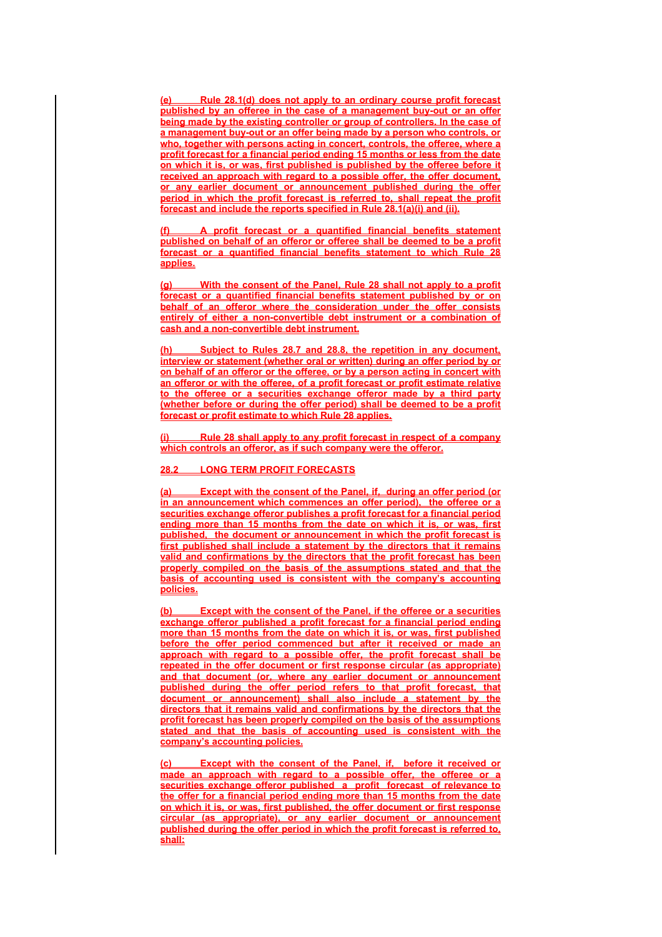**(e) Rule 28.1(d) does not apply to an ordinary course profit forecast published by an offeree in the case of a management buy-out or an offer being made by the existing controller or group of controllers. In the case of a management buy-out or an offer being made by a person who controls, or who, together with persons acting in concert, controls, the offeree, where a profit forecast for a financial period ending 15 months or less from the date on which it is, or was, first published is published by the offeree before it received an approach with regard to a possible offer, the offer document, or any earlier document or announcement published during the offer period in which the profit forecast is referred to, shall repeat the profit forecast and include the reports specified in Rule 28.1(a)(i) and (ii).**

**(f) A profit forecast or a quantified financial benefits statement published on behalf of an offeror or offeree shall be deemed to be a profit forecast or a quantified financial benefits statement to which Rule 28 applies.**

**(g) With the consent of the Panel, Rule 28 shall not apply to a profit forecast or a quantified financial benefits statement published by or on behalf of an offeror where the consideration under the offer consists entirely of either a non-convertible debt instrument or a combination of cash and a non-convertible debt instrument.**

**(h) Subject to Rules 28.7 and 28.8, the repetition in any document, interview or statement (whether oral or written) during an offer period by or on behalf of an offeror or the offeree, or by a person acting in concert with an offeror or with the offeree, of a profit forecast or profit estimate relative to the offeree or a securities exchange offeror made by a third party (whether before or during the offer period) shall be deemed to be a profit forecast or profit estimate to which Rule 28 applies.**

**(i) Rule 28 shall apply to any profit forecast in respect of a company which controls an offeror, as if such company were the offeror.**

# **28.2 LONG TERM PROFIT FORECASTS**

**(a) Except with the consent of the Panel, if, during an offer period (or in an announcement which commences an offer period), the offeree or a securities exchange offeror publishes a profit forecast for a financial period ending more than 15 months from the date on which it is, or was, first published, the document or announcement in which the profit forecast is first published shall include a statement by the directors that it remains valid and confirmations by the directors that the profit forecast has been properly compiled on the basis of the assumptions stated and that the basis of accounting used is consistent with the company's accounting policies.** 

**(b) Except with the consent of the Panel, if the offeree or a securities exchange offeror published a profit forecast for a financial period ending more than 15 months from the date on which it is, or was, first published before the offer period commenced but after it received or made an approach with regard to a possible offer, the profit forecast shall be repeated in the offer document or first response circular (as appropriate) and that document (or, where any earlier document or announcement published during the offer period refers to that profit forecast, that document or announcement) shall also include a statement by the directors that it remains valid and confirmations by the directors that the profit forecast has been properly compiled on the basis of the assumptions stated and that the basis of accounting used is consistent with the company's accounting policies.** 

**(c) Except with the consent of the Panel, if, before it received or made an approach with regard to a possible offer, the offeree or a securities exchange offeror published a profit forecast of relevance to the offer for a financial period ending more than 15 months from the date on which it is, or was, first published, the offer document or first response circular (as appropriate), or any earlier document or announcement published during the offer period in which the profit forecast is referred to, shall:**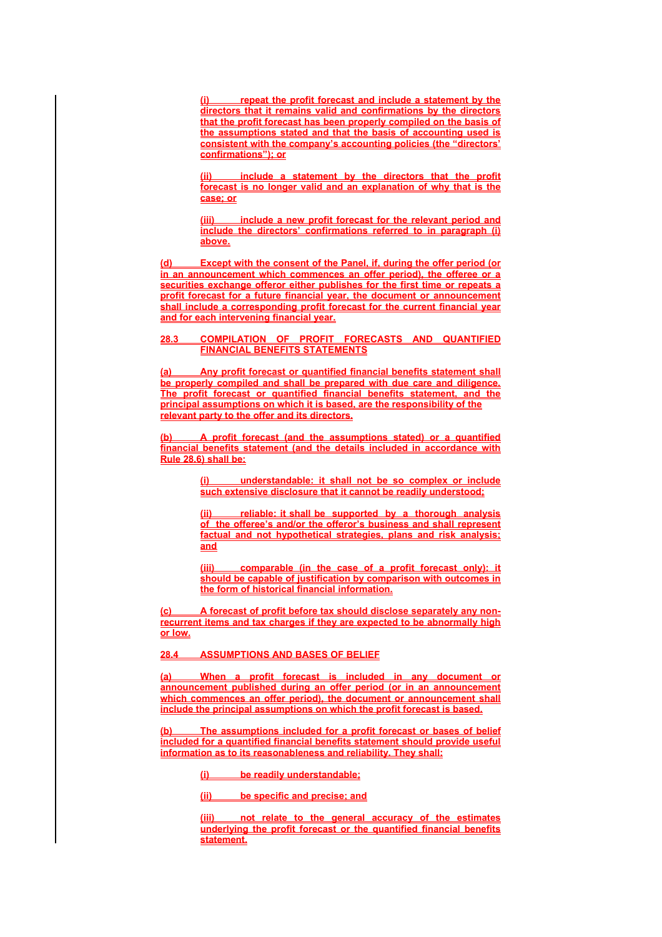**(i) repeat the profit forecast and include a statement by the directors that it remains valid and confirmations by the directors that the profit forecast has been properly compiled on the basis of the assumptions stated and that the basis of accounting used is consistent with the company's accounting policies (the "directors' confirmations"); or**

**include a statement by the directors that the profit forecast is no longer valid and an explanation of why that is the case; or**

**(iii) include a new profit forecast for the relevant period and include the directors' confirmations referred to in paragraph (i) above.**

**(d) Except with the consent of the Panel, if, during the offer period (or in an announcement which commences an offer period), the offeree or a securities exchange offeror either publishes for the first time or repeats a profit forecast for a future financial year, the document or announcement shall include a corresponding profit forecast for the current financial year and for each intervening financial year.** 

### **28.3 COMPILATION OF PROFIT FORECASTS AND QUANTIFIED FINANCIAL BENEFITS STATEMENTS**

**(a) Any profit forecast or quantified financial benefits statement shall be properly compiled and shall be prepared with due care and diligence. The profit forecast or quantified financial benefits statement, and the principal assumptions on which it is based, are the responsibility of the relevant party to the offer and its directors.** 

**(b) A profit forecast (and the assumptions stated) or a quantified financial benefits statement (and the details included in accordance with Rule 28.6) shall be:**

> **(i) understandable: it shall not be so complex or include such extensive disclosure that it cannot be readily understood;**

> **(ii) reliable: it shall be supported by a thorough analysis of the offeree's and/or the offeror's business and shall represent factual and not hypothetical strategies, plans and risk analysis; and**

> **(iii) comparable (in the case of a profit forecast only): it should be capable of justification by comparison with outcomes in the form of historical financial information.**

A forecast of profit before tax should disclose separately any non**recurrent items and tax charges if they are expected to be abnormally high or low.**

**28.4 ASSUMPTIONS AND BASES OF BELIEF**

**(a) When a profit forecast is included in any document or announcement published during an offer period (or in an announcement which commences an offer period), the document or announcement shall include the principal assumptions on which the profit forecast is based.**

**(b) The assumptions included for a profit forecast or bases of belief included for a quantified financial benefits statement should provide useful information as to its reasonableness and reliability. They shall:**

**(i) be readily understandable;**

**(ii) be specific and precise; and**

**(iii) not relate to the general accuracy of the estimates underlying the profit forecast or the quantified financial benefits statement.**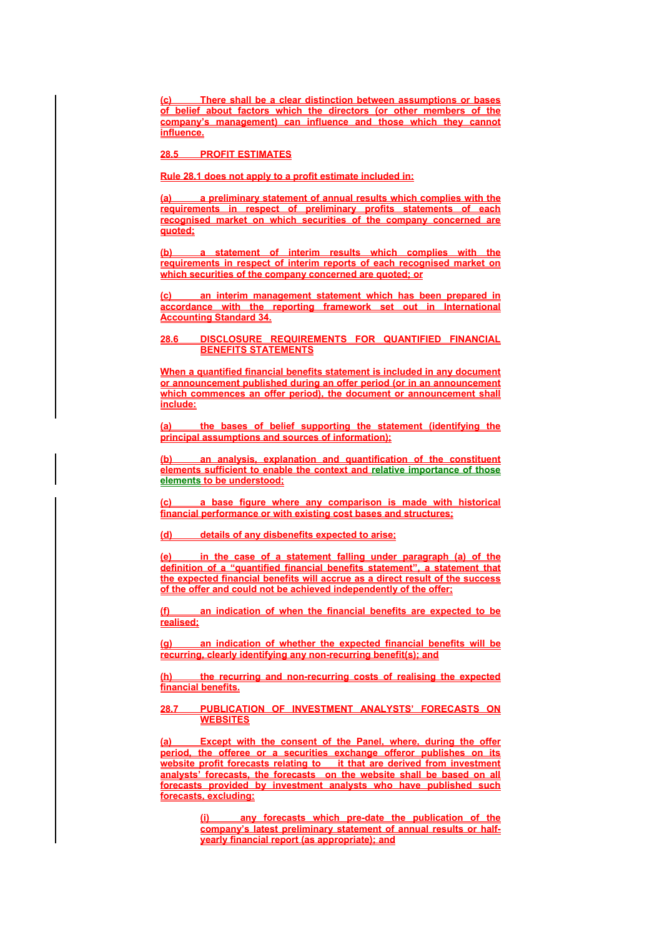**(c) There shall be a clear distinction between assumptions or bases of belief about factors which the directors (or other members of the company's management) can influence and those which they cannot influence.**

# **28.5 PROFIT ESTIMATES**

# **Rule 28.1 does not apply to a profit estimate included in:**

**(a) a preliminary statement of annual results which complies with the requirements in respect of preliminary profits statements of each recognised market on which securities of the company concerned are quoted;**

**(b) a statement of interim results which complies with the requirements in respect of interim reports of each recognised market on which securities of the company concerned are quoted; or**

**an interim management statement which has been prepared in accordance with the reporting framework set out in International Accounting Standard 34.**

### **28.6 DISCLOSURE REQUIREMENTS FOR QUANTIFIED FINANCIAL BENEFITS STATEMENTS**

**When a quantified financial benefits statement is included in any document or announcement published during an offer period (or in an announcement which commences an offer period), the document or announcement shall include:**

**(a) the bases of belief supporting the statement (identifying the principal assumptions and sources of information);**

**(b) an analysis, explanation and quantification of the constituent elements sufficient to enable the context and relative importance of those elements to be understood;**

**(c) a base figure where any comparison is made with historical financial performance or with existing cost bases and structures;**

**(d) details of any disbenefits expected to arise;**

**(e) in the case of a statement falling under paragraph (a) of the definition of a "quantified financial benefits statement", a statement that the expected financial benefits will accrue as a direct result of the success of the offer and could not be achieved independently of the offer;**

**(f) an indication of when the financial benefits are expected to be realised;**

**(g) an indication of whether the expected financial benefits will be recurring, clearly identifying any non-recurring benefit(s); and**

**(h) the recurring and non-recurring costs of realising the expected financial benefits.**

### **28.7 PUBLICATION OF INVESTMENT ANALYSTS' FORECASTS ON WEBSITES**

**(a) Except with the consent of the Panel, where, during the offer period, the offeree or a securities exchange offeror publishes on its**  website profit forecasts relating to it that are derived from investment **analysts' forecasts, the forecasts on the website shall be based on all forecasts provided by investment analysts who have published such forecasts, excluding:**

> any forecasts which pre-date the publication of the **company's latest preliminary statement of annual results or halfyearly financial report (as appropriate); and**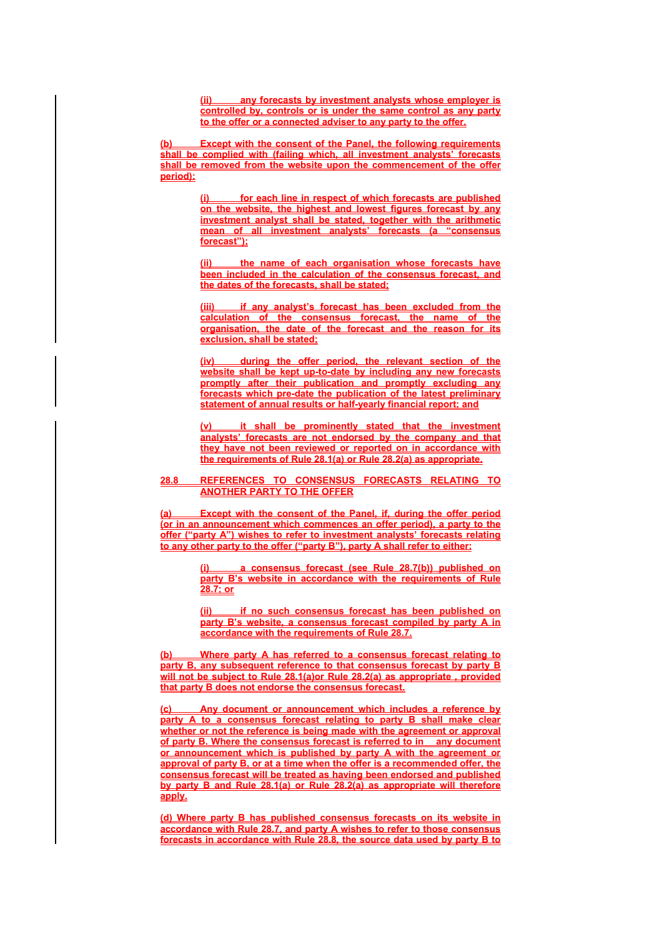**(ii) any forecasts by investment analysts whose employer is controlled by, controls or is under the same control as any party to the offer or a connected adviser to any party to the offer.**

**(b) Except with the consent of the Panel, the following requirements shall be complied with (failing which, all investment analysts' forecasts shall be removed from the website upon the commencement of the offer period):**

> for each line in respect of which forecasts are published **on the website, the highest and lowest figures forecast by any investment analyst shall be stated, together with the arithmetic mean of all investment analysts' forecasts (a "consensus forecast");**

> **(ii) the name of each organisation whose forecasts have been included in the calculation of the consensus forecast, and the dates of the forecasts, shall be stated;**

> **(iii) if any analyst's forecast has been excluded from the calculation of the consensus forecast, the name of the organisation, the date of the forecast and the reason for its exclusion, shall be stated;**

> **(iv) during the offer period, the relevant section of the website shall be kept up-to-date by including any new forecasts promptly after their publication and promptly excluding any forecasts which pre-date the publication of the latest preliminary statement of annual results or half-yearly financial report; and**

> *<u>it shall be prominently stated that the investment***</u> analysts' forecasts are not endorsed by the company and that they have not been reviewed or reported on in accordance with the requirements of Rule 28.1(a) or Rule 28.2(a) as appropriate.**

**28.8 REFERENCES TO CONSENSUS FORECASTS RELATING TO ANOTHER PARTY TO THE OFFER**

**(a) Except with the consent of the Panel, if, during the offer period (or in an announcement which commences an offer period), a party to the offer ("party A") wishes to refer to investment analysts' forecasts relating to any other party to the offer ("party B"), party A shall refer to either:**

> **(i) a consensus forecast (see Rule 28.7(b)) published on party B's website in accordance with the requirements of Rule 28.7; or**

> **(ii) if no such consensus forecast has been published on party B's website, a consensus forecast compiled by party A in accordance with the requirements of Rule 28.7.**

**(b) Where party A has referred to a consensus forecast relating to party B, any subsequent reference to that consensus forecast by party B will not be subject to Rule 28.1(a)or Rule 28.2(a) as appropriate , provided that party B does not endorse the consensus forecast.**

**(c) Any document or announcement which includes a reference by party A to a consensus forecast relating to party B shall make clear whether or not the reference is being made with the agreement or approval of party B. Where the consensus forecast is referred to in any document or announcement which is published by party A with the agreement or approval of party B, or at a time when the offer is a recommended offer, the consensus forecast will be treated as having been endorsed and published by party B and Rule 28.1(a) or Rule 28.2(a) as appropriate will therefore apply.**

**(d) Where party B has published consensus forecasts on its website in accordance with Rule 28.7, and party A wishes to refer to those consensus forecasts in accordance with Rule 28.8, the source data used by party B to**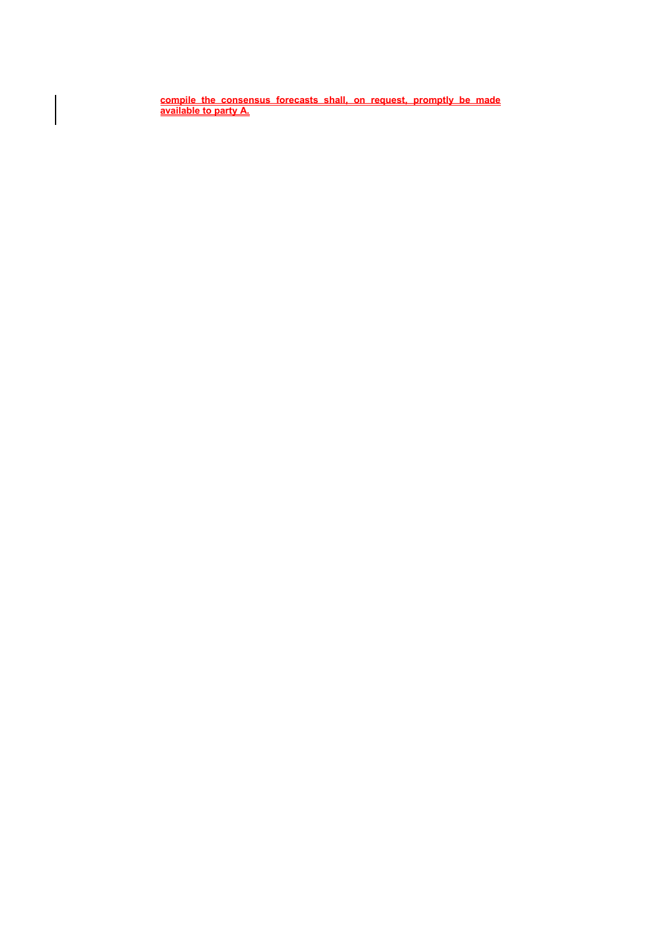**compile the consensus forecasts shall, on request, promptly be made available to party A.**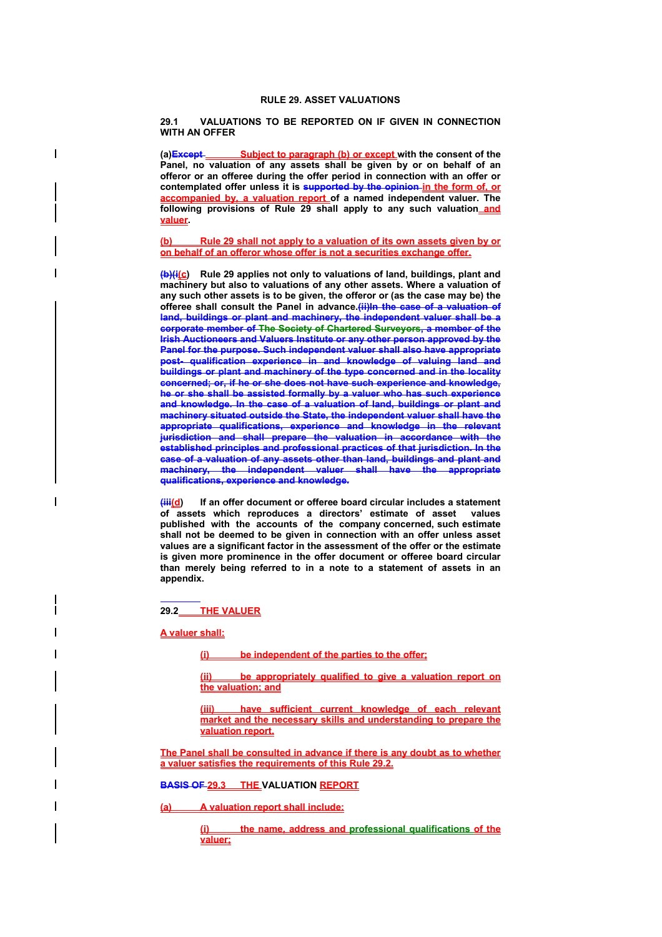### **RULE 29. ASSET VALUATIONS**

**29.1 VALUATIONS TO BE REPORTED ON IF GIVEN IN CONNECTION WITH AN OFFER** 

(a) Except Subject to paragraph (b) or except with the consent of the **Panel, no valuation of any assets shall be given by or on behalf of an offeror or an offeree during the offer period in connection with an offer or contemplated offer unless it is supported by the opinion in the form of, or accompanied by, a valuation report of a named independent valuer. The following provisions of Rule 29 shall apply to any such valuation and valuer.** 

**(b) Rule 29 shall not apply to a valuation of its own assets given by or on behalf of an offeror whose offer is not a securities exchange offer.** 

**(b)(i(c) Rule 29 applies not only to valuations of land, buildings, plant and machinery but also to valuations of any other assets. Where a valuation of any such other assets is to be given, the offeror or (as the case may be) the offeree shall consult the Panel in advance.(ii)In the case of a valuation of land, buildings or plant and machinery, the independent valuer shall be a corporate member of The Society of Chartered Surveyors, a member of the Irish Auctioneers and Valuers Institute or any other person approved by the Panel for the purpose. Such independent valuer shall also have appropriate post- qualification experience in and knowledge of valuing land and buildings or plant and machinery of the type concerned and in the locality concerned; or, if he or she does not have such experience and knowledge, he or she shall be assisted formally by a valuer who has such experience and knowledge. In the case of a valuation of land, buildings or plant and machinery situated outside the State, the independent valuer shall have the appropriate qualifications, experience and knowledge in the relevant jurisdiction and shall prepare the valuation in accordance with the established principles and professional practices of that jurisdiction. In the case of a valuation of any assets other than land, buildings and plant and machinery, the independent valuer shall have the appropriate qualifications, experience and knowledge.**

**(iii(d) If an offer document or offeree board circular includes a statement of assets which reproduces a directors' estimate of asset values published with the accounts of the company concerned, such estimate shall not be deemed to be given in connection with an offer unless asset values are a significant factor in the assessment of the offer or the estimate is given more prominence in the offer document or offeree board circular than merely being referred to in a note to a statement of assets in an appendix.** 

 **29.2 THE VALUER**

**A valuer shall:**

I

**(i) be independent of the parties to the offer;**

**(ii) be appropriately qualified to give a valuation report on the valuation; and**

**(iii) have sufficient current knowledge of each relevant market and the necessary skills and understanding to prepare the valuation report.**

**The Panel shall be consulted in advance if there is any doubt as to whether a valuer satisfies the requirements of this Rule 29.2.**

**BASIS OF 29.3 THE VALUATION REPORT**

**(a) A valuation report shall include:**

**(i) the name, address and professional qualifications of the valuer;**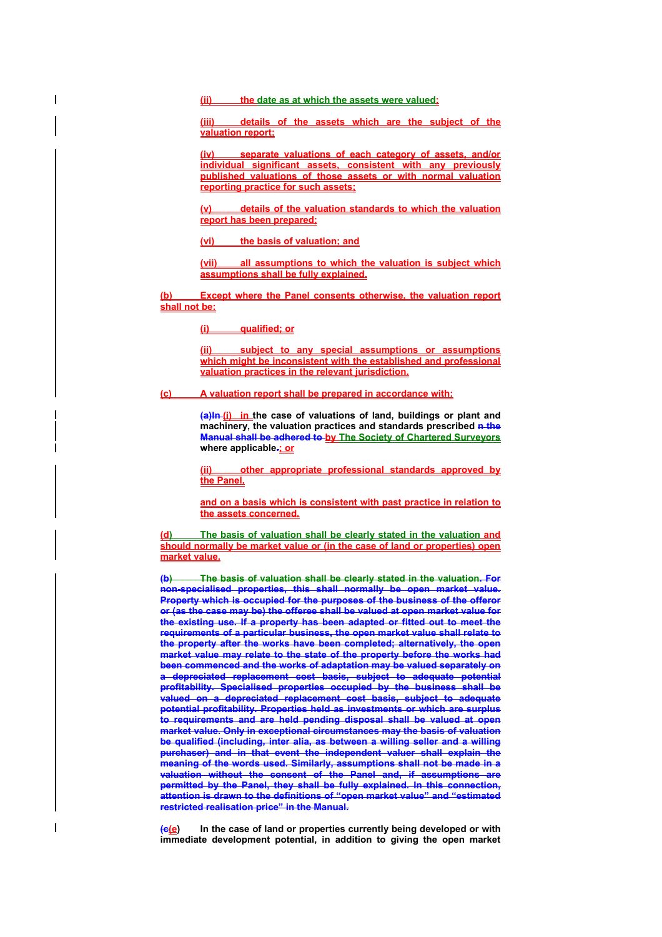**(ii) the date as at which the assets were valued;**

**(iii) details of the assets which are the subject of the valuation report;**

**(iv) separate valuations of each category of assets, and/or individual significant assets, consistent with any previously published valuations of those assets or with normal valuation reporting practice for such assets;**

**(v) details of the valuation standards to which the valuation report has been prepared;** 

**(vi) the basis of valuation; and**

**(vii) all assumptions to which the valuation is subject which assumptions shall be fully explained.** 

**(b) Except where the Panel consents otherwise, the valuation report shall not be:**

**(i) qualified; or**

**(ii) subject to any special assumptions or assumptions which might be inconsistent with the established and professional valuation practices in the relevant jurisdiction.**

**(c) A valuation report shall be prepared in accordance with:**

**(a)In (i) in the case of valuations of land, buildings or plant and**  machinery, the valuation practices and standards prescribed **n** the **Manual shall be adhered to by The Society of Chartered Surveyors** where applicable-**ior** 

**(ii) other appropriate professional standards approved by the Panel,**

**and on a basis which is consistent with past practice in relation to the assets concerned.**

**(d) The basis of valuation shall be clearly stated in the valuation and should normally be market value or (in the case of land or properties) open market value.** 

**(b) The basis of valuation shall be clearly stated in the valuation. For non-specialised properties, this shall normally be open market value. Property which is occupied for the purposes of the business of the offeror or (as the case may be) the offeree shall be valued at open market value for the existing use. If a property has been adapted or fitted out to meet the requirements of a particular business, the open market value shall relate to the property after the works have been completed; alternatively, the open market value may relate to the state of the property before the works had been commenced and the works of adaptation may be valued separately on a depreciated replacement cost basis, subject to adequate potential**  profitability. Specialised properties occupied by the business shall be **valued on a depreciated replacement cost basis, subject to adequate potential profitability. Properties held as investments or which are surplus to requirements and are held pending disposal shall be valued at open market value. Only in exceptional circumstances may the basis of valuation be qualified (including, inter alia, as between a willing seller and a willing purchaser) and in that event the independent valuer shall explain the meaning of the words used. Similarly, assumptions shall not be made in a valuation without the consent of the Panel and, if assumptions are permitted by the Panel, they shall be fully explained. In this connection, attention is drawn to the definitions of "open market value" and "estimated restricted realisation price" in the Manual.** 

**(c(e) In the case of land or properties currently being developed or with immediate development potential, in addition to giving the open market**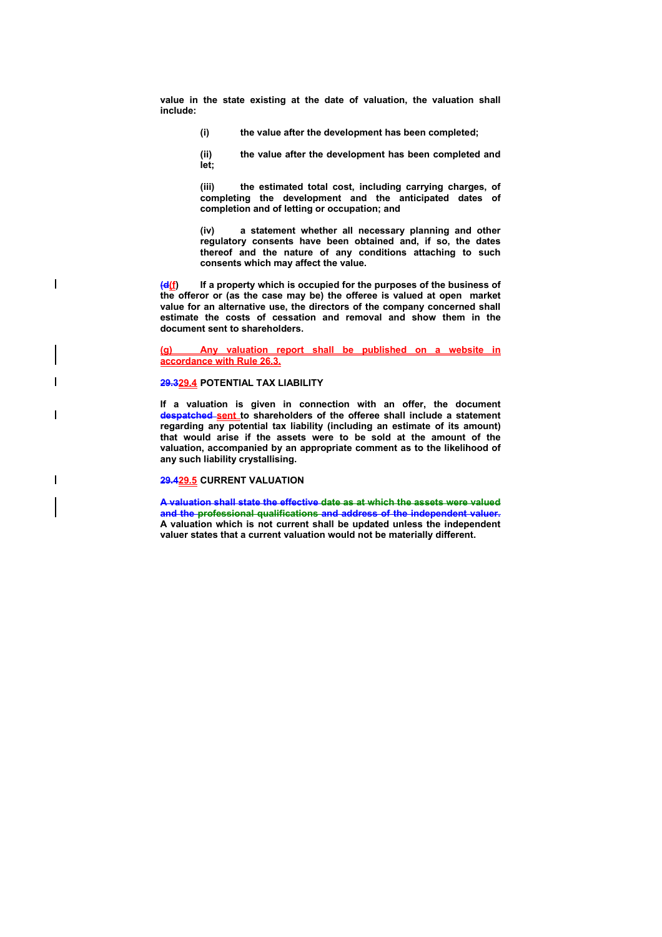**value in the state existing at the date of valuation, the valuation shall include:** 

**(i) the value after the development has been completed;** 

**(ii) the value after the development has been completed and let;** 

**(iii) the estimated total cost, including carrying charges, of completing the development and the anticipated dates of completion and of letting or occupation; and** 

**(iv) a statement whether all necessary planning and other regulatory consents have been obtained and, if so, the dates thereof and the nature of any conditions attaching to such consents which may affect the value.** 

**(d(f) If a property which is occupied for the purposes of the business of the offeror or (as the case may be) the offeree is valued at open market value for an alternative use, the directors of the company concerned shall estimate the costs of cessation and removal and show them in the document sent to shareholders.** 

**(g) Any valuation report shall be published on a website in accordance with Rule 26.3.**

### **29.329.4 POTENTIAL TAX LIABILITY**

 $\overline{\phantom{a}}$ 

 $\overline{\phantom{a}}$ 

**If a valuation is given in connection with an offer, the document despatched sent to shareholders of the offeree shall include a statement regarding any potential tax liability (including an estimate of its amount) that would arise if the assets were to be sold at the amount of the valuation, accompanied by an appropriate comment as to the likelihood of any such liability crystallising.** 

## **29.429.5 CURRENT VALUATION**

**A valuation shall state the effective date as at which the assets were valued and the professional qualifications and address of the independent valuer. A valuation which is not current shall be updated unless the independent valuer states that a current valuation would not be materially different.**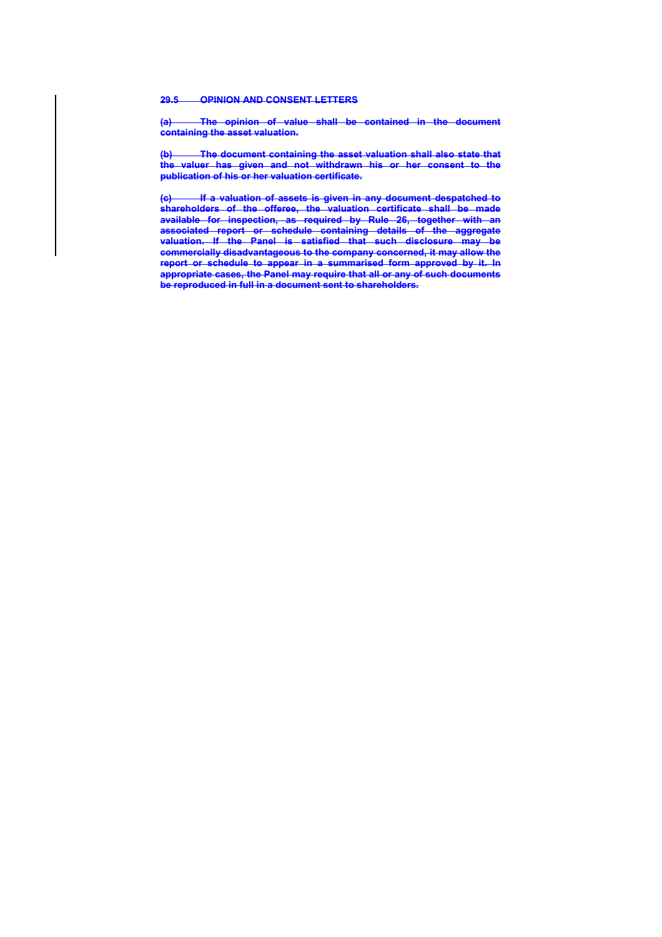#### **29.5 OPINION AND CONSENT LETTERS**

**(a) The opinion of value shall be contained in the document containing the asset valuation.** 

**(b) The document containing the asset valuation shall also state that the valuer has given and not withdrawn his or her consent to the publication of his or her valuation certificate.** 

**(c) If a valuation of assets is given in any document despatched to shareholders of the offeree, the valuation certificate shall be made available for inspection, as required by Rule 26, together with an associated report or schedule containing details of the aggregate valuation. If the Panel is satisfied that such disclosure may be commercially disadvantageous to the company concerned, it may allow the report or schedule to appear in a summarised form approved by it. In appropriate cases, the Panel may require that all or any of such documents be reproduced in full in a document sent to shareholders.**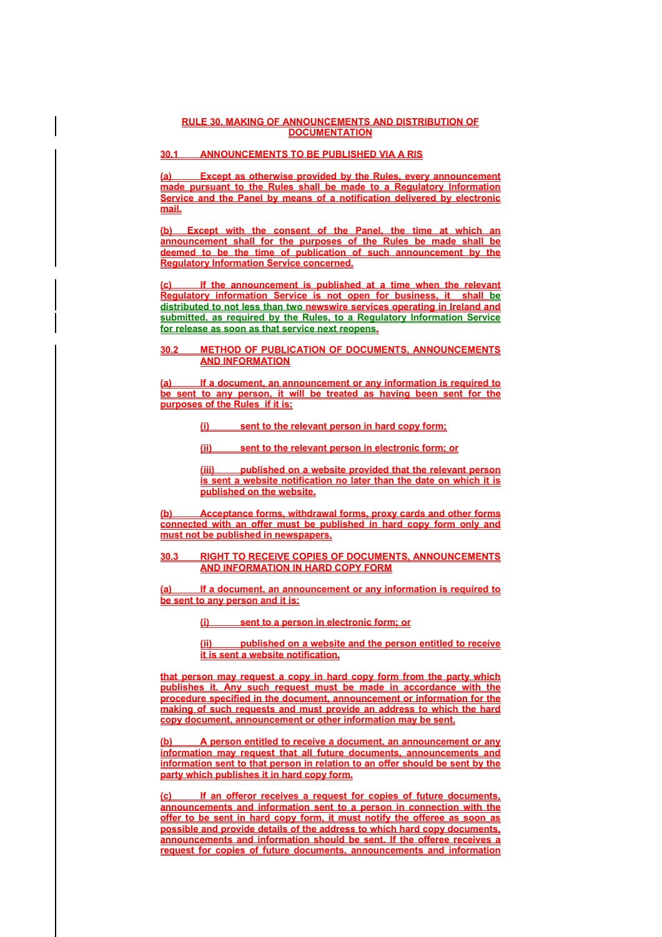### **RULE 30. MAKING OF ANNOUNCEMENTS AND DISTRIBUTION OF DOCUMENTATION**

# **30.1 ANNOUNCEMENTS TO BE PUBLISHED VIA A RIS**

**(a) Except as otherwise provided by the Rules, every announcement made pursuant to the Rules shall be made to a Regulatory Information Service and the Panel by means of a notification delivered by electronic mail.** 

**(b) Except with the consent of the Panel, the time at which an announcement shall for the purposes of the Rules be made shall be deemed to be the time of publication of such announcement by the Regulatory Information Service concerned.**

**(c) If the announcement is published at a time when the relevant Regulatory information Service is not open for business, it shall be distributed to not less than two newswire services operating in Ireland and submitted, as required by the Rules, to a Regulatory Information Service for release as soon as that service next reopens.**

## **30.2 METHOD OF PUBLICATION OF DOCUMENTS, ANNOUNCEMENTS AND INFORMATION**

**(a) If a document, an announcement or any information is required to be sent to any person, it will be treated as having been sent for the purposes of the Rules if it is:**

**(i) sent to the relevant person in hard copy form;**

**(ii) sent to the relevant person in electronic form; or**

**(iii) published on a website provided that the relevant person is sent a website notification no later than the date on which it is published on the website.**

**(b) Acceptance forms, withdrawal forms, proxy cards and other forms connected with an offer must be published in hard copy form only and must not be published in newspapers.**

**30.3 RIGHT TO RECEIVE COPIES OF DOCUMENTS, ANNOUNCEMENTS AND INFORMATION IN HARD COPY FORM**

**(a) If a document, an announcement or any information is required to be sent to any person and it is:**

**(i) sent to a person in electronic form; or**

**(ii) published on a website and the person entitled to receive it is sent a website notification,**

**that person may request a copy in hard copy form from the party which publishes it. Any such request must be made in accordance with the procedure specified in the document, announcement or information for the making of such requests and must provide an address to which the hard copy document, announcement or other information may be sent.**

**(b) A person entitled to receive a document, an announcement or any information may request that all future documents, announcements and information sent to that person in relation to an offer should be sent by the party which publishes it in hard copy form.**

**(c) If an offeror receives a request for copies of future documents, announcements and information sent to a person in connection with the offer to be sent in hard copy form, it must notify the offeree as soon as possible and provide details of the address to which hard copy documents, announcements and information should be sent. If the offeree receives a request for copies of future documents, announcements and information**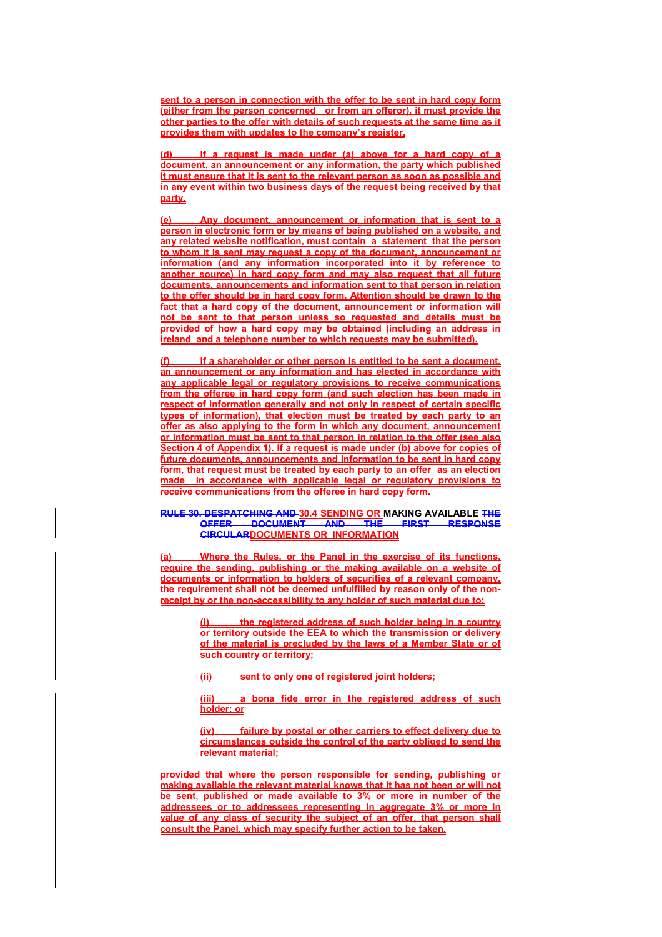**sent to a person in connection with the offer to be sent in hard copy form (either from the person concerned or from an offeror), it must provide the other parties to the offer with details of such requests at the same time as it provides them with updates to the company's register.**

If a request is made under (a) above for a hard copy of a **document, an announcement or any information, the party which published it must ensure that it is sent to the relevant person as soon as possible and in any event within two business days of the request being received by that party.**

**(e) Any document, announcement or information that is sent to a person in electronic form or by means of being published on a website, and any related website notification, must contain a statement that the person to whom it is sent may request a copy of the document, announcement or information (and any information incorporated into it by reference to another source) in hard copy form and may also request that all future documents, announcements and information sent to that person in relation to the offer should be in hard copy form. Attention should be drawn to the fact that a hard copy of the document, announcement or information will not be sent to that person unless so requested and details must be provided of how a hard copy may be obtained (including an address in Ireland and a telephone number to which requests may be submitted).**

If a shareholder or other person is entitled to be sent a document, **an announcement or any information and has elected in accordance with any applicable legal or regulatory provisions to receive communications from the offeree in hard copy form (and such election has been made in respect of information generally and not only in respect of certain specific types of information), that election must be treated by each party to an offer as also applying to the form in which any document, announcement or information must be sent to that person in relation to the offer (see also Section 4 of Appendix 1). If a request is made under (b) above for copies of future documents, announcements and information to be sent in hard copy form, that request must be treated by each party to an offer as an election made in accordance with applicable legal or regulatory provisions to receive communications from the offeree in hard copy form.**

#### **RULE 30. DESPATCHING AND 30.4 SENDING OR MAKING AVAILABLE THE OFFER DOCUMENT AND THE FIRST RESPONSE CIRCULARDOCUMENTS OR INFORMATION**

**(a) Where the Rules, or the Panel in the exercise of its functions, require the sending, publishing or the making available on a website of documents or information to holders of securities of a relevant company, the requirement shall not be deemed unfulfilled by reason only of the nonreceipt by or the non-accessibility to any holder of such material due to:**

> **(i) the registered address of such holder being in a country or territory outside the EEA to which the transmission or delivery of the material is precluded by the laws of a Member State or of such country or territory;**

**(ii) sent to only one of registered joint holders;**

**(iii) a bona fide error in the registered address of such holder; or**

**(iv) failure by postal or other carriers to effect delivery due to circumstances outside the control of the party obliged to send the relevant material;**

**provided that where the person responsible for sending, publishing or making available the relevant material knows that it has not been or will not be sent, published or made available to 3% or more in number of the addressees or to addressees representing in aggregate 3% or more in value of any class of security the subject of an offer, that person shall consult the Panel, which may specify further action to be taken.**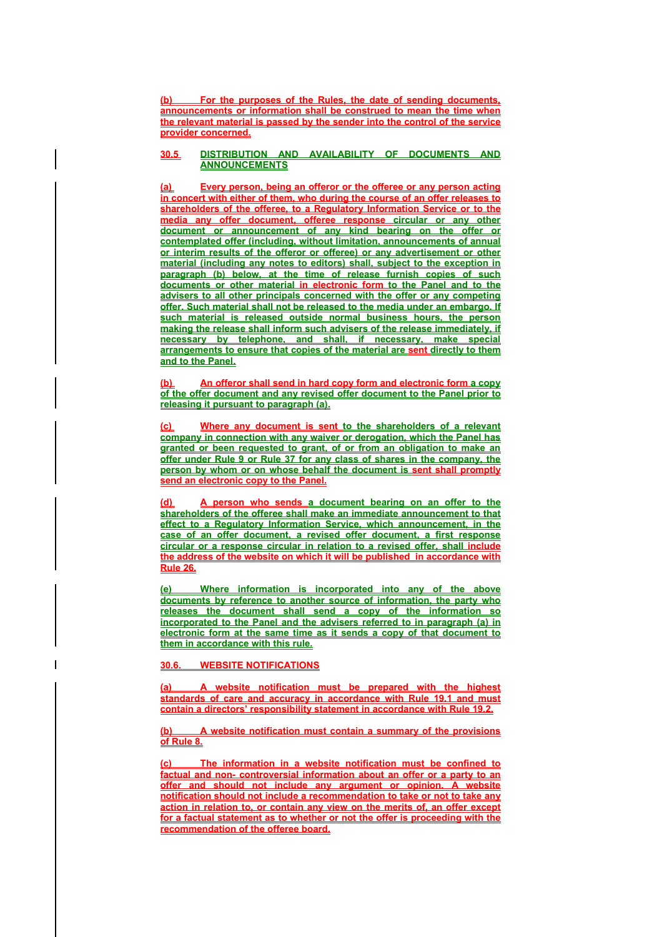**(b) For the purposes of the Rules, the date of sending documents, announcements or information shall be construed to mean the time when the relevant material is passed by the sender into the control of the service provider concerned.**

### **30.5 DISTRIBUTION AND AVAILABILITY OF DOCUMENTS AND ANNOUNCEMENTS**

**(a) Every person, being an offeror or the offeree or any person acting in concert with either of them, who during the course of an offer releases to shareholders of the offeree, to a Regulatory Information Service or to the media any offer document, offeree response circular or any other document or announcement of any kind bearing on the offer or contemplated offer (including, without limitation, announcements of annual or interim results of the offeror or offeree) or any advertisement or other material (including any notes to editors) shall, subject to the exception in paragraph (b) below, at the time of release furnish copies of such documents or other material in electronic form to the Panel and to the advisers to all other principals concerned with the offer or any competing offer. Such material shall not be released to the media under an embargo. If such material is released outside normal business hours, the person making the release shall inform such advisers of the release immediately, if necessary by telephone, and shall, if necessary, make special arrangements to ensure that copies of the material are sent directly to them and to the Panel.** 

**(b) An offeror shall send in hard copy form and electronic form a copy of the offer document and any revised offer document to the Panel prior to releasing it pursuant to paragraph (a).**

**Where any document is sent to the shareholders of a relevant company in connection with any waiver or derogation, which the Panel has granted or been requested to grant, of or from an obligation to make an offer under Rule 9 or Rule 37 for any class of shares in the company, the person by whom or on whose behalf the document is sent shall promptly send an electronic copy to the Panel.** 

**(d) A person who sends a document bearing on an offer to the shareholders of the offeree shall make an immediate announcement to that effect to a Regulatory Information Service, which announcement, in the case of an offer document, a revised offer document, a first response circular or a response circular in relation to a revised offer, shall include the address of the website on which it will be published in accordance with Rule 26.** 

**(e) Where information is incorporated into any of the above documents by reference to another source of information, the party who releases the document shall send a copy of the information so incorporated to the Panel and the advisers referred to in paragraph (a) in electronic form at the same time as it sends a copy of that document to them in accordance with this rule.**

# **30.6. WEBSITE NOTIFICATIONS**

**(a) A website notification must be prepared with the highest standards of care and accuracy in accordance with Rule 19.1 and must contain a directors' responsibility statement in accordance with Rule 19.2.** 

**(b) A website notification must contain a summary of the provisions of Rule 8.**

**(c) The information in a website notification must be confined to factual and non- controversial information about an offer or a party to an offer and should not include any argument or opinion. A website notification should not include a recommendation to take or not to take any action in relation to, or contain any view on the merits of, an offer except for a factual statement as to whether or not the offer is proceeding with the recommendation of the offeree board.**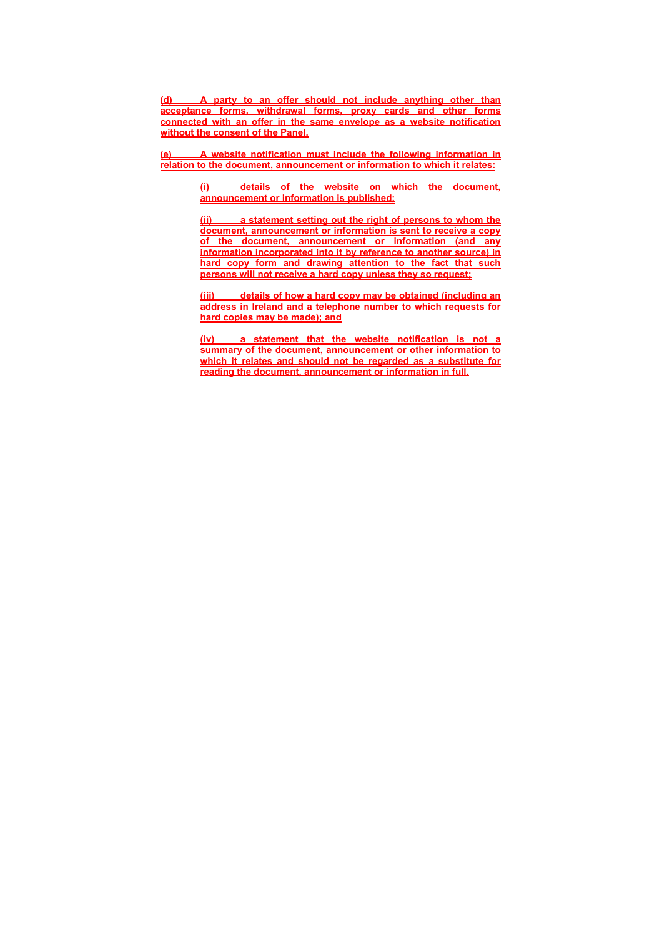**(d) A party to an offer should not include anything other than acceptance forms, withdrawal forms, proxy cards and other forms connected with an offer in the same envelope as a website notification without the consent of the Panel.**

**(e) A website notification must include the following information in relation to the document, announcement or information to which it relates:**

> **(i) details of the website on which the document, announcement or information is published;**

> **(ii) a statement setting out the right of persons to whom the document, announcement or information is sent to receive a copy of the document, announcement or information (and any information incorporated into it by reference to another source) in hard copy form and drawing attention to the fact that such persons will not receive a hard copy unless they so request;**

> **(iii) details of how a hard copy may be obtained (including an address in Ireland and a telephone number to which requests for hard copies may be made); and**

> **(iv) a statement that the website notification is not a summary of the document, announcement or other information to which it relates and should not be regarded as a substitute for reading the document, announcement or information in full.**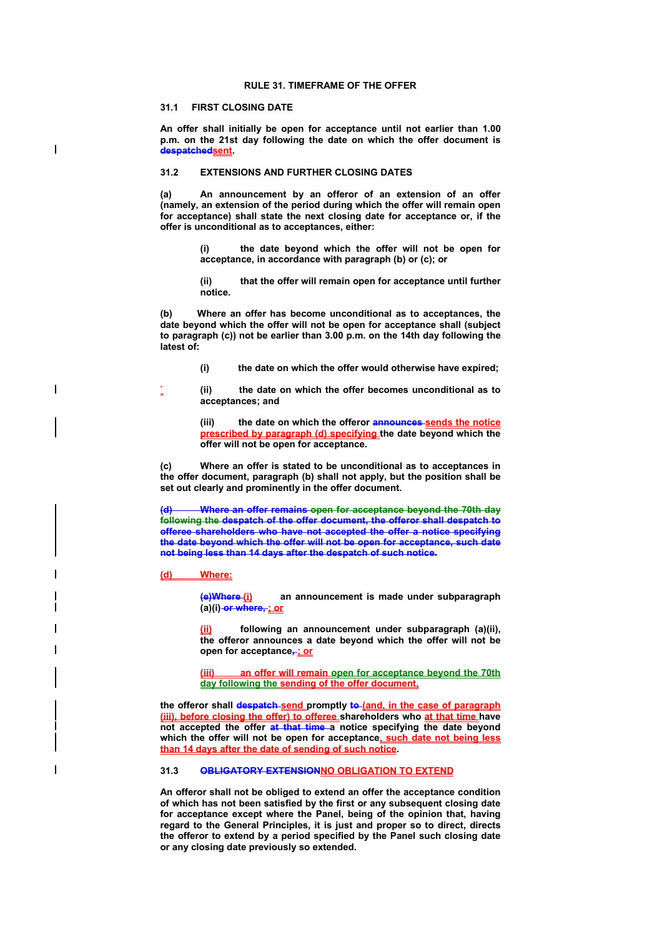#### **RULE 31. TIMEFRAME OF THE OFFER**

# **31.1 FIRST CLOSING DATE**

 $\overline{\phantom{a}}$ 

 $\overline{\phantom{a}}$ 

**An offer shall initially be open for acceptance until not earlier than 1.00 p.m. on the 21st day following the date on which the offer document is despatchedsent.** 

#### **31.2 EXTENSIONS AND FURTHER CLOSING DATES**

**(a) An announcement by an offeror of an extension of an offer (namely, an extension of the period during which the offer will remain open for acceptance) shall state the next closing date for acceptance or, if the offer is unconditional as to acceptances, either:** 

> **(i) the date beyond which the offer will not be open for acceptance, in accordance with paragraph (b) or (c); or**

> **(ii) that the offer will remain open for acceptance until further notice.**

**(b) Where an offer has become unconditional as to acceptances, the date beyond which the offer will not be open for acceptance shall (subject to paragraph (c)) not be earlier than 3.00 p.m. on the 14th day following the latest of:** 

**(i) the date on which the offer would otherwise have expired;** 

**` (ii) the date on which the offer becomes unconditional as to acceptances; and** 

**(iii) the date on which the offeror announces sends the notice prescribed by paragraph (d) specifying the date beyond which the offer will not be open for acceptance.** 

**(c) Where an offer is stated to be unconditional as to acceptances in the offer document, paragraph (b) shall not apply, but the position shall be set out clearly and prominently in the offer document.** 

**(d) Where an offer remains open for acceptance beyond the 70th day following the despatch of the offer document, the offeror shall despatch to offeree shareholders who have not accepted the offer a notice specifying the date beyond which the offer will not be open for acceptance, such date not being less than 14 days after the despatch of such notice.** 

**(d) Where:**

**(e)Where (i) an announcement is made under subparagraph (a)(i) or where, ; or** 

following an announcement under subparagraph (a)(ii), **the offeror announces a date beyond which the offer will not be** open for acceptance<sub></sub>; or

an offer will remain open for acceptance beyond the 70th **day following the sending of the offer document,** 

the offeror shall despatch send promptly to (and, in the case of paragraph **(iii), before closing the offer) to offeree shareholders who at that time have not accepted the offer at that time a notice specifying the date beyond which the offer will not be open for acceptance, such date not being less than 14 days after the date of sending of such notice.** 

## **31.3 OBLIGATORY EXTENSIONNO OBLIGATION TO EXTEND**

**An offeror shall not be obliged to extend an offer the acceptance condition of which has not been satisfied by the first or any subsequent closing date for acceptance except where the Panel, being of the opinion that, having regard to the General Principles, it is just and proper so to direct, directs the offeror to extend by a period specified by the Panel such closing date or any closing date previously so extended.**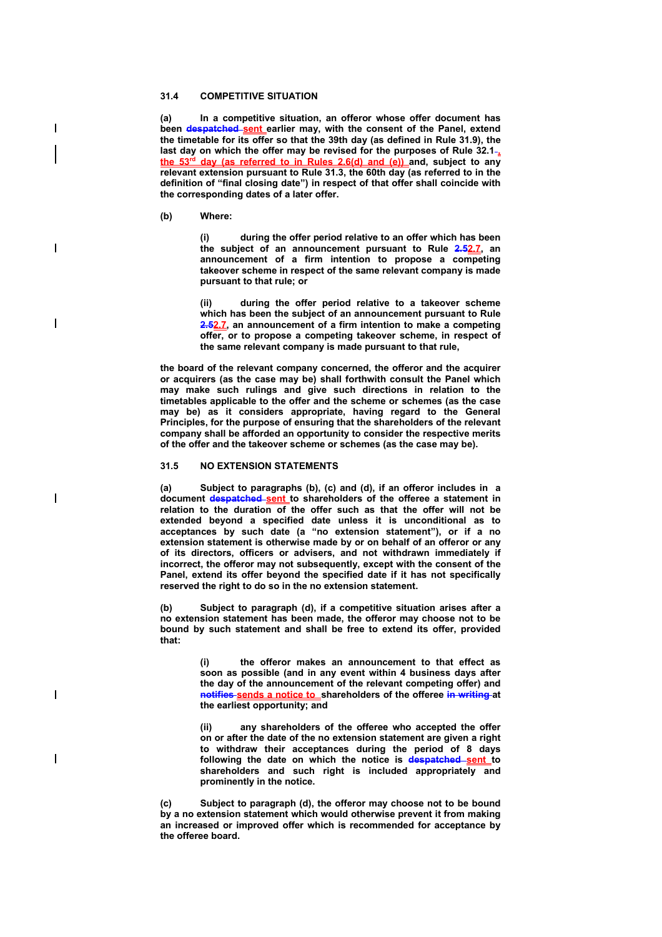### **31.4 COMPETITIVE SITUATION**

**(a) In a competitive situation, an offeror whose offer document has been despatched sent earlier may, with the consent of the Panel, extend the timetable for its offer so that the 39th day (as defined in Rule 31.9), the**  last day on which the offer may be revised for the purposes of Rule 32.1<sup>-</sup> **day (as referred to in Rules 2.6(d) and (e)) and, subject to any relevant extension pursuant to Rule 31.3, the 60th day (as referred to in the definition of "final closing date") in respect of that offer shall coincide with the corresponding dates of a later offer.** 

**(b) Where:** 

 $\overline{\phantom{a}}$ 

 $\overline{\phantom{a}}$ 

 $\overline{\phantom{a}}$ 

 $\overline{\phantom{a}}$ 

I

 $\overline{\phantom{a}}$ 

**(i) during the offer period relative to an offer which has been the subject of an announcement pursuant to Rule 2.52.7, an announcement of a firm intention to propose a competing takeover scheme in respect of the same relevant company is made pursuant to that rule; or** 

**(ii) during the offer period relative to a takeover scheme which has been the subject of an announcement pursuant to Rule 2.52.7, an announcement of a firm intention to make a competing offer, or to propose a competing takeover scheme, in respect of the same relevant company is made pursuant to that rule,** 

**the board of the relevant company concerned, the offeror and the acquirer or acquirers (as the case may be) shall forthwith consult the Panel which may make such rulings and give such directions in relation to the timetables applicable to the offer and the scheme or schemes (as the case may be) as it considers appropriate, having regard to the General Principles, for the purpose of ensuring that the shareholders of the relevant company shall be afforded an opportunity to consider the respective merits of the offer and the takeover scheme or schemes (as the case may be).** 

#### **31.5 NO EXTENSION STATEMENTS**

**(a) Subject to paragraphs (b), (c) and (d), if an offeror includes in a document despatched sent to shareholders of the offeree a statement in relation to the duration of the offer such as that the offer will not be extended beyond a specified date unless it is unconditional as to acceptances by such date (a "no extension statement"), or if a no extension statement is otherwise made by or on behalf of an offeror or any of its directors, officers or advisers, and not withdrawn immediately if incorrect, the offeror may not subsequently, except with the consent of the Panel, extend its offer beyond the specified date if it has not specifically reserved the right to do so in the no extension statement.** 

**(b) Subject to paragraph (d), if a competitive situation arises after a no extension statement has been made, the offeror may choose not to be bound by such statement and shall be free to extend its offer, provided that:** 

> **(i) the offeror makes an announcement to that effect as soon as possible (and in any event within 4 business days after the day of the announcement of the relevant competing offer) and notifies sends a notice to shareholders of the offeree in writing at the earliest opportunity; and**

> **(ii) any shareholders of the offeree who accepted the offer on or after the date of the no extension statement are given a right to withdraw their acceptances during the period of 8 days following the date on which the notice is despatched sent to shareholders and such right is included appropriately and prominently in the notice.**

**(c) Subject to paragraph (d), the offeror may choose not to be bound by a no extension statement which would otherwise prevent it from making an increased or improved offer which is recommended for acceptance by the offeree board.**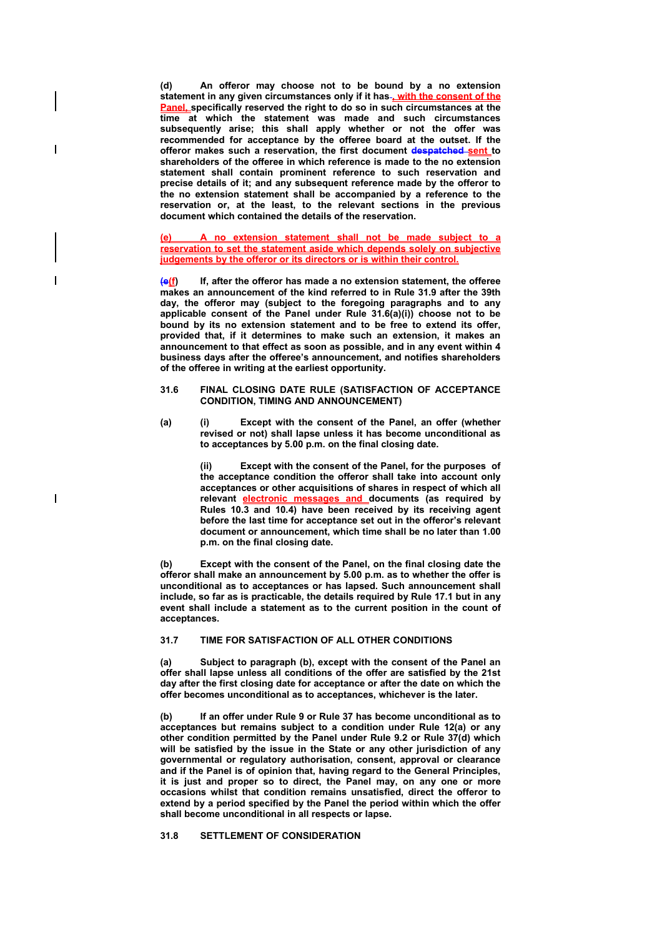**(d) An offeror may choose not to be bound by a no extension statement in any given circumstances only if it has , with the consent of the Panel, specifically reserved the right to do so in such circumstances at the time at which the statement was made and such circumstances subsequently arise; this shall apply whether or not the offer was recommended for acceptance by the offeree board at the outset. If the offeror makes such a reservation, the first document despatched sent to shareholders of the offeree in which reference is made to the no extension statement shall contain prominent reference to such reservation and precise details of it; and any subsequent reference made by the offeror to the no extension statement shall be accompanied by a reference to the reservation or, at the least, to the relevant sections in the previous document which contained the details of the reservation.** 

**(e) A no extension statement shall not be made subject to a reservation to set the statement aside which depends solely on subjective judgements by the offeror or its directors or is within their control.**

**(e(f) If, after the offeror has made a no extension statement, the offeree makes an announcement of the kind referred to in Rule 31.9 after the 39th day, the offeror may (subject to the foregoing paragraphs and to any applicable consent of the Panel under Rule 31.6(a)(i)) choose not to be bound by its no extension statement and to be free to extend its offer, provided that, if it determines to make such an extension, it makes an announcement to that effect as soon as possible, and in any event within 4 business days after the offeree's announcement, and notifies shareholders of the offeree in writing at the earliest opportunity.** 

#### **31.6 FINAL CLOSING DATE RULE (SATISFACTION OF ACCEPTANCE CONDITION, TIMING AND ANNOUNCEMENT)**

**(a) (i) Except with the consent of the Panel, an offer (whether revised or not) shall lapse unless it has become unconditional as to acceptances by 5.00 p.m. on the final closing date.** 

> **(ii) Except with the consent of the Panel, for the purposes of the acceptance condition the offeror shall take into account only acceptances or other acquisitions of shares in respect of which all relevant electronic messages and documents (as required by Rules 10.3 and 10.4) have been received by its receiving agent before the last time for acceptance set out in the offeror's relevant document or announcement, which time shall be no later than 1.00 p.m. on the final closing date.**

**(b) Except with the consent of the Panel, on the final closing date the offeror shall make an announcement by 5.00 p.m. as to whether the offer is unconditional as to acceptances or has lapsed. Such announcement shall include, so far as is practicable, the details required by Rule 17.1 but in any event shall include a statement as to the current position in the count of acceptances.** 

### **31.7 TIME FOR SATISFACTION OF ALL OTHER CONDITIONS**

**(a) Subject to paragraph (b), except with the consent of the Panel an offer shall lapse unless all conditions of the offer are satisfied by the 21st day after the first closing date for acceptance or after the date on which the offer becomes unconditional as to acceptances, whichever is the later.** 

**(b) If an offer under Rule 9 or Rule 37 has become unconditional as to acceptances but remains subject to a condition under Rule 12(a) or any other condition permitted by the Panel under Rule 9.2 or Rule 37(d) which will be satisfied by the issue in the State or any other jurisdiction of any governmental or regulatory authorisation, consent, approval or clearance and if the Panel is of opinion that, having regard to the General Principles, it is just and proper so to direct, the Panel may, on any one or more occasions whilst that condition remains unsatisfied, direct the offeror to extend by a period specified by the Panel the period within which the offer shall become unconditional in all respects or lapse.** 

### **31.8 SETTLEMENT OF CONSIDERATION**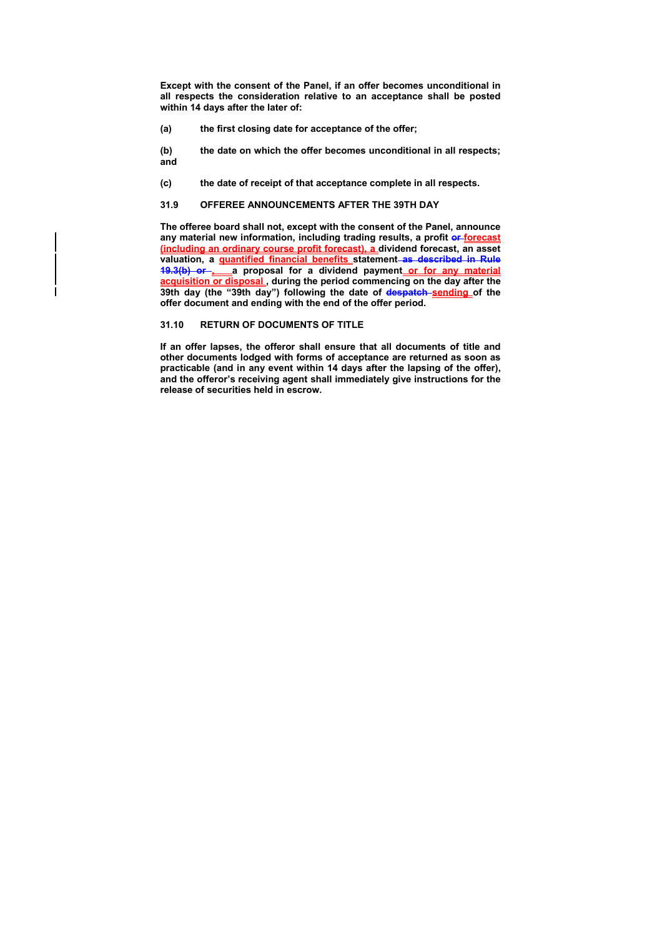**Except with the consent of the Panel, if an offer becomes unconditional in all respects the consideration relative to an acceptance shall be posted within 14 days after the later of:** 

- **(a) the first closing date for acceptance of the offer;**
- **(b) the date on which the offer becomes unconditional in all respects; and**
- **(c) the date of receipt of that acceptance complete in all respects.**

### **31.9 OFFEREE ANNOUNCEMENTS AFTER THE 39TH DAY**

**The offeree board shall not, except with the consent of the Panel, announce**  any material new information, including trading results, a profit or forecast **(including an ordinary course profit forecast), a dividend forecast, an asset valuation, a quantified financial benefits statement as described in Rule**  19.3(b) or a proposal for a dividend payment or for any material **acquisition or disposal , during the period commencing on the day after the 39th day (the "39th day") following the date of despatch sending of the offer document and ending with the end of the offer period.** 

### **31.10 RETURN OF DOCUMENTS OF TITLE**

**If an offer lapses, the offeror shall ensure that all documents of title and other documents lodged with forms of acceptance are returned as soon as practicable (and in any event within 14 days after the lapsing of the offer), and the offeror's receiving agent shall immediately give instructions for the release of securities held in escrow.**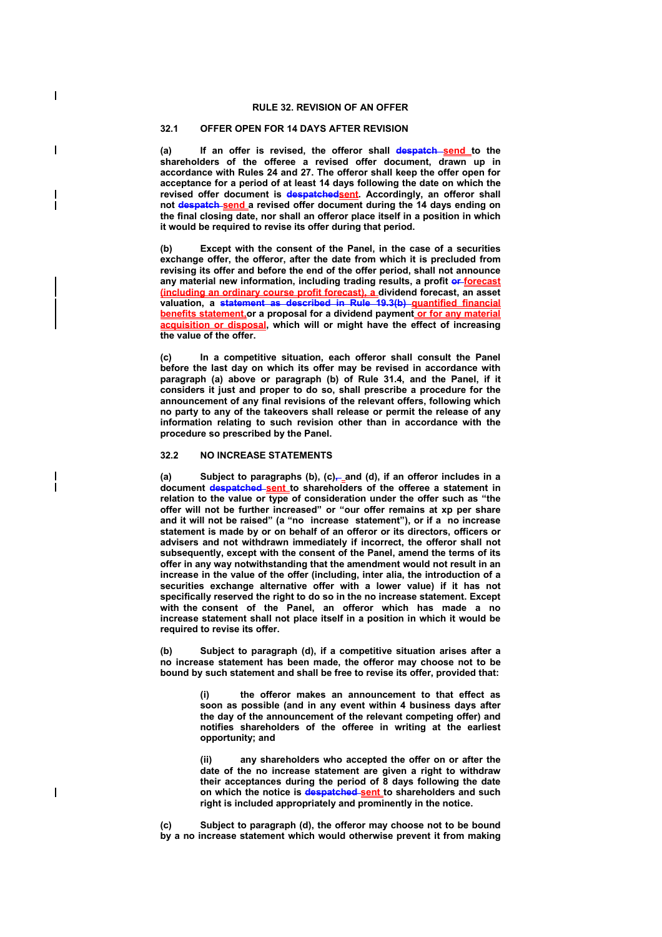### **RULE 32. REVISION OF AN OFFER**

# **32.1 OFFER OPEN FOR 14 DAYS AFTER REVISION**

 $\overline{\phantom{a}}$ 

I

 $\overline{\phantom{a}}$ 

(a) If an offer is revised, the offeror shall **despatch send** to the **shareholders of the offeree a revised offer document, drawn up in accordance with Rules 24 and 27. The offeror shall keep the offer open for acceptance for a period of at least 14 days following the date on which the revised offer document is despatchedsent. Accordingly, an offeror shall not despatch send a revised offer document during the 14 days ending on the final closing date, nor shall an offeror place itself in a position in which it would be required to revise its offer during that period.** 

**(b) Except with the consent of the Panel, in the case of a securities exchange offer, the offeror, after the date from which it is precluded from revising its offer and before the end of the offer period, shall not announce**  any material new information, including trading results, a profit or forecast **(including an ordinary course profit forecast), a dividend forecast, an asset valuation, a statement as described in Rule 19.3(b) quantified financial benefits statement,or a proposal for a dividend payment or for any material acquisition or disposal, which will or might have the effect of increasing the value of the offer.** 

**(c) In a competitive situation, each offeror shall consult the Panel before the last day on which its offer may be revised in accordance with paragraph (a) above or paragraph (b) of Rule 31.4, and the Panel, if it considers it just and proper to do so, shall prescribe a procedure for the announcement of any final revisions of the relevant offers, following which no party to any of the takeovers shall release or permit the release of any information relating to such revision other than in accordance with the procedure so prescribed by the Panel.** 

#### **32.2 NO INCREASE STATEMENTS**

(a) Subject to paragraphs (b), (c)<sub>7-a</sub> and (d), if an offeror includes in a **document despatched sent to shareholders of the offeree a statement in relation to the value or type of consideration under the offer such as "the offer will not be further increased" or "our offer remains at xp per share and it will not be raised" (a "no increase statement"), or if a no increase statement is made by or on behalf of an offeror or its directors, officers or advisers and not withdrawn immediately if incorrect, the offeror shall not subsequently, except with the consent of the Panel, amend the terms of its offer in any way notwithstanding that the amendment would not result in an increase in the value of the offer (including, inter alia, the introduction of a securities exchange alternative offer with a lower value) if it has not specifically reserved the right to do so in the no increase statement. Except with the consent of the Panel, an offeror which has made a no increase statement shall not place itself in a position in which it would be required to revise its offer.** 

**(b) Subject to paragraph (d), if a competitive situation arises after a no increase statement has been made, the offeror may choose not to be bound by such statement and shall be free to revise its offer, provided that:** 

> **(i) the offeror makes an announcement to that effect as soon as possible (and in any event within 4 business days after the day of the announcement of the relevant competing offer) and notifies shareholders of the offeree in writing at the earliest opportunity; and**

> **(ii) any shareholders who accepted the offer on or after the date of the no increase statement are given a right to withdraw their acceptances during the period of 8 days following the date on which the notice is despatched sent to shareholders and such right is included appropriately and prominently in the notice.**

**(c) Subject to paragraph (d), the offeror may choose not to be bound by a no increase statement which would otherwise prevent it from making**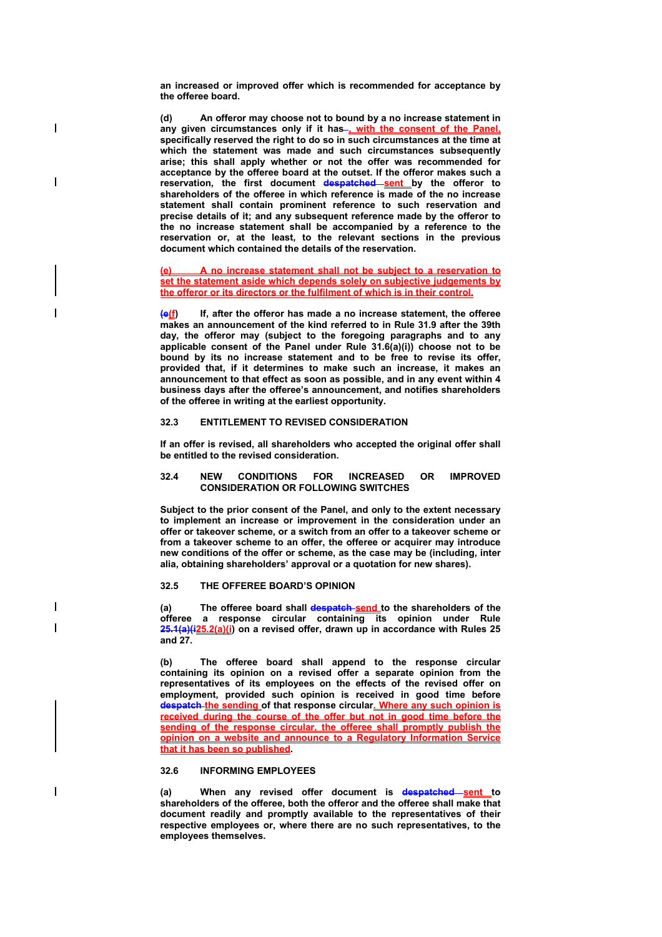**an increased or improved offer which is recommended for acceptance by the offeree board.** 

 $\overline{\phantom{a}}$ 

 $\overline{\phantom{a}}$ 

 $\overline{\phantom{a}}$ 

**(d) An offeror may choose not to bound by a no increase statement in**  any given circumstances only if it has-, with the consent of the Panel, **specifically reserved the right to do so in such circumstances at the time at which the statement was made and such circumstances subsequently arise; this shall apply whether or not the offer was recommended for acceptance by the offeree board at the outset. If the offeror makes such a reservation, the first document despatched sent by the offeror to shareholders of the offeree in which reference is made of the no increase statement shall contain prominent reference to such reservation and precise details of it; and any subsequent reference made by the offeror to the no increase statement shall be accompanied by a reference to the reservation or, at the least, to the relevant sections in the previous document which contained the details of the reservation.** 

**(e) A no increase statement shall not be subject to a reservation to set the statement aside which depends solely on subjective judgements by the offeror or its directors or the fulfilment of which is in their control.**

**(e(f) If, after the offeror has made a no increase statement, the offeree makes an announcement of the kind referred to in Rule 31.9 after the 39th day, the offeror may (subject to the foregoing paragraphs and to any applicable consent of the Panel under Rule 31.6(a)(i)) choose not to be**  bound by its no increase statement and to be free to revise its offer, **provided that, if it determines to make such an increase, it makes an announcement to that effect as soon as possible, and in any event within 4 business days after the offeree's announcement, and notifies shareholders of the offeree in writing at the earliest opportunity.** 

# **32.3 ENTITLEMENT TO REVISED CONSIDERATION**

**If an offer is revised, all shareholders who accepted the original offer shall be entitled to the revised consideration.** 

#### **32.4 NEW CONDITIONS FOR INCREASED OR IMPROVED CONSIDERATION OR FOLLOWING SWITCHES**

**Subject to the prior consent of the Panel, and only to the extent necessary to implement an increase or improvement in the consideration under an offer or takeover scheme, or a switch from an offer to a takeover scheme or from a takeover scheme to an offer, the offeree or acquirer may introduce new conditions of the offer or scheme, as the case may be (including, inter alia, obtaining shareholders' approval or a quotation for new shares).** 

# **32.5 THE OFFEREE BOARD'S OPINION**

(a) The offeree board shall **despatch send** to the shareholders of the **offeree a response circular containing its opinion under Rule 25.1(a)(i25.2(a)(i) on a revised offer, drawn up in accordance with Rules 25 and 27.** 

**(b) The offeree board shall append to the response circular containing its opinion on a revised offer a separate opinion from the representatives of its employees on the effects of the revised offer on employment, provided such opinion is received in good time before despatch the sending of that response circular. Where any such opinion is received during the course of the offer but not in good time before the sending of the response circular, the offeree shall promptly publish the opinion on a website and announce to a Regulatory Information Service that it has been so published.** 

### **32.6 INFORMING EMPLOYEES**

**(a) When any revised offer document is despatched sent to shareholders of the offeree, both the offeror and the offeree shall make that document readily and promptly available to the representatives of their respective employees or, where there are no such representatives, to the employees themselves.**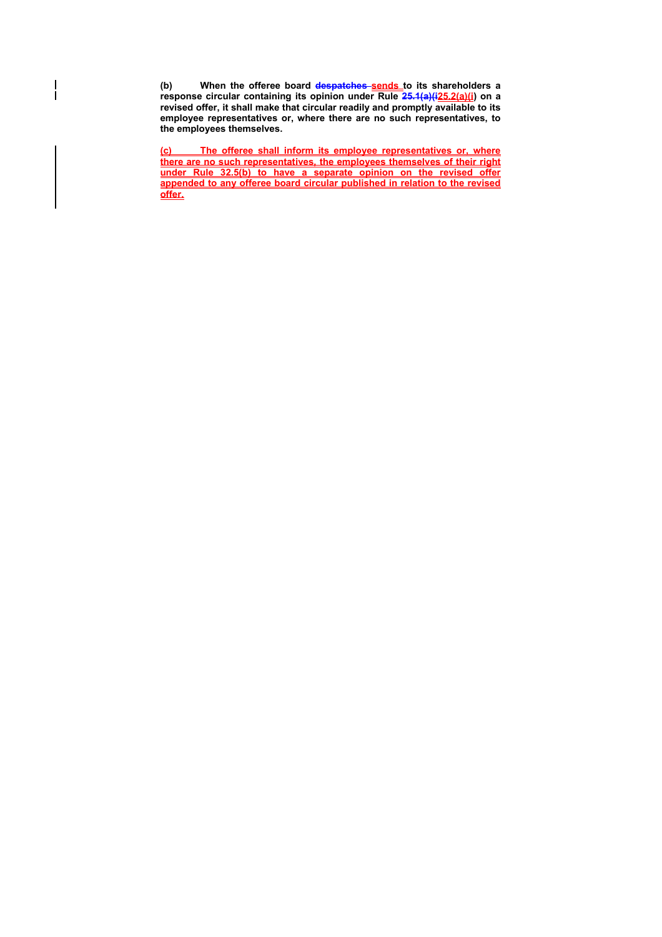(b) When the offeree board despatches sends to its shareholders a **response circular containing its opinion under Rule 25.1(a)(i25.2(a)(i) on a revised offer, it shall make that circular readily and promptly available to its employee representatives or, where there are no such representatives, to the employees themselves.** 

 $\overline{\phantom{a}}$  $\overline{\phantom{a}}$ 

> **(c) The offeree shall inform its employee representatives or, where there are no such representatives, the employees themselves of their right under Rule 32.5(b) to have a separate opinion on the revised offer appended to any offeree board circular published in relation to the revised offer.**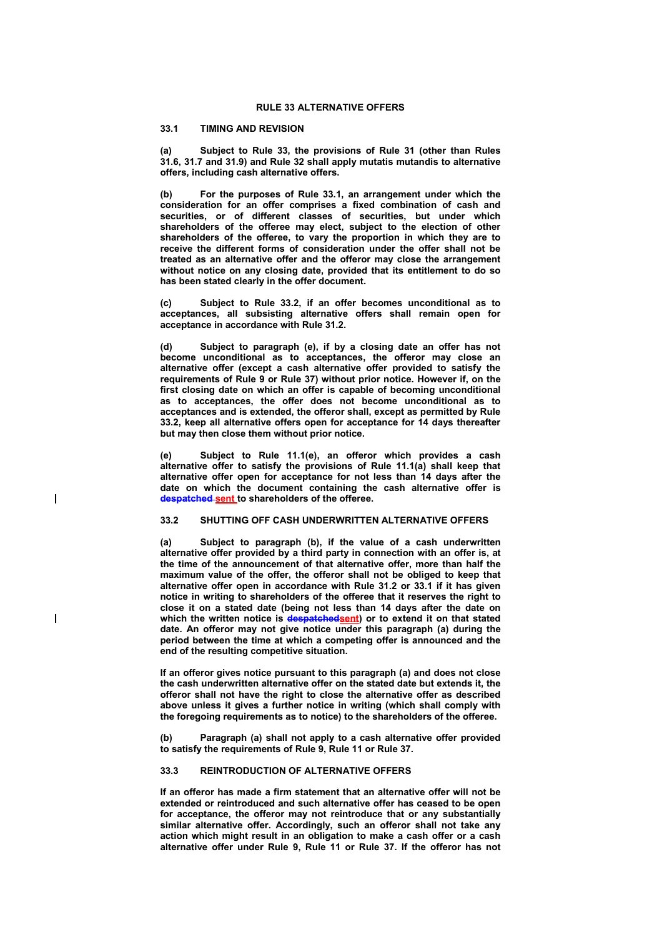# **33.1 TIMING AND REVISION**

 $\overline{\phantom{a}}$ 

 $\overline{\phantom{a}}$ 

**(a) Subject to Rule 33, the provisions of Rule 31 (other than Rules 31.6, 31.7 and 31.9) and Rule 32 shall apply mutatis mutandis to alternative offers, including cash alternative offers.** 

**(b) For the purposes of Rule 33.1, an arrangement under which the consideration for an offer comprises a fixed combination of cash and securities, or of different classes of securities, but under which shareholders of the offeree may elect, subject to the election of other shareholders of the offeree, to vary the proportion in which they are to receive the different forms of consideration under the offer shall not be treated as an alternative offer and the offeror may close the arrangement without notice on any closing date, provided that its entitlement to do so has been stated clearly in the offer document.** 

**(c) Subject to Rule 33.2, if an offer becomes unconditional as to acceptances, all subsisting alternative offers shall remain open for acceptance in accordance with Rule 31.2.** 

Subject to paragraph (e), if by a closing date an offer has not **become unconditional as to acceptances, the offeror may close an alternative offer (except a cash alternative offer provided to satisfy the requirements of Rule 9 or Rule 37) without prior notice. However if, on the first closing date on which an offer is capable of becoming unconditional as to acceptances, the offer does not become unconditional as to acceptances and is extended, the offeror shall, except as permitted by Rule 33.2, keep all alternative offers open for acceptance for 14 days thereafter but may then close them without prior notice.** 

**(e) Subject to Rule 11.1(e), an offeror which provides a cash alternative offer to satisfy the provisions of Rule 11.1(a) shall keep that alternative offer open for acceptance for not less than 14 days after the date on which the document containing the cash alternative offer is despatched sent to shareholders of the offeree.** 

# **33.2 SHUTTING OFF CASH UNDERWRITTEN ALTERNATIVE OFFERS**

**(a) Subject to paragraph (b), if the value of a cash underwritten alternative offer provided by a third party in connection with an offer is, at the time of the announcement of that alternative offer, more than half the maximum value of the offer, the offeror shall not be obliged to keep that alternative offer open in accordance with Rule 31.2 or 33.1 if it has given notice in writing to shareholders of the offeree that it reserves the right to close it on a stated date (being not less than 14 days after the date on**  which the written notice is **despatchedsent**) or to extend it on that stated date. An offeror may not give notice under this paragraph (a) during the **period between the time at which a competing offer is announced and the end of the resulting competitive situation.** 

**If an offeror gives notice pursuant to this paragraph (a) and does not close the cash underwritten alternative offer on the stated date but extends it, the offeror shall not have the right to close the alternative offer as described above unless it gives a further notice in writing (which shall comply with the foregoing requirements as to notice) to the shareholders of the offeree.** 

**(b) Paragraph (a) shall not apply to a cash alternative offer provided to satisfy the requirements of Rule 9, Rule 11 or Rule 37.** 

### **33.3 REINTRODUCTION OF ALTERNATIVE OFFERS**

**If an offeror has made a firm statement that an alternative offer will not be extended or reintroduced and such alternative offer has ceased to be open for acceptance, the offeror may not reintroduce that or any substantially similar alternative offer. Accordingly, such an offeror shall not take any action which might result in an obligation to make a cash offer or a cash alternative offer under Rule 9, Rule 11 or Rule 37. If the offeror has not**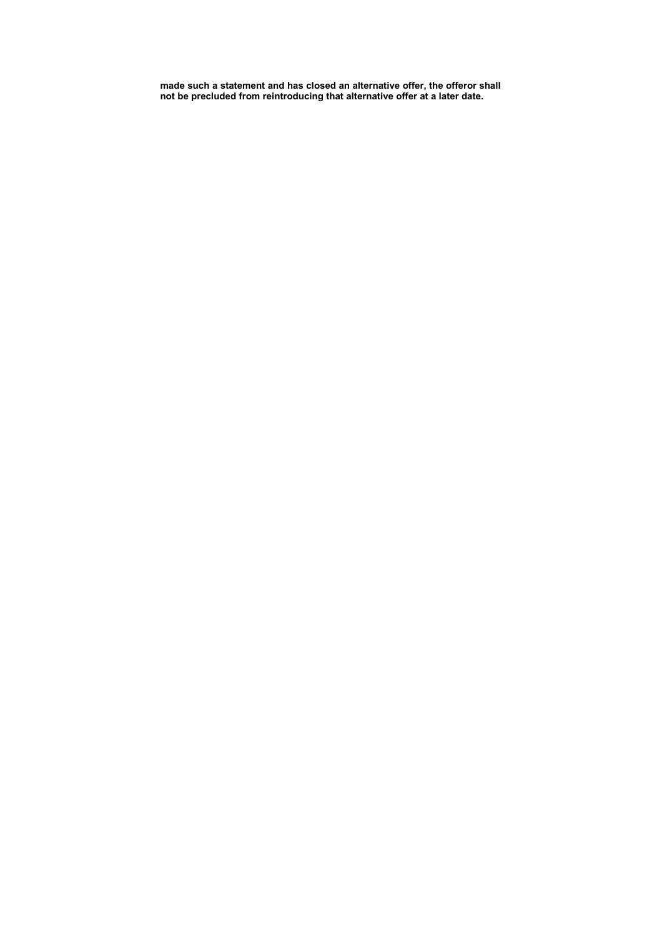**made such a statement and has closed an alternative offer, the offeror shall not be precluded from reintroducing that alternative offer at a later date.**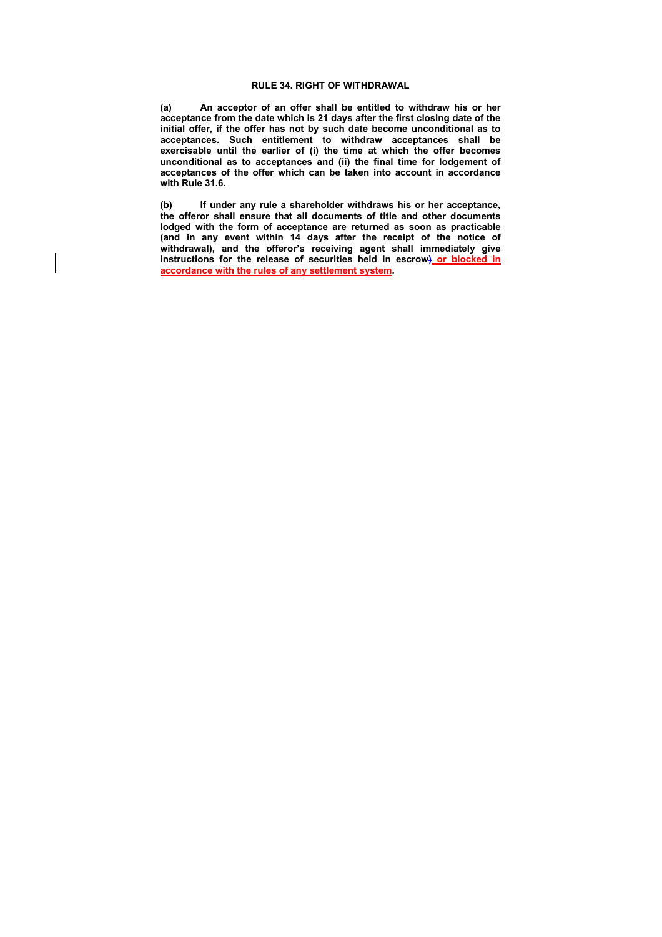## **RULE 34. RIGHT OF WITHDRAWAL**

**(a) An acceptor of an offer shall be entitled to withdraw his or her acceptance from the date which is 21 days after the first closing date of the initial offer, if the offer has not by such date become unconditional as to acceptances. Such entitlement to withdraw acceptances shall be exercisable until the earlier of (i) the time at which the offer becomes unconditional as to acceptances and (ii) the final time for lodgement of acceptances of the offer which can be taken into account in accordance with Rule 31.6.** 

**(b) If under any rule a shareholder withdraws his or her acceptance, the offeror shall ensure that all documents of title and other documents lodged with the form of acceptance are returned as soon as practicable (and in any event within 14 days after the receipt of the notice of withdrawal), and the offeror's receiving agent shall immediately give instructions for the release of securities held in escrow) or blocked in accordance with the rules of any settlement system.**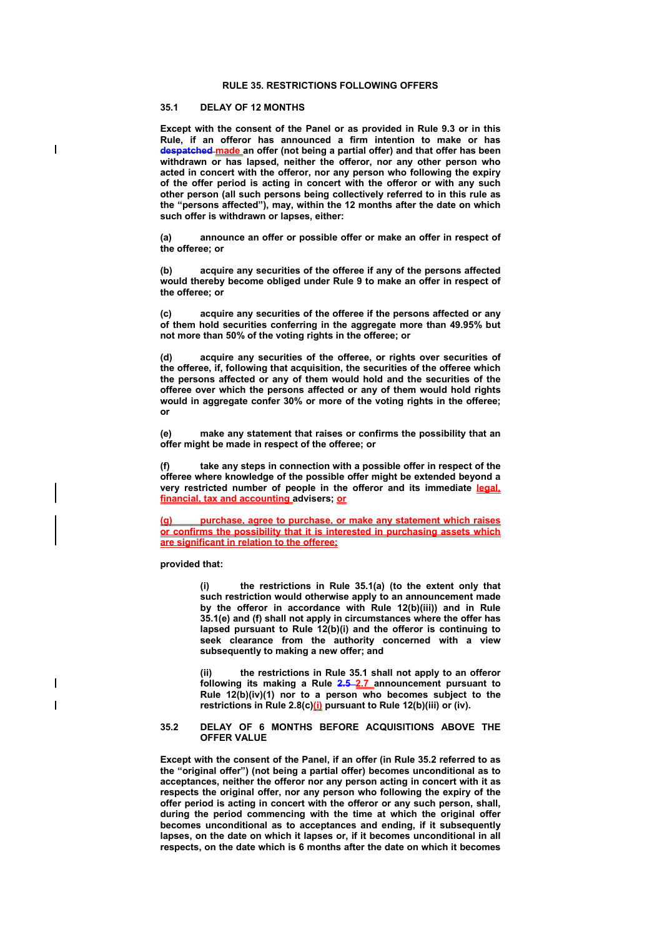### **RULE 35. RESTRICTIONS FOLLOWING OFFERS**

# **35.1 DELAY OF 12 MONTHS**

**Except with the consent of the Panel or as provided in Rule 9.3 or in this Rule, if an offeror has announced a firm intention to make or has despatched made an offer (not being a partial offer) and that offer has been withdrawn or has lapsed, neither the offeror, nor any other person who acted in concert with the offeror, nor any person who following the expiry of the offer period is acting in concert with the offeror or with any such other person (all such persons being collectively referred to in this rule as the "persons affected"), may, within the 12 months after the date on which such offer is withdrawn or lapses, either:** 

**(a) announce an offer or possible offer or make an offer in respect of the offeree; or** 

**(b) acquire any securities of the offeree if any of the persons affected would thereby become obliged under Rule 9 to make an offer in respect of the offeree; or** 

**(c) acquire any securities of the offeree if the persons affected or any of them hold securities conferring in the aggregate more than 49.95% but not more than 50% of the voting rights in the offeree; or** 

**(d) acquire any securities of the offeree, or rights over securities of the offeree, if, following that acquisition, the securities of the offeree which the persons affected or any of them would hold and the securities of the offeree over which the persons affected or any of them would hold rights would in aggregate confer 30% or more of the voting rights in the offeree; or** 

**(e) make any statement that raises or confirms the possibility that an offer might be made in respect of the offeree; or** 

**(f) take any steps in connection with a possible offer in respect of the offeree where knowledge of the possible offer might be extended beyond a very restricted number of people in the offeror and its immediate legal, financial, tax and accounting advisers; or**

**(g) purchase, agree to purchase, or make any statement which raises or confirms the possibility that it is interested in purchasing assets which are significant in relation to the offeree;**

### **provided that:**

**(i) the restrictions in Rule 35.1(a) (to the extent only that such restriction would otherwise apply to an announcement made by the offeror in accordance with Rule 12(b)(iii)) and in Rule 35.1(e) and (f) shall not apply in circumstances where the offer has lapsed pursuant to Rule 12(b)(i) and the offeror is continuing to**  seek clearance from the authority concerned with a view **subsequently to making a new offer; and** 

**(ii) the restrictions in Rule 35.1 shall not apply to an offeror following its making a Rule 2.5 2.7 announcement pursuant to Rule 12(b)(iv)(1) nor to a person who becomes subject to the**  restrictions in Rule 2.8(c)(i) pursuant to Rule 12(b)(iii) or (iv).

#### **35.2 DELAY OF 6 MONTHS BEFORE ACQUISITIONS ABOVE THE OFFER VALUE**

**Except with the consent of the Panel, if an offer (in Rule 35.2 referred to as the "original offer") (not being a partial offer) becomes unconditional as to acceptances, neither the offeror nor any person acting in concert with it as respects the original offer, nor any person who following the expiry of the offer period is acting in concert with the offeror or any such person, shall, during the period commencing with the time at which the original offer becomes unconditional as to acceptances and ending, if it subsequently lapses, on the date on which it lapses or, if it becomes unconditional in all respects, on the date which is 6 months after the date on which it becomes**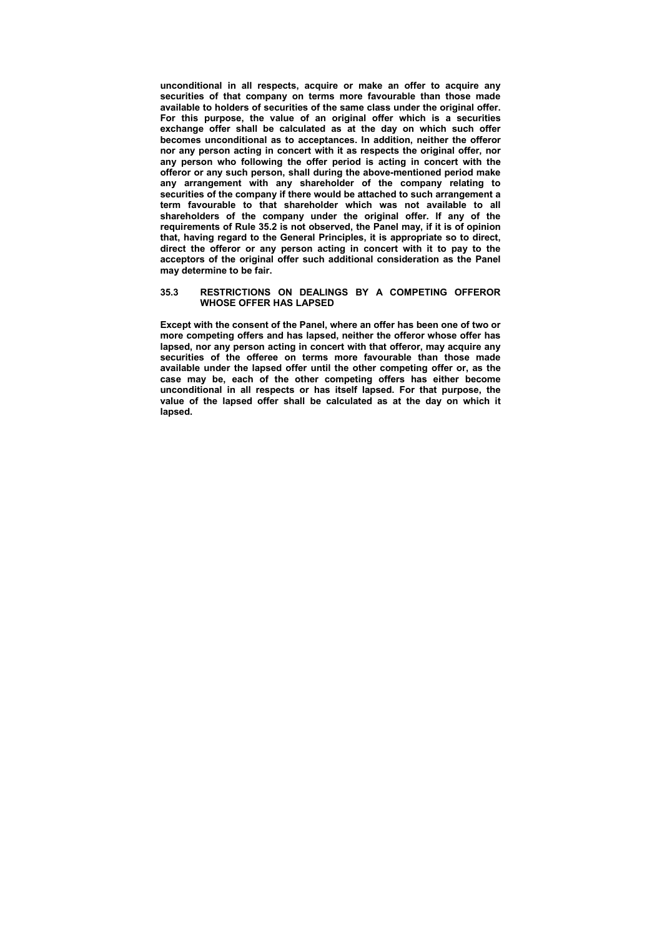**unconditional in all respects, acquire or make an offer to acquire any securities of that company on terms more favourable than those made available to holders of securities of the same class under the original offer. For this purpose, the value of an original offer which is a securities exchange offer shall be calculated as at the day on which such offer becomes unconditional as to acceptances. In addition, neither the offeror nor any person acting in concert with it as respects the original offer, nor any person who following the offer period is acting in concert with the offeror or any such person, shall during the above-mentioned period make any arrangement with any shareholder of the company relating to securities of the company if there would be attached to such arrangement a term favourable to that shareholder which was not available to all shareholders of the company under the original offer. If any of the requirements of Rule 35.2 is not observed, the Panel may, if it is of opinion that, having regard to the General Principles, it is appropriate so to direct, direct the offeror or any person acting in concert with it to pay to the acceptors of the original offer such additional consideration as the Panel may determine to be fair.** 

### **35.3 RESTRICTIONS ON DEALINGS BY A COMPETING OFFEROR WHOSE OFFER HAS LAPSED**

**Except with the consent of the Panel, where an offer has been one of two or more competing offers and has lapsed, neither the offeror whose offer has lapsed, nor any person acting in concert with that offeror, may acquire any securities of the offeree on terms more favourable than those made available under the lapsed offer until the other competing offer or, as the case may be, each of the other competing offers has either become unconditional in all respects or has itself lapsed. For that purpose, the value of the lapsed offer shall be calculated as at the day on which it lapsed.**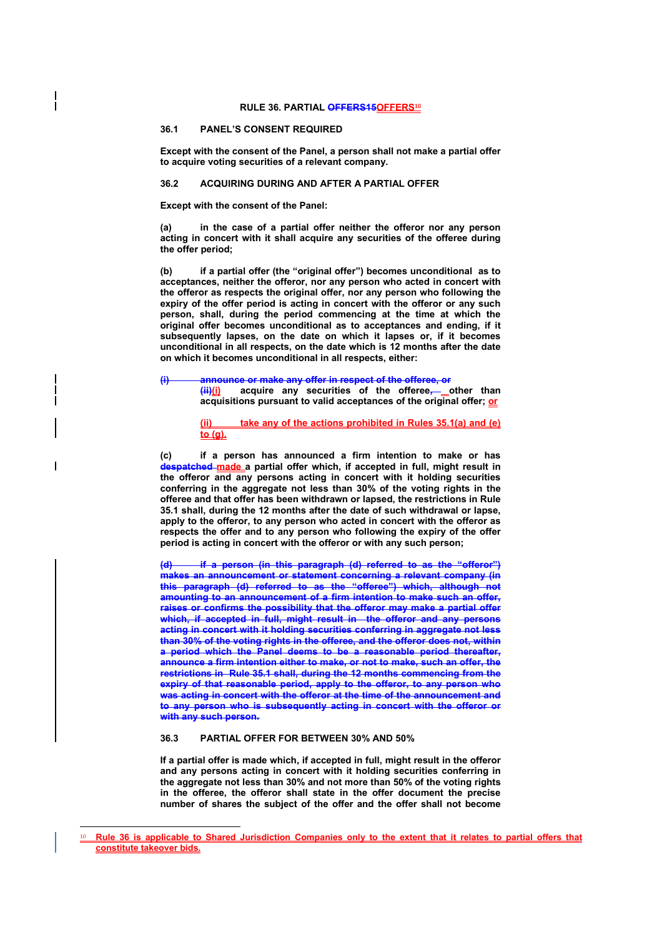# **36.1 PANEL'S CONSENT REQUIRED**

**Except with the consent of the Panel, a person shall not make a partial offer to acquire voting securities of a relevant company.** 

#### **36.2 ACQUIRING DURING AND AFTER A PARTIAL OFFER**

**Except with the consent of the Panel:** 

**(a) in the case of a partial offer neither the offeror nor any person acting in concert with it shall acquire any securities of the offeree during the offer period;** 

**(b) if a partial offer (the "original offer") becomes unconditional as to acceptances, neither the offeror, nor any person who acted in concert with the offeror as respects the original offer, nor any person who following the expiry of the offer period is acting in concert with the offeror or any such person, shall, during the period commencing at the time at which the original offer becomes unconditional as to acceptances and ending, if it subsequently lapses, on the date on which it lapses or, if it becomes unconditional in all respects, on the date which is 12 months after the date on which it becomes unconditional in all respects, either:** 

**(i) announce or make any offer in respect of the offeree, or** 

**(ii)(i) acquire any securities of the offeree, other than acquisitions pursuant to valid acceptances of the original offer; or**

**(ii) take any of the actions prohibited in Rules 35.1(a) and (e) to (g).**

**(c) if a person has announced a firm intention to make or has despatched made a partial offer which, if accepted in full, might result in the offeror and any persons acting in concert with it holding securities conferring in the aggregate not less than 30% of the voting rights in the offeree and that offer has been withdrawn or lapsed, the restrictions in Rule 35.1 shall, during the 12 months after the date of such withdrawal or lapse, apply to the offeror, to any person who acted in concert with the offeror as respects the offer and to any person who following the expiry of the offer period is acting in concert with the offeror or with any such person;** 

**(d) if a person (in this paragraph (d) referred to as the "offeror") makes an announcement or statement concerning a relevant company (in this paragraph (d) referred to as the "offeree") which, although not amounting to an announcement of a firm intention to make such an offer, raises or confirms the possibility that the offeror may make a partial offer which, if accepted in full, might result in the offeror and any persons acting in concert with it holding securities conferring in aggregate not less than 30% of the voting rights in the offeree, and the offeror does not, within a period which the Panel deems to be a reasonable period thereafter, announce a firm intention either to make, or not to make, such an offer, the restrictions in Rule 35.1 shall, during the 12 months commencing from the expiry of that reasonable period, apply to the offeror, to any person who was acting in concert with the offeror at the time of the announcement and to any person who is subsequently acting in concert with the offeror or with any such person.** 

# **36.3 PARTIAL OFFER FOR BETWEEN 30% AND 50%**

 $\overline{a}$ 

**If a partial offer is made which, if accepted in full, might result in the offeror and any persons acting in concert with it holding securities conferring in the aggregate not less than 30% and not more than 50% of the voting rights in the offeree, the offeror shall state in the offer document the precise number of shares the subject of the offer and the offer shall not become** 

<sup>10</sup> **Rule 36 is applicable to Shared Jurisdiction Companies only to the extent that it relates to partial offers that constitute takeover bids.**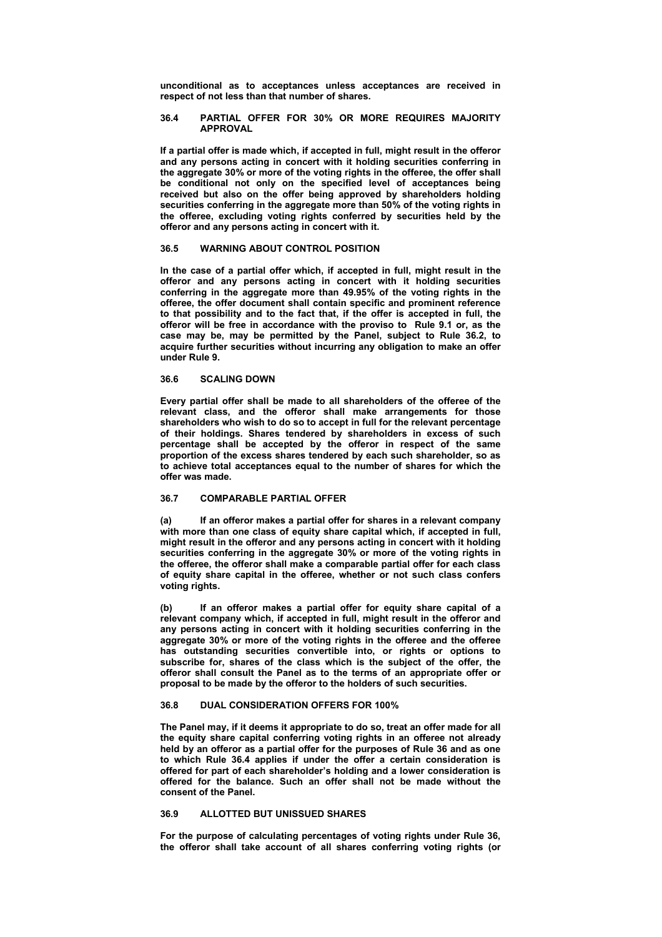**unconditional as to acceptances unless acceptances are received in respect of not less than that number of shares.** 

#### **36.4 PARTIAL OFFER FOR 30% OR MORE REQUIRES MAJORITY APPROVAL**

**If a partial offer is made which, if accepted in full, might result in the offeror and any persons acting in concert with it holding securities conferring in the aggregate 30% or more of the voting rights in the offeree, the offer shall be conditional not only on the specified level of acceptances being received but also on the offer being approved by shareholders holding securities conferring in the aggregate more than 50% of the voting rights in the offeree, excluding voting rights conferred by securities held by the offeror and any persons acting in concert with it.** 

# **36.5 WARNING ABOUT CONTROL POSITION**

**In the case of a partial offer which, if accepted in full, might result in the offeror and any persons acting in concert with it holding securities conferring in the aggregate more than 49.95% of the voting rights in the offeree, the offer document shall contain specific and prominent reference to that possibility and to the fact that, if the offer is accepted in full, the offeror will be free in accordance with the proviso to Rule 9.1 or, as the case may be, may be permitted by the Panel, subject to Rule 36.2, to acquire further securities without incurring any obligation to make an offer under Rule 9.** 

### **36.6 SCALING DOWN**

**Every partial offer shall be made to all shareholders of the offeree of the relevant class, and the offeror shall make arrangements for those shareholders who wish to do so to accept in full for the relevant percentage of their holdings. Shares tendered by shareholders in excess of such percentage shall be accepted by the offeror in respect of the same proportion of the excess shares tendered by each such shareholder, so as to achieve total acceptances equal to the number of shares for which the offer was made.** 

# **36.7 COMPARABLE PARTIAL OFFER**

**(a) If an offeror makes a partial offer for shares in a relevant company with more than one class of equity share capital which, if accepted in full, might result in the offeror and any persons acting in concert with it holding securities conferring in the aggregate 30% or more of the voting rights in the offeree, the offeror shall make a comparable partial offer for each class of equity share capital in the offeree, whether or not such class confers voting rights.** 

**(b) If an offeror makes a partial offer for equity share capital of a relevant company which, if accepted in full, might result in the offeror and any persons acting in concert with it holding securities conferring in the aggregate 30% or more of the voting rights in the offeree and the offeree has outstanding securities convertible into, or rights or options to subscribe for, shares of the class which is the subject of the offer, the offeror shall consult the Panel as to the terms of an appropriate offer or proposal to be made by the offeror to the holders of such securities.** 

### **36.8 DUAL CONSIDERATION OFFERS FOR 100%**

**The Panel may, if it deems it appropriate to do so, treat an offer made for all the equity share capital conferring voting rights in an offeree not already held by an offeror as a partial offer for the purposes of Rule 36 and as one to which Rule 36.4 applies if under the offer a certain consideration is offered for part of each shareholder's holding and a lower consideration is offered for the balance. Such an offer shall not be made without the consent of the Panel.** 

### **36.9 ALLOTTED BUT UNISSUED SHARES**

**For the purpose of calculating percentages of voting rights under Rule 36, the offeror shall take account of all shares conferring voting rights (or**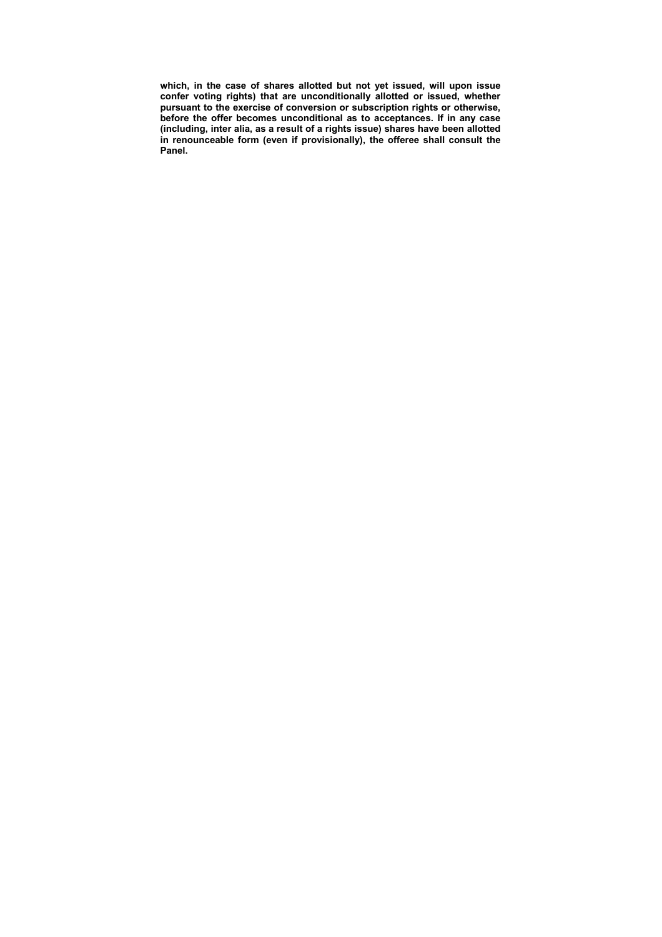**which, in the case of shares allotted but not yet issued, will upon issue confer voting rights) that are unconditionally allotted or issued, whether pursuant to the exercise of conversion or subscription rights or otherwise, before the offer becomes unconditional as to acceptances. If in any case (including, inter alia, as a result of a rights issue) shares have been allotted in renounceable form (even if provisionally), the offeree shall consult the Panel.**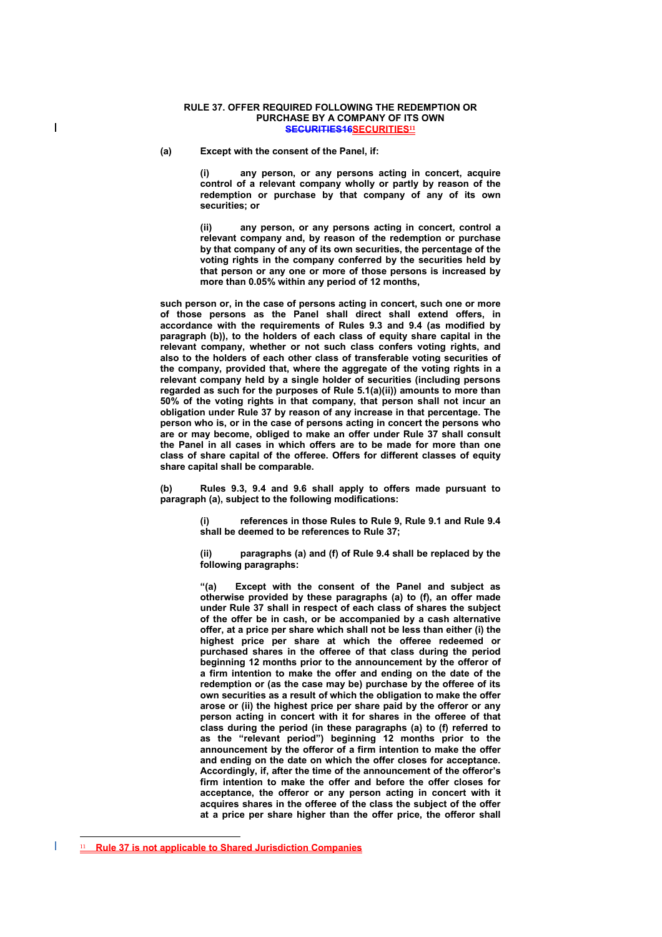### **RULE 37. OFFER REQUIRED FOLLOWING THE REDEMPTION OR PURCHASE BY A COMPANY OF ITS OWN SECURITIES16SECURITIES<sup>11</sup>**

**(a) Except with the consent of the Panel, if:** 

**(i) any person, or any persons acting in concert, acquire control of a relevant company wholly or partly by reason of the redemption or purchase by that company of any of its own securities; or** 

**(ii) any person, or any persons acting in concert, control a relevant company and, by reason of the redemption or purchase by that company of any of its own securities, the percentage of the voting rights in the company conferred by the securities held by that person or any one or more of those persons is increased by more than 0.05% within any period of 12 months,** 

**such person or, in the case of persons acting in concert, such one or more of those persons as the Panel shall direct shall extend offers, in accordance with the requirements of Rules 9.3 and 9.4 (as modified by paragraph (b)), to the holders of each class of equity share capital in the relevant company, whether or not such class confers voting rights, and also to the holders of each other class of transferable voting securities of the company, provided that, where the aggregate of the voting rights in a relevant company held by a single holder of securities (including persons regarded as such for the purposes of Rule 5.1(a)(ii)) amounts to more than 50% of the voting rights in that company, that person shall not incur an obligation under Rule 37 by reason of any increase in that percentage. The person who is, or in the case of persons acting in concert the persons who are or may become, obliged to make an offer under Rule 37 shall consult the Panel in all cases in which offers are to be made for more than one class of share capital of the offeree. Offers for different classes of equity share capital shall be comparable.** 

**(b) Rules 9.3, 9.4 and 9.6 shall apply to offers made pursuant to paragraph (a), subject to the following modifications:** 

> **(i) references in those Rules to Rule 9, Rule 9.1 and Rule 9.4 shall be deemed to be references to Rule 37;**

> **(ii) paragraphs (a) and (f) of Rule 9.4 shall be replaced by the following paragraphs:**

> **"(a) Except with the consent of the Panel and subject as otherwise provided by these paragraphs (a) to (f), an offer made under Rule 37 shall in respect of each class of shares the subject of the offer be in cash, or be accompanied by a cash alternative offer, at a price per share which shall not be less than either (i) the highest price per share at which the offeree redeemed or purchased shares in the offeree of that class during the period beginning 12 months prior to the announcement by the offeror of a firm intention to make the offer and ending on the date of the redemption or (as the case may be) purchase by the offeree of its own securities as a result of which the obligation to make the offer arose or (ii) the highest price per share paid by the offeror or any person acting in concert with it for shares in the offeree of that class during the period (in these paragraphs (a) to (f) referred to as the "relevant period") beginning 12 months prior to the announcement by the offeror of a firm intention to make the offer and ending on the date on which the offer closes for acceptance. Accordingly, if, after the time of the announcement of the offeror's firm intention to make the offer and before the offer closes for acceptance, the offeror or any person acting in concert with it acquires shares in the offeree of the class the subject of the offer at a price per share higher than the offer price, the offeror shall**

 $\overline{a}$ 

 $\overline{\phantom{a}}$ 

<sup>11</sup> **Rule 37 is not applicable to Shared Jurisdiction Companies**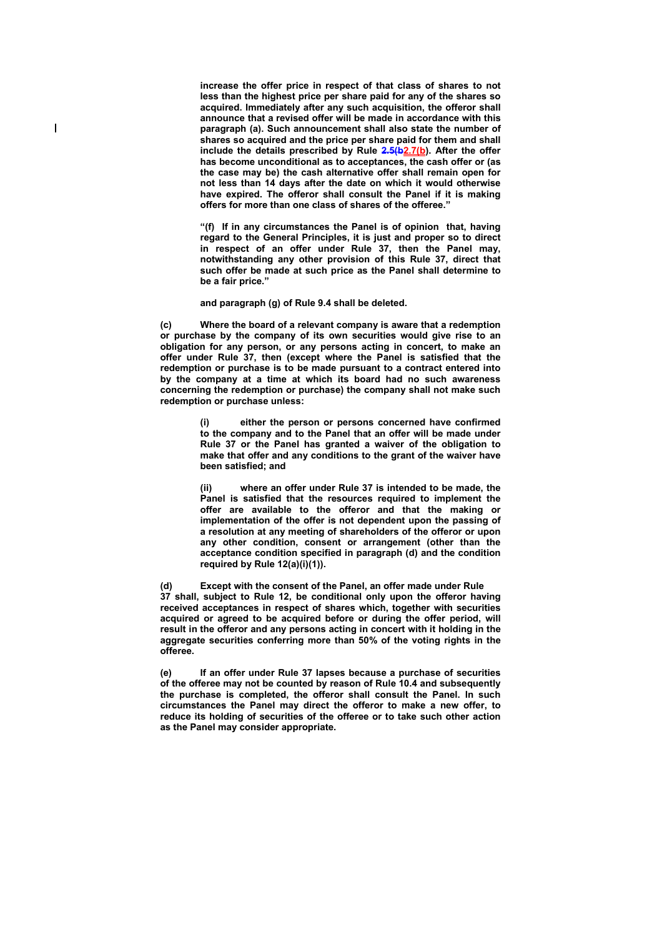**increase the offer price in respect of that class of shares to not less than the highest price per share paid for any of the shares so acquired. Immediately after any such acquisition, the offeror shall announce that a revised offer will be made in accordance with this paragraph (a). Such announcement shall also state the number of shares so acquired and the price per share paid for them and shall include the details prescribed by Rule 2.5(b2.7(b). After the offer has become unconditional as to acceptances, the cash offer or (as the case may be) the cash alternative offer shall remain open for not less than 14 days after the date on which it would otherwise have expired. The offeror shall consult the Panel if it is making offers for more than one class of shares of the offeree."** 

**"(f) If in any circumstances the Panel is of opinion that, having regard to the General Principles, it is just and proper so to direct in respect of an offer under Rule 37, then the Panel may, notwithstanding any other provision of this Rule 37, direct that such offer be made at such price as the Panel shall determine to be a fair price."** 

**and paragraph (g) of Rule 9.4 shall be deleted.** 

**(c) Where the board of a relevant company is aware that a redemption or purchase by the company of its own securities would give rise to an obligation for any person, or any persons acting in concert, to make an offer under Rule 37, then (except where the Panel is satisfied that the redemption or purchase is to be made pursuant to a contract entered into by the company at a time at which its board had no such awareness concerning the redemption or purchase) the company shall not make such redemption or purchase unless:** 

> either the person or persons concerned have confirmed **to the company and to the Panel that an offer will be made under Rule 37 or the Panel has granted a waiver of the obligation to make that offer and any conditions to the grant of the waiver have been satisfied; and**

> **(ii) where an offer under Rule 37 is intended to be made, the Panel is satisfied that the resources required to implement the offer are available to the offeror and that the making or implementation of the offer is not dependent upon the passing of a resolution at any meeting of shareholders of the offeror or upon any other condition, consent or arrangement (other than the acceptance condition specified in paragraph (d) and the condition required by Rule 12(a)(i)(1)).**

**(d) Except with the consent of the Panel, an offer made under Rule 37 shall, subject to Rule 12, be conditional only upon the offeror having received acceptances in respect of shares which, together with securities acquired or agreed to be acquired before or during the offer period, will result in the offeror and any persons acting in concert with it holding in the aggregate securities conferring more than 50% of the voting rights in the offeree.** 

**(e) If an offer under Rule 37 lapses because a purchase of securities of the offeree may not be counted by reason of Rule 10.4 and subsequently the purchase is completed, the offeror shall consult the Panel. In such circumstances the Panel may direct the offeror to make a new offer, to reduce its holding of securities of the offeree or to take such other action as the Panel may consider appropriate.**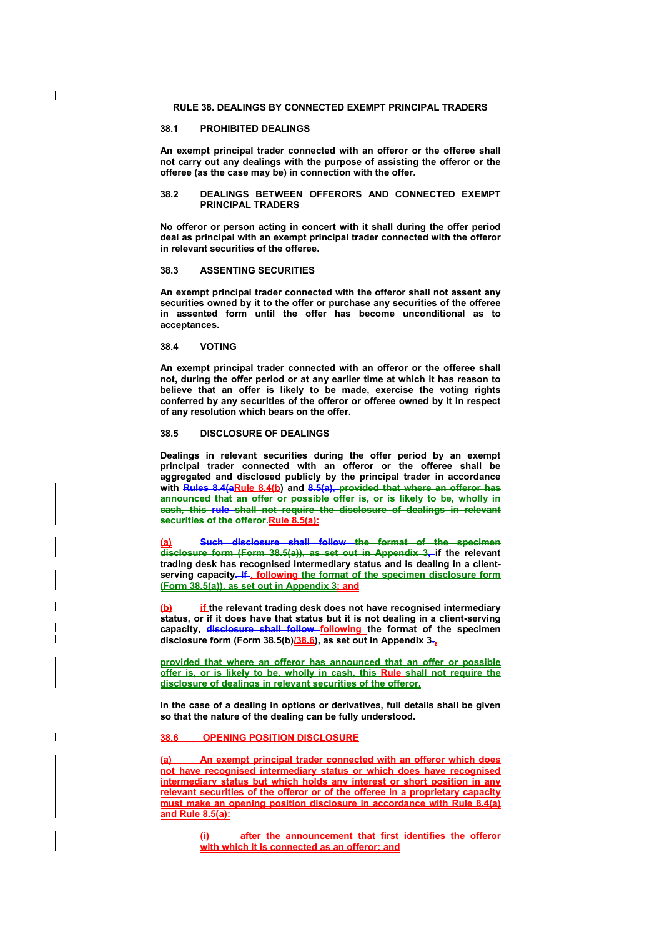# **RULE 38. DEALINGS BY CONNECTED EXEMPT PRINCIPAL TRADERS**

# **38.1 PROHIBITED DEALINGS**

 $\overline{\phantom{a}}$ 

**An exempt principal trader connected with an offeror or the offeree shall not carry out any dealings with the purpose of assisting the offeror or the offeree (as the case may be) in connection with the offer.** 

#### **38.2 DEALINGS BETWEEN OFFERORS AND CONNECTED EXEMPT PRINCIPAL TRADERS**

**No offeror or person acting in concert with it shall during the offer period deal as principal with an exempt principal trader connected with the offeror in relevant securities of the offeree.** 

### **38.3 ASSENTING SECURITIES**

**An exempt principal trader connected with the offeror shall not assent any securities owned by it to the offer or purchase any securities of the offeree in assented form until the offer has become unconditional as to acceptances.** 

# **38.4 VOTING**

**An exempt principal trader connected with an offeror or the offeree shall not, during the offer period or at any earlier time at which it has reason to believe that an offer is likely to be made, exercise the voting rights conferred by any securities of the offeror or offeree owned by it in respect of any resolution which bears on the offer.** 

### **38.5 DISCLOSURE OF DEALINGS**

**Dealings in relevant securities during the offer period by an exempt principal trader connected with an offeror or the offeree shall be aggregated and disclosed publicly by the principal trader in accordance**  with Rules 8.4(aRule 8.4(b) and 8.5(a), provided that where an offeror has **announced that an offer or possible offer is, or is likely to be, wholly in cash, this rule shall not require the disclosure of dealings in relevant securities of the offeror.Rule 8.5(a):**

**Such disclosure shall follow the format of the specimen disclosure form (Form 38.5(a)), as set out in Appendix 3, if the relevant trading desk has recognised intermediary status and is dealing in a client**serving capacity-If<sub>-</sub> following the format of the specimen disclosure form **(Form 38.5(a)), as set out in Appendix 3; and** 

**if** the relevant trading desk does not have recognised intermediary **status, or if it does have that status but it is not dealing in a client-serving capacity, disclosure shall follow following the format of the specimen disclosure form (Form 38.5(b)/38.6), as set out in Appendix 3.,** 

**provided that where an offeror has announced that an offer or possible offer is, or is likely to be, wholly in cash, this Rule shall not require the disclosure of dealings in relevant securities of the offeror.**

**In the case of a dealing in options or derivatives, full details shall be given so that the nature of the dealing can be fully understood.** 

# **38.6 OPENING POSITION DISCLOSURE**

**(a) An exempt principal trader connected with an offeror which does not have recognised intermediary status or which does have recognised intermediary status but which holds any interest or short position in any relevant securities of the offeror or of the offeree in a proprietary capacity must make an opening position disclosure in accordance with Rule 8.4(a) and Rule 8.5(a):** 

> **after the announcement that first identifies the offeror with which it is connected as an offeror; and**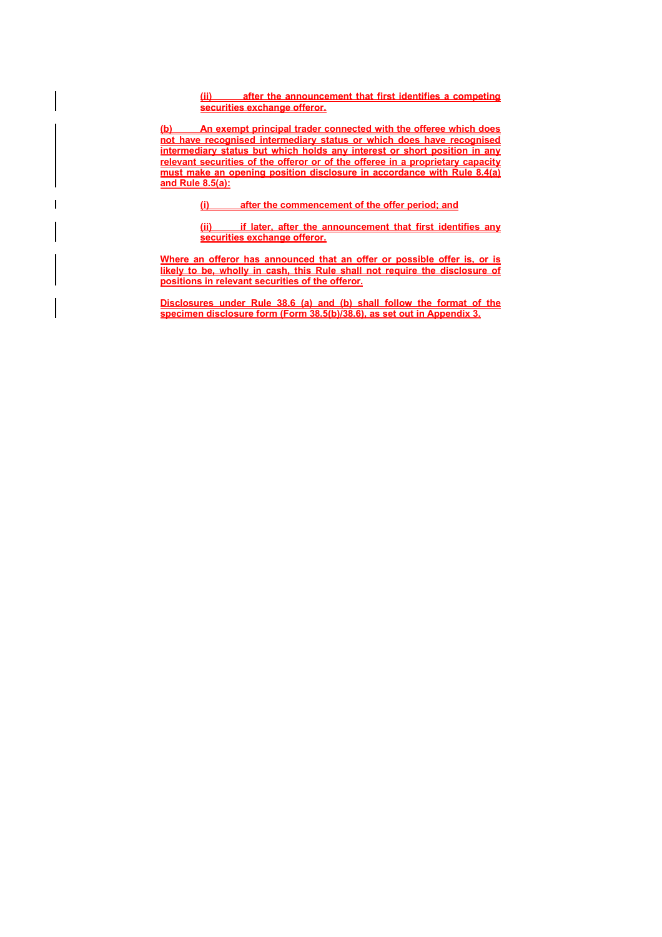**(ii) after the announcement that first identifies a competing securities exchange offeror.** 

**(b) An exempt principal trader connected with the offeree which does not have recognised intermediary status or which does have recognised intermediary status but which holds any interest or short position in any relevant securities of the offeror or of the offeree in a proprietary capacity must make an opening position disclosure in accordance with Rule 8.4(a) and Rule 8.5(a):** 

**(i) after the commencement of the offer period; and** 

**(ii) if later, after the announcement that first identifies any securities exchange offeror.**

**Where an offeror has announced that an offer or possible offer is, or is**  likely to be, wholly in cash, this Rule shall not require the disclosure of **positions in relevant securities of the offeror.**

**Disclosures under Rule 38.6 (a) and (b) shall follow the format of the specimen disclosure form (Form 38.5(b)/38.6), as set out in Appendix 3.**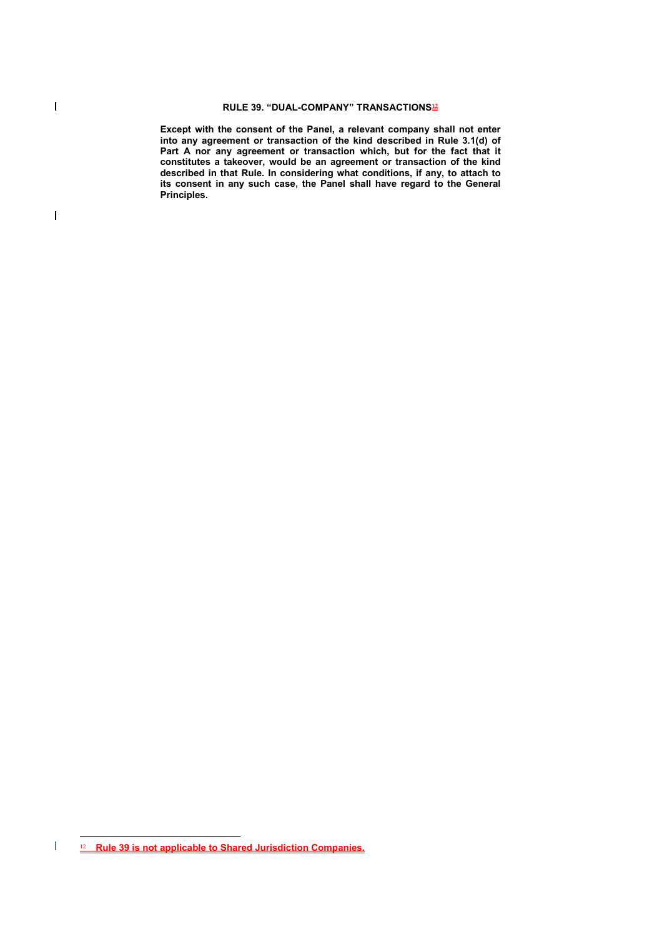**Except with the consent of the Panel, a relevant company shall not enter into any agreement or transaction of the kind described in Rule 3.1(d) of**  Part A nor any agreement or transaction which, but for the fact that it **constitutes a takeover, would be an agreement or transaction of the kind described in that Rule. In considering what conditions, if any, to attach to its consent in any such case, the Panel shall have regard to the General Principles.** 

 $\overline{\phantom{a}}$ 

 $\overline{a}$  $\overline{\phantom{a}}$ 12 **Rule 39 is not applicable to Shared Jurisdiction Companies.**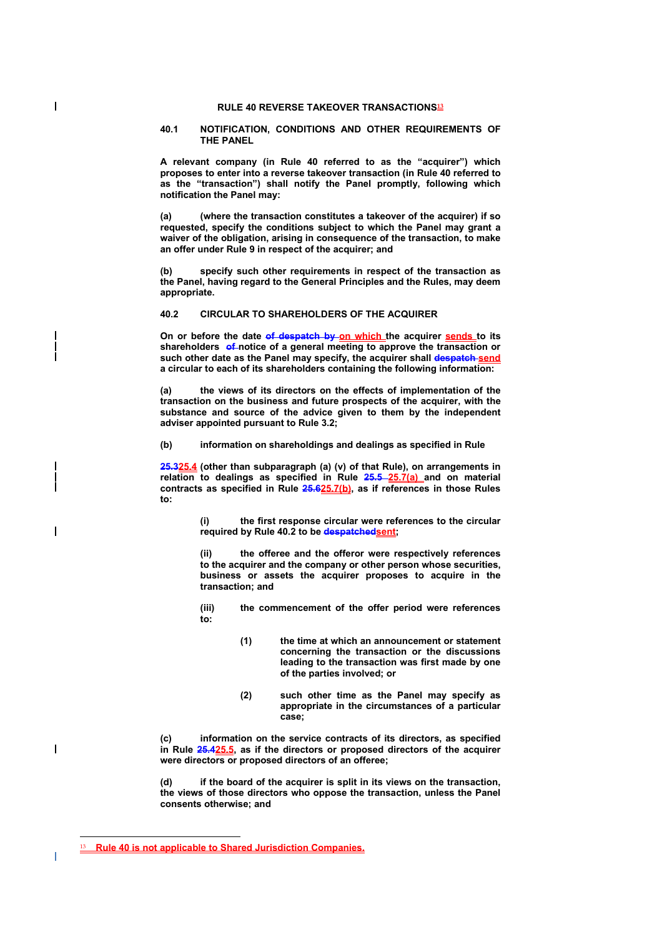# **RULE 40 REVERSE TAKEOVER TRANSACTIONS<sup>13</sup>**

## **40.1 NOTIFICATION, CONDITIONS AND OTHER REQUIREMENTS OF THE PANEL**

**A relevant company (in Rule 40 referred to as the "acquirer") which proposes to enter into a reverse takeover transaction (in Rule 40 referred to as the "transaction") shall notify the Panel promptly, following which notification the Panel may:** 

**(a) (where the transaction constitutes a takeover of the acquirer) if so requested, specify the conditions subject to which the Panel may grant a waiver of the obligation, arising in consequence of the transaction, to make an offer under Rule 9 in respect of the acquirer; and** 

**(b) specify such other requirements in respect of the transaction as the Panel, having regard to the General Principles and the Rules, may deem appropriate.** 

# **40.2 CIRCULAR TO SHAREHOLDERS OF THE ACQUIRER**

**On or before the date of despatch by on which the acquirer sends to its**  shareholders of notice of a general meeting to approve the transaction or such other date as the Panel may specify, the acquirer shall despatch send **a circular to each of its shareholders containing the following information:** 

**(a) the views of its directors on the effects of implementation of the transaction on the business and future prospects of the acquirer, with the substance and source of the advice given to them by the independent adviser appointed pursuant to Rule 3.2;** 

**(b) information on shareholdings and dealings as specified in Rule** 

**25.325.4 (other than subparagraph (a) (v) of that Rule), on arrangements in relation to dealings as specified in Rule 25.5 25.7(a) and on material contracts as specified in Rule 25.625.7(b), as if references in those Rules to:** 

> **(i) the first response circular were references to the circular required by Rule 40.2 to be despatchedsent;**

> **(ii) the offeree and the offeror were respectively references to the acquirer and the company or other person whose securities, business or assets the acquirer proposes to acquire in the transaction; and**

> **(iii) the commencement of the offer period were references to:**

- **(1) the time at which an announcement or statement concerning the transaction or the discussions leading to the transaction was first made by one of the parties involved; or**
- **(2) such other time as the Panel may specify as appropriate in the circumstances of a particular case;**

**(c) information on the service contracts of its directors, as specified in Rule 25.425.5, as if the directors or proposed directors of the acquirer were directors or proposed directors of an offeree;** 

**(d) if the board of the acquirer is split in its views on the transaction, the views of those directors who oppose the transaction, unless the Panel consents otherwise; and** 

 $\overline{a}$ 

 $\overline{\phantom{a}}$ 

<sup>13</sup> **Rule 40 is not applicable to Shared Jurisdiction Companies.**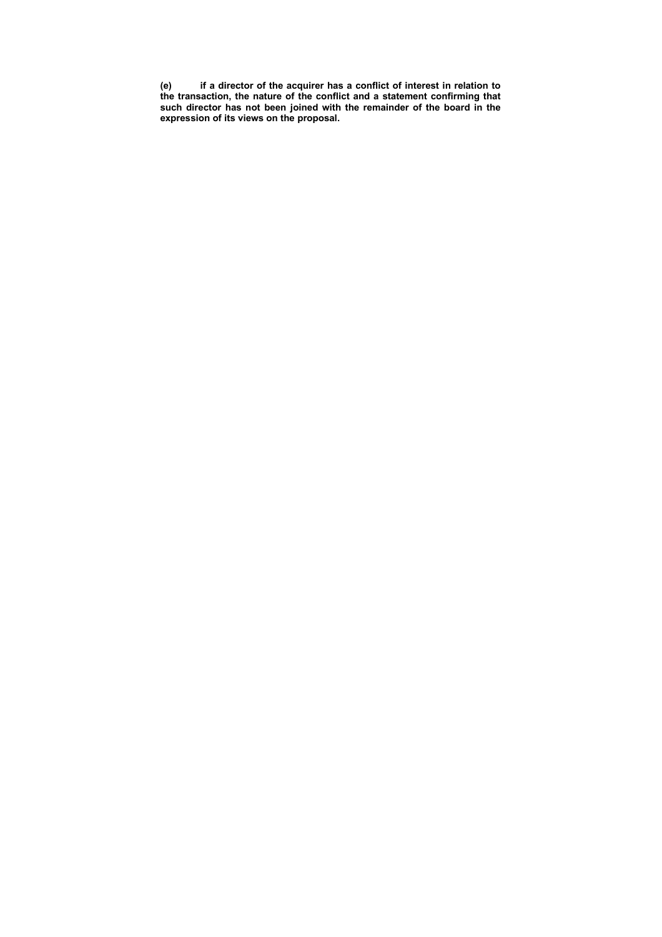**(e) if a director of the acquirer has a conflict of interest in relation to the transaction, the nature of the conflict and a statement confirming that such director has not been joined with the remainder of the board in the expression of its views on the proposal.**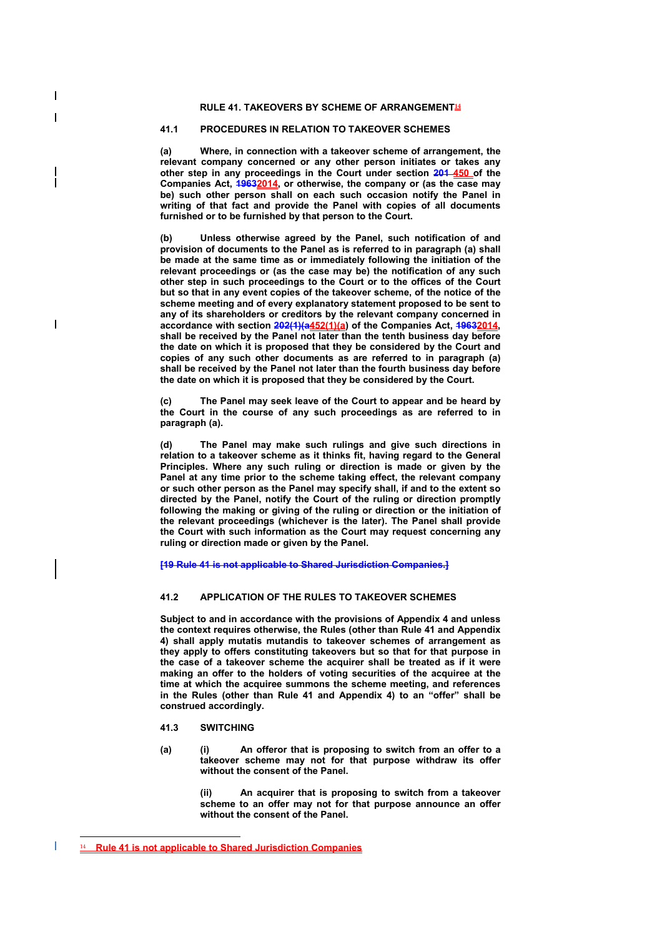## **RULE 41. TAKEOVERS BY SCHEME OF ARRANGEMENT<sup>14</sup>**

# **41.1 PROCEDURES IN RELATION TO TAKEOVER SCHEMES**

**(a) Where, in connection with a takeover scheme of arrangement, the relevant company concerned or any other person initiates or takes any other step in any proceedings in the Court under section 201 450 of the Companies Act, 19632014, or otherwise, the company or (as the case may be) such other person shall on each such occasion notify the Panel in writing of that fact and provide the Panel with copies of all documents furnished or to be furnished by that person to the Court.** 

**(b) Unless otherwise agreed by the Panel, such notification of and provision of documents to the Panel as is referred to in paragraph (a) shall be made at the same time as or immediately following the initiation of the relevant proceedings or (as the case may be) the notification of any such other step in such proceedings to the Court or to the offices of the Court but so that in any event copies of the takeover scheme, of the notice of the scheme meeting and of every explanatory statement proposed to be sent to any of its shareholders or creditors by the relevant company concerned in accordance with section 202(1)(a452(1)(a) of the Companies Act, 19632014, shall be received by the Panel not later than the tenth business day before the date on which it is proposed that they be considered by the Court and copies of any such other documents as are referred to in paragraph (a) shall be received by the Panel not later than the fourth business day before the date on which it is proposed that they be considered by the Court.** 

**(c) The Panel may seek leave of the Court to appear and be heard by the Court in the course of any such proceedings as are referred to in paragraph (a).** 

**(d) The Panel may make such rulings and give such directions in relation to a takeover scheme as it thinks fit, having regard to the General Principles. Where any such ruling or direction is made or given by the Panel at any time prior to the scheme taking effect, the relevant company or such other person as the Panel may specify shall, if and to the extent so directed by the Panel, notify the Court of the ruling or direction promptly following the making or giving of the ruling or direction or the initiation of the relevant proceedings (whichever is the later). The Panel shall provide the Court with such information as the Court may request concerning any ruling or direction made or given by the Panel.** 

**[19 Rule 41 is not applicable to Shared Jurisdiction Companies.]** 

### **41.2 APPLICATION OF THE RULES TO TAKEOVER SCHEMES**

**Subject to and in accordance with the provisions of Appendix 4 and unless the context requires otherwise, the Rules (other than Rule 41 and Appendix 4) shall apply mutatis mutandis to takeover schemes of arrangement as they apply to offers constituting takeovers but so that for that purpose in the case of a takeover scheme the acquirer shall be treated as if it were making an offer to the holders of voting securities of the acquiree at the time at which the acquiree summons the scheme meeting, and references in the Rules (other than Rule 41 and Appendix 4) to an "offer" shall be construed accordingly.** 

- **41.3 SWITCHING**
- **(a) (i) An offeror that is proposing to switch from an offer to a takeover scheme may not for that purpose withdraw its offer without the consent of the Panel.**

**(ii) An acquirer that is proposing to switch from a takeover scheme to an offer may not for that purpose announce an offer without the consent of the Panel.** 

 $\overline{a}$ 

 $\overline{\phantom{a}}$ 

 $\overline{\phantom{a}}$ 

<sup>14</sup> **Rule 41 is not applicable to Shared Jurisdiction Companies**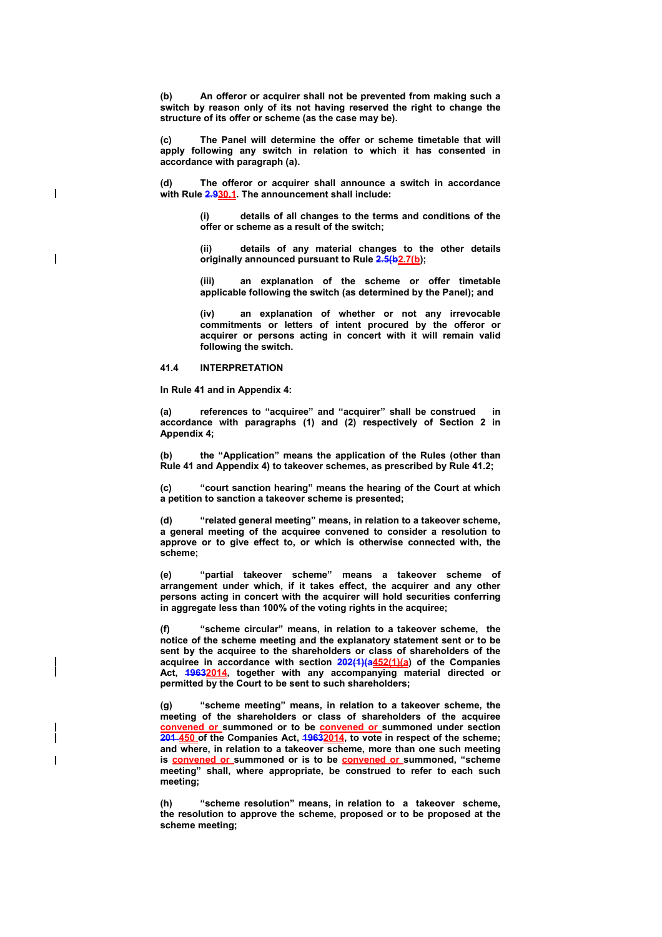**(b) An offeror or acquirer shall not be prevented from making such a switch by reason only of its not having reserved the right to change the structure of its offer or scheme (as the case may be).** 

**(c) The Panel will determine the offer or scheme timetable that will apply following any switch in relation to which it has consented in accordance with paragraph (a).** 

**(d) The offeror or acquirer shall announce a switch in accordance with Rule 2.930.1. The announcement shall include:** 

> **(i) details of all changes to the terms and conditions of the offer or scheme as a result of the switch;**

> **(ii) details of any material changes to the other details originally announced pursuant to Rule 2.5(b2.7(b);**

> **(iii) an explanation of the scheme or offer timetable applicable following the switch (as determined by the Panel); and**

> **(iv) an explanation of whether or not any irrevocable commitments or letters of intent procured by the offeror or acquirer or persons acting in concert with it will remain valid following the switch.**

#### **41.4 INTERPRETATION**

 $\overline{\phantom{a}}$ 

 $\overline{\phantom{a}}$ 

**In Rule 41 and in Appendix 4:** 

(a) references to "acquiree" and "acquirer" shall be construed **accordance with paragraphs (1) and (2) respectively of Section 2 in Appendix 4;** 

**(b) the "Application" means the application of the Rules (other than Rule 41 and Appendix 4) to takeover schemes, as prescribed by Rule 41.2;** 

**(c) "court sanction hearing" means the hearing of the Court at which a petition to sanction a takeover scheme is presented;** 

**(d) "related general meeting" means, in relation to a takeover scheme, a general meeting of the acquiree convened to consider a resolution to approve or to give effect to, or which is otherwise connected with, the scheme;** 

**(e) "partial takeover scheme" means a takeover scheme of arrangement under which, if it takes effect, the acquirer and any other persons acting in concert with the acquirer will hold securities conferring in aggregate less than 100% of the voting rights in the acquiree;** 

**(f) "scheme circular" means, in relation to a takeover scheme, the notice of the scheme meeting and the explanatory statement sent or to be sent by the acquiree to the shareholders or class of shareholders of the acquiree in accordance with section 202(1)(a452(1)(a) of the Companies Act, 19632014, together with any accompanying material directed or permitted by the Court to be sent to such shareholders;** 

**(g) "scheme meeting" means, in relation to a takeover scheme, the meeting of the shareholders or class of shareholders of the acquiree convened or summoned or to be convened or summoned under section 201 450 of the Companies Act, 19632014, to vote in respect of the scheme; and where, in relation to a takeover scheme, more than one such meeting**  is **convened or** summoned or is to be **convened or** summoned, "scheme **meeting" shall, where appropriate, be construed to refer to each such meeting;** 

**(h) "scheme resolution" means, in relation to a takeover scheme, the resolution to approve the scheme, proposed or to be proposed at the scheme meeting;**